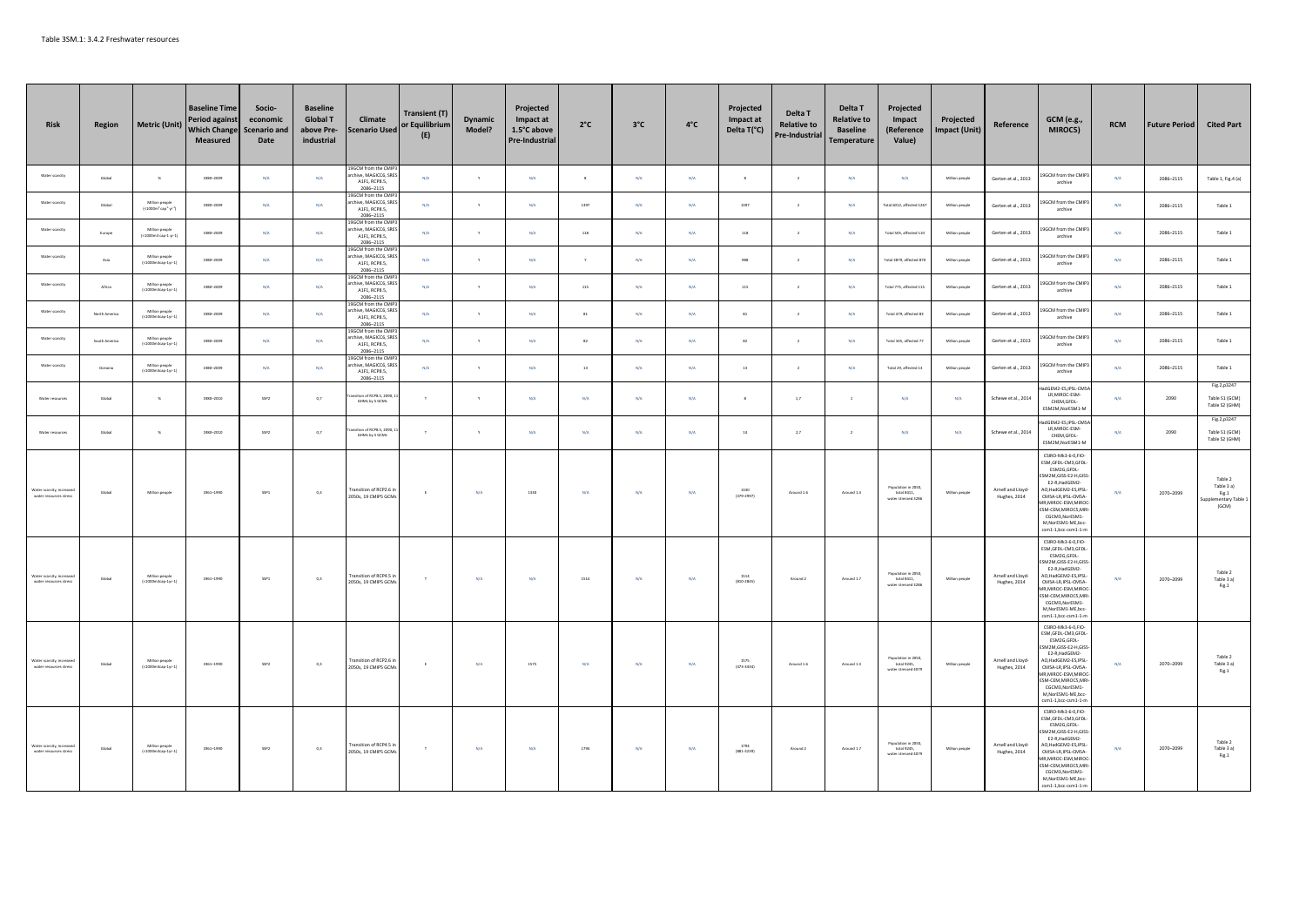| <b>Risk</b>                                       | Region        | <b>Metric (Unit)</b>                      | <b>Baseline Time</b><br><b>Period against</b><br><b>Which Change</b><br>Measured | Socio-<br>economic<br><b>Scenario and</b><br>Date | <b>Baseline</b><br><b>Global T</b><br>above Pre-<br>industrial | Climate<br><b>Scenario Used</b>                                             | <b>Transient (T)</b><br>or Equilibrium<br>(E) | Dynamic<br>Model?       | Projected<br>Impact at<br>1.5°C above<br>Pre-Industrial | $2^{\circ}C$             | $3^{\circ}C$ | $4^{\circ}$ C           | Projected<br>Impact at<br>Delta T(°C) | Delta T<br><b>Relative to</b><br><b>Pre-Industrial</b> | Delta T<br><b>Relative to</b><br><b>Baseline</b><br>Temperature | Projected<br>Impact<br>(Reference<br>Value)               | Projected<br><b>Impact (Unit)</b> | Reference                                 | GCM (e.g.,<br>MIROC5)                                                                                                                                                                                                                                            | <b>RCM</b> | <b>Future Period</b> | <b>Cited Part</b>                                                                                |
|---------------------------------------------------|---------------|-------------------------------------------|----------------------------------------------------------------------------------|---------------------------------------------------|----------------------------------------------------------------|-----------------------------------------------------------------------------|-----------------------------------------------|-------------------------|---------------------------------------------------------|--------------------------|--------------|-------------------------|---------------------------------------|--------------------------------------------------------|-----------------------------------------------------------------|-----------------------------------------------------------|-----------------------------------|-------------------------------------------|------------------------------------------------------------------------------------------------------------------------------------------------------------------------------------------------------------------------------------------------------------------|------------|----------------------|--------------------------------------------------------------------------------------------------|
| Water scarcity                                    | Global        | $\mathbf{g}$                              | 1980-2009                                                                        | N/A                                               | N/A                                                            | 9GCM from the CMI<br>hive, MAGICC6, SR<br>A1F1, RCP8.5,<br>2086-2115        | N/A                                           | $\mathbf{y}$            | N/A                                                     | $\,$ s                   | N/A          | N/A                     | $\,$ 8                                | $\,$ $\,$                                              | N/A                                                             | N/A                                                       | Million people                    | Gerten et al., 2013                       | 9GCM from the CMIP<br>archive                                                                                                                                                                                                                                    | N/A        | 2086-2115            | Table 1, Fig.4 (a)                                                                               |
| Water scarcity                                    | Global        | Million people<br>$(-1000m^3cap^3)r^{-1}$ | 1980-2009                                                                        | N/A                                               | N/A                                                            | <b>GCM</b> from the CMI<br>hive, MAGICC6, SRE<br>A1F1, RCP8.5,<br>2086-2115 | N/A                                           |                         | N/A                                                     | 1397                     | N/A          | N/A                     | 1397                                  | $\overline{2}$                                         | N/A                                                             | Total 6012, affected 126                                  | Million people                    | Gerten et al., 2013                       | 9GCM from the CMIP?<br>archive                                                                                                                                                                                                                                   | N/A        | 2086-2115            | Table 1                                                                                          |
| Water scarcity                                    | Europe        | Million people<br><1000m3 cap-1 yr-1)     | 1980-2009                                                                        | N/A                                               | N/A                                                            | GCM from the CM<br>hive, MAGICC6, SR<br>A1F1, RCP8.5.<br>2086-2115          | N/A                                           |                         | N/A                                                     | $118\,$                  | N/A          | N/A                     | 118                                   | $\,$ 2 $\,$                                            | N/A                                                             | Total SOS, affected 110                                   | Million people                    | Gerten et al., 2013                       | 9GCM from the CMIF<br>archive                                                                                                                                                                                                                                    | N/A        | 2086-2115            | Table 1                                                                                          |
| Water scarcity                                    | Asia          | Million people<br>(<1000m3cap-1w-1)       | 1980-2009                                                                        | N/A                                               | N/A                                                            | GCM from the CMII<br>ive, MAGICC6, SR<br>A1F1, RCP8.5,<br>2086-2115         | N/A                                           |                         | N/A                                                     | Y                        | N/A          | N/A                     | 988                                   | $\overline{2}$                                         | N/A                                                             | Total 3879, affected 87                                   | Million people                    | Gerten et al., 2013                       | GCM from the CMIP<br>archive                                                                                                                                                                                                                                     | N/A        | 2086-2115            | Table 1                                                                                          |
| Water scarcity                                    | Africa        | Million people<br><1000m3cap-1yr-         | 1980-2009                                                                        | N/A                                               | N/A                                                            | GCM from the CMI<br>chive, MAGICC6, SR<br>A1F1, RCP8.5,<br>2086-2115        | N/A                                           | $\mathbf{v}$            | N/A                                                     | 115                      | N/A          | N/A                     | 115                                   | $\rightarrow$                                          | N/A                                                             | Total 775, affected 115                                   | Million neonly                    | Gerten et al., 2013                       | 9GCM from the CMIF<br>archive                                                                                                                                                                                                                                    | N/A        | 2086-2115            | Table 1                                                                                          |
| Water scarcity                                    | North America | Million people<br>(<1000m3cap-1yr-1)      | 1980-2009                                                                        | $N/A$                                             | $\mathrm{N}/\mathrm{A}$                                        | M from the CN<br>chive, MAGICC6, SR<br>A1F1, RCP8.5.<br>2086-2115           | $N/A$                                         |                         | N/A                                                     | $\overline{\mathbf{31}}$ | $\rm N/A$    | $\mathsf{N}/\mathsf{A}$ | 81                                    | $\,$ $\,$                                              | $\rm N/A$                                                       | Total 479, affected 83                                    | Million people                    | Gerten et al., 2013                       | 9GCM from the CMIF<br>archive                                                                                                                                                                                                                                    | $\rm N/A$  | 2086-2115            | Table 1                                                                                          |
| Water scarcity                                    | South America | Million people<br>$( < 1000m3cap-1yr-1)$  | 1980-2009                                                                        | N/A                                               | N/A                                                            | GCM from the CMI<br>ive, MAGICC6, SR<br>A1F1, RCP8.5,<br>2086-2115          | N/A                                           | Y                       | N/A                                                     | 82                       | N/A          | N/A                     | $^{\rm 82}$                           | $\,$ $\,$                                              | N/A                                                             | Total 345, affected 77                                    | Million people                    | Gerten et al., 2013                       | 9GCM from the CMIP?<br>archive                                                                                                                                                                                                                                   | N/A        | 2086-2115            | Table 1                                                                                          |
| Water scarcity                                    | Oceania       | Million people<br>$(1000m3cap-1yr-1$      | 1980-2009                                                                        | $\mathbb{N}/\mathbb{A}$                           | N/A                                                            | CM from the CM<br>hive, MAGICC6, SRI<br>A1F1, RCP8.5,<br>2086-2115          | N/A                                           | v                       | N/A                                                     | 13                       | $\rm N/A$    | $\mathsf{N}/\mathsf{A}$ | $13\,$                                | $\overline{2}$                                         | ${\rm N/A}$                                                     | Total 29, affected 13                                     | Million people                    | Gerten et al., 2013                       | 9GCM from the CMIP<br>archive                                                                                                                                                                                                                                    | N/A        | 2086-2115            | Table 1                                                                                          |
| Water resources                                   | Global        | $\mathcal{H}$                             | 1980-2010                                                                        | SSP2                                              | 0.7                                                            | ition of RCP8.5, 2090<br>GHMs by 5 GCMs                                     | $\tau$                                        | Y                       | N/A                                                     | N/A                      | N/A          | N/A                     | 8                                     | 1,7                                                    | $\overline{1}$                                                  | N/A                                                       | N/A                               | Schewe et al., 2014                       | dGEM2-ES, IPSL-CMS<br>LR, MIROC-ESM-<br>CHEM, GFDL-<br>ESM2M.NorESM1-M                                                                                                                                                                                           | N/A        | 2090                 | Fig.2,p3247<br>Table S1 (GCM)<br>Table S2 (GHM)                                                  |
| Water resources                                   | Global        | $\mathcal{H}$                             | 1980-2010                                                                        | SSP2                                              | 0.7                                                            | ition of RCPB.5, 2090<br>GHMs by 5 GCMs                                     | $\top$                                        | $\mathbf{v}$            | N/A                                                     | N/A                      | N/A          | <b>N/A</b>              | 14                                    | 2.7                                                    | $\overline{2}$                                                  | N/A                                                       | N/A                               | Schewe et al., 2014                       | adGEM2-ES.IPSL-CMS<br>LR.MIROC-ESM-<br>CHEM, GFDL-<br>ESM2M, NorESM1-M                                                                                                                                                                                           | N/A        | 2090                 | Fig.2,p3247<br>Table S1 (GCM)<br>Table S2 (GHM)                                                  |
| Water scarcity, increas<br>water resources stres  | Global        | Million people                            | 1961-1990                                                                        | $SSP1$                                            | 0,3                                                            | ransition of RCP2.6<br>2050s, 19 CMIPS GCM                                  | $\epsilon$                                    | $\mathsf{N}/\mathsf{A}$ | 1330                                                    | $\mathsf{N}/\mathsf{A}$  | $\rm N/A$    | $\mathrm{N}/\mathrm{A}$ | 1330<br>(379-2997)                    | Around 1.6                                             | Around 1.3                                                      | Population in 2050,<br>total 8411,<br>water stressed 3286 | Million people                    | Arnell and Lloyd-<br>Hughes, 2014         | CSIRO-Mk3-6-0 FIO-<br>ESM.GFDL-CM3.GFDL<br>ESM2G.GFDL-<br>M2M, GISS-E2-H, GISS<br>E2-R, HadGEM2-<br>AO, HadGEM2-ES, IPSL<br>CMSA-LR.IPSL-CMSA<br>MR.MIROC-ESM.MIRO<br>ESM-CEM, MIROCS, MR<br>CGCM3, NorESM1-<br>M,NorESM1-ME,bcc<br>csm1-1,bcc-csm1-1-n          | N/A        | 2070-2099            | Table 2<br>Table 3 a)<br>Fig.1<br>ementary Table:<br>(GCM)                                       |
| Water scarcity, increas<br>water resources stress | Global        | Million people<br>$(c1000m3cap-1yr-1)$    | 1961-1990                                                                        | SSP1                                              | 0,3                                                            | Fransition of RCP4.5<br>2050s, 19 CMIP5 GCM                                 | $\tau$                                        | N/A                     | N/A                                                     | 1514                     | N/A          | N/A                     | 1514<br>$(810 - 2845)$                | Around 2                                               | Around 1.7                                                      | Population in 2050,<br>total 8411,<br>water stressed 3286 | Million people                    | Arnell and Lloyd-<br>Hughes, 2014         | CSIRO-Mk3-6-0,FIO-<br>ESM.GFDL-CM3.GFDL<br>ESM2G.GFDL-<br>SM2M, GISS-E2-H, GISS<br>E2-R, HadGEM2-<br>AO, HadGEM2-ES, IPSL<br>CMSA-LR, IPSL-CMSA<br>MR.MIROC-ESM.MIRO<br><b>ESM-CEM.MIROCS.MF</b><br>CGCM3, NorESM1-<br>M,NorESM1-ME,bcc<br>csm1-1.bcc-csm1-1-n   | N/A        | 2070-2099            | Table 2<br>Table 3 a)<br>Fig.1                                                                   |
| Water scarcity, increas<br>water resources stres  | Global        | Million people<br>(<1000m3cap-1yr-1)      | 1961-1990                                                                        | SSP2                                              | 0,3                                                            | Fransition of RCP2.6<br>2050s, 19 CMIPS GCM                                 | $\epsilon$                                    | N/A                     | 1575                                                    | N/A                      | N/A          | N/A                     | 1575<br>(473-3434)                    | Around 1.6                                             | Around 1.3                                                      | Population in 2050,<br>total 9245,<br>water stressed 4079 | Million people                    | Arnell and Lloyd-<br><b>Hughes</b> , 2014 | CSIRO-Mk3-6-0,FIO-<br>ESM, GFDL-CM3, GFDL-<br>ESM2G,GFDL-<br>SM2M, GISS-E2-H, GISS<br>E2-R, HadGEM2-<br>AO.HadGEM2-ES.IPSL<br>CMSA-LR.IPSL-CMSA<br>IR, MIROC-ESM, MIRO<br>ESM-CEM, MIROCS, MR<br>CGCM3.NorESM1-<br>M NorFSM1-MF hrc-<br>csm1-1,bcc-csm1-1-n      | N/A        | 2070-2099            | Table 2<br>Table 3 a)<br>Fig.1                                                                   |
| Water scarcity, increas<br>water resources stress | Global        | Million people<br>$(-1000m3cap-1w-1)$     | 1961-1990                                                                        | SSP2                                              | 0,3                                                            | Transition of RCP4.5<br>2050s, 19 CMIPS GCM                                 | $\mathbb T$                                   | N/A                     | N/A                                                     | 1794                     | N/A          | N/A                     | 1794<br>$(881 - 3239)$                | Around 2                                               | Around 1.7                                                      | Population in 2050,<br>total 9245,<br>water stressed 4079 | Million people                    | Arnell and Lloyd-<br>Hughes, 2014         | CSIRO-Mk3-6-0,FIO-<br>ESM, GFDL-CM3, GFDL-<br>ESM2G.GFDL-<br>SM2M.GISS-E2-H.GISS<br>E2-R, HadGEM2-<br>40, HadGEM2-ES, IPSL<br>CMSA-LR, IPSL-CMSA<br>MR MIROC-ESM MIROL<br><b>ESM-CEM.MIROCS.MR</b><br>CGCM3, NorESM1-<br>M,NorESM1-ME,bcc<br>csm1-1,bcc-csm1-1-m | N/A        | 2070-2099            | Table 2<br>${\small\texttt{Table 3 a}}\xspace\texttt{a} \xspace\texttt{b} \xspace\texttt{right}$ |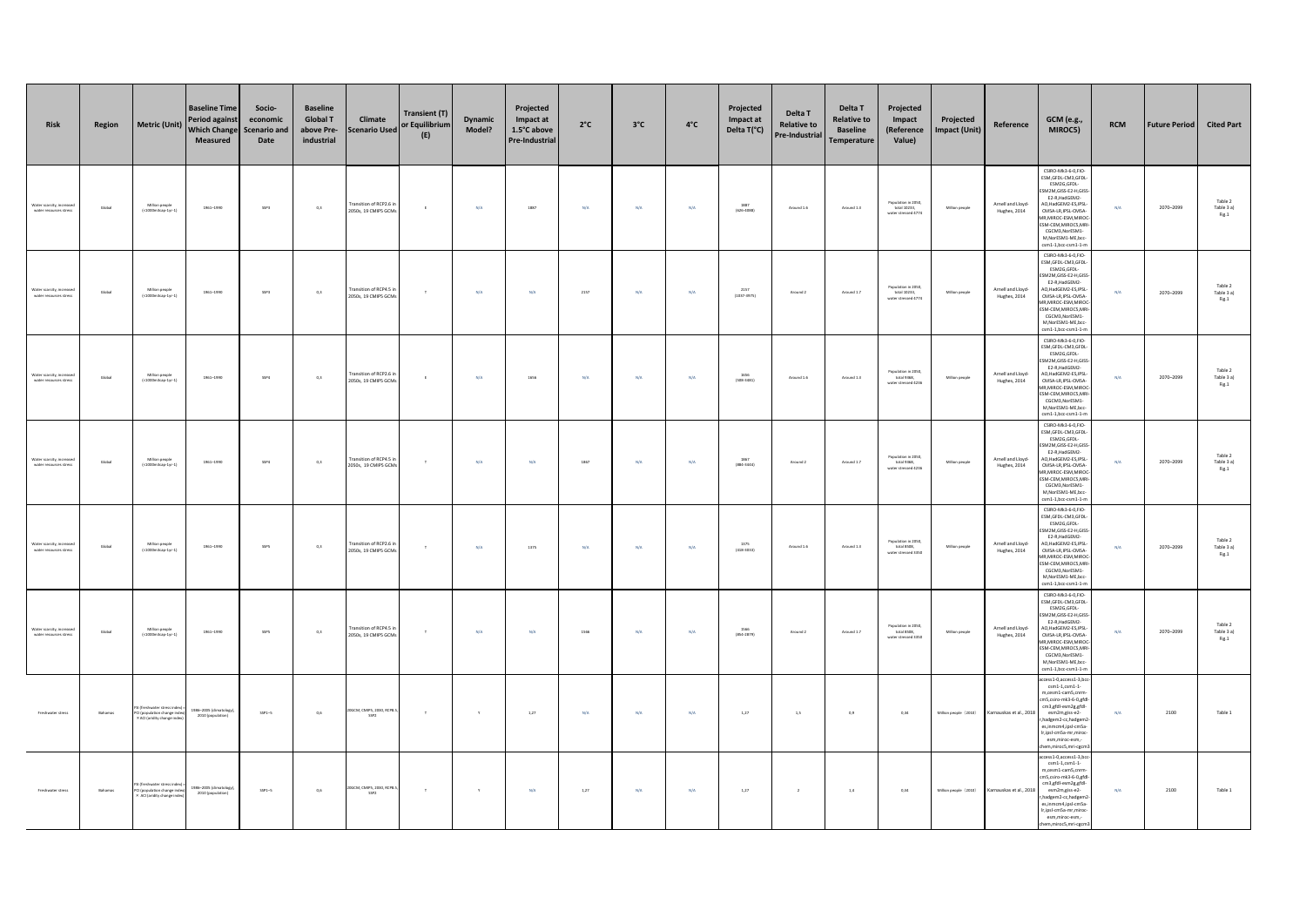| <b>Risk</b>                                        | Region  | <b>Metric (Unit)</b>                                                              | <b>Baseline Time</b><br><b>Period agains</b><br><b>Which Change</b><br>Measured | Socio-<br>economic<br><b>Scenario and</b><br>Date | <b>Baseline</b><br><b>Global T</b><br>above Pre-<br>industrial | Climate<br><b>Scenario Used</b>             | Transient (T)<br>or Equilibrium<br>(E) | <b>Dynamic</b><br>Model? | Projected<br>Impact at<br>1.5°C above<br><b>Pre-Industrial</b> | $2^{\circ}C$            | $3^{\circ}$ C | $4^{\circ}$ C | Projected<br>Impact at<br>Delta T(°C)                    | Delta T<br><b>Relative to</b><br>Pre-Industrial | Delta T<br><b>Relative to</b><br><b>Baseline</b><br>Temperature | Projected<br>Impact<br>(Reference<br>Value)                | Projected<br><b>Impact (Unit)</b> | Reference                         | <b>GCM</b> (e.g.,<br>MIROC5)                                                                                                                                                                                                                                             | <b>RCM</b> | <b>Future Period</b> | <b>Cited Part</b>              |
|----------------------------------------------------|---------|-----------------------------------------------------------------------------------|---------------------------------------------------------------------------------|---------------------------------------------------|----------------------------------------------------------------|---------------------------------------------|----------------------------------------|--------------------------|----------------------------------------------------------------|-------------------------|---------------|---------------|----------------------------------------------------------|-------------------------------------------------|-----------------------------------------------------------------|------------------------------------------------------------|-----------------------------------|-----------------------------------|--------------------------------------------------------------------------------------------------------------------------------------------------------------------------------------------------------------------------------------------------------------------------|------------|----------------------|--------------------------------|
| Water scarcity, increase<br>water resources stress | Global  | Million people<br>$\left( <1000m3cap-1yr-1 \right)$                               | 1961-1990                                                                       | $SSP3$                                            | $_{0,3}$                                                       | Fransition of RCP2.6<br>2050s, 19 CMIPS GCM | $\epsilon$                             | $N/A$                    | 1887                                                           | $\mathrm{N}/\mathrm{A}$ | $N/A$         | $N/A$         | $1887$<br>(626-4088)                                     | Around 1.6                                      | Around 1.3                                                      | Population in 2050,<br>total 10233,<br>water stressed 4774 | Million people                    | Arnell and Lloyd-<br>Hughes, 2014 | CSIRO-Mk3-6-0.FIO-<br>ESM, GFDL-CM3, GFDL-<br>ESM2G,GFDL-<br><b>SM2M GISS-F2-H GIS</b><br>E2-R, HadGEM2-<br>O,HadGEM2-ES,IPSL<br>CMSA-LR.IPSL-CMSA-<br><b>MR, MIROC-ESM, MIROC-</b><br>ESM-CEM, MIROCS, MR<br>CGCM3.NorESM1-<br>M.NorESM1-ME.bcc<br>$sm1-1,bcc-csm1-1-m$ | $\rm N/A$  | 2070-2099            | Table 2<br>Table 3 a)<br>Fig.1 |
| Water scarcity, increas<br>water resources stress  | Global  | Million people<br>$\left( <1000m3cap-1yr-1 \right)$                               | 1961-1990                                                                       | $SSP3$                                            | $_{0,3}$                                                       | Fransition of RCP4.5<br>2050s, 19 CMIPS GCM | $\tau$                                 | $\mathsf{N}/\mathsf{A}$  | N/A                                                            | 2157                    | $\rm N/A$     | $N/A$         | $(1037 - 3975)$                                          | Around 2                                        | Around 1.7                                                      | Population in 2050,<br>total 10233,<br>water stressed 4774 | Million people                    | Arnell and Lloyd-<br>Hughes, 2014 | CSIRO-Mk3-6-0,FIO-<br>ESM, GFDL-CM3, GFDL-<br>ESM2G,GFDL-<br><b>SM2M GISS-F2-H GIS</b><br>E2-R, HadGEM2-<br>O, HadGEM2-ES, IPSL<br>CMSA-LR.IPSL-CMSA-<br>IR, MIROC-ESM, MIROC-<br>SM-CEM, MIROCS, MR<br>CGCM3.NorESM1-<br>M, NorESM1-ME, bcc<br>sm1-1,bcc-csm1-1-m       | N/A        | 2070-2099            | Table 2<br>Table 3 a)<br>Fig.1 |
| Water scarcity, increase<br>water resources stress | Global  | Million people<br>$\left( <1000m3cap-1yr-1 \right)$                               | 1961-1990                                                                       | SSP4                                              | $_{0,3}$                                                       | Fransition of RCP2.6<br>2050s, 19 CMIP5 GCM | $\epsilon$                             | $N/A$                    | 1656                                                           | $\mathrm{N}/\mathrm{A}$ | $\rm N/A$     | $N/A$         | 1656<br>$(508-3481)$                                     | Around 1.6                                      | Around 1.3                                                      | Population in 2050,<br>total 9368,<br>water stressed 4236  | Million people                    | Arnell and Lloyd-<br>Hughes, 2014 | CSIRO-Mk3-6-0,FIO-<br>ESM, GFDL-CM3, GFDL<br>ESM2G,GFDL-<br>SM2M.GISS-E2-H.GISS<br>E2-R, HadGEM2-<br>O,HadGEM2-ES,IPSL<br>CMSA-LR.IPSL-CMSA-<br>IR, MIROC-ESM, MIROC<br>SM-CEM, MIROCS, MR<br>CGCM3.NorESM1<br>M, NorESM1-ME, bcc-<br>csm1-1,bcc-csm1-1-m                | $\rm N/A$  | 2070-2099            | Table 2<br>Table 3 a)<br>Fig.1 |
| Water scarcity, increase<br>water resources stress | Global  | Million people<br>(<1000m3cap-1yr-1)                                              | 1961-1990                                                                       | SSP4                                              | $_{0,3}$                                                       | Fransition of RCP4.5<br>2050s, 19 CMIPS GCM | $\top$                                 | $\mathsf{N}/\mathsf{A}$  | N/A                                                            | 1867                    | $\rm N/A$     | $N/A$         | $\begin{array}{c} 1867 \\ \text{(884-3444)} \end{array}$ | Around 2                                        | Around 1.7                                                      | Population in 2050,<br>total 9368,<br>water stressed 4236  | Million people                    | Arnell and Lloyd-<br>Hughes, 2014 | CSIRO-Mk3-6-0,FIO-<br>ESM, GFDL-CM3, GFDL<br>ESM2G,GFDL-<br>SM2M.GISS-E2-H.GISS<br>E2-R, HadGEM2-<br>AO.HadGEM2-ES.IPSL<br>CMSA-LR.IPSL-CMSA-<br>IR, MIROC-ESM, MIRO<br>ESM-CEM, MIROCS, MR<br>CGCM3.NorESM1-<br>M, NorESM1-ME, bcc-<br>sm1-1,bcc-csm1-1-m               | N/A        | 2070-2099            | Table 2<br>Table 3 a)<br>Fig.1 |
| Water scarcity, increase<br>water resources stress | Global  | Million people<br>(<1000m3cap-1yr-1)                                              | 1961-1990                                                                       | $SSPS$                                            | 0,3                                                            | Fransition of RCP2.6<br>2050s, 19 CMIP5 GCM | $\top$                                 | $\mathsf{N}/\mathsf{A}$  | 1375                                                           | $\mathsf{N}/\mathsf{A}$ | $\rm N/A$     | $N/A$         | $\begin{array}{c} 1375 \\ (418\text{-}3033) \end{array}$ | Around 1.6                                      | Around 1.3                                                      | Population in 2050,<br>total 8508,<br>water stressed 3350  | Million people                    | Arnell and Lloyd-<br>Hughes, 2014 | CSIRO-Mk3-6-0,FIO-<br>ESM, GFDL-CM3, GFDL<br>ESM2G,GFDL-<br>SM2M.GISS-E2-H.GIS<br>E2-R, HadGEM2-<br>AO, HadGEM2-ES, IPSL<br>CMSA-LR.IPSL-CMSA-<br>IR, MIROC-ESM, MIROC<br>ESM-CEM, MIROCS, MR<br>CGCM3.NorESM1-<br>M, NorESM1-ME, bcc-<br>csm1-1,bcc-csm1-1-m            | $\rm N/A$  | 2070-2099            | Table 2<br>Table 3 a)<br>Fig.1 |
| Water scarcity, increase<br>water resources stress | Global  | Million people<br>(<1000m3cap-1yr-1)                                              | 1961-1990                                                                       | $SSPS$                                            | 0,3                                                            | Fransition of RCP4.5<br>2050s, 19 CMIPS GCM | $\tau$                                 | $\mathsf{N}/\mathsf{A}$  | $N/A$                                                          | 1566                    | $\rm N/A$     | $N/A$         | 1566<br>(854-2879)                                       | Around 2                                        | Around 1.7                                                      | Population in 2050,<br>total 8508,<br>water stressed 3350  | Million people                    | Arnell and Lloyd-<br>Hughes, 2014 | CSIRO-Mk3-6-0,FIO-<br>ESM, GFDL-CM3, GFDL<br>ESM2G,GFDL-<br>SM2M.GISS-E2-H.GISS<br>E2-R, HadGEM2-<br>AO, HadGEM2-ES, IPSL<br>CMSA-LR.IPSL-CMSA-<br>IR, MIROC-ESM, MIROC<br>ESM-CEM, MIROCS, MR<br>CGCM3.NorESM1-<br>M, NorESM1-ME, bcc-<br>csm1-1,bcc-csm1-1-m           | N/A        | 2070-2099            | Table 2<br>Table 3 a)<br>Fig.1 |
| Freshwater stress                                  | Bahamas | reshwater stress ind<br>CI (population change inde<br>× ACI (aridity change index | 986-2005 (climatolog<br>2010 (population)                                       | $SSP1-5$                                          | 0,6                                                            | <b>OGCM, CMIPS, 2030, RCPI</b><br>SSP2      | $\top$                                 | $\mathbf{Y}$             | 1,27                                                           | N/A                     | N/A           | N/A           | 1,27                                                     | 1,5                                             | 0,9                                                             | 0, 34                                                      | Million people (2010)             | Karnauskas et al., 2018           | cress1-0,acress1-3,bc<br>$\texttt{csm1-1}, \texttt{csm1-1}$<br>m cesm1-cam5 cnrm<br>m5,csiro-mk3-6-0,gfd<br>cm3,gfdl-esm2g,gfdl-<br>esm2m,giss-e2-<br>hadgem2-cc,hadgem<br>es,inmcm4,ipsl-cm5a<br>Ir,ipsl-cm5a-mr,miroc<br>esm,miroc-esm,-<br>em,miroc5,mri-cgcm         | N/A        | 2100                 | Table 1                        |
| Freshwater stress                                  | Bahamas | freshwater stress ind<br>CI (population change inde<br>× ACI (aridity change inde | 986-2005 (climatology<br>2010 (population)                                      | $SSP1-5$                                          | 0,6                                                            | 20GCM, CMIPS, 2030, RCP8<br>SSP2            | $\top$                                 | $\mathbf{y}$             | N/A                                                            | 1,27                    | N/A           | N/A           | 1,27                                                     | $\overline{2}$                                  | $1.4\,$                                                         | 0, 34                                                      | Million people (2010)             | Karnauskas et al., 2018           | cess1-0,access1-3,bc<br>$\texttt{csm1-1}, \texttt{csm1-1}$<br>m,cesm1-cam5,cnrn<br>m5,csiro-mk3-6-0,gfdl<br>cm3,gfdl-esm2g,gfdl-<br>esm2m,giss-e2-<br>hadgem2-cc,hadgem2<br>es,inmcm4,ipsl-cm5a<br>Ir,ipsl-cm5a-mr,miroc<br>esm,miroc-esm,-<br>hem,miroc5,mri-cgcm       | N/A        | 2100                 | Table 1                        |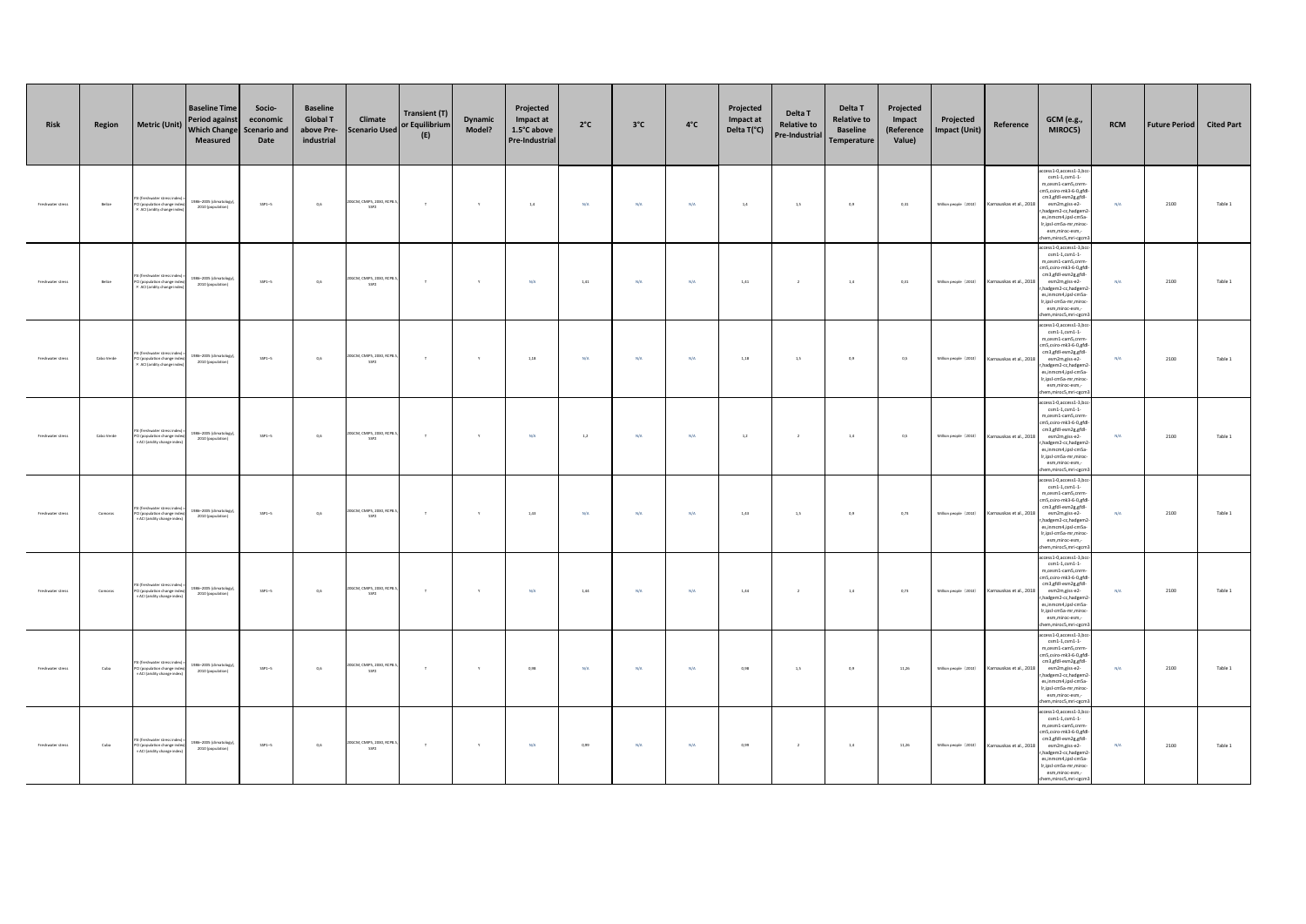| Risk              | Region     | <b>Metric (Unit)</b>                                                                     | <b>Baseline Time</b><br><b>Period against</b><br><b>Which Change</b><br>Measured | Socio-<br>economic<br><b>Scenario and</b><br>Date | <b>Baseline</b><br><b>Global T</b><br>above Pre-<br>industrial | Climate<br><b>Scenario Used</b>               | <b>Transient (T)</b><br>or Equilibrium<br>(E) | Dynamic<br>Model? | Projected<br>Impact at<br>1.5°C above<br>Pre-Industrial | $2^{\circ}C$ | $3^{\circ}$ C | $4^{\circ}$ C | Projected<br>Impact at<br>Delta T(°C) | Delta T<br><b>Relative to</b><br>Pre-Industrial | Delta T<br><b>Relative to</b><br><b>Baseline</b><br>Temperature | Projected<br>Impact<br>(Reference<br>Value) | Projected<br><b>Impact (Unit)</b> | Reference               | <b>GCM</b> (e.g.,<br>MIROC5)                                                                                                                                                                                                                                               | <b>RCM</b> | <b>Future Period</b> | <b>Cited Part</b> |
|-------------------|------------|------------------------------------------------------------------------------------------|----------------------------------------------------------------------------------|---------------------------------------------------|----------------------------------------------------------------|-----------------------------------------------|-----------------------------------------------|-------------------|---------------------------------------------------------|--------------|---------------|---------------|---------------------------------------|-------------------------------------------------|-----------------------------------------------------------------|---------------------------------------------|-----------------------------------|-------------------------|----------------------------------------------------------------------------------------------------------------------------------------------------------------------------------------------------------------------------------------------------------------------------|------------|----------------------|-------------------|
| Freshwater stress | Belize     | (freshwater stress<br>PCI (population change ind<br>× ACI (aridity change inde           | 1986-2005 (climatology<br>2010 (population)                                      | $SSP1-5$                                          | 0,6                                                            | OGCM, CMIPS, 2030, RCPS<br>SSP2               | $\tau$                                        | $\mathbf{Y}$      | $1.4\,$                                                 | N/A          | N/A           | N/A           | $1.4$                                 | 1,5                                             | 0,9                                                             | 0,31                                        | Million people (2010)             | Karnauskas et al., 2018 | ccess1-0,access1-3,bcc<br>$cm1-1, csm1-1$<br>m,cesm1-cam5,cnrm<br>cm5.csiro-mk3-6-0.gfd<br>cm3,gfdl-esm2g,gfdl-<br>esm2m.giss-e2-<br>r, hadgem2-cc, hadgem2<br>es,inmcm4,ipsl-cm5a-<br>Ir,ipsl-cm5a-mr,mirod<br>esm.miroc-esm.-<br>hem,miroc5,mri-cgcm                     | N/A        | 2100                 | Table 1           |
| Freshwater stress | Belize     | (freshwater stress in<br>PCI (population change inde<br>× ACI (aridity change inde       | 1986-2005 (climatology)<br>2010 (population)                                     | $SSP1-5$                                          | 0,6                                                            | OGCM, CMIPS, 2030, RCPS<br>SSP2               | $\tau$                                        | $\mathbf{y}$      | N/A                                                     | $1,\!41$     | N/A           | N/A           | 1,41                                  | $\,$ 2 $\,$                                     | $1.4$                                                           | 0,31                                        | Million people (2010)             | Karnauskas et al., 2018 | access1-0,access1-3,bc<br>$\texttt{csm1-1}, \texttt{csm1-1}$<br>m,cesm1-cam5,cnrm-<br>cm5,csiro-mk3-6-0,gfd<br>cm3,gfdl-esm2g,gfdl-<br>esm2m.giss-e2-<br>r, hadgem2-cc, hadgem2<br>es,inmcm4,ipsl-cm5a-<br>Ir,ipsl-cmSa-mr,miroc<br>esm.miroc-esm.-<br>hem.miroc5.mri-cecn | N/A        | 2100                 | Table 1           |
| Freshwater stress | Cabo Verde | SI (freshwater stress in<br>PCI (population change inde<br>× ACI (aridity change index   | 1986-2005 (climatology)<br>2010 (population)                                     | $SSP1-5$                                          | 0,6                                                            | 20GCM, CMIPS, 2030, RCP8.<br>SSP2             | $\tau$                                        | $\mathbf{v}$      | 1,18                                                    | N/A          | N/A           | N/A           | 1,18                                  | 1,5                                             | 0,9                                                             | 0,5                                         | Million people (2010)             | Karnauskas et al., 2018 | cess1-0,access1-3,bcc<br>$\texttt{csm1-1}, \texttt{csm1-1}$<br>m,cesm1-cam5,cnrm<br>cm5.csiro-mk3-6-0.gfd<br>cm3,gfdl-esm2g,gfdl-<br>esm2m.giss-e2-<br>r, hadgem2-cc, hadgem2<br>es,inmcm4,ipsl-cm5a-<br>Ir,ipsl-cm5a-mr,mirod<br>esm,miroc-esm,-<br>hem,miroc5,mri-cgcm   | N/A        | 2100                 | Table 1           |
| Freshwater stress | Cabo Verde | SI (freshwater stress in<br>CI (population change ind<br>ACI (aridity change index       | 1986-2005 (climatology)<br>2010 (population)                                     | $SSP1-5$                                          | 0,6                                                            | OGCM, CMIPS, 2030, RCPB<br>SSP2               | $\tau$                                        | $\mathbf{Y}$      | N/A                                                     | $1.2\,$      | N/A           | N/A           | 1,2                                   | $\overline{2}$                                  | $1.4\,$                                                         | 0,5                                         | Million people (2010)             | Karnauskas et al., 2018 | cess1-0,access1-3,bc<br>$\texttt{csm1-1,}\texttt{csm1-1}$<br>m,cesm1-cam5,cnrm<br>m5.csiro-mk3-6-0.efd<br>cm3,gfdl-esm2g,gfdl-<br>esm2m.giss-e2-<br>r, hadgem2-cc, hadgem<br>es,inmcm4,ipsl-cm5a<br>Ir,ipsl-cmSa-mr,miroc<br>esm,miroc-esm,-<br>em, miroc5, mri-cgcn       | N/A        | 2100                 | Table 1           |
| Freshwater stress | Compros    | (freshwater stress in<br>PCI (population change inde<br>× ACI (aridity change index      | 1986-2005 (climatology)<br>2010 (population)                                     | $SSP1-5$                                          | 0,6                                                            | OGCM, CMIPS, 2030, RCP8.<br>SSP2              | $\tau$                                        | $\mathbf{v}$      | 1.43                                                    | N/A          | N/A           | <b>N/A</b>    | 1.43                                  | 1.5                                             | 0.9                                                             | 0.73                                        | Million people (2010)             | Karnauskas et al., 2018 | cess1-0,access1-3,bcc<br>$\texttt{csm1-1,}\texttt{csm1-1}$<br>m,cesm1-cam5,cnrm<br>m5.csiro-mk3-6-0.efd<br>cm3,gfdl-esm2g,gfdl-<br>esm2m.giss-e2-<br>r, hadgem2-cc, hadgem<br>es,inmcm4,ipsl-cm5a-<br>Ir,ipsl-cm5a-mr,mirod<br>esm,miroc-esm,-<br>hem,miroc5,mri-cgcm      | N/A        | 2100                 | Table 1           |
| Freshwater stress | Compros    | (freshwater stress in<br>CI (population change ind<br>ACI (aridity change inder          | 1986-2005 (climatology)<br>2010 (population)                                     | $SSP1-5$                                          | 0,6                                                            | OGCM, CMIPS, 2030, RCP8<br>SSP2               | $\tau$                                        | $\mathbf{y}$      | N/A                                                     | 1,44         | N/A           | N/A           | 1,44                                  | $\overline{2}$                                  | $1.4$                                                           | 0.73                                        | Million people (2010)             | Karnauskas et al., 2018 | ccess1-0,access1-3,bcc<br>$\texttt{csm1-1,}\texttt{csm1-1}$<br>m,cesm1-cam5,cnrm<br>m5,csiro-mk3-6-0,gfd<br>cm3,gfdl-esm2g,gfdl-<br>esm2m.giss-e2-<br>r, hadgem2-cc, hadgem.<br>es,inmcm4,ipsl-cm5a-<br>Ir,ipsl-cm5a-mr,miroc<br>esm,miroc-esm,-<br>hem, miroc5, mri-cgcm  | N/A        | 2100                 | Table 1           |
| Freshwater stress | Cuba       | .<br>I (freshwater stress in<br>PCI (population change inde<br>ACI (aridity change inde  | 1986-2005 (climatology)<br>2010 (population)                                     | $SSP1-5$                                          | 0.6                                                            | 20GCM, CMIPS, 2030, RCP8.<br>SSP <sub>2</sub> | $\mathbf{r}$                                  | $\mathbf{y}$      | 0.98                                                    | N/A          | N/A           | N/A           | 0,98                                  | 1,5                                             | 0,9                                                             | 11.26                                       | Million people (2010)             | Karnauskas et al., 2018 | cess1-0,access1-3,bcc<br>$\texttt{csm1-1,}\texttt{csm1-1}$<br>m,cesm1-cam5,cnrm<br>m5.csiro-mk3-6-0.efd<br>cm3,gfdl-esm2g,gfdl-<br>esm2m.giss-e2-<br>r, hadgem2-cc, hadgem<br>es,inmcm4,ipsl-cm5a-<br>Ir,ipsl-cm5a-mr,miroc<br>esm,miroc-esm,-<br>hem, miroc5, mri-cgcm    | N/A        | 2100                 | Table 1           |
| Freshwater stress | Cuba       | SI (freshwater stress ind<br>PCI (population change inde<br>× ACI (aridity change index) | 1986-2005 (climatology)<br>2010 (population)                                     | $SSP1-5$                                          | 0,6                                                            | 20GCM, CMIPS, 2030, RCP8.<br>$SSP2$           | $\top$                                        | Y                 | N/A                                                     | 0,99         | N/A           | N/A           | 0,99                                  | $\overline{2}$                                  | $1.4\,$                                                         | 11,26                                       | Million people (2010)             | Karnauskas et al., 2018 | cess1-0,access1-3,bc<br>$\texttt{csm1-1,}\texttt{csm1-1}$<br>m,cesm1-cam5,cnrm<br>cm5,csiro-mk3-6-0,gfdl<br>cm3,gfdl-esm2g,gfdl-<br>esm2m.giss-e2-<br>r, hadgem2-cc, hadgem.<br>es,inmcm4,ipsl-cm5a-<br>Ir,ipsl-cm5a-mr,miroc<br>esm,miroc-esm,-<br>em,miroc5,mri-cgcm     | N/A        | 2100                 | Table 1           |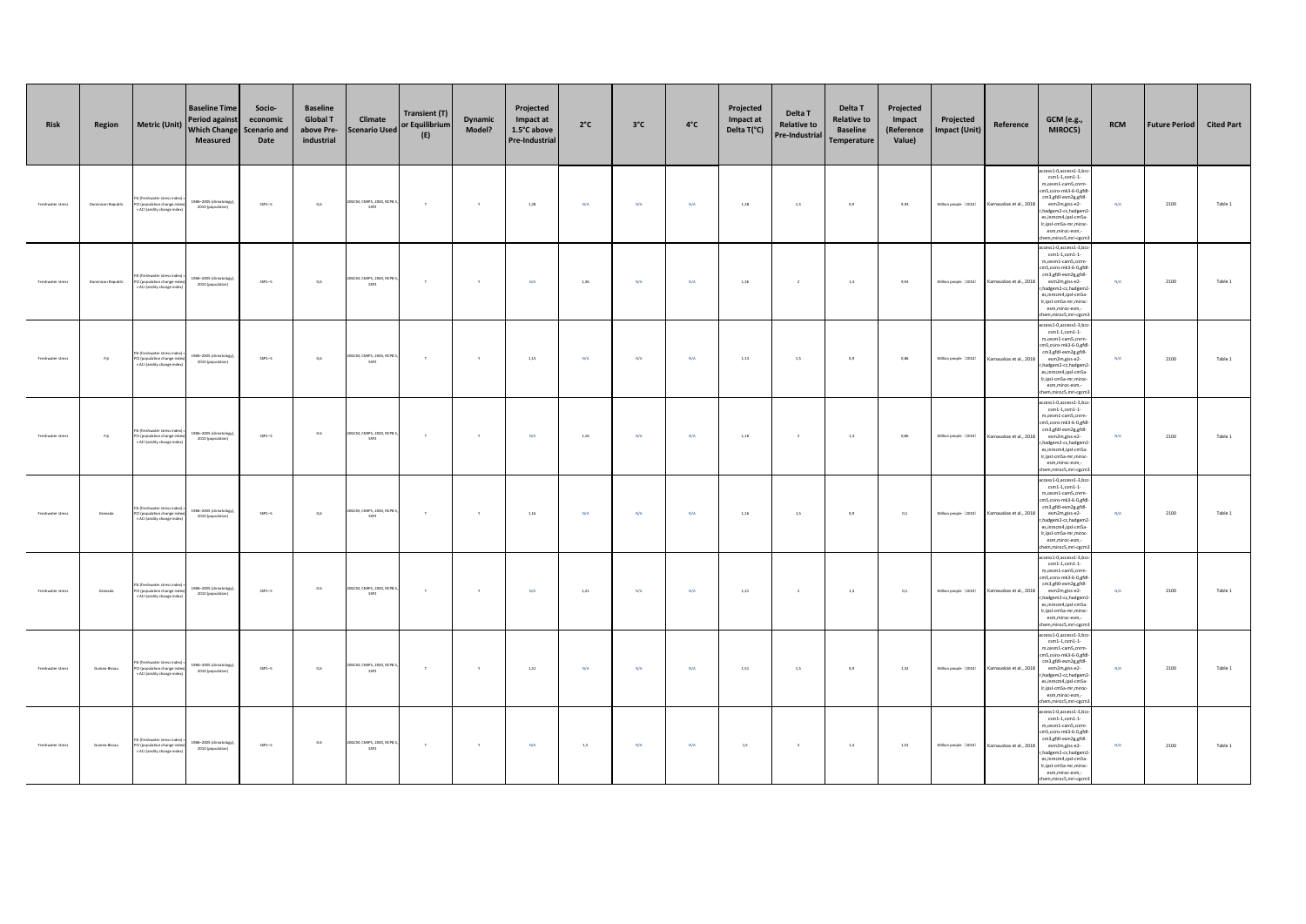| Risk              | Region             | <b>Metric (Unit)</b>                                                                          | <b>Baseline Time</b><br><b>Period against</b><br><b>Which Change</b><br>Measured | Socio-<br>economic<br><b>Scenario and</b><br>Date | <b>Baseline</b><br><b>Global T</b><br>above Pre-<br>industrial | Climate<br><b>Scenario Used</b>               | <b>Transient (T)</b><br>or Equilibrium<br>(E) | Dynamic<br>Model? | Projected<br>Impact at<br>1.5°C above<br>Pre-Industrial | $2^{\circ}C$ | $3^{\circ}$ C | $4^{\circ}$ C | Projected<br>Impact at<br>Delta T(°C) | Delta T<br><b>Relative to</b><br>Pre-Industrial | Delta T<br><b>Relative to</b><br><b>Baseline</b><br>Temperature | Projected<br>Impact<br>(Reference<br>Value) | Projected<br><b>Impact (Unit)</b> | Reference               | <b>GCM</b> (e.g.,<br>MIROC5)                                                                                                                                                                                                                                               | <b>RCM</b> | <b>Future Period</b> | <b>Cited Part</b> |
|-------------------|--------------------|-----------------------------------------------------------------------------------------------|----------------------------------------------------------------------------------|---------------------------------------------------|----------------------------------------------------------------|-----------------------------------------------|-----------------------------------------------|-------------------|---------------------------------------------------------|--------------|---------------|---------------|---------------------------------------|-------------------------------------------------|-----------------------------------------------------------------|---------------------------------------------|-----------------------------------|-------------------------|----------------------------------------------------------------------------------------------------------------------------------------------------------------------------------------------------------------------------------------------------------------------------|------------|----------------------|-------------------|
| Freshwater stress | Dominican Republic | (freshwater stress<br>PCI (population change ind<br>× ACI (aridity change inde                | 1986-2005 (climatology<br>2010 (population)                                      | $SSP1-5$                                          | 0,6                                                            | OGCM, CMIPS, 2030, RCPS<br>SSP2               | $\tau$                                        | $\mathbf{Y}$      | 1,28                                                    | N/A          | N/A           | N/A           | 1,28                                  | 1,5                                             | 0,9                                                             | 9,93                                        | Million people (2010)             | Karnauskas et al., 2018 | ccess1-0,access1-3,bcc<br>$cm1-1, csm1-1$<br>m,cesm1-cam5,cnrm<br>cm5.csiro-mk3-6-0.gfd<br>cm3,gfdl-esm2g,gfdl-<br>esm2m.giss-e2-<br>r, hadgem2-cc, hadgem2<br>es,inmcm4,ipsl-cm5a-<br>Ir,ipsl-cm5a-mr,mirod<br>esm.miroc-esm.-<br>hem,miroc5,mri-cgcm                     | N/A        | 2100                 | Table 1           |
| Freshwater stress | Dominican Republic | (freshwater stress in<br>PCI (population change inde<br>× ACI (aridity change index           | 1986-2005 (climatology)<br>2010 (population)                                     | $SSP1-5$                                          | 0,6                                                            | OGCM, CMIPS, 2030, RCPS<br>SSP2               | $\tau$                                        | $\mathbf{y}$      | N/A                                                     | 1,36         | N/A           | N/A           | 1,36                                  | $\,$ 2 $\,$                                     | $1.4\,$                                                         | 9,93                                        | Million people (2010)             | Karnauskas et al., 2018 | access1-0,access1-3,bc<br>$\texttt{csm1-1}, \texttt{csm1-1}$<br>m,cesm1-cam5,cnrm-<br>cm5,csiro-mk3-6-0,gfd<br>cm3,gfdl-esm2g,gfdl-<br>esm2m.giss-e2-<br>r, hadgem2-cc, hadgem2<br>es,inmcm4,ipsl-cm5a-<br>Ir,ipsl-cmSa-mr,miroc<br>esm.miroc-esm.-<br>hem.miroc5.mri-cecn | N/A        | 2100                 | Table 1           |
| Freshwater stress | Fiji               | SI (freshwater stress in<br>PCI (population change inde<br>× ACI (aridity change index        | 1986-2005 (climatology)<br>2010 (population)                                     | $SSP1-5$                                          | 0,6                                                            | OGCM, CMIPS, 2030, RCPB.<br>SSP2              | $\tau$                                        | $\mathbf{v}$      | 1,13                                                    | N/A          | N/A           | N/A           | 1,13                                  | 1,5                                             | 0,9                                                             | 0,86                                        | Million people (2010)             | Karnauskas et al., 2018 | cess1-0,access1-3,bcc<br>$\texttt{csm1-1}, \texttt{csm1-1}$<br>m,cesm1-cam5,cnrm<br>cm5.csiro-mk3-6-0.gfd<br>cm3,gfdl-esm2g,gfdl-<br>esm2m.giss-e2-<br>r, hadgem2-cc, hadgem2<br>es,inmcm4,ipsl-cm5a-<br>Ir,ipsl-cm5a-mr,mirod<br>esm,miroc-esm,-<br>hem,miroc5,mri-cgcm   | N/A        | 2100                 | Table 1           |
| Freshwater stress | Fiji               | SI (freshwater stress in<br><b>PCI (population change inde</b><br>× ACI (aridity change index | 1986-2005 (climatology)<br>2010 (population)                                     | $SSP1-5$                                          | 0.6                                                            | 20GCM, CMIPS, 2030, RCPB<br>SSP2              | $\tau$                                        | $\mathbf{Y}$      | N/A                                                     | 1,16         | N/A           | N/A           | 1,16                                  | $\overline{2}$                                  | $1.4\,$                                                         | 0,86                                        | Million people (2010)             | Karnauskas et al., 2018 | cess1-0,access1-3,bc<br>$\texttt{csm1-1,}\texttt{csm1-1}$<br>m,cesm1-cam5,cnrm<br>m5.csiro-mk3-6-0.efd<br>cm3,gfdl-esm2g,gfdl-<br>esm2m.giss-e2-<br>r, hadgem2-cc, hadgem<br>es,inmcm4,ipsl-cm5a<br>Ir,ipsl-cmSa-mr,miroc<br>esm,miroc-esm,-<br>em, miroc5, mri-cgcn       | N/A        | 2100                 | Table 1           |
| Freshwater stress | Grenada            | (freshwater stress in<br>PCI (population change inde<br>× ACI (aridity change index           | 1986-2005 (climatology)<br>2010 (population)                                     | $SSP1-5$                                          | 0.6                                                            | OGCM, CMIPS, 2030, RCP8.<br>SSP2              | $\tau$                                        | $\mathbf{v}$      | 1.16                                                    | N/A          | N/A           | N/A           | 1.16                                  | 1.5                                             | 0.9                                                             | 0.1                                         | Million people (2010)             | Karnauskas et al., 2018 | cess1-0,access1-3,bcc<br>$\texttt{csm1-1,}\texttt{csm1-1}$<br>m,cesm1-cam5,cnrm<br>m5.csiro-mk3-6-0.efd<br>cm3,gfdl-esm2g,gfdl-<br>esm2m.giss-e2-<br>r, hadgem2-cc, hadgem<br>es,inmcm4,ipsl-cm5a-<br>Ir,ipsl-cm5a-mr,mirod<br>esm,miroc-esm,-<br>hem,miroc5,mri-cgcm      | N/A        | 2100                 | Table 1           |
| Freshwater stress | Grenada            | (freshwater stress in<br>CI (population change ind<br>ACI (aridity change inder               | 1986-2005 (climatology)<br>2010 (population)                                     | $SSP1-5$                                          | 0.6                                                            | OGCM, CMIPS, 2030, RCP8.<br>SSP2              | $\tau$                                        | $\mathbf{y}$      | N/A                                                     | 1,21         | N/A           | N/A           | 1,21                                  | $\overline{2}$                                  | $1.4$                                                           | 0.1                                         | Million people (2010)             | Karnauskas et al., 2018 | ccess1-0,access1-3,bcc<br>$\texttt{csm1-1,}\texttt{csm1-1}$<br>m,cesm1-cam5,cnrm<br>m5,csiro-mk3-6-0,gfd<br>cm3,gfdl-esm2g,gfdl-<br>esm2m.giss-e2-<br>r, hadgem2-cc, hadgem.<br>es,inmcm4,ipsl-cm5a-<br>Ir,ipsl-cm5a-mr,miroc<br>esm,miroc-esm,-<br>em, miroc5, mri-cgcm   | N/A        | 2100                 | Table 1           |
| Freshwater stress | Guinea-Bissau      | (freshwater stress in<br>PCI (population change inde<br>ACI (aridity change inde              | 1986-2005 (climatology)<br>2010 (population)                                     | $SSP1-5$                                          | 0.6                                                            | OGCM, CMIPS, 2030, RCP8.<br>SSP <sub>2</sub>  | $\mathbf{r}$                                  | $\mathbf{y}$      | 1.51                                                    | N/A          | N/A           | N/A           | 1.51                                  | 1,5                                             | 0,9                                                             | 1.52                                        | Million people (2010)             | Karnauskas et al., 2018 | cess1-0,access1-3,bcc<br>$\texttt{csm1-1,}\texttt{csm1-1}$<br>m,cesm1-cam5,cnrm<br>m5.csiro-mk3-6-0.efd<br>cm3,gfdl-esm2g,gfdl-<br>esm2m.giss-e2-<br>r, hadgem2-cc, hadgem<br>es,inmcm4,ipsl-cm5a-<br>Ir,ipsl-cm5a-mr,miroc<br>esm,miroc-esm,-<br>hem, miroc5, mri-cgcm    | N/A        | 2100                 | Table 1           |
| Freshwater stress | Guinea-Bissau      | SI (freshwater stress in<br>PCI (population change inde<br>× ACI (aridity change index)       | 1986-2005 (climatology)<br>2010 (population)                                     | $SSP1-5$                                          | 0.6                                                            | 20GCM, CMIPS, 2030, RCP8.<br>SSP <sub>2</sub> | $\mathbf{r}$                                  | Y                 | N/A                                                     | $1,5$        | N/A           | N/A           | 1,5                                   | $\overline{2}$                                  | $1.4\,$                                                         | 1,52                                        | Million people (2010)             | Karnauskas et al., 2018 | cess1-0,access1-3,bc<br>$\texttt{csm1-1,}\texttt{csm1-1}$<br>m,cesm1-cam5,cnrm<br>m5,csiro-mk3-6-0,gfdl<br>cm3,gfdl-esm2g,gfdl-<br>esm2m.giss-e2-<br>r, hadgem2-cc, hadgem.<br>es,inmcm4,ipsl-cm5a-<br>Ir,ipsl-cm5a-mr,miroc<br>esm,miroc-esm,-<br>em,miroc5,mri-cgcm      | N/A        | 2100                 | Table 1           |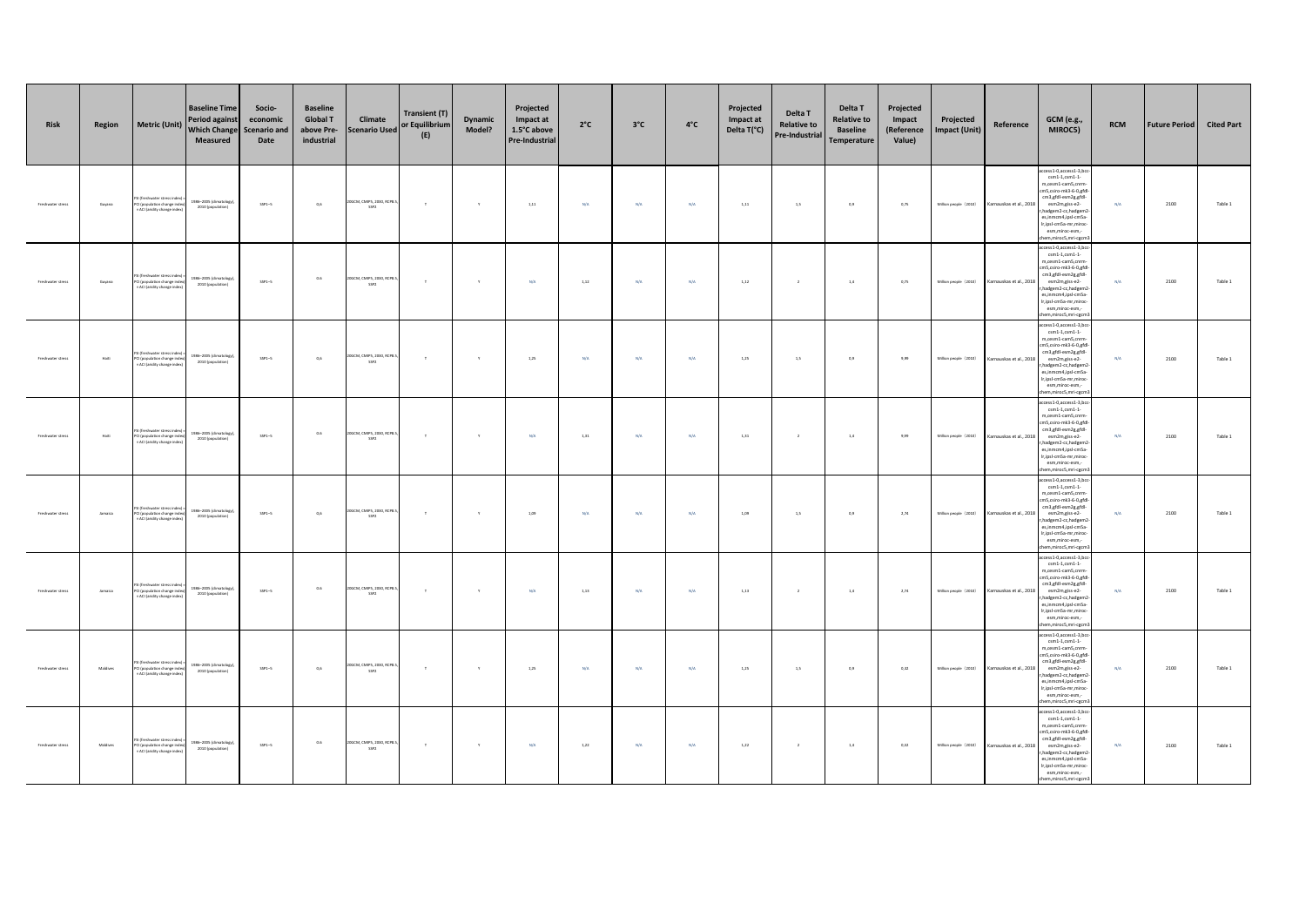| Risk              | Region   | <b>Metric (Unit)</b>                                                                    | <b>Baseline Time</b><br><b>Period against</b><br><b>Which Change</b><br>Measured | Socio-<br>economic<br><b>Scenario and</b><br>Date | <b>Baseline</b><br><b>Global T</b><br>above Pre-<br>industrial | Climate<br><b>Scenario Used</b>               | <b>Transient (T)</b><br>or Equilibrium<br>(E) | Dynamic<br>Model? | Projected<br>Impact at<br>1.5°C above<br>Pre-Industrial | $2^{\circ}C$ | $3^{\circ}$ C | $4^{\circ}$ C | Projected<br>Impact at<br>Delta T(°C) | Delta T<br><b>Relative to</b><br>Pre-Industrial | Delta T<br><b>Relative to</b><br><b>Baseline</b><br>Temperature | Projected<br>Impact<br>(Reference<br>Value) | Projected<br><b>Impact (Unit)</b> | Reference               | <b>GCM</b> (e.g.,<br>MIROC5)                                                                                                                                                                                                                                               | <b>RCM</b> | <b>Future Period</b> | <b>Cited Part</b> |
|-------------------|----------|-----------------------------------------------------------------------------------------|----------------------------------------------------------------------------------|---------------------------------------------------|----------------------------------------------------------------|-----------------------------------------------|-----------------------------------------------|-------------------|---------------------------------------------------------|--------------|---------------|---------------|---------------------------------------|-------------------------------------------------|-----------------------------------------------------------------|---------------------------------------------|-----------------------------------|-------------------------|----------------------------------------------------------------------------------------------------------------------------------------------------------------------------------------------------------------------------------------------------------------------------|------------|----------------------|-------------------|
| Freshwater stress | Guyana   | (freshwater stress<br>PCI (population change ind<br>× ACI (aridity change inde          | 1986-2005 (climatology<br>2010 (population)                                      | $SSP1-5$                                          | 0,6                                                            | OGCM, CMIPS, 2030, RCPS<br>SSP2               | $\tau$                                        | $\mathbf{Y}$      | 1,11                                                    | N/A          | N/A           | N/A           | 1,11                                  | 1,5                                             | 0,9                                                             | 0,75                                        | Million people (2010)             | Karnauskas et al., 2018 | ccess1-0,access1-3,bcc<br>$cm1-1, csm1-1$<br>m,cesm1-cam5,cnrm<br>cm5.csiro-mk3-6-0.gfd<br>cm3,gfdl-esm2g,gfdl-<br>esm2m.giss-e2-<br>r, hadgem2-cc, hadgem2<br>es,inmcm4,ipsl-cm5a-<br>Ir,ipsl-cm5a-mr,mirod<br>esm.miroc-esm.-<br>hem,miroc5,mri-cgcm                     | N/A        | 2100                 | Table 1           |
| Freshwater stress | Guyana   | (freshwater stress in<br>PCI (population change inde<br>x ACI (aridity change index     | 1986-2005 (climatology)<br>2010 (population)                                     | $SSP1-5$                                          | $0.6\,$                                                        | OGCM, CMIPS, 2030, RCPS<br>SSP2               | $\tau$                                        | $\mathbf{y}$      | N/A                                                     | 1,12         | N/A           | N/A           | 1,12                                  | $\,$ 2 $\,$                                     | $1.4\,$                                                         | 0,75                                        | Million people (2010)             | Karnauskas et al., 2018 | access1-0,access1-3,bc<br>$\texttt{csm1-1}, \texttt{csm1-1}$<br>m,cesm1-cam5,cnrm-<br>cm5,csiro-mk3-6-0,gfd<br>cm3,gfdl-esm2g,gfdl-<br>esm2m.giss-e2-<br>r, hadgem2-cc, hadgem2<br>es,inmcm4,ipsl-cm5a-<br>Ir,ipsl-cmSa-mr,miroc<br>esm.miroc-esm.-<br>hem.miroc5.mri-cecn | N/A        | 2100                 | Table 1           |
| Freshwater stress | Haiti    | SI (freshwater stress in<br>PCI (population change inde<br>× ACI (aridity change index  | 1986-2005 (climatology)<br>2010 (population)                                     | $SSP1-5$                                          | 0,6                                                            | OGCM, CMIPS, 2030, RCPB.<br>SSP2              | $\tau$                                        | $\mathbf{v}$      | 1,25                                                    | N/A          | N/A           | N/A           | 1,25                                  | 1,5                                             | 0,9                                                             | 9,99                                        | Million people (2010)             | Karnauskas et al., 2018 | cess1-0,access1-3,bcc<br>$\texttt{csm1-1}, \texttt{csm1-1}$<br>m,cesm1-cam5,cnrm<br>cm5.csiro-mk3-6-0.gfd<br>cm3,gfdl-esm2g,gfdl-<br>esm2m.giss-e2-<br>r, hadgem2-cc, hadgem2<br>es,inmcm4,ipsl-cm5a-<br>Ir,ipsl-cm5a-mr,mirod<br>esm,miroc-esm,-<br>hem,miroc5,mri-cgcm   | N/A        | 2100                 | Table 1           |
| Freshwater stress | Haiti    | SI (freshwater stress in<br>PCI (population change inde<br>× ACI (aridity change index  | 1986-2005 (climatology)<br>2010 (population)                                     | $SSP1-5$                                          | 0.6                                                            | 20GCM, CMIPS, 2030, RCPB<br>SSP2              | $\tau$                                        | $\mathbf{Y}$      | N/A                                                     | 1,31         | N/A           | N/A           | 1,31                                  | $\overline{2}$                                  | $1.4\,$                                                         | 9,99                                        | Million people (2010)             | Karnauskas et al., 2018 | cess1-0,access1-3,bc<br>$\texttt{csm1-1,}\texttt{csm1-1}$<br>m,cesm1-cam5,cnrm<br>m5.csiro-mk3-6-0.efd<br>cm3,gfdl-esm2g,gfdl-<br>esm2m.giss-e2-<br>r, hadgem2-cc, hadgem<br>es,inmcm4,ipsl-cm5a<br>Ir,ipsl-cmSa-mr,miroc<br>esm,miroc-esm,-<br>em, miroc5, mri-cgcn       | N/A        | 2100                 | Table 1           |
| Freshwater stress | Jamaica  | (freshwater stress in<br>PCI (population change inde<br>× ACI (aridity change index     | 1986-2005 (climatology)<br>2010 (population)                                     | $SSP1-5$                                          | 0,6                                                            | OGCM, CMIPS, 2030, RCP8.<br>SSP2              | $\tau$                                        | $\mathbf{v}$      | 1.09                                                    | N/A          | N/A           | N/A           | 1.09                                  | 1.5                                             | 0.9                                                             | 2.74                                        | Million people (2010)             | Karnauskas et al., 2018 | cess1-0,access1-3,bcc<br>$\texttt{csm1-1,}\texttt{csm1-1}$<br>m,cesm1-cam5,cnrm<br>m5.csiro-mk3-6-0.efd<br>cm3,gfdl-esm2g,gfdl-<br>esm2m.giss-e2-<br>r, hadgem2-cc, hadgem<br>es,inmcm4,ipsl-cm5a-<br>Ir,ipsl-cm5a-mr,mirod<br>esm,miroc-esm,-<br>hem,miroc5,mri-cgcm      | N/A        | 2100                 | Table 1           |
| Freshwater stress | Jamaica  | (freshwater stress in<br>PCI (population change ind<br>ACI (aridity change inder        | 1986-2005 (climatology)<br>2010 (population)                                     | $SSP1-5$                                          | 0.6                                                            | OGCM, CMIPS, 2030, RCP8<br>SSP2               | $\tau$                                        | $\mathbf{y}$      | N/A                                                     | 1,13         | N/A           | N/A           | 1,13                                  | $\overline{2}$                                  | $1.4$                                                           | 2.74                                        | Million people (2010)             | Karnauskas et al., 2018 | ccess1-0,access1-3,bcc<br>$\texttt{csm1-1,}\texttt{csm1-1}$<br>m,cesm1-cam5,cnrm<br>m5,csiro-mk3-6-0,gfd<br>cm3,gfdl-esm2g,gfdl-<br>esm2m.giss-e2-<br>r, hadgem2-cc, hadgem.<br>es,inmcm4,ipsl-cm5a-<br>Ir,ipsl-cm5a-mr,miroc<br>esm,miroc-esm,-<br>hem, miroc5, mri-cgcm  | N/A        | 2100                 | Table 1           |
| Freshwater stress | Maldives | .<br>I (freshwater stress in<br>PCI (population change inde<br>ACI (aridity change inde | 1986-2005 (climatology)<br>2010 (population)                                     | $SSP1-5$                                          | 0.6                                                            | OGCM, CMIPS, 2030, RCP8.<br>SSP <sub>2</sub>  | $\mathbf{r}$                                  | $\mathbf{y}$      | 1.25                                                    | N/A          | N/A           | N/A           | 1,25                                  | 1,5                                             | 0,9                                                             | 0.32                                        | Million people (2010)             | Karnauskas et al., 2018 | cess1-0,access1-3,bcc<br>$\texttt{csm1-1,}\texttt{csm1-1}$<br>m,cesm1-cam5,cnrm<br>m5.csiro-mk3-6-0.efd<br>cm3,gfdl-esm2g,gfdl-<br>esm2m.giss-e2-<br>r, hadgem2-cc, hadgem<br>es,inmcm4,ipsl-cm5a-<br>Ir,ipsl-cm5a-mr,miroc<br>esm,miroc-esm,-<br>hem, miroc5, mri-cgcm    | N/A        | 2100                 | Table 1           |
| Freshwater stress | Maldives | SI (freshwater stress in<br>PCI (population change inde<br>× ACI (aridity change index) | 1986-2005 (climatology)<br>2010 (population)                                     | $SSP1-5$                                          | 0.6                                                            | 20GCM, CMIPS, 2030, RCP8.<br>SSP <sub>2</sub> | $\top$                                        | Y                 | N/A                                                     | $1,\!22$     | N/A           | N/A           | 1,22                                  | $\overline{2}$                                  | $1.4\,$                                                         | 0,32                                        | Million people (2010)             | Karnauskas et al., 2018 | cess1-0,access1-3,bc<br>$\texttt{csm1-1,}\texttt{csm1-1}$<br>m,cesm1-cam5,cnrm<br>cm5,csiro-mk3-6-0,gfdl<br>cm3,gfdl-esm2g,gfdl-<br>esm2m.giss-e2-<br>r, hadgem2-cc, hadgem.<br>es,inmcm4,ipsl-cm5a-<br>Ir,ipsl-cm5a-mr,miroc<br>esm,miroc-esm,-<br>em,miroc5,mri-cgcm     | N/A        | 2100                 | Table 1           |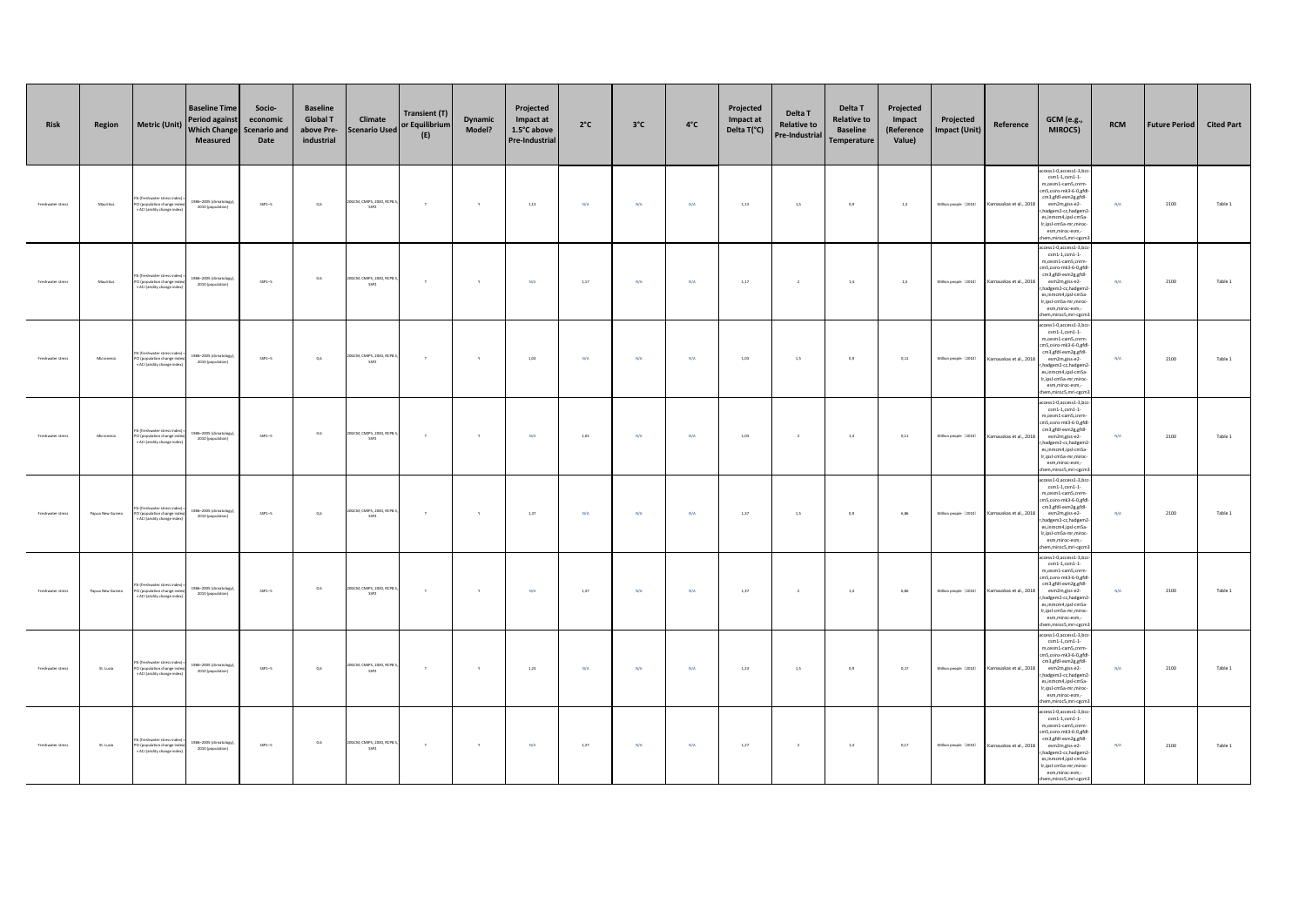| Risk              | Region           | <b>Metric (Unit)</b>                                                                        | <b>Baseline Time</b><br><b>Period against</b><br><b>Which Change</b><br>Measured | Socio-<br>economic<br><b>Scenario and</b><br>Date | <b>Baseline</b><br><b>Global T</b><br>above Pre-<br>industrial | Climate<br><b>Scenario Used</b>               | <b>Transient (T)</b><br>or Equilibrium<br>(E) | Dynamic<br>Model? | Projected<br>Impact at<br>1.5°C above<br>Pre-Industrial | $2^{\circ}C$ | $3^{\circ}$ C | $4^{\circ}$ C | Projected<br>Impact at<br>Delta T(°C) | Delta T<br><b>Relative to</b><br>Pre-Industrial | Delta T<br><b>Relative to</b><br><b>Baseline</b><br>Temperature | Projected<br>Impact<br>(Reference<br>Value) | Projected<br><b>Impact (Unit)</b> | Reference               | <b>GCM</b> (e.g.,<br>MIROC5)                                                                                                                                                                                                                                              | <b>RCM</b> | <b>Future Period</b> | <b>Cited Part</b> |
|-------------------|------------------|---------------------------------------------------------------------------------------------|----------------------------------------------------------------------------------|---------------------------------------------------|----------------------------------------------------------------|-----------------------------------------------|-----------------------------------------------|-------------------|---------------------------------------------------------|--------------|---------------|---------------|---------------------------------------|-------------------------------------------------|-----------------------------------------------------------------|---------------------------------------------|-----------------------------------|-------------------------|---------------------------------------------------------------------------------------------------------------------------------------------------------------------------------------------------------------------------------------------------------------------------|------------|----------------------|-------------------|
| Freshwater stress | Mauritius        | (freshwater stress<br>PCI (population change ind<br>× ACI (aridity change inde              | 1986-2005 (climatology<br>2010 (population)                                      | $SSP1-5$                                          | 0,6                                                            | OGCM, CMIPS, 2030, RCPS<br>SSP2               | $\tau$                                        | $\mathbf{Y}$      | 1,13                                                    | N/A          | N/A           | N/A           | 1,13                                  | 1,5                                             | 0,9                                                             | 1,3                                         | Million people (2010)             | Karnauskas et al., 2018 | ccess1-0,access1-3,bcc<br>$cm1-1, csm1-1$<br>m,cesm1-cam5,cnrm<br>cm5.csiro-mk3-6-0.gfd<br>cm3,gfdl-esm2g,gfdl-<br>esm2m.giss-e2-<br>r, hadgem2-cc, hadgem2<br>es,inmcm4,ipsl-cm5a-<br>Ir,ipsl-cm5a-mr,mirod<br>esm.miroc-esm.-<br>hem,miroc5,mri-cgcm                    | N/A        | 2100                 | Table 1           |
| Freshwater stress | Mauritius        | (freshwater stress in<br>PCI (population change inde<br>x ACI (aridity change index         | 1986-2005 (climatology)<br>2010 (population)                                     | $SSP1-5$                                          | $0.6\,$                                                        | OGCM, CMIPS, 2030, RCPS<br>SSP2               | $\tau$                                        | $\mathbf{y}$      | N/A                                                     | 1,17         | N/A           | N/A           | 1,17                                  | $\,$ 2 $\,$                                     | $1.4\,$                                                         | 1,3                                         | Million people (2010)             | Karnauskas et al., 2018 | ccess1-0,access1-3,bc<br>$\texttt{csm1-1}, \texttt{csm1-1}$<br>m,cesm1-cam5,cnrm-<br>cm5,csiro-mk3-6-0,gfd<br>cm3,gfdl-esm2g,gfdl-<br>esm2m.giss-e2-<br>r, hadgem2-cc, hadgem2<br>es,inmcm4,ipsl-cm5a-<br>Ir,ipsl-cm5a-mr,mirod<br>esm.miroc-esm.-<br>hem.miroc5.mri-cecn | N/A        | 2100                 | Table 1           |
| Freshwater stress | Micronesia       | SI (freshwater stress in<br>PCI (population change ind<br>x ACI (aridity change inde        | 1986-2005 (climatology)<br>2010 (population)                                     | $SSP1-5$                                          | 0,6                                                            | OGCM, CMIPS, 2030, RCPB.<br>SSP2              | $\tau$                                        | $\mathbf{v}$      | 1,03                                                    | N/A          | N/A           | N/A           | 1,03                                  | 1,5                                             | 0,9                                                             | 0,11                                        | Million people (2010)             | Karnauskas et al., 2018 | cess1-0,access1-3,bcc<br>$\texttt{csm1-1,}\texttt{csm1-1}$<br>m,cesm1-cam5,cnrm<br>cm5.csiro-mk3-6-0.gfd<br>cm3,gfdl-esm2g,gfdl-<br>esm2m.giss-e2-<br>r, hadgem2-cc, hadgem2<br>es,inmcm4,ipsl-cm5a-<br>Ir,ipsl-cm5a-mr,mirod<br>esm,miroc-esm,-<br>hem,miroc5,mri-cgcm   | N/A        | 2100                 | Table 1           |
| Freshwater stress | Micronesia       | SI (freshwater stress in<br>CI (population change ind<br>ACI (aridity change inde           | 1986-2005 (climatology)<br>2010 (population)                                     | $SSP1-5$                                          | 0.6                                                            | 20GCM, CMIPS, 2030, RCPB<br>SSP2              | $\tau$                                        | $\mathbf{Y}$      | N/A                                                     | 1,03         | N/A           | N/A           | 1,03                                  | $\overline{2}$                                  | $1.4\,$                                                         | 0,11                                        | Million people (2010)             | Karnauskas et al., 2018 | cess1-0,access1-3,bc<br>$\texttt{csm1-1,}\texttt{csm1-1}$<br>m,cesm1-cam5,cnrm<br>m5.csiro-mk3-6-0.efd<br>cm3,gfdl-esm2g,gfdl-<br>esm2m.giss-e2-<br>r, hadgem2-cc, hadgem<br>es,inmcm4,ipsl-cm5a<br>Ir,ipsl-cmSa-mr,miroc<br>esm,miroc-esm,-<br>em, miroc5, mri-cgcn      | N/A        | 2100                 | Table 1           |
| Freshwater stress | Papua New Guinea | .<br>I (freshwater stress in<br>PCI (population change inde<br>× ACI (aridity change index) | 1986-2005 (climatology)<br>2010 (population)                                     | $SSP1-5$                                          | 0.6                                                            | OGCM, CMIPS, 2030, RCP8.<br>SSP2              | $\tau$                                        | $\mathbf{v}$      | 1.37                                                    | N/A          | N/A           | N/A           | 1,37                                  | 1.5                                             | 0.9                                                             | 6.86                                        | Million people (2010)             | Karnauskas et al., 2018 | cess1-0,access1-3,bcc<br>$\texttt{csm1-1,}\texttt{csm1-1}$<br>m,cesm1-cam5,cnrm<br>m5.csiro-mk3-6-0.efd<br>cm3,gfdl-esm2g,gfdl-<br>esm2m.giss-e2-<br>r, hadgem2-cc, hadgem<br>es,inmcm4,ipsl-cm5a-<br>Ir,ipsl-cm5a-mr,mirod<br>esm,miroc-esm,-<br>hem, miroc5, mri-cgcm   | N/A        | 2100                 | Table 1           |
| Freshwater stress | Papua New Guinea | il (freshwater stress inde<br>PCI (population change index)<br>× ACI (aridity change index) | 1986-2005 (climatology)<br>2010 (population)                                     | $SSP1-5$                                          | 0.6                                                            | OGCM, CMIPS, 2030, RCP8<br>SSP2               | $\tau$                                        | $\mathbf{y}$      | N/A                                                     | 1,37         | N/A           | N/A           | 1.37                                  | $\overline{2}$                                  | $1.4$                                                           | 6.86                                        | Million people (2010)             | Karnauskas et al., 2018 | cess1-0,access1-3,bcc<br>$\texttt{csm1-1,}\texttt{csm1-1}$<br>m,cesm1-cam5,cnrm<br>m5,csiro-mk3-6-0,gfd<br>cm3,gfdl-esm2g,gfdl-<br>esm2m.giss-e2-<br>r, hadgem2-cc, hadgem.<br>es,inmcm4,ipsl-cm5a-<br>Ir,ipsl-cm5a-mr,miroc<br>esm,miroc-esm,-<br>hem, miroc5, mri-cgcm  | N/A        | 2100                 | Table 1           |
| Freshwater stress | St. Lucia        | .<br>I (freshwater stress in<br>PCI (population change inde<br>ACI (aridity change inde     | 1986-2005 (climatology)<br>2010 (population)                                     | $SSP1-5$                                          | 0.6                                                            | OGCM, CMIPS, 2030, RCP8.<br>SSP <sub>2</sub>  | $\mathbf{r}$                                  | $\mathbf{y}$      | 1.23                                                    | N/A          | N/A           | N/A           | 1,23                                  | 1,5                                             | 0,9                                                             | 0.17                                        | Million people (2010)             | Karnauskas et al., 2018 | cess1-0,access1-3,bcc<br>$\texttt{csm1-1,}\texttt{csm1-1}$<br>m,cesm1-cam5,cnrm<br>m5.csiro-mk3-6-0.efd<br>cm3,gfdl-esm2g,gfdl-<br>esm2m.giss-e2-<br>r, hadgem2-cc, hadgem<br>es,inmcm4,ipsl-cm5a-<br>Ir,ipsl-cm5a-mr,miroc<br>esm,miroc-esm,-<br>hem, miroc5, mri-cgcm   | N/A        | 2100                 | Table 1           |
| Freshwater stress | St. Lucia        | SI (freshwater stress inc<br>PCI (population change inde<br>× ACI (aridity change index)    | 1986-2005 (climatology)<br>2010 (population)                                     | $SSP1-5$                                          | 0.6                                                            | 20GCM, CMIPS, 2030, RCP8.<br>SSP <sub>2</sub> | $\top$                                        | Y                 | N/A                                                     | 1,27         | N/A           | N/A           | 1,27                                  | $\overline{2}$                                  | $1.4\,$                                                         | 0,17                                        | Million people (2010)             | Karnauskas et al., 2018 | cess1-0,access1-3,bc<br>$\texttt{csm1-1,}\texttt{csm1-1}$<br>m,cesm1-cam5,cnrm<br>m5,csiro-mk3-6-0,gfdl<br>cm3,gfdl-esm2g,gfdl-<br>esm2m.giss-e2-<br>r, hadgem2-cc, hadgem.<br>es,inmcm4,ipsl-cm5a-<br>Ir,ipsl-cm5a-mr,miroc<br>esm,miroc-esm,-<br>em,miroc5,mri-cgcm     | N/A        | 2100                 | Table 1           |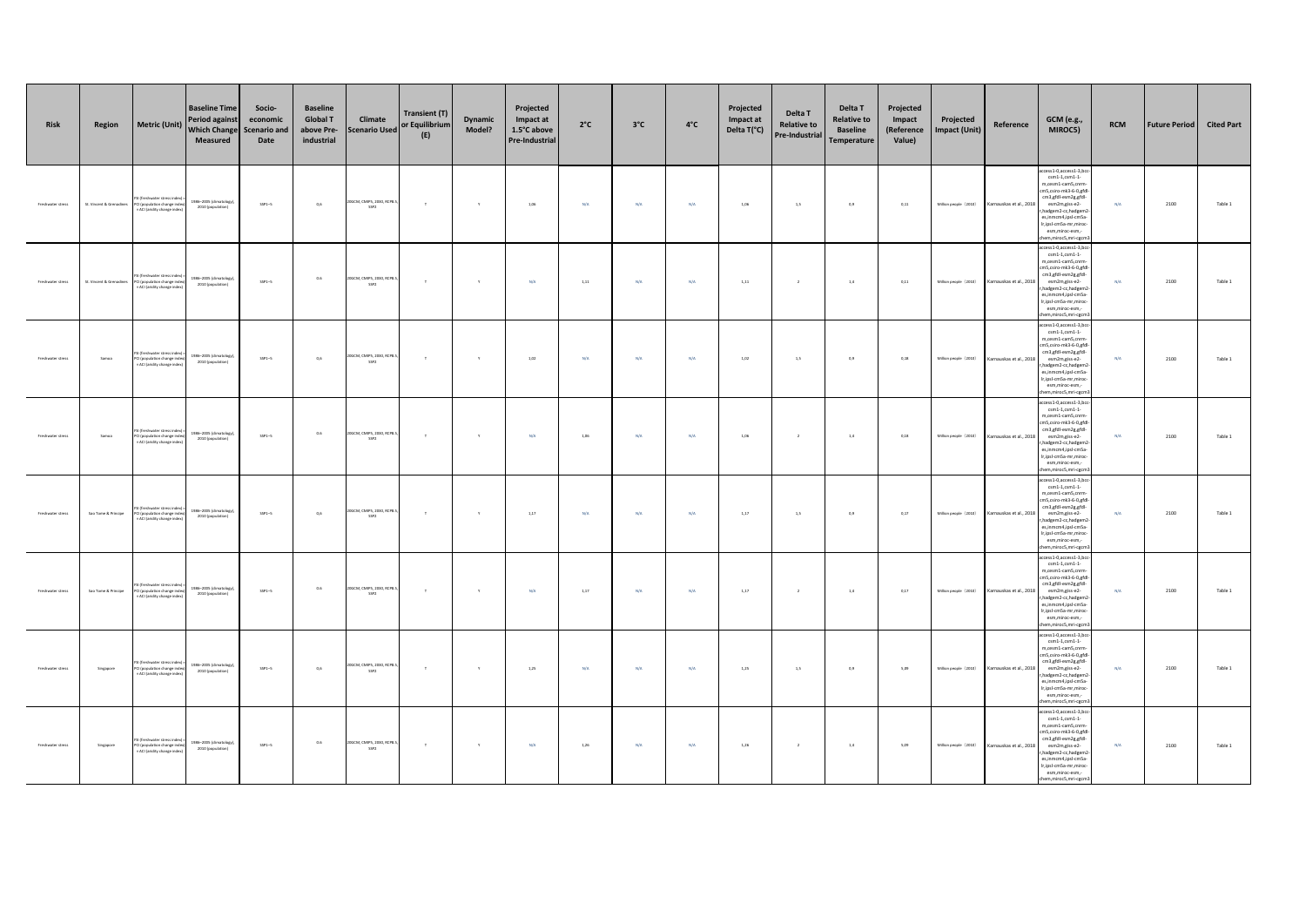| <b>Risk</b>       | Region                   | <b>Metric (Unit)</b>                                                                        | <b>Baseline Time</b><br><b>Period against</b><br><b>Which Change</b><br>Measured | Socio-<br>economic<br><b>Scenario and</b><br>Date | <b>Baseline</b><br><b>Global T</b><br>above Pre-<br>industrial | Climate<br><b>Scenario Used</b>    | <b>Transient (T)</b><br>or Equilibrium<br>(E) | Dynamic<br>Model? | Projected<br>Impact at<br>1.5°C above<br><b>Pre-Industrial</b> | $2^{\circ}C$ | $3^{\circ}$ C | $4^{\circ}$ C | Projected<br>Impact at<br>Delta T(°C) | Delta T<br><b>Relative to</b><br>Pre-Industrial | Delta T<br><b>Relative to</b><br><b>Baseline</b><br><b>Temperature</b> | Projected<br>Impact<br>(Reference<br>Value) | Projected<br>Impact (Unit) | Reference               | <b>GCM</b> (e.g.,<br>MIROC5)                                                                                                                                                                                                                                       | <b>RCM</b> | <b>Future Period</b> | <b>Cited Part</b> |
|-------------------|--------------------------|---------------------------------------------------------------------------------------------|----------------------------------------------------------------------------------|---------------------------------------------------|----------------------------------------------------------------|------------------------------------|-----------------------------------------------|-------------------|----------------------------------------------------------------|--------------|---------------|---------------|---------------------------------------|-------------------------------------------------|------------------------------------------------------------------------|---------------------------------------------|----------------------------|-------------------------|--------------------------------------------------------------------------------------------------------------------------------------------------------------------------------------------------------------------------------------------------------------------|------------|----------------------|-------------------|
| Freshwater stress | St. Vincent & Grenadines | I (freshwater stres<br>PCI (population change inde<br>× ACI (aridity change index           | 986-2005 (climatology)<br>2010 (population)                                      | $SSP1-5$                                          | 0,6                                                            | 20GCM, CMIPS, 2030, RCP8<br>SSP2   | $\tau$                                        | $\mathbf{Y}$      | 1,06                                                           | N/A          | N/A           | N/A           | 1,06                                  | 1,5                                             | 0,9                                                                    | 0,11                                        | Million people (2010)      | Karnauskas et al., 2018 | ccess1-0,access1-3,bcc<br>$cm1-1, cm1-1$<br>m,cesm1-cam5,cnrm<br>cm5,csiro-mk3-6-0,gfd<br>cm3,gfdl-esm2g,gfdl-<br>esm2m.giss-e2-<br>hadgem2-cc,hadgem2<br>es,inmcm4,ipsl-cm5a-<br>Ir,ipsl-cmSa-mr,miroc<br>esm,miroc-esm,-<br>hem,miroc5,mri-cgcm                  | N/A        | 2100                 | Table 1           |
| Freshwater stress | St. Vincent & Grenadines | I (freshwater stress ind<br>PCI (population change index)<br>× ACI (aridity change index)   | 1986-2005 (climatology)<br>2010 (population)                                     | $SSP1-5$                                          | 0.6                                                            | 20GCM, CMIPS, 2030, RCP8<br>SSP2   | $\tau$                                        | $\mathbf{y}$      | N/A                                                            | 1,11         | N/A           | N/A           | 1,11                                  | $\,$ $\,$                                       | $1.4\,$                                                                | 0,11                                        | Million people (2010)      | Karnauskas et al., 2018 | cess1-0,access1-3,bc<br>$\text{csm1-1}, \text{csm1-1}$<br>m,cesm1-cam5,cnrm<br>cm5.esiro-mk3-6-0.efd<br>cm3,gfdl-esm2g,gfdl-<br>esm2m.giss-e2-<br>hadgem2-cc,hadgem2<br>es,inmcm4,ipsl-cm5a-<br>Ir,ipsl-cmSa-mr,miroc<br>esm,miroc-esm,-<br>em, miroc5, mri-cgcm   | N/A        | 2100                 | Table 1           |
| Freshwater stress | Samoa                    | il (freshwater stress in<br>PCI (population change inde<br>× ACI (aridity change index      | 1986-2005 (climatology),<br>2010 (population)                                    | $SSP1-5$                                          | 0.6                                                            | 20GCM, CMIPS, 2030, RCP8.<br>SSP2  | $\tau$                                        | $\mathbf{v}$      | 1.02                                                           | N/A          | N/A           | N/A           | 1.02                                  | 1,5                                             | 0,9                                                                    | 0.18                                        | Million people (2010)      | Karnauskas et al., 2018 | cess1-0,access1-3,bcc<br>$\text{csm1-1}, \text{csm1-1}$<br>m,cesm1-cam5,cnrm<br>m5.csiro-mk3-6-0.efd<br>cm3,gfdl-esm2g,gfdl-<br>esm2m.giss-e2-<br>hadgem2-cc,hadgem<br>es,inmcm4,ipsl-cm5a-<br>Ir,ipsl-cm5a-mr,miroc<br>esm,miroc-esm,-<br>hem, miroc5, mri-cgcm   | N/A        | 2100                 | Table 1           |
| Freshwater stress | Samoa                    | SI (freshwater stress inde<br>I (population change ind<br>ACI (aridity change inde          | 1986-2005 (climatology)<br>2010 (population)                                     | $SSP1-5$                                          | 0.6                                                            | 20GCM, CMIPS, 2030, RCPI<br>SSP2   | $\tau$                                        | $\mathbf{Y}$      | N/A                                                            | 1,06         | N/A           | N/A           | 1,06                                  | $\overline{2}$                                  | $1.4$                                                                  | 0,18                                        | Million people (2010)      | Karnauskas et al., 2018 | cess1-0,access1-3,bcc<br>$\texttt{csm1-1,}\texttt{csm1-1}$<br>m,cesm1-cam5,cnrm<br>m5,csiro-mk3-6-0,gfdl<br>cm3,gfdl-esm2g,gfdl-<br>esm2m.giss-e2-<br>hadgem2-cc,hadgem2<br>es,inmcm4,ipsl-cm5a-<br>Ir,ipsl-cmSa-mr,miroc<br>esm,miroc-esm,-<br>em,miroc5,mri-cgcm | N/A        | 2100                 | Table 1           |
| Freshwater stress | Sao Tome & Principe      | I (freshwater stress ind<br>PCI (population change index)<br>x ACI (aridity change index)   | 1986-2005 (climatology)<br>2010 (population)                                     | $SSP1-5$                                          | 0,6                                                            | 20GCM, CMIPS, 2030, RCPB.<br>SSP2  | $\top$                                        | Y                 | 1.17                                                           | N/A          | N/A           | N/A           | 1,17                                  | 1,5                                             | 0,9                                                                    | 0.17                                        | Milion people (2010)       | Karnauskas et al., 2018 | cess1-0.access1-3.bc<br>$\text{csm1-1}, \text{csm1-1}$<br>m,cesm1-cam5,cnrm<br>m5,csiro-mk3-6-0,gfdl<br>cm3,gfdl-esm2g,gfdl-<br>esm2m.giss-e2-<br>hadgem2-cc,hadgem<br>es,inmcm4,ipsl-cm5a-<br>Ir,ipsl-cm5a-mr,miroc<br>esm,miroc-esm,-<br>hem, miroc5, mri-cgcm   | N/A        | 2100                 | Table 1           |
| Freshwater stress | Sao Tome & Principe      | SI (freshwater stress inde<br>PCI (population change index)<br>× ACI (aridity change index) | 1986-2005 (climatology)<br>2010 (population)                                     | $SSP1-5$                                          | 0.6                                                            | 20GCM, CMIPS, 2030, RCPI<br>$SSP2$ | $\top$                                        | Y                 | N/A                                                            | 1,17         | N/A           | N/A           | 1,17                                  | $\overline{2}$                                  | $1.4\,$                                                                | 0,17                                        | Milion people (2010)       | Karnauskas et al., 2018 | cess1-0.access1-3.bc<br>$cm1-1, csm1-1$<br>m,cesm1-cam5,cnrm<br>m5,csiro-mk3-6-0,gfdl<br>cm3,gfdl-esm2g,gfdl-<br>esm2m.giss-e2-<br>r, hadgem2-cc, hadgem2<br>es, inmcm4, ipsl-cm5a-<br>Ir,ipsl-cm5a-mr,miroc<br>esm,miroc-esm,-<br>em,miroc5,mri-cgcm              | N/A        | 2100                 | Table 1           |
| Freshwater stress | Singapore                | il (freshwater stress ind<br>PCI (population change index<br>× ACI (aridity change index    | 1986-2005 (climatology)<br>2010 (population)                                     | $SSP1-5$                                          | 0,6                                                            | 20GCM, CMIPS, 2030, RCP8<br>SSP2   | $\tau$                                        | $\mathbf{v}$      | 1.25                                                           | N/A          | N/A           | N/A           | 1,25                                  | $1,5$                                           | 0,9                                                                    | 5.09                                        | Million people (2010)      | Karnauskas et al., 2018 | cess1-0.access1-3.bc<br>$cm1-1, csm1-1$<br>m,cesm1-cam5,cnrm<br>m5,csiro-mk3-6-0,gfd<br>cm3,gfdl-esm2g,gfdl-<br>esm2m,giss-e2-<br>hadgem2-cc,hadgem2<br>es,inmcm4,ipsl-cm5a-<br>Ir,ipsl-cm5a-mr,miroc<br>esm,miroc-esm,-<br>em,miroc5,mri-cgcm                     | N/A        | 2100                 | Table 1           |
| Freshwater stress | Singapore                | il (freshwater stress inc<br>CI (population change index<br>x ACI (aridity change index     | 1986-2005 (climatology)<br>2010 (population)                                     | $SSP1-5$                                          | 0.6                                                            | 20GCM, CMIPS, 2030, RCP8<br>SSP2   | $\mathbf{r}$                                  | $\mathbf{y}$      | N/A                                                            | 1,26         | N/A           | $N/A$         | 1,26                                  | $\mathbf{2}$                                    | $1.4\,$                                                                | 5,09                                        | Million people (2010)      | Karnauskas et al., 2018 | ccess1-0,access1-3,bc<br>$cm1-1, csm1-1$<br>m,cesm1-cam5,cnrm<br>m5,csiro-mk3-6-0,gfd<br>cm3,gfdl-esm2g,gfdl-<br>esm2m,giss-e2-<br>hadgem2-cc,hadgem2<br>es.inmcm4.ipsl-cm5a<br>Ir.ipsl-cmSa-mr.miroc<br>esm.miroc-esm.-<br>hem, miroc5, mri-cgcm3                 | N/A        | 2100                 | Table 1           |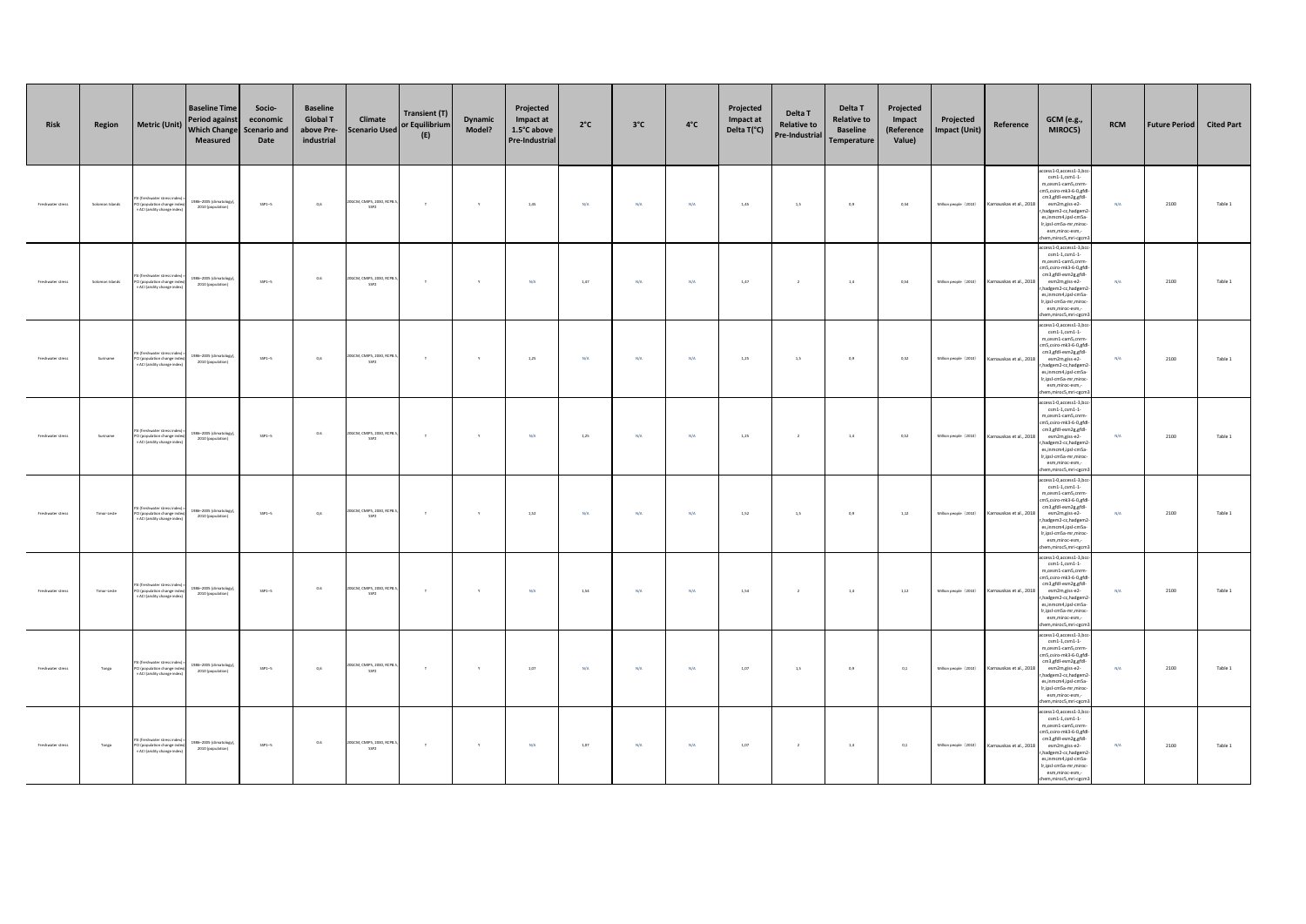| Risk              | Region          | <b>Metric (Unit)</b>                                                                     | <b>Baseline Time</b><br><b>Period against</b><br><b>Which Change</b><br>Measured | Socio-<br>economic<br><b>Scenario and</b><br>Date | <b>Baseline</b><br><b>Global T</b><br>above Pre-<br>industrial | Climate<br><b>Scenario Used</b>               | <b>Transient (T)</b><br>or Equilibrium<br>(E) | Dynamic<br>Model? | Projected<br>Impact at<br>1.5°C above<br>Pre-Industrial | $2^{\circ}C$ | $3^{\circ}$ C | $4^{\circ}$ C | Projected<br>Impact at<br>Delta T(°C) | Delta T<br><b>Relative to</b><br>Pre-Industrial | Delta T<br><b>Relative to</b><br><b>Baseline</b><br>Temperature | Projected<br>Impact<br>(Reference<br>Value) | Projected<br><b>Impact (Unit)</b> | Reference               | <b>GCM</b> (e.g.,<br>MIROC5)                                                                                                                                                                                                                                               | <b>RCM</b> | <b>Future Period</b> | <b>Cited Part</b> |
|-------------------|-----------------|------------------------------------------------------------------------------------------|----------------------------------------------------------------------------------|---------------------------------------------------|----------------------------------------------------------------|-----------------------------------------------|-----------------------------------------------|-------------------|---------------------------------------------------------|--------------|---------------|---------------|---------------------------------------|-------------------------------------------------|-----------------------------------------------------------------|---------------------------------------------|-----------------------------------|-------------------------|----------------------------------------------------------------------------------------------------------------------------------------------------------------------------------------------------------------------------------------------------------------------------|------------|----------------------|-------------------|
| Freshwater stress | Solomon Islands | (freshwater stress<br>PCI (population change inde<br>× ACI (aridity change index         | 1986-2005 (climatology<br>2010 (population)                                      | $SSP1-5$                                          | 0,6                                                            | OGCM, CMIPS, 2030, RCPS<br>SSP2               | $\tau$                                        | $\mathbf{Y}$      | 1,45                                                    | N/A          | N/A           | N/A           | 1,45                                  | 1,5                                             | 0,9                                                             | 0,54                                        | Million people (2010)             | Karnauskas et al., 2018 | ccess1-0,access1-3,bcc<br>$cm1-1, csm1-1$<br>m,cesm1-cam5,cnrm<br>cm5.csiro-mk3-6-0.gfd<br>cm3,gfdl-esm2g,gfdl-<br>esm2m.giss-e2-<br>r, hadgem2-cc, hadgem2<br>es,inmcm4,ipsl-cm5a-<br>Ir,ipsl-cm5a-mr,mirod<br>esm.miroc-esm.-<br>hem,miroc5,mri-cgcm                     | N/A        | 2100                 | Table 1           |
| Freshwater stress | Solomon Islands | (freshwater stress in<br>PCI (population change inde<br>× ACI (aridity change index      | 1986-2005 (climatology)<br>2010 (population)                                     | $SSP1-5$                                          | $0.6\,$                                                        | OGCM, CMIPS, 2030, RCPS<br>SSP2               | $\tau$                                        | $\mathbf{y}$      | N/A                                                     | 1,47         | N/A           | N/A           | 1,47                                  | $\,$ 2 $\,$                                     | $1.4\,$                                                         | 0,54                                        | Million people (2010)             | Karnauskas et al., 2018 | access1-0,access1-3,bc<br>$\texttt{csm1-1}, \texttt{csm1-1}$<br>m,cesm1-cam5,cnrm-<br>cm5,csiro-mk3-6-0,gfd<br>cm3,gfdl-esm2g,gfdl-<br>esm2m.giss-e2-<br>r, hadgem2-cc, hadgem2<br>es,inmcm4,ipsl-cm5a-<br>Ir,ipsl-cmSa-mr,miroc<br>esm.miroc-esm.-<br>hem.miroc5.mri-cecn | N/A        | 2100                 | Table 1           |
| Freshwater stress | Suriname        | SI (freshwater stress in<br>PCI (population change inde<br>× ACI (aridity change index   | 1986-2005 (climatology)<br>2010 (population)                                     | $SSP1-5$                                          | 0,6                                                            | OGCM, CMIPS, 2030, RCPB.<br>SSP2              | $\tau$                                        | $\mathbf{v}$      | 1,25                                                    | N/A          | N/A           | N/A           | 1,25                                  | 1,5                                             | 0,9                                                             | 0,52                                        | Million people (2010)             | Karnauskas et al., 2018 | cess1-0,access1-3,bcc<br>$\texttt{csm1-1}, \texttt{csm1-1}$<br>m,cesm1-cam5,cnrm<br>cm5.csiro-mk3-6-0.gfd<br>cm3,gfdl-esm2g,gfdl-<br>esm2m.giss-e2-<br>r, hadgem2-cc, hadgem2<br>es,inmcm4,ipsl-cm5a-<br>Ir,ipsl-cm5a-mr,mirod<br>esm,miroc-esm,-<br>hem,miroc5,mri-cgcm   | N/A        | 2100                 | Table 1           |
| Freshwater stress | Suriname        | SI (freshwater stress in<br>CI (population change ind<br>ACI (aridity change inde        | 1986-2005 (climatology)<br>2010 (population)                                     | $SSP1-5$                                          | 0.6                                                            | 20GCM, CMIPS, 2030, RCPB<br>SSP2              | $\tau$                                        | $\mathbf{Y}$      | N/A                                                     | 1,25         | N/A           | N/A           | 1,25                                  | $\overline{2}$                                  | $1.4\,$                                                         | 0,52                                        | Million people (2010)             | Karnauskas et al., 2018 | cess1-0,access1-3,bc<br>$\texttt{csm1-1,}\texttt{csm1-1}$<br>m,cesm1-cam5,cnrm<br>m5.csiro-mk3-6-0.efd<br>cm3,gfdl-esm2g,gfdl-<br>esm2m.giss-e2-<br>r, hadgem2-cc, hadgem<br>es,inmcm4,ipsl-cm5a<br>Ir,ipsl-cmSa-mr,miroc<br>esm,miroc-esm,-<br>em, miroc5, mri-cgcn       | N/A        | 2100                 | Table 1           |
| Freshwater stress | Timor-Leste     | (freshwater stress in<br>PCI (population change inde<br>× ACI (aridity change index      | 1986-2005 (climatology)<br>2010 (population)                                     | $SSP1-5$                                          | 0.6                                                            | OGCM, CMIPS, 2030, RCP8.<br>SSP2              | $\tau$                                        | $\mathbf{v}$      | 1.52                                                    | N/A          | N/A           | <b>N/A</b>    | 1.52                                  | 1.5                                             | 0.9                                                             | 1.12                                        | Million people (2010)             | Karnauskas et al., 2018 | cess1-0,access1-3,bcc<br>$\texttt{csm1-1,}\texttt{csm1-1}$<br>m,cesm1-cam5,cnrm<br>m5.csiro-mk3-6-0.efd<br>cm3,gfdl-esm2g,gfdl-<br>esm2m.giss-e2-<br>r, hadgem2-cc, hadgem<br>es,inmcm4,ipsl-cm5a-<br>Ir,ipsl-cm5a-mr,mirod<br>esm,miroc-esm,-<br>hem,miroc5,mri-cgcm      | N/A        | 2100                 | Table 1           |
| Freshwater stress | Timor-Leste     | (freshwater stress in<br>CI (population change inde<br>ACI (aridity change inder         | 1986-2005 (climatology)<br>2010 (population)                                     | $SSP1-5$                                          | 0.6                                                            | OGCM, CMIPS, 2030, RCP8<br>SSP2               | $\tau$                                        | $\mathbf{y}$      | N/A                                                     | 1,54         | N/A           | N/A           | 1,54                                  | $\overline{2}$                                  | $1.4$                                                           | 1.12                                        | Million people (2010)             | Karnauskas et al., 2018 | ccess1-0,access1-3,bcc<br>$\texttt{csm1-1,}\texttt{csm1-1}$<br>m,cesm1-cam5,cnrm<br>m5,csiro-mk3-6-0,gfd<br>cm3,gfdl-esm2g,gfdl-<br>esm2m.giss-e2-<br>r, hadgem2-cc, hadgem.<br>es,inmcm4,ipsl-cm5a-<br>Ir,ipsl-cm5a-mr,miroc<br>esm,miroc-esm,-<br>hem, miroc5, mri-cgcm  | N/A        | 2100                 | Table 1           |
| Freshwater stress | Tonga           | .<br>I (freshwater stress in<br>PCI (population change inde<br>ACI (aridity change inde  | 1986-2005 (climatology)<br>2010 (population)                                     | $SSP1-5$                                          | 0.6                                                            | OGCM, CMIPS, 2030, RCP8.<br>SSP <sub>2</sub>  | $\mathbf{r}$                                  | $\mathbf{y}$      | 1.07                                                    | N/A          | N/A           | N/A           | 1.07                                  | 1,5                                             | 0,9                                                             | 0.1                                         | Million people (2010)             | Karnauskas et al., 2018 | cess1-0,access1-3,bcc<br>$\texttt{csm1-1,}\texttt{csm1-1}$<br>m,cesm1-cam5,cnrm<br>m5.csiro-mk3-6-0.efd<br>cm3,gfdl-esm2g,gfdl-<br>esm2m.giss-e2-<br>r, hadgem2-cc, hadgem<br>es,inmcm4,ipsl-cm5a-<br>Ir,ipsl-cm5a-mr,miroc<br>esm,miroc-esm,-<br>hem, miroc5, mri-cgcm    | N/A        | 2100                 | Table 1           |
| Freshwater stress | Tonga           | SI (freshwater stress inc<br>PCI (population change inde<br>× ACI (aridity change index) | 1986-2005 (climatology)<br>2010 (population)                                     | $SSP1-5$                                          | 0.6                                                            | 20GCM, CMIPS, 2030, RCP8.<br>SSP <sub>2</sub> | $\top$                                        | Y                 | N/A                                                     | 1,07         | N/A           | N/A           | 1,07                                  | $\overline{2}$                                  | $1.4\,$                                                         | 0,1                                         | Million people (2010)             | Karnauskas et al., 2018 | cess1-0,access1-3,bc<br>$\texttt{csm1-1,}\texttt{csm1-1}$<br>m,cesm1-cam5,cnrm<br>cm5,csiro-mk3-6-0,gfdl<br>cm3,gfdl-esm2g,gfdl-<br>esm2m.giss-e2-<br>r, hadgem2-cc, hadgem.<br>es,inmcm4,ipsl-cm5a-<br>Ir,ipsl-cm5a-mr,miroc<br>esm,miroc-esm,-<br>em,miroc5,mri-cgcm     | N/A        | 2100                 | Table 1           |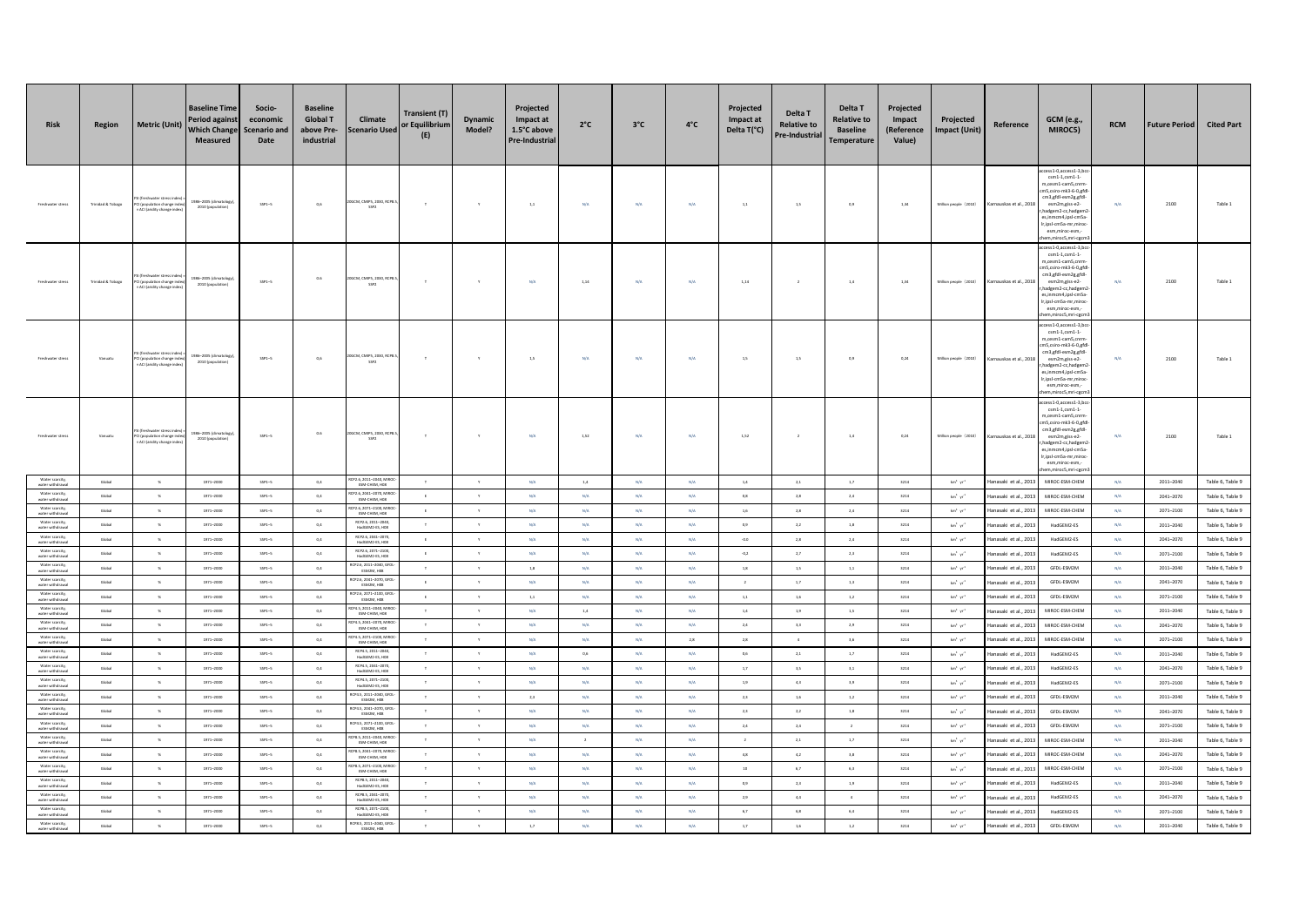| <b>Risk</b>                                            | Region                       | <b>Metric (Unit)</b>                                                      | <b>Baseline Time</b><br>Period against<br><b>Which Change</b><br>Measured | Socio-<br>economic<br><b>Scenario and</b><br>Date | <b>Baseline</b><br><b>Global T</b><br>above Pre-<br>industrial | Climate<br><b>Scenario Used</b>                                              | <b>Transient (T)</b><br>or Equilibrium<br>(E) | <b>Dynamic</b><br>Model?     | Projected<br>Impact at<br>1.5°C above<br>Pre-Industrial | $2^{\circ}C$                            | $3^{\circ}$ C          | $4^{\circ}$ C           | Projected<br>Impact at<br>Delta T(°C) | Delta T<br><b>Relative to</b><br>Pre-Industrial | Delta T<br><b>Relative to</b><br><b>Baseline</b><br>Temperature | Projected<br>Impact<br>(Reference<br>Value) | Projected<br>mpact (Unit)                                       | Reference                                   | GCM (e.g.,<br>MIROC5)                                                                                                                                                                                                                                            | <b>RCM</b>              | <b>Future Period</b>   | <b>Cited Part</b>                    |
|--------------------------------------------------------|------------------------------|---------------------------------------------------------------------------|---------------------------------------------------------------------------|---------------------------------------------------|----------------------------------------------------------------|------------------------------------------------------------------------------|-----------------------------------------------|------------------------------|---------------------------------------------------------|-----------------------------------------|------------------------|-------------------------|---------------------------------------|-------------------------------------------------|-----------------------------------------------------------------|---------------------------------------------|-----------------------------------------------------------------|---------------------------------------------|------------------------------------------------------------------------------------------------------------------------------------------------------------------------------------------------------------------------------------------------------------------|-------------------------|------------------------|--------------------------------------|
| reshwater stress                                       | <b>Trinidad &amp; Tobago</b> | (population change in<br>ACI (aridity change in                           | 986-2005 (climatology<br>2010 (population)                                | $SSP1-5$                                          | 0.6                                                            | OGCM, CMIPS, 2030, RCPE<br>SSP2                                              | $\top$                                        | Y                            | 1,1                                                     | N/A                                     | N/A                    | N/A                     | 1,1                                   | 1,5                                             | 0,9                                                             | 1,34                                        | Million people (2010)                                           | Karnauskas et al., 2018                     | cess1-0,access1-3,bo<br>$\texttt{csm1-1}, \texttt{csm1-1}$<br>m.cesm1-cam5.cnrm<br>n5,csiro-mk3-6-0,gfd<br>cm3,gfdl-esm2g,gfdl-<br>esm2m.giss-e2-<br>hadgem2-cc,hadgem<br>es,inmcm4,ipsl-cm5a<br>Ir,ipsl-cm5a-mr,miroc<br>esm,miroc-esm,-<br>n, miroc5, mri-eger | N/A                     | 2100                   | Table 1                              |
| reshwater stress                                       | <b>Trinidad &amp; Tobago</b> | reshwater stress in<br>population change in<br>ACI (aridity change ind    | 986-2005 (climatology<br>2010 (population)                                | $SSP1-5$                                          | 0.6                                                            | 20GCM, CMIPS, 2030, RCP8<br>SSP2                                             | $\tau$                                        | Y                            | N/A                                                     | 1,14                                    | N/A                    | N/A                     | 1,14                                  | $\,$ 2                                          | 1,4                                                             | 1,34                                        | Million people (2010)                                           | Karnauskas et al., 2018                     | cess1-0,access1-3,bc<br>$csm1-1, csm1-1$<br>m.cesm1-cam5.cnrn<br>n5,csiro-mk3-6-0,gfd<br>cm3,gfdl-esm2g,gfdl-<br>esm2m.giss-e2-<br>hadgem2-cc,hadgem<br>es,inmcm4,ipsl-cm5a<br>Ir.ipsl-cm5a-mr.miror<br>esm,miroc-esm,-<br>em, miroc5, mri-cgci                  | N/A                     | 2100                   | Table:                               |
| reshwater stress                                       | Vanuatu                      | I (population change in<br>ACI (aridity change ind                        | 986-2005 (climatology<br>2010 (population)                                | $SSP1-5$                                          | $_{0,6}$                                                       | GCM, CMIPS, 2030, RCPE<br>SSP2                                               | $\tau$                                        | $\gamma$                     | $1.5\,$                                                 | $\text{N/A}$                            | $\rm N/A$              | $\mathrm{N}/\mathrm{A}$ | $1.5\,$                               | $1.5\,$                                         | $_{0,9}$                                                        | 0,24                                        | Million people (2010)                                           | (arnauskas et al., 2018                     | cess1-0,access1-3,bc<br>$cm1-1.csm1-1$<br>m,cesm1-cam5,cnrn<br>m5,csiro-mk3-6-0,gfc<br>cm3,gfdl-esm2g,gfdl-<br>esm2m,giss-e2-<br>hadgem2-cc,hadgem<br>es.inmcm4.ipsl-cm5a<br>Ir,ipsl-cm5a-mr,miror<br>esm,miroc-esm,<br>em.miroc5.mri-cecn                       | $\rm N/A$               | 2100                   | Table                                |
| reshwater stress                                       | Vanuatu                      | freshwater stress in<br>l (population change in<br>ACI (aridity change in | 986-2005 (climat<br>2010 (population)                                     | $SSP1-5$                                          | $0.6\,$                                                        | GCM, CMIPS, 2030, RCP<br>SSP <sub>2</sub>                                    | T.                                            |                              | N/A                                                     | 1,52                                    | N/A                    | N/A                     | $1,52\,$                              | $\,$ 2 $\,$                                     | 1,4                                                             | 0,24                                        | Million people (2010)                                           | arnauskas et al., 201                       | cess1-0,access1-3,bc<br>csm1-1,csm1-1-<br>m,cesm1-cam5,cnm<br>m5,csiro-mk3-6-0,gfd<br>cm3,gfdl-esm2g,gfdl-<br>esm2m,giss-e2-<br>hadgem2-cc,hadgem2<br>es,inmcm4,ipsl-cm5a<br>r,ipsl-cmSa-mr,miror<br>esm.miroc-esm.-<br>em, miroc5, mri-cgcn                     | N/A                     | 2100                   | Table:                               |
| Water scarcity<br>water withdrawal                     | Global                       | $\sim$                                                                    | 1971-2000                                                                 | $SSP1-5$                                          | $0.4$                                                          | CP2.6, 2011-2040, MIRO<br>ESM-CHEM, HOS                                      | $\mathcal{R}$                                 | $\mathbf{v}$                 | N/A                                                     | 1,4                                     | N/A                    | N/A                     | 1.4                                   | 2,1                                             | 1,7                                                             | 3214                                        | $\rm km^3~yr^2$                                                 | lanasaki et al., 2013                       | MIROC-ESM-CHEM                                                                                                                                                                                                                                                   | N/A                     | $2011 - 2040$          | Table 6, Table 9                     |
| Water scarcity,<br>water withdrawa                     | Global                       | $\%$                                                                      | $1971 - 2000$                                                             | $SSP1-5$                                          | $0,4$                                                          | CP2.6, 2041-2070, MIRC<br>ESM-CHEM, HOB                                      | E                                             | $\mathbf{y}$                 | $N/A$                                                   | $\mathsf{N}/\mathsf{A}$                 | N/A                    | N/A                     | $_{0,8}$                              | $2,8$                                           | $2.4\,$                                                         | 3214                                        | $\mathrm{km}^3\cdot\mathrm{yr}^3$                               | lanasaki et al., 201                        | MIROC-ESM-CHEM                                                                                                                                                                                                                                                   | N/A                     | 2041-2070              | Table 6, Table 9                     |
| Water scarcity.<br>water withdrawal                    | Global                       | $-96$                                                                     | 1971-2000                                                                 | $SSP1-5$                                          | 0,4                                                            | CP2.6. 2071-2100. MIRC<br>ESM-CHEM, HOB                                      | E                                             | Y                            | N/A                                                     | N/A                                     | N/A                    | $N/A$                   | 1,6                                   | 2,8                                             | 2,4                                                             | 3214                                        | $km^2$ $\gamma r^2$                                             | lanasaki et al., 201                        | MIROC-ESM-CHEM                                                                                                                                                                                                                                                   | N/A                     | 2071-2100              | Table 6, Table 9                     |
| Water scarcity<br>water withdrawa                      | Global                       | $-96$                                                                     | 1971-2000                                                                 | $SSP1-5$                                          | 0,4                                                            | RCP2.6, 2011-2040<br>HadGEM2-ES, H08                                         | $\top$                                        | $\mathbf{Y}$                 | N/A                                                     | N/A                                     | N/A                    | N/A                     | 0,9                                   | 2,2                                             | 1,8                                                             | 3214                                        | $\rm km^3~yr^2$                                                 | lanasaki et al., 2013                       | HadGEM2-ES                                                                                                                                                                                                                                                       | N/A                     | $2011 - 2040$          | Table 6, Table 9                     |
| Water scarcity,<br>water withdrawal<br>Water scarcity. | Global                       | $\%$                                                                      | 1971-2000                                                                 | $SSP1-6$                                          | 0,4                                                            | RCP2.6, 2041-2070<br>HadGEM2-ES, H08<br>RCP2.6. 2071-2100.                   |                                               | Y                            | $N/A$                                                   | $\text{N/A}$                            | N/A                    | $N/A$                   | $-0.0$                                | $_{\rm 2,8}$                                    | 2,4                                                             | 3214                                        | $\text{km}^3 \cdot \text{yr}^3$                                 | anasaki et al., 2013                        | HadGEM2-ES                                                                                                                                                                                                                                                       | $\rm N/A$               | 2041-2070              | Table 6, Table 9                     |
| water withdrawal<br>Water scarcity,                    | Global                       | $\%$                                                                      | 1971-2000                                                                 | $SSP1-5$                                          | $0.4\,$                                                        | HadGEM2-ES, HO<br>RCP2.6, 2011-2040, GFD                                     | $\epsilon$                                    | $\mathbf{v}$                 | N/A                                                     | N/A                                     | N/A                    | N/A                     | $-0,2$                                | 2,7                                             | 2,3                                                             | 3214                                        | $\text{km}^3 \cdot \text{yr}^3$                                 | anasaki et al., 201                         | HadGEM2-ES                                                                                                                                                                                                                                                       | N/A                     | $2071 - 2100$          | Table 6, Table 9                     |
| water withdrawal                                       | Global                       | $\mathcal{H}$                                                             | 1971-2000                                                                 | $SSP1-5$                                          | 0.4                                                            | ESM2M, HOS                                                                   | $\tau$                                        | $\mathbf{v}$                 | 18                                                      | N/A                                     | N/A                    | <b>N/A</b>              | 1.8                                   | 1.5                                             | 1.1                                                             | 3214                                        | $\text{km}^3 \cdot \text{yr}^4$                                 | lanasaki et al., 201                        | GFDL-ESM2M                                                                                                                                                                                                                                                       | N/A                     | $2011 - 2040$          | Table 6, Table 9                     |
| Water scarcity,<br>water withdrawal<br>Water scarcity  | Global<br>Global             | $\mathbf{x}$<br>$\%$                                                      | $1971 - 2000$<br>1971-2000                                                | $SSP1-5$<br>$SSP1-5$                              | $0.4\,$<br>$0,4$                                               | RCP2.6, 2041-2070, GFD<br>ESM2M, H08<br>RCP2.6, 2071-2100, GFD<br>ESM2M, H08 | $\mathsf E$<br>$\epsilon$                     | $\mathbf{Y}$<br>$\mathsf{Y}$ | $N/A$<br>$1{,}1\,$                                      | $\text{N/A}$<br>$\mathsf{N}/\mathsf{A}$ | $\rm N/A$<br>$\rm N/A$ | $N/A$<br>$N/A$          | $\,$ $\,$<br>$1,\!1$                  | $1,7\,$<br>$1,\!6$                              | $1.3\,$<br>$1.2\,$                                              | 3214<br>3214                                | $\mathrm{km}^3\cdot\mathrm{yr}^3$<br>$\text{km}^3\ \text{yr}^3$ | lanasaki et al., 201                        | GFDL-ESM2M<br>GFDL-ESM2M                                                                                                                                                                                                                                         | $\rm N/A$<br>$\rm N/A$  | 2041-2070<br>2071-2100 | Table 6, Table 9                     |
| water withdrawa<br>Water scarcity,<br>water withdrawal | Global                       | $\frac{96}{25}$                                                           | 1971-2000                                                                 | $SSP1-5$                                          | 0,4                                                            | CP4.5. 2011-2040. MIRC                                                       | $\top$                                        | $\mathbf{Y}$                 | N/A                                                     | $1\!\!.4$                               | N/A                    | N/A                     | $1.4$                                 | 1,9                                             | $1,5$                                                           | 3214                                        | $km^3$ $\;\rm yr^3$                                             | anasaki et al., 2013<br>Hanasaki et al 2017 | MIROC-ESM-CHEM                                                                                                                                                                                                                                                   | N/A                     | 2011-2040              | Table 6, Table 9<br>Table 6, Table 9 |
| Water scarcity                                         | Global                       | $\%$                                                                      | 1971-2000                                                                 | $SSP1-5$                                          | $0.4$                                                          | ESM-CHEM, HOB<br>24.5, 2041-2070, MIR                                        | $\tau$                                        | $\mathbf{v}$                 | N/A                                                     | N/A                                     | N/A                    | N/A                     | 2,4                                   | 3,3                                             | 2,9                                                             | 3214                                        | $km^2$ $\gamma r^2$                                             | lanasaki et al., 2013                       | MIROC-ESM-CHEM                                                                                                                                                                                                                                                   | N/A                     | 2041-2070              | Table 6, Table 9                     |
| water withdrawal<br>Water scarcity,                    | Global                       | $\%$                                                                      | 1971-2000                                                                 | $SSP1-5$                                          | $_{0,4}$                                                       | ESM-CHEM, HOS<br>CP4.5, 2071-2100, MIR<br>ESM-CHEM, HOS                      | $\tau$                                        | $\mathbf{y}$                 | $N/A$                                                   | $\text{N/A}$                            | N/A                    | $_{\rm 2,8}$            | $_{\rm 2,8}$                          | $\,$ 4 $\,$                                     | $3,6$                                                           | 3214                                        | $\text{km}^3 \cdot \text{yr}^2$                                 | lanasaki et al., 2013                       | MIROC-ESM-CHEM                                                                                                                                                                                                                                                   | N/A                     | 2071-2100              | Table 6, Table 9                     |
| water withdrawal<br>Water scarcity,<br>water withdrawa | Global                       | $\mathcal{H}$                                                             | 1971-2000                                                                 | $SSP1-5$                                          | $_{\rm 0,4}$                                                   | RCP4.5, 2011-2040,<br>HadGEM2-ES, HO                                         | $\tau$                                        | $\mathbf{v}$                 | $N/A$                                                   | $_{0,6}$                                | $\rm N/A$              | $\mathrm{N}/\mathrm{A}$ | $0,6$                                 | $_{\rm 2,1}$                                    | $1,7\,$                                                         | 3214                                        | $\text{km}^3 \cdot \text{yr}^2$                                 | lanasaki et al., 201                        | HadGEM2-ES                                                                                                                                                                                                                                                       | N/A                     | 2011-2040              | Table 6, Table 9                     |
| Water scarcity<br>water withdrawal                     | Global                       | $\sim$                                                                    | 1971-2000                                                                 | $SSP1-5$                                          | 0,4                                                            | RCP4.5, 2041-2070<br>HadGEM2-ES, H08                                         | $\mathbf{r}$                                  | $\mathbf{Y}$                 | N/A                                                     | N/A                                     | N/A                    | N/A                     | 1,7                                   | 3,5                                             | 3,1                                                             | 3214                                        | $km^2 \cdot m^2$                                                | lanasaki et al., 201                        | HadGEM2-ES                                                                                                                                                                                                                                                       | N/A                     | 2041-2070              | Table 6, Table 9                     |
| Water scarcity,<br>water withdrawal                    | Global                       | $\mathbf{x}$                                                              | $1971 - 2000$                                                             | $SSP1-5$                                          | $0.4\,$                                                        | RCP4.5, 2071-2100<br>HadGEM2-ES, H08                                         | $\tau$                                        | $\gamma$                     | $N/A$                                                   | $\mathsf{N}/\mathsf{A}$                 | $\rm N/A$              | $N/A$                   | $1.9\,$                               | $4,3$                                           | $_{3,9}$                                                        | 3214                                        | $\text{km}^3 \cdot \text{yr}^2$                                 | lanasaki et al., 2013                       | HadGEM2-ES                                                                                                                                                                                                                                                       | $\mathrm{N}/\mathrm{A}$ | $2071 - 2100$          | Table 6, Table 9                     |
| Water scarcity,<br>water withdrawal                    | Global                       | $-96$                                                                     | 1971-2000                                                                 | $SSP1-5$                                          | 0,4                                                            | CP4.5, 2011--2040, G<br>ESM2M, H08                                           | $\top$                                        | $\mathsf{Y}$                 | 2,3                                                     | $\text{N}/\text{A}$                     | N/A                    | N/A                     | $_{\rm 2,3}$                          | 1,6                                             | $1.2\,$                                                         | 3214                                        | $km^3$ $\gamma r^2$                                             | lanasaki et al., 2013                       | GFDL-ESM2M                                                                                                                                                                                                                                                       | N/A                     | 2011-2040              | Table 6, Table 9                     |
| Water scarcity,<br>water withdrawal                    | Global                       | $-96$                                                                     | 1971-2000                                                                 | $SSP1-5$                                          | 0,4                                                            | RCP4.5, 2041-2070, GFD<br>ESM2M, HOS                                         | $\mathbf{r}$                                  | $\mathbf{Y}$                 | N/A                                                     | N/A                                     | N/A                    | N/A                     | 2,3                                   | 2,2                                             | 1,8                                                             | 3214                                        | $\text{km}^3 \cdot \text{yr}^2$                                 | lanasaki et al., 2013                       | GFDL-ESM2M                                                                                                                                                                                                                                                       | N/A                     | 2041-2070              | Table 6, Table 9                     |
| Water scarcity<br>water withdrawal                     | Global                       | $\mathbf{x}$                                                              | 1971-2000                                                                 | $SSP1-5$                                          | $0.4$                                                          | CP4.5, 2071-2100, GF<br>ESM2M, HOS                                           | $\tau$                                        | $\mathbf{y}$                 | N/A                                                     | N/A                                     | N/A                    | N/A                     | 2,4                                   | $2,4$                                           | $\overline{2}$                                                  | 3214                                        | $\text{km}^{\text{t}}$ $\text{yr}^{\text{t}}$                   | lanasaki et al., 2013                       | GFDL-ESM2M                                                                                                                                                                                                                                                       | N/A                     | 2071-2100              | Table 6, Table 9                     |
| Water scarcity,<br>water withdrawal                    | Global                       | $\mathbf{x}$                                                              | 1971-2000                                                                 | $SSP1-6$                                          | $0,4$                                                          | CP8.5, 2011-2040, MII<br>ESM-CHEM, HOB                                       | $\tau$                                        | $\mathsf{Y}$                 | $N/A$                                                   | $\,$ $\,$ $\,$                          | $\rm N/A$              | $\mathrm{N}/\mathrm{A}$ | $\,$ 2 $\,$                           | $_{\rm 2,1}$                                    | $1,7\,$                                                         | 3214                                        | $\text{km}^3 \cdot \text{yr}^2$                                 | anasaki et al., 201                         | MIROC-ESM-CHEM                                                                                                                                                                                                                                                   | $\rm N/A$               | 2011-2040              | Table 6, Table 9                     |
| Water scarcity.<br>water withdraw                      | Global                       | $\sim$                                                                    | 1971-2000                                                                 | $SSP1-5$                                          | $0,4$                                                          | RCP8.5. 2041-2070. MIRO<br>ESM-CHEM, HOB                                     | $\mathbf{r}$                                  | $\mathbf{v}$                 | N/A                                                     | $\mathsf{N}/\mathsf{A}$                 | $\rm N/A$              | N/A                     | $_{\rm 4,8}$                          | $4.2\,$                                         | $_{3,8}$                                                        | 3214                                        | $\mathrm{km}^3\cdot\mathrm{yr}^3$                               | anasaki et al., 20                          | MIROC-ESM-CHEM                                                                                                                                                                                                                                                   | N/A                     | $2041 - 2070$          | Table 6, Table 9                     |
| Water scarcity<br>water withdrawal                     | Global                       | $\frac{96}{25}$                                                           | 1971-2000                                                                 | $SSP1-5$                                          | 0.4                                                            | CP8.5, 2071-2100, MIR<br>ESM-CHEM, HOS                                       | $\mathbf{r}$                                  | Y                            | N/A                                                     | N/A                                     | N/A                    | N/A                     | 10                                    | 6.7                                             | 6.3                                                             | 3214                                        | $km^2$ $w^2$                                                    | lanasaki et al., 201                        | MIROC-ESM-CHEN                                                                                                                                                                                                                                                   | N/A                     | $2071 - 2100$          | Table 6, Table 9                     |
| Water scarcity,<br>water withdrawal                    | Global                       | $\%$                                                                      | $1971 - 2000$                                                             | $SSP1-5$                                          | $0.4\,$                                                        | RCP8.5, 2011-2040,<br>HadGEM2-ES, H08                                        | $\tau$                                        | $\mathbf{Y}$                 | $N/A$                                                   | $\mathsf{N}/\mathsf{A}$                 | $\rm N/A$              | $N/A$                   | $_{0,9}$                              | $2,3$                                           | $1.9\,$                                                         | 3214                                        | $\mathrm{km}^3\cdot\mathrm{yr}^3$                               | lanasaki et al., 2013                       | HadGEM2-ES                                                                                                                                                                                                                                                       | $\mathrm{N}/\mathrm{A}$ | $2011 - 2040$          | Table 6, Table 9                     |
| Water scarcity,<br>water withdrawa<br>Water scarcity   | Global                       | $\mathcal{H}$                                                             | 1971-2000                                                                 | $SSP1-5$                                          | $0,4$                                                          | RCP8.5, 2041-2070,<br>HadGEM2-ES, HD8<br>RCP8.5, 2071-2100                   | $\tau$                                        | $\mathbf{v}$                 | N/A                                                     | $\mathsf{N}/\mathsf{A}$                 | N/A                    | N/A                     | $_{\rm 2,9}$                          | 4,4                                             | $4 -$                                                           | 3214                                        | $\text{km}^3\ \text{yr}^3$                                      | anasaki et al., 20                          | HadGEM2-ES                                                                                                                                                                                                                                                       | N/A                     | 2041-2070              | Table 6, Table 9                     |
| water withdrawal                                       | Global                       | $\frac{96}{25}$                                                           | 1971-2000                                                                 | $SSP1-5$                                          | $0,4$                                                          | HadGEM2-ES, HOB                                                              | $\mathcal{R}$                                 | $\mathbf{Y}$                 | N/A                                                     | N/A                                     | N/A                    | N/A                     | 6,7                                   | 6,8                                             | 6,4                                                             | 3214                                        | $km^3$ $\gamma r^2$                                             | lanasaki et al., 2013                       | HadGEM2-ES                                                                                                                                                                                                                                                       | N/A                     | $2071 - 2100$          | Table 6, Table 9                     |
| Water scarcity,<br>water withdrawal                    | Global                       | $\%$                                                                      | $1971 - 2000$                                                             | $SSP1-6$                                          | $0.4\,$                                                        | RCP8.5, 2011-2040, GFD<br>ESM2M, H08                                         | $\tau$                                        | $\gamma$                     | $1.7\,$                                                 | $\mathrm{N}/\mathrm{A}$                 | $\rm N/A$              | N/A                     | $1.7\,$                               | $1,\!6$                                         | $1.2\,$                                                         | 3214                                        | $\rm km^3~yr^2$                                                 | Hanasaki et al., 2013                       | GFDL-ESM2M                                                                                                                                                                                                                                                       | $\mathrm{N}/\mathrm{A}$ | $2011 - 2040$          | Table 6, Table 9                     |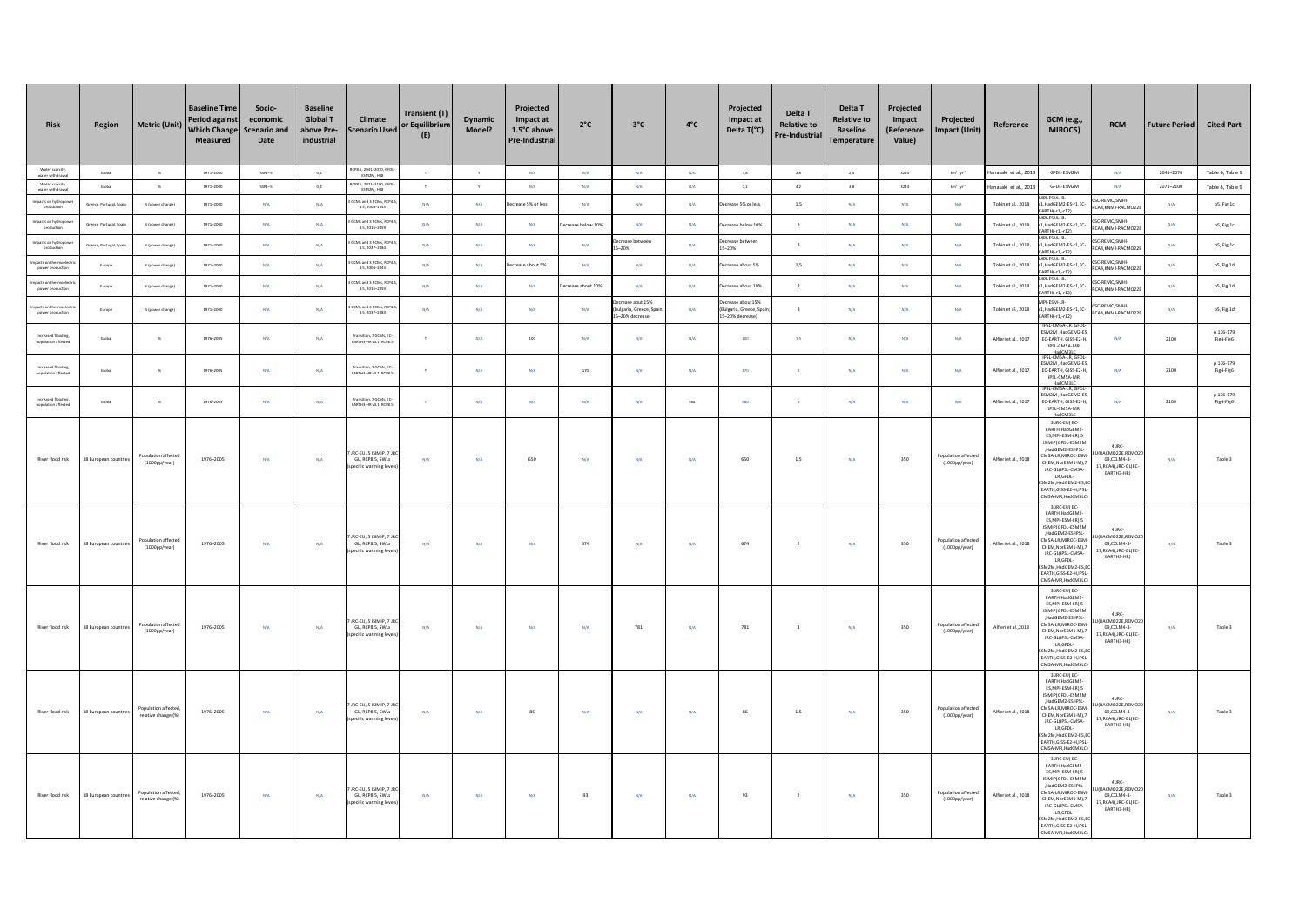| Risk                                                       | Region                  | <b>Metric (Unit)</b>                       | <b>Baseline Time</b><br><b>Period against</b><br><b>Which Change</b><br>Measured | Socio-<br>economic<br><b>Scenario and</b><br>Date | <b>Baseline</b><br><b>Global T</b><br>above Pre-<br>industrial | Climate<br><b>Scenario Used</b>                                  | <b>Transient (T)</b><br>or Equilibrium<br>(E) | <b>Dynamic</b><br>Model? | Projected<br>Impact at<br>1.5°C above<br>Pre-Industrial | $2^{\circ}C$   | $3^{\circ}$ C                                            | $4^{\circ}$ C           | Projected<br>Impact at<br>Delta T(°C)                      | Delta T<br><b>Relative to</b><br>Pre-Industrial | Delta T<br><b>Relative to</b><br><b>Baseline</b><br>Temperature | Projected<br>Impact<br>(Reference<br>Value) | Projected<br>Impact (Unit)                     | Reference             | GCM (e.g.,<br>MIROC5)                                                                                                                                                                                                                                     | <b>RCM</b>                                                                    | <b>Future Period</b> | <b>Cited Part</b>      |
|------------------------------------------------------------|-------------------------|--------------------------------------------|----------------------------------------------------------------------------------|---------------------------------------------------|----------------------------------------------------------------|------------------------------------------------------------------|-----------------------------------------------|--------------------------|---------------------------------------------------------|----------------|----------------------------------------------------------|-------------------------|------------------------------------------------------------|-------------------------------------------------|-----------------------------------------------------------------|---------------------------------------------|------------------------------------------------|-----------------------|-----------------------------------------------------------------------------------------------------------------------------------------------------------------------------------------------------------------------------------------------------------|-------------------------------------------------------------------------------|----------------------|------------------------|
| Water scarcity,<br>water withdrawal                        | Global                  | $\,$ $\,$                                  | 1971-2000                                                                        | $SSP1-5$                                          | $_{\rm 0,4}$                                                   | RCP8.5, 2041-2070, GF<br>ESM2M, H08                              |                                               | $\gamma$                 | $\textsf{N}/\textsf{A}$                                 | N/A            | N/A                                                      | $N/A$                   | $_{3,8}$                                                   | $_{\rm 2,8}$                                    | $2.4\,$                                                         | 3214                                        | $km^4$ $\,\rm{yr}^4$                           | lanasaki et al., 2013 | GFDL-ESM2M                                                                                                                                                                                                                                                | N/A                                                                           | 2041-2070            | Table 6, Table 9       |
| Water scarcity,<br>water withdrawa                         | Global                  | $-96$                                      | 1971-2000                                                                        | $SSP1-5$                                          | 0,4                                                            | RCP8.5, 2071-2100, GFDI<br>ESM2M, H08                            | $\top$                                        | $\mathbf{y}$             | N/A                                                     | N/A            | N/A                                                      | N/A                     | $7.1\,$                                                    | 4,2                                             | 3,8                                                             | 3214                                        | $\mathrm{km}^3\cdot\mathrm{yr}^2$              | lanasaki et al., 2013 | GFDL-ESM2M                                                                                                                                                                                                                                                | N/A                                                                           | 2071-2100            | Table 6, Table 9       |
| mpacts on hydropow<br>production                           | Greece, Portugal, Spain | % (power change)                           | 1971-2000                                                                        | N/A                                               | N/A                                                            | CMs and 3 RCMs, RCP4<br>8.5, 2004-2043                           | N/A                                           | N/A                      | rease 5% or less                                        | N/A            | N/A                                                      | N/A                     | rease 5% or less                                           | 1.5                                             | N/A                                                             | N/A                                         | N/A                                            | Tobin et al., 2018    | ESM-LP<br>HadGEM2-ES-r1.EC-<br>RTH(-r1,-r12)<br>-ESM-LR                                                                                                                                                                                                   | SC-REMO, SMHI-<br>A4.KNMI-RACMO22                                             | N/A                  | pS, Fig.1c             |
| mpacts on hydropow<br>productio                            | Greece, Portugal, Spain | % (power change)                           | 1971-2000                                                                        | N/A                                               | N/A                                                            | CMs and 3 RCMs, RCP4<br>8.5, 2016-2059                           | N/A                                           | N/A                      | N/A                                                     | ease below 10% | N/A                                                      | N/A                     | rease helow 10%                                            | $\overline{2}$                                  | N/A                                                             | N/A                                         | N/A                                            | Tobin et al., 2018    | HadGEM2-ES-r1.EC-<br>RTH(-r1,-r12)<br>-ESM-LR                                                                                                                                                                                                             | SC-REMO, SMHI-<br>CA4.KNMI-RACMO22                                            | N/A                  | pS, Fig.1c             |
| mpacts on hydropo<br>productio                             | Greece, Portugal, Spain | % (power change)                           | 1971-2000                                                                        | N/A                                               | N/A                                                            | CMs and 3 RCMs, RCP4<br>8.5.2037-2084<br>CMs and 3 RCMs, RCP     | N/A                                           | N/A                      | N/A                                                     | N/A            | crease between<br>$-20%$                                 | N/A                     | crease between<br>$-20%$                                   | $\overline{a}$                                  | N/A                                                             | N/A                                         | N/A                                            | Tobin et al., 2018    | HadGEM2-ES-r1.EC-<br>RTH(-r1,-r12)<br>1-ESM-LR                                                                                                                                                                                                            | SC-REMO, SMHI-<br>CA4, KNMI-RACMO22<br>SC-REMO, SMHI-                         | N/A                  | pS, Fig.1c             |
| pacts on thermoele<br>power production<br>acts on thermoel | Europe                  | % (power change)                           | 1971-2000                                                                        | N/A                                               | N/A                                                            | 8.5.2004-2043<br>CMs and 3 RCMs, RCP-                            | N/A                                           | N/A                      | ease about 5%                                           | N/A            | N/A                                                      | N/A                     | rease about 5%                                             | 1,5                                             | N/A                                                             | N/A                                         | N/A                                            | Tobin et al., 2018    | HadGEM2-ES-r1.EC-<br>RTH(-r1,-r12)<br>I-ESM-LR-                                                                                                                                                                                                           | CA4.KNMI-RACMO22<br>SC-REMO.SMHI-                                             | N/A                  | pS, Fig.1d             |
| power production                                           | Europe                  | % (power change)                           | 1971-2000                                                                        | N/A                                               | N/A                                                            | 8.5, 2016-205                                                    | N/A                                           | N/A                      | N/A                                                     | ase about 10%  | N/A                                                      | N/A                     | rease about 10%                                            | $\overline{2}$                                  | N/A                                                             | N/A                                         | N/A                                            | Tobin et al., 2018    | HadGEM2-ES-r1,EC-<br>RTH(-r1,-r12)                                                                                                                                                                                                                        | RCA4,KNMI-RACMO22                                                             | N/A                  | p5, Fig.1d             |
| power production                                           | Europe                  | % (power change)                           | 1971-2000                                                                        | N/A                                               | N/A                                                            | CMs and 3 RCMs. RCP-<br>8.5, 2037-2084                           | N/A                                           | N/A                      | N/A                                                     | $N/A$          | rease abut 15%<br>ulgaria, Greece, Spa<br>-20% decrease) | N/A                     | crease about 15%<br>ulgaria, Greece, Spa<br>-20% decrease) | $\overline{\mathbf{3}}$                         | N/A                                                             | N/A                                         | N/A                                            | Tobin et al., 2018    | IPI-ESM-LR-<br>HadGEM2-ES-r1,EC-<br>ARTH(-r1,-r12)                                                                                                                                                                                                        | SC-REMO SMHI-<br>CA4,KNMI-RACMO228                                            | N/A                  | pS, Fig.1d             |
| Increased flooding<br>population affectes                  | Global                  | $\sim$                                     | 1976-2005                                                                        | N/A                                               | N/A                                                            | ransition, 7 GCMs, EQ<br>EARTH3-HR v3.1, RCP8.                   | $\tau$                                        | N/A                      | 100                                                     | N/A            | N/A                                                      | N/A                     | 100                                                        | 1,5                                             | N/A                                                             | N/A                                         | N/A                                            | Alfieri et al., 2017  | PSL-CMSA-LR, GFD<br>SM2M, HadGEM2-E<br><b>FC-FARTH GISS-F2-H</b><br>IPSL-CMSA-MR.<br>HadCM3LC<br>SLCMSA-LR GED                                                                                                                                            | N/A                                                                           | 2100                 | p 176-179<br>Fig4-Fig6 |
| Increased flooding,<br>population affected                 | Global                  | $\,$ $\,$                                  | 1976-2005                                                                        | N/A                                               | $\mathrm{N}/\mathrm{A}$                                        | Transition, 7 GCMs, EC-<br>EARTH3-HR v3.1, RCPB.5                | $\tau$                                        | $\mathrm{N}/\mathrm{A}$  | $N/A$                                                   | 170            | $\rm N/A$                                                | $\mathrm{N}/\mathrm{A}$ | 170                                                        | $\,$ $\,$                                       | $\mathsf{N}/\mathsf{A}$                                         | $N/\bar{A}$                                 | $\mathsf{N}/\mathsf{A}$                        | Alfieri et al., 2017  | SM2M.HadGEM2-E9<br>C-EARTH, GISS-E2-H<br>IPSL-CMSA-MR.                                                                                                                                                                                                    | N/A                                                                           | 2100                 | p 176-179<br>Fig4-Fig6 |
| Increased flooding<br>population affectes                  | Global                  | $-96$                                      | 1976-2005                                                                        | N/A                                               | N/A                                                            | Transition, 7 GCMs, EQ<br>EARTH3-HR v3.1, RCP8.5                 | $\tau$                                        | N/A                      | N/A                                                     | N/A            | N/A                                                      | 580                     | 580                                                        | $\sim$                                          | N/A                                                             | N/A                                         | N/A                                            | Alfieri et al., 2017  | HadCM3LC<br>PSL-CMSA-LR, GFDI<br>SM2M, HadGEM2-ES<br>EC-EARTH, GISS-E2-H.<br>IPSL-CMSA-MR,<br>HadCM3LC                                                                                                                                                    | N/A                                                                           | 2100                 | p 176-179<br>Fig4-Fig6 |
| River flood risk                                           | 38 European countries   | Population affected<br>(1000pp/year)       | 1976-2005                                                                        | N/A                                               | N/A                                                            | JRC-EU, S ISIMIP, 7 J<br>GL, RCP8.5, SWLs<br>ecific warming le   | N/A                                           | $\mathsf{N}/\mathsf{A}$  | 650                                                     | $N/A$          | N/A                                                      | N/A                     | 650                                                        | $1,5$                                           | $\rm N/A$                                                       | 350                                         | Population affected<br>(1000pp/year)           | Alfieri et al., 2018  | 3 JRC-EUI EC-<br>EARTH.HadGEM2-<br>ES, MPI-ESM-LR), 5<br>ISIMIPIGEDI-FSM2M<br>HadGEM2-ES, IPSL-<br>MSA-LR, MIROC-ESM<br>CHEM.NorESM1-MI.7<br>JRC-GL(IPSL-CMSA-<br>LR, GFDL-<br>ESM2M.HadGEM2-ES.E<br>EARTH, GISS-E2-H, IPSL<br>CMSA-MR.HadCM3LC           | 4 JRC-<br>(RACMO22E.REMO2<br>09,CCLM4-8-<br>17.RCA4).JRC-GLIEC<br>EARTH3-HR)  | N/A                  | Table 3                |
| River flood risk                                           | 38 European countries   | Population affecte<br>(1000pp/year)        | 1976-2005                                                                        | N/A                                               | N/A                                                            | IRC-FU 5 KIMIP 7 I<br>GL. RCP8.5, SWLs<br>pecific warming le     | N/A                                           | N/A                      | N/A                                                     | 674            | N/A                                                      | N/A                     | 674                                                        | $\overline{2}$                                  | N/A                                                             | 350                                         | Population affected<br>$(1000 \text{pp/year})$ | Alfieri et al., 2018  | 3 JRC-EU(EC-<br>EARTH.HadGEM2-<br>ES, MPI-ESM-LR), 5<br>ISIMIPIGEDI - FSM2M<br>.HadGEM2-ES.IPSL-<br>MSA-LR, MIROC-ESM<br>CHEM.NorESM1-MI.7<br>JRC-GL(IPSL-CMSA-<br>LR, GFDL-<br>ESM2M.HadGEM2-ES.<br>EARTH, GISS-E2-H, IPSL<br>CMSA-MR, HadCM3LC          | 4 JRC<br>RACMO22F REMOZ<br>09.CCLM4-8-<br>17, RCA4), JRC-GL(EC<br>EARTH3-HR)  | N/A                  | Table 3                |
| River flood risk                                           | 38 European countrie    | Population affected<br>(1000pp/year)       | 1976-2005                                                                        | N/A                                               | N/A                                                            | JRC-EU, 5 ISIMIP, 7.<br>GL. RCP8.5, SWLs<br>pecific warming lev  | N/A                                           | N/A                      | N/A                                                     | N/A            | 781                                                      | N/A                     | 781                                                        | $\overline{\mathbf{3}}$                         | N/A                                                             | 350                                         | Population affected<br>(1000pp/year)           | Alfieri et al.,2018   | 3 JRC-EU(EC-<br><b>FARTH HadGEM2</b><br>ES, MPI-ESM-LR), 5<br>ISIMIP(GFDL-ESM2M<br>.HadGEM2-ES.IPSL-<br>CMSA-LR, MIROC-ESM<br>CHEM, NorESM1-M), 7<br>JRC-GL(IPSL-CMSA-<br>LR, GFDL-<br>SM2M, HadGEM2-ES, E<br>EARTH, GISS-E2-H, IPSI<br>MSA-MR, HadCM3LC) | 4 JRC<br>RACMO22E.REMO2<br>09 CCLM4-8-<br>17, RCA4), JRC-GL(EC-<br>EARTH3-HR) | N/A                  | Table 3                |
| River flood risk                                           | 38 European countries   | Population affected<br>relative change (%) | 1976-2005                                                                        | N/A                                               | N/L                                                            | JRC-EU, S ISIMIP, 7 J<br>GL. RCP8.5, SWLs<br>pecific warming lew | N/L                                           | N/A                      | 86                                                      | N/A            | N/A                                                      | N/A                     | 86                                                         | 1,5                                             | N/A                                                             | 350                                         | Population affected<br>$(1000 \text{pp/year})$ | Alfieri et al., 2018  | 3 JRC-EU(EC-<br>EARTH, HadGEM2<br>ES.MPI-ESM-LR).5<br>SIMIP(GFDL-ESM2M<br>.HadGEM2-ES.IPSL-<br>MSA-LR, MIROC-ESM<br>CHEM, NorESM1-M), 7<br>JRC-GL(IPSL-CMSA-<br>LR, GFDL-<br>SM2M, HadGEM2-ES, E<br>EARTH.GISS-E2-HJPSL<br>CMSA-MR, HadCM3LC              | 4 JRC-<br>RACMO22E,REMO2<br>09 CCI M4-8-<br>17.RCA4).JRC-GLIEC<br>EARTH3-HR)  | N/A                  | Table 3                |
| River flood risk                                           | 38 European countries   | Population affected<br>relative change (%) | 1976-2005                                                                        | N/A                                               | M/A                                                            | JRC-EU, 5 ISIMIP, 7 J<br>GL, RCP8.5, SWLs<br>pecific warming ley | <b>N/A</b>                                    | N/A                      | N/A                                                     | 93             | N/A                                                      | $N/A$                   | 93                                                         | $\overline{2}$                                  | $\rm N/A$                                                       | 350                                         | Population affected<br>$(1000 \text{pp/year})$ | Alfieri et al., 2018  | 3 JRC-EU(EC-<br>EARTH, HadGEM2<br>ES.MPI-ESM-LR).5<br>ISIMIP(GFDL-ESM2M<br>HadGEM2-ES, IPSL-<br>CMSA-LR.MIROC-ESM<br>CHEM, NorESM1-M), 7<br>JRC-GL(IPSL-CMSA-<br>LR, GFDL-<br>SM2M, HadGEM2-ES, E<br>EARTH, GISS-E2-H, IPSL<br>CMSA-MR, HadCM3LC          | 4 IRC-<br>RACMO22E, REMO2<br>09,CCLM4-8-<br>17.RCA4).JRC-GL(EC<br>EARTH3-HR)  | N/A                  | Table 3                |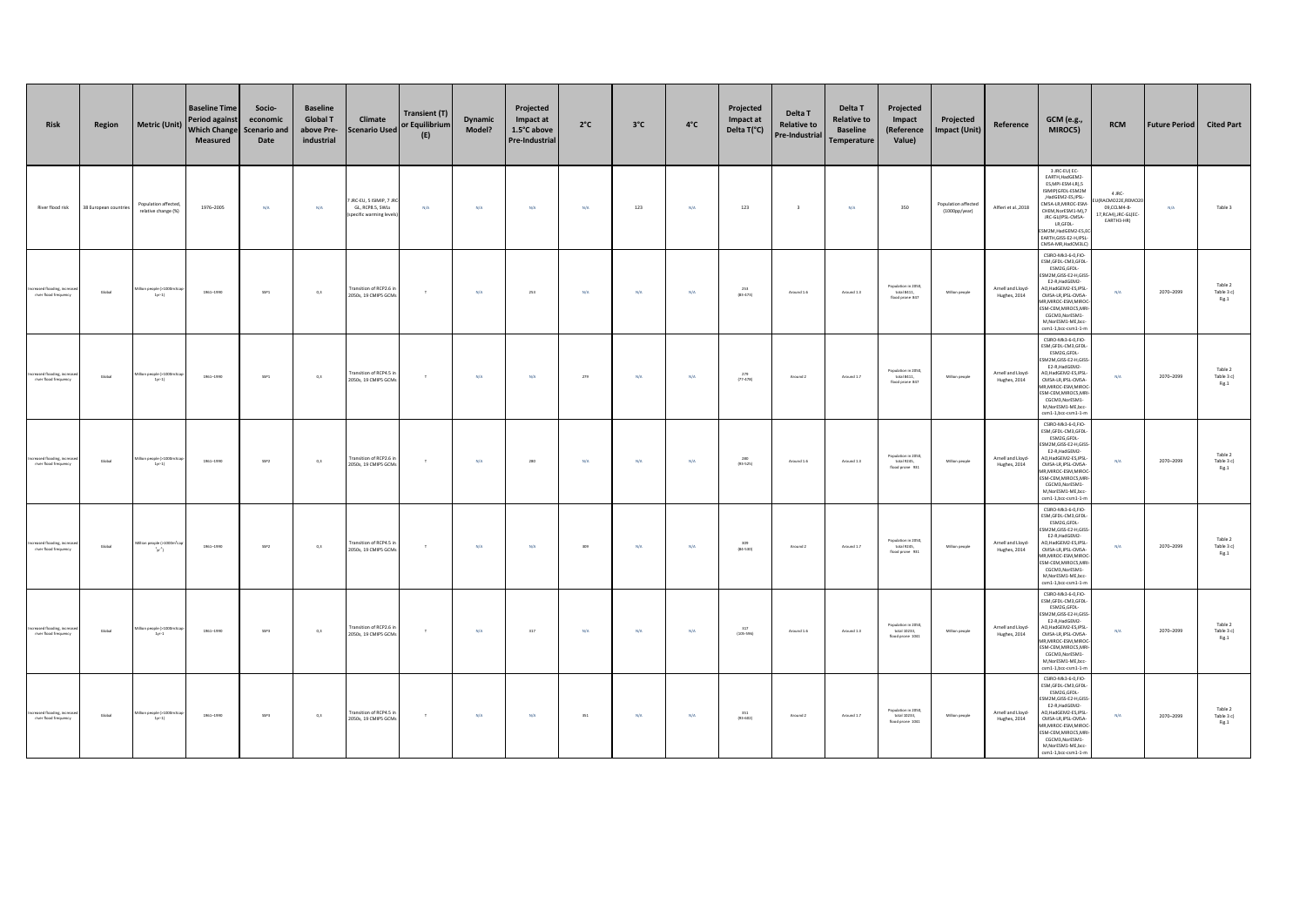| Risk                                                 | Region                | <b>Metric (Unit)</b>                              | <b>Baseline Time</b><br>Period against<br><b>Which Change</b><br><b>Measured</b> | Socio-<br>economic<br><b>Scenario and</b><br>Date | <b>Baseline</b><br><b>Global T</b><br>above Pre-<br>industrial | Climate<br><b>Scenario Used</b>                                    | Transient (T)<br>or Equilibrium<br>(E) | Dynamic<br>Model? | Projected<br>Impact at<br>1.5°C above<br><b>Pre-Industrial</b> | $2^{\circ}C$            | $3^{\circ}$ C | $4^{\circ}$ C           | Projected<br>Impact at<br>Delta T(°C) | Delta T<br><b>Relative to</b><br><b>Pre-Industrial</b> | Delta T<br><b>Relative to</b><br><b>Baseline</b><br><b>Temperature</b> | Projected<br>Impact<br>(Reference<br>Value)                                                       | Projected<br><b>Impact (Unit)</b>              | Reference                         | <b>GCM</b> (e.g.,<br>MIROC5)                                                                                                                                                                                                                                       | <b>RCM</b>                                                                      | <b>Future Period</b> | <b>Cited Part</b>                                                             |
|------------------------------------------------------|-----------------------|---------------------------------------------------|----------------------------------------------------------------------------------|---------------------------------------------------|----------------------------------------------------------------|--------------------------------------------------------------------|----------------------------------------|-------------------|----------------------------------------------------------------|-------------------------|---------------|-------------------------|---------------------------------------|--------------------------------------------------------|------------------------------------------------------------------------|---------------------------------------------------------------------------------------------------|------------------------------------------------|-----------------------------------|--------------------------------------------------------------------------------------------------------------------------------------------------------------------------------------------------------------------------------------------------------------------|---------------------------------------------------------------------------------|----------------------|-------------------------------------------------------------------------------|
| River flood risk                                     | 38 European countries | Population affected,<br>relative change (%)       | 1976-2005                                                                        | N/A                                               | N/A                                                            | JRC-EU, 5 ISIMIP, 7 J<br>GL, RCP8.5, SWLs<br>specific warming leve | N/A                                    | N/A               | N/A                                                            | N/A                     | 123           | N/A                     | 123                                   | $\overline{\mathbf{3}}$                                | N/A                                                                    | 350                                                                                               | Population affected<br>$(1000 \text{pp/year})$ | Alfieri et al., 2018              | 3 JRC-EU(EC-<br>EARTH.HadGEM2-<br>ES, MPI-ESM-LR), 5<br>ISIMIPIGFDL-ESM2M<br>,HadGEM2-ES,IPSL-<br>CMSA-LR.MIROC-ESM<br>CHEM.NorESM1-MI.7<br>JRC-GL(IPSL-CMSA-<br>LR, GFDL-<br>SM2M.HadGEM2-ES.E<br>EARTH.GISS-E2-H.IPSL<br>CMSA-MR.HadCM3LC                        | 4 JRC-<br>RACMO22E, REMO2<br>09,CCLM4-8-<br>17, RCA4), JRC-GL(EC-<br>EARTH3-HR) | N/A                  | Table 3                                                                       |
| Increased flooding, increas<br>river flood frequency | Global                | ilion people (>1000m3c<br>$1yr-1)$                | 1961-1990                                                                        | SSP1                                              | 0,3                                                            | Fransition of RCP2.6 i<br>2050s, 19 CMIPS GCM                      | $\tau$                                 | N/A               | 253                                                            | $\mathrm{N}/\mathrm{A}$ | $\rm N/A$     | N/A                     | 253<br>(83.473)                       | Around 1.6                                             | Around 1.3                                                             | Population in 2050,<br>total 8411,<br>flood prone 847                                             | Million people                                 | Arnell and Lloyd-<br>Hughes, 2014 | CSIRO-Mk3-6-0,FIO-<br>ESM, GFDL-CM3, GFDL-<br>ESM2G,GFDL-<br>SM2M, GISS-E2-H, GISS<br>E2-R.HadGEM2-<br>AO, HadGEM2-ES, IPSL<br>CMSA-LR, IPSL-CMSA-<br>1R, MIROC-ESM, MIRO<br>ESM-CEM, MIROCS, MR<br>CGCM3, NorESM1-<br>M, NorESM1-ME, bcc-<br>csm1-1,bcc-csm1-1-m  | $\rm N/A$                                                                       | 2070-2099            | Table 2<br>Table 3 c)<br>Fig.1                                                |
| Increased flooding, increa<br>river flood frequency  | Global                | ilion people (>1000m3c<br>$1yr-1$                 | 1961-1990                                                                        | SSP1                                              | 0,3                                                            | Fransition of RCP4.5<br>2050s, 19 CMIPS GCM                        | $\top$                                 | N/A               | N/A                                                            | 279                     | N/A           | N/A                     | $^{279}_{(77-478)}$                   | Around 2                                               | Around 1.7                                                             | Population in 2050,<br>total 8411,<br>flood prone 847                                             | Million people                                 | Arnell and Lloyd-<br>Hughes, 2014 | CSIRO-Mk3-6-0,FIO-<br>ESM, GFDL-CM3, GFDL<br>ESM2G,GFDL-<br>M2M,GISS-E2-H,GISS<br>E2-R, HadGEM2-<br>O, HadGEM2-ES, IPSL<br>CMSA-LR, IPSL-CMSA-<br>1R, MIROC-ESM, MIROC<br>ESM-CEM, MIROCS, MR<br>CGCM3, NorESM1-<br>M, NorESM1-ME, bcc<br>csm1-1,bcc-csm1-1-n      | N/A                                                                             | 2070-2099            | Table 2<br>$\begin{array}{c}\n\text{Table 3 c)} \\ \text{Fig.1}\n\end{array}$ |
| Increased flooding, increa<br>river flood frequency  | Global                | on people (>1000m3<br>$1yr-1$                     | 1961-1990                                                                        | $SSP2$                                            | 0,3                                                            | Transition of RCP2.6 in<br>2050s, 19 CMIP5 GCM                     | $\top$                                 | $N/A$             | 280                                                            | $\mathsf{N}/\mathsf{A}$ | $\rm N/A$     | $\mathsf{N}/\mathsf{A}$ | 280<br>$(93-525)$                     | Around 1.6                                             | Around 1.3                                                             | $\begin{array}{c} \text{Population in 2050,}\\ \text{total 9245,} \end{array}$<br>flood prone 931 | Million people                                 | Arnell and Lloyd-<br>Hughes, 2014 | CSIRO-Mk3-6-0,FIO-<br>ESM, GFDL-CM3, GFDL<br>ESM2G.GFDL-<br>SM2M, GISS-E2-H, GIS<br>F2-R HadGEM2-<br>AO.HadGEM2-ES.IPSL<br>CMSA-LR.IPSL-CMSA-<br><b>MR.MIROC-ESM.MIRO</b><br>ESM-CEM.MIROCS.MRI<br>CGCM3 NorESM1-<br>M.NorESM1-ME.bcc<br>csm1-1.bcc-csm1-1-n       | N/A                                                                             | 2070-2099            | Table 2<br>Table 3 c)<br>Fig.1                                                |
| Increased flooding, increa<br>river flood frequency  | Global                | filion people 0-1000m <sup>1</sup><br>$\{y^{2}\}$ | 1961-1990                                                                        | SSP <sub>2</sub>                                  | 0,3                                                            | Transition of RCP4.5<br>2050s, 19 CMIPS GCM                        | $\top$                                 | N/A               | N/A                                                            | 309                     | $\rm N/A$     | $\mathsf{N}/\mathsf{A}$ | 309<br>$(84-530)$                     | Around 2                                               | Around 1.7                                                             | Population in 2050,<br>total 9245,<br>flood prone 931                                             | Million people                                 | Arnell and Lloyd-<br>Hughes, 2014 | CSIRO-Mk3-6-0,FIO-<br>ESM, GFDL-CM3, GFDL<br>ESM2G, GFDL-<br>SM2M.GISS-E2-H.GISS<br>E2-R.HadGEM2-<br>AO.HadGEM2-ES.IPSL<br>CMSA-LR, IPSL-CMSA-<br>MR, MIROC-ESM, MIROC<br>SM-CEM, MIROCS, MRI<br>CGCM3, NorESM1-<br>M, NorESM1-ME, bcc-<br>csm1-1,bcc-csm1-1-m     | $\rm N/A$                                                                       | 2070-2099            | Table 2<br>Table 3 c)<br>Fig.1                                                |
| Increased flooding, increa<br>river flood frequency  | Global                | llion people (>1000m3c<br>$1yr-1$                 | 1961-1990                                                                        | SSP3                                              | 0,3                                                            | Transition of RCP2.6 i<br>2050s, 19 CMIPS GCM                      | $\top$                                 | N/A               | 317                                                            | N/A                     | N/A           | N/A                     | 317<br>$(105 - 596)$                  | Around 1.6                                             | Around 1.3                                                             | Population in 2050,<br>total 10233.<br>flood prone 1041                                           | Million people                                 | Arnell and Lloyd-<br>Hughes, 2014 | CSIRO-Mk3-6-0,FIO-<br>ESM, GFDL-CM3, GFDL<br>ESM2G,GFDL-<br>SM2M, GISS-E2-H, GISS<br>E2-R, HadGEM2-<br>AO, HadGEM2-ES, IPSL-<br>CMSA-LR, IPSL-CMSA-<br>1R, MIROC-ESM, MIROC<br>ESM-CEM, MIROCS, MR<br>CGCM3, NorESM1<br>M, NorESM1-ME, bcc-<br>csm1-1,bcc-csm1-1-m | N/A                                                                             | 2070-2099            | Table 2<br>Table 3 c)<br>Fig.1                                                |
| Increased flooding, increas<br>river flood frequency | Global                | tilion people (>1000m3<br>$1yr-1)$                | 1961-1990                                                                        | SSP3                                              | 0,3                                                            | Transition of RCP4.5<br>2050s, 19 CMIPS GCM                        | $\top$                                 | N/A               | N/A                                                            | 351                     | N/A           | $N/A$                   | 351<br>$(93 - 602)$                   | Around 2                                               | Around 1.7                                                             | Population in 2050,<br>total 10233,<br>flood prone 1041                                           | Million people                                 | Arnell and Lloyd-<br>Hughes, 2014 | CSIRO-Mk3-6-0,FIO-<br>ESM, GFDL-CM3, GFDL<br>ESM2G,GFDL-<br>SM2M, GISS-E2-H, GISS<br>E2-R, HadGEM2-<br>AO.HadGEM2-ES.IPSL<br>CMSA-LR, IPSL-CMSA-<br>MR.MIROC-ESM.MIROC-<br>ESM-CEM, MIROCS, MR<br>CGCM3.NorESM1<br>M,NorESM1-ME,bcc<br>csm1-1,bcc-csm1-1-m         | N/A                                                                             | 2070-2099            | Table 2<br>Table 3 c)<br>Fig.1                                                |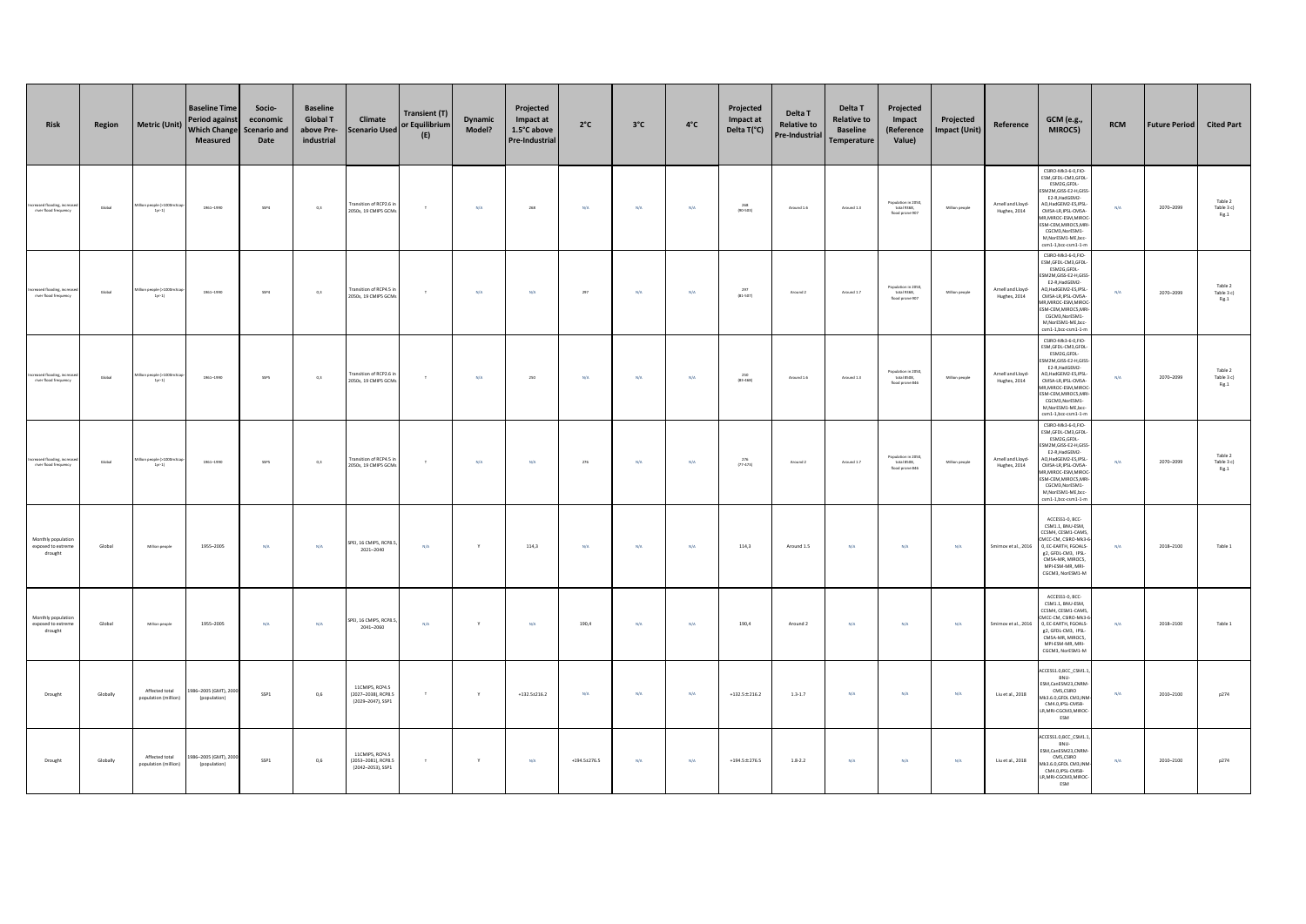| <b>Risk</b>                                            | Region   | <b>Metric (Unit)</b>                   | <b>Baseline Time</b><br>Period agains<br><b>Which Change</b><br>Measured | Socio-<br>economic<br><b>Scenario and</b><br>Date | <b>Baseline</b><br><b>Global T</b><br>above Pre-<br>industrial | Climate<br><b>Scenario Used</b>                             | Transient (T)<br>or Equilibrium<br>(E) | Dynamic<br>Model? | Projected<br>Impact at<br>1.5°C above<br><b>Pre-Industrial</b> | $2^{\circ}$ C           | $3^{\circ}$ C | $4^{\circ}$ C | Projected<br>Impact at<br>Delta T(°C) | Delta T<br><b>Relative to</b><br>Pre-Industrial | Delta T<br><b>Relative to</b><br><b>Baseline</b><br><b>Temperature</b> | Projected<br>Impact<br>(Reference<br>Value)           | Projected<br>Impact (Unit) | Reference                         | <b>GCM</b> (e.g.,<br>MIROC5)                                                                                                                                                                                                                                                 | <b>RCM</b>              | <b>Future Period</b> | <b>Cited Part</b>                      |
|--------------------------------------------------------|----------|----------------------------------------|--------------------------------------------------------------------------|---------------------------------------------------|----------------------------------------------------------------|-------------------------------------------------------------|----------------------------------------|-------------------|----------------------------------------------------------------|-------------------------|---------------|---------------|---------------------------------------|-------------------------------------------------|------------------------------------------------------------------------|-------------------------------------------------------|----------------------------|-----------------------------------|------------------------------------------------------------------------------------------------------------------------------------------------------------------------------------------------------------------------------------------------------------------------------|-------------------------|----------------------|----------------------------------------|
| Increased flooding, increased<br>river flood frequency | Global   | n people (>100<br>$1yr-1$              | 1961-1990                                                                | SSP4                                              | 0,3                                                            | Fransition of RCP2.6<br>2050s, 19 CMIPS GCM                 | $\tau$                                 | $N/A$             | 268                                                            | $\mathsf{N}/\mathsf{A}$ | $\rm N/A$     | $N/A$         | $268$<br>(90-503)                     | Around 1.6                                      | Around 1.3                                                             | Population in 2050,<br>total 9368,<br>flood prone 907 | Million people             | Arnell and Lloyd-<br>Hughes, 2014 | CSIRO-Mk3-6-0,FIO-<br>ESM, GFDL-CM3, GFDL<br>ESM2G,GFDL-<br>M2M,GISS-E2-H,GISS<br>E2-R, HadGEM2-<br>AO.HadGEM2-ES.IPSL<br>CMSA-LR.IPSL-CMSA-<br><b>MR.MIROC-ESM.MIRO</b><br>SM-CEM, MIROCS, MR<br>CGCM3, NorESM1<br>M, Nor ESM1-ME, bcc<br>csm1-1.bcc-csm1-1-n               | $\mathrm{N}/\mathrm{A}$ | 2070-2099            | Table 2<br>Table 3 c)<br>Fig.1         |
| Increased flooding, increa<br>river flood frequency    | Global   | on people 0-1000ml<br>$1yr-1$          | 1961-1990                                                                | SSP4                                              | 0,3                                                            | Fransition of RCP4.5<br>2050s, 19 CMIPS GCM                 | $\tau$                                 | N/A               | N/A                                                            | $297\,$                 | $\rm N/A$     | N/A           | 297<br>$(81 - 507)$                   | Around 2                                        | Around 1.7                                                             | Population in 2050,<br>total 9368,<br>flood prone 907 | Million people             | Arnell and Lloyd-<br>Hughes, 2014 | CSIRO-Mk3-6-0,FIO-<br>ESM, GFDL-CM3, GFDL-<br>ESM2G,GFDL-<br>SM2M, GISS-E2-H, GISS<br>E2-R.HadGEM2-<br>AO.HadGEM2-ES.IPSL<br>CMSA-LR, IPSL-CMSA-<br><b>IR, MIROC-ESM, MIRO</b><br>ESM-CEM, MIROCS, MR<br>CGCM3, NorESM1-<br>M.NorESM1-ME.bcc<br>csm1-1.bcc-csm1-1-n          | $\rm N/A$               | 2070-2099            | Table 2<br>Table 3 c)<br>Fig.1         |
| ncreased flooding, incre<br>river flood frequency      | Global   | ion people (>1000m3<br>$1yr-1)$        | 1961-1990                                                                | SSPS                                              | 0,3                                                            | Fransition of RCP2.6 in<br>2050s, 19 CMIPS GCM              | $\top$                                 | N/A               | 250                                                            | N/A                     | N/A           | N/A           | 250<br>(83.468)                       | Around 1.6                                      | Around 1.3                                                             | Population in 2050,<br>total 8508,<br>flood prone 846 | Million people             | Arnell and Lloyd-<br>Hughes, 2014 | CSIRO-Mk3-6-0,FIO-<br>ESM, GFDL-CM3, GFDL<br><b>ESM2G GEDL-</b><br>SM2M.GISS-E2-H.GISS<br>E2-R, HadGEM2-<br>40, HadGEM2-ES, IPSL<br>CMSA-LR, IPSL-CMSA-<br>1R, MIROC-ESM, MIROC-<br><b>ESM-CEM.MIROCS.MR</b><br>CGCM3.NorESM1-<br>M, NorESM1-ME, bcc-<br>csm1-1,bcc-csm1-1-m | N/A                     | 2070-2099            | Table 2<br>Table 3 c)<br>${\rm Fig.1}$ |
| Increased flooding, increa<br>river flood frequency    | Global   | on people (>1000m)<br>$1yr-1$          | 1961-1990                                                                | SSPS                                              | 0,3                                                            | Fransition of RCP4.5 i<br>2050s, 19 CMIP5 GCM               | $\top$                                 | N/A               | N/A                                                            | 276                     | N/A           | N/A           | $^{276}_{(77-473)}$                   | Around 2                                        | Around 1.7                                                             | Population in 2050,<br>total 8508,<br>flood prone 846 | Million people             | Arnell and Lloyd-<br>Hughes, 2014 | CSIRO-Mk3-6-0.FIO-<br>ESM.GFDL-CM3.GFDL<br>ESM2G.GFDL-<br>M2M,GISS-E2-H,GISS<br>E2-R, HadGEM2-<br>AO, HadGEM2-ES, IPSL<br>CMSA-LR.IPSL-CMSA-<br><b>MR.MIROC-ESM.MIROC</b><br>ESM-CEM, MIROCS, MR<br>CGCM3, NorESM1-<br>M,NorESM1-ME,bcc-<br>csm1-1,bcc-csm1-1-m              | N/A                     | 2070-2099            | Table 2<br>Table 3 c)<br>${\rm Fig.1}$ |
| Monthly populatio<br>exposed to extreme<br>drought     | Global   | Million people                         | 1955-2005                                                                | N/A                                               | N/A                                                            | SPEI, 16 CMIPS, RCP8.5<br>2021-2040                         | N/A                                    | Y                 | 114,3                                                          | N/A                     | N/A           | N/A           | 114,3                                 | Around 1.5                                      | N/A                                                                    | N/A                                                   | $\rm N/A$                  | Smirnov et al., 2016              | ACCESS1-0, BCC-<br>CSM1.1, BNU-ESM,<br>CCSM4, CESM1-CAMS<br>MCC-CM, CSIRO-Mk3-6<br>0. EC-EARTH, FGOALS<br>e2. GFDL-CM3. IPSL-<br>CMSA-MR, MIROCS.<br>MPI-ESM-MR, MRI-<br>CGCM3, NorESM1-M                                                                                    | N/A                     | 2018-2100            | Table 1                                |
| Monthly populatio<br>exposed to extreme<br>drought     | Global   | Million people                         | 1955-2005                                                                | N/A                                               | N/A                                                            | SPEI, 16 CMIPS, RCP8.5<br>2041-2060                         | N/A                                    | Y                 | N/A                                                            | 190,4                   | N/A           | N/A           | 190,4                                 | Around 2                                        | N/A                                                                    | N/A                                                   | N/A                        | Smirnov et al., 2016              | ACCESS1-0, BCC-<br>CSM1.1, BNU-ESM,<br>CCSM4, CESM1-CAM5<br>MCC-CM CSIRO-Mk3-<br>0, EC-EARTH, FGOALS-<br>g2, GFDL-CM3, IPSL-<br>CMSA-MR, MIROCS,<br>MPI-ESM-MR, MRI-<br>CGCM3, NorESM1-M                                                                                     | N/A                     | 2018-2100            | Table 1                                |
| Drought                                                | Globally | Affected total<br>population (million) | 986-2005 (GMT), 2000<br>(population)                                     | SSP1                                              | 0,6                                                            | 11CMIPS, RCP4.5<br>(2027-2038), RCP8.5<br>(2029-2047), SSP1 | $\mathbb T$                            | $\mathsf{Y}$      | $+132.5 \pm 216.2$                                             | $\mathsf{N}/\mathsf{A}$ | $\rm N/A$     | N/A           | $+132.5 \pm 216.2$                    | $1.3 - 1.7$                                     | $\rm N/A$                                                              | $\mathrm{N}/\mathrm{A}$                               | $\mathsf{N}/\mathsf{A}$    | Liu et al., 2018                  | CCESS1.0,BCC_CSM1.1<br>BNU-<br>SM,CanESM23,CNRM<br>CMS.CSIRO<br>Ak3.6.0.GFDL CM3.INN<br>CM4.0, IPSL-CM5B-<br>LR,MRI-CGCM3,MIROC<br>ESM                                                                                                                                       | $\mathrm{N}/\mathrm{A}$ | 2010-2100            | p274                                   |
| Drought                                                | Globally | Affected total<br>population (million) | 986-2005 (GMT), 2000<br>(population)                                     | SSP1                                              | 0,6                                                            | 11CMIPS, RCP4.5<br>(2053-2081), RCP8.5<br>(2042-2053), SSP1 | $\mathbb T$                            | $\mathsf{Y}$      | $N/A$                                                          | $+194.5 \pm 276.5$      | $\rm N/A$     | $N/A$         | $+194.5 \pm 276.5$                    | $1.8 - 2.2$                                     | $\rm N/A$                                                              | N/A                                                   | $\mathsf{N}/\mathsf{A}$    | Liu et al., 2018                  | CCESS1.0,BCC_CSM1.1<br>BNU-<br>SM, CanESM23, CNRN<br>CMS CSIRO<br>Ak3.6.0, GFDL CM3, IN<br>CM4.0, IPSL-CM5B-<br>LR,MRI-CGCM3,MIROC<br>ESM                                                                                                                                    | N/A                     | 2010-2100            | p274                                   |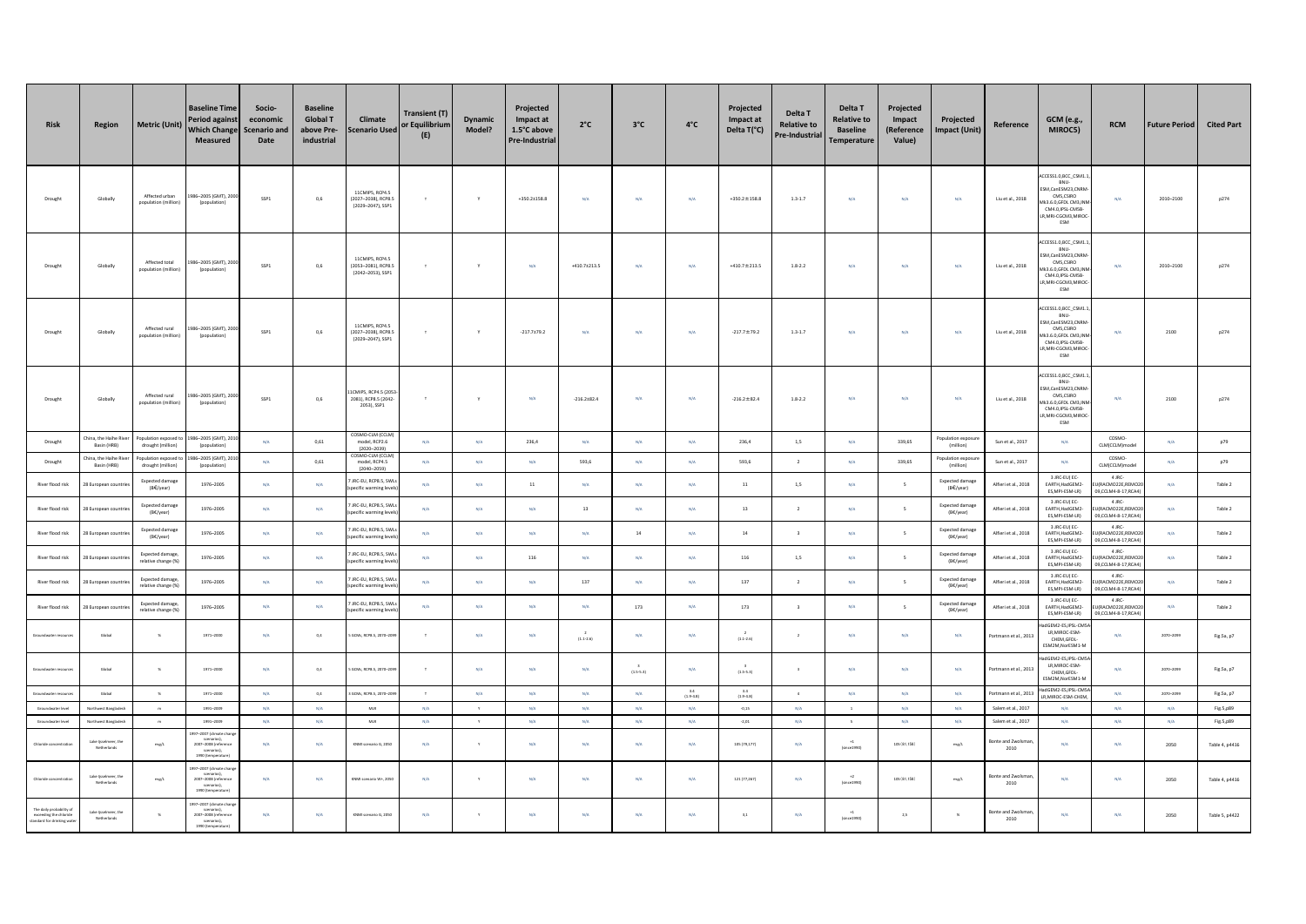| Risk                                                                            | Region                                                     | <b>Metric (Unit)</b>                    | <b>Baseline Time</b><br><b>Period against</b><br><b>Which Change</b><br><b>Measured</b>                 | Socio-<br>economic<br><b>Scenario and</b><br>Date | <b>Baseline</b><br><b>Global T</b><br>above Pre-<br>industrial | Climate<br><b>Scenario Used</b>                                       | <b>Transient (T)</b><br>or Equilibrium<br>(E) | <b>Dynamic</b><br>Model? | Projected<br>Impact at<br>1.5°C above<br><b>Pre-Industrial</b> | $2^{\circ}C$                            | $3^{\circ}$ C                  | $4^{\circ}$ C                                          | Projected<br>Impact at<br>Delta T(°C)           | Delta T<br><b>Relative to</b><br>Pre-Industrial | Delta T<br><b>Relative to</b><br><b>Baseline</b><br><b>Temperature</b> | Projected<br>Impact<br>(Reference<br>Value) | Projected<br>Impact (Unit)              | Reference                                     | <b>GCM</b> (e.g.,<br>MIROC5)                                                                                                                 | <b>RCM</b>                                      | <b>Future Period</b>            | <b>Cited Part</b>           |
|---------------------------------------------------------------------------------|------------------------------------------------------------|-----------------------------------------|---------------------------------------------------------------------------------------------------------|---------------------------------------------------|----------------------------------------------------------------|-----------------------------------------------------------------------|-----------------------------------------------|--------------------------|----------------------------------------------------------------|-----------------------------------------|--------------------------------|--------------------------------------------------------|-------------------------------------------------|-------------------------------------------------|------------------------------------------------------------------------|---------------------------------------------|-----------------------------------------|-----------------------------------------------|----------------------------------------------------------------------------------------------------------------------------------------------|-------------------------------------------------|---------------------------------|-----------------------------|
| Drought                                                                         | Globally                                                   | Affected urban<br>population (million)  | 86-2005 (GMT), 200<br>(population)                                                                      | SSP1                                              | 0,6                                                            | 11CMIPS, RCP4.5<br>(2027-2038), RCP8.<br>(2029-2047), SSP1            | $\tau$                                        | $\mathbf{v}$             | $+350.2 \pm 158.8$                                             | N/A                                     | N/A                            | N/A                                                    | $+350.2 \pm 158.8$                              | $1.3 - 1.7$                                     | N/A                                                                    | N/A                                         | N/A                                     | Liu et al., 2018                              | ACCESS1.0, BCC CSM1.<br>BNU-<br>SM,CanESM23,CNRM<br>CMS.CSIRO<br>k3.6.0, GFDL CM3, IN<br>CM4.0, IPSL-CM5B<br>R.MRI-CGCM3.MIROO<br>ESM        | N/A                                             | 2010-2100                       | p274                        |
| Drought                                                                         | Globally                                                   | Affected total<br>opulation (million)   | 86-2005 (GMT), 2000<br>(population)                                                                     | SSP1                                              | 0,6                                                            | 11CMIPS RCP4 S<br>(2053-2081), RCP8.<br>(2042-2053), SSP1             | T.                                            |                          | N/A                                                            | $+410.7 \pm 213.5$                      | N/A                            | N/A                                                    | $+410.7 \pm 213.5$                              | $1.8 - 2.2$                                     | N/A                                                                    | N/A                                         | N/A                                     | Liu et al., 2018                              | CESS1.0,BCC_CSM1.<br>BNU-<br>SM,CanESM23,CNRM<br>CMS,CSIRO<br><b>K3 6 0 GEDI CM3 INI</b><br>CM4.0.IPSL-CM5B<br>MRI-CGCM3,MIRO<br>ESM         | N/A                                             | 2010-2100                       | p274                        |
| Drought                                                                         | Globally                                                   | Affected rural<br>population (million   | 86-2005 (GMT), 200<br>(population)                                                                      | SSP1                                              | $_{\rm 0,6}$                                                   | 11CMIPS, RCP4.5<br>(2027-2038), RCP8.<br>(2029-2047), SSP1            | $\tau$                                        |                          | $-217.7{\pm}79.2$                                              | N/A                                     | N/A                            | N/A                                                    | $-217.7 \pm 79.2$                               | $1.3 - 1.7$                                     | N/A                                                                    | N/A                                         | N/A                                     | Liu et al., 2018                              | CESS1.0,BCC CSM1.<br>BNU-<br>SM.CanESM23.CNRM<br>CMS.CSIRO<br>3.6.0, GFDL CM3, IN<br>CM4.0, IPSL-CM5B<br>R.MRI-CGCM3.MIROO<br>ESM            | N/A                                             | 2100                            | p274                        |
| Drought                                                                         | Globally                                                   | Affected rural<br>population (million)  | 86-2005 (GMT), 2000<br>(population)                                                                     | SSP1                                              | 0,6                                                            | 1CMIPS, RCP4.5 (205)<br>2081), RCP8.5 (2042<br>2053), SSP1            | $\tau$                                        | $\mathbf{Y}$             | N/A                                                            | $-216.2 \pm 82.4$                       | N/A                            | N/A                                                    | $-216.2 \pm 82.4$                               | $1.8 - 2.2$                                     | N/A                                                                    | N/A                                         | N/A                                     | Liu et al., 2018                              | CCESS1.0,BCC_CSM1.1<br>BNU-<br>SM, CanESM23, CNRM<br>CMS,CSIRO<br><b>IK3 6 0 GEDI CM3 INI</b><br>CM4.0, IPSL-CM5B-<br>MRI-CGCM3,MIROC<br>ESM | N/A                                             | 2100                            | p274                        |
| Drought                                                                         | ina, the Haihe Rive<br>Basin (HRB)                         | ppulation exposed<br>drought (million)  | 86-2005 (GMT), 2010<br>(population)                                                                     | N/A                                               | 0,61                                                           | COSMO-CLM (CCLM<br>model, RCP2.6<br>$(2020 - 2039$<br>COSMO-CLM (CCLI | N/A                                           | N/A                      | 236.4                                                          | N/A                                     | N/A                            | N/A                                                    | 236.4                                           | 1,5                                             | N/A                                                                    | 339.65                                      | Population exposur<br>(million)         | Sun et al., 2017                              | N/A                                                                                                                                          | COSMO-<br><b>CLM(CCLM)mode</b>                  | N/A                             | p79                         |
| Drought                                                                         | ina, the Haihe Riv<br>Basin (HRB)                          | pulation exposed<br>drought (million)   | 6-2005 (GMT), 201<br>(population)                                                                       | N/A                                               | 0,61                                                           | model, RCP4.5<br>$(2040 - 2059)$                                      | N/A                                           | N/A                      | N/A                                                            | 593,6                                   | N/A                            | N/A                                                    | 593,6                                           | $\,$ 2 $\,$                                     | N/A                                                                    | 339.65                                      | opulation expos<br>(million)            | Sun et al., 2017                              | N/A                                                                                                                                          | COSMO-<br>CLM(CCLM)model                        | N/A                             | p79                         |
| River flood risk                                                                | 8 European countri                                         | Expected damage<br>(BE/year)            | 1976-2005                                                                                               | N/A                                               | N/A                                                            | JRC-EU, RCP8.5, SW<br>ecific warming lev                              | N/A                                           | N/A                      | 11                                                             | N/A                                     | N/A                            | N/A                                                    | $11\,$                                          | 1,5                                             | N/A                                                                    | $\overline{\phantom{a}}$                    | Expected damage<br>(B€/year)            | Alfieri et al., 2018                          | 3 JRC-EU(EC-<br>EARTH, HadGEM2-<br>ES, MPI-ESM-LR)                                                                                           | 4 JRC-<br>(RACMO22E, REMO2<br>.CCLM4-8-17,RCA4  | N/A                             | Table 2                     |
| River flood risk                                                                | 8 European countr                                          | Expected damage<br>(B€/year)            | 1976-2005                                                                                               | N/A                                               | N/A                                                            | JRC-EU, RCP8.5, SWI<br>pecific warming leve                           | N/A                                           | $N/A$                    | $N/A$                                                          | 13                                      | $\rm N/A$                      | $\mathsf{N}/\mathsf{A}$                                | $13\,$                                          | $\,$ 2 $\,$                                     | $\rm N/A$                                                              | $\mathsf S$                                 | <b>Expected damage</b><br>(B€/year)     | Alfieri et al., 2018                          | 3 JRC-EUI EC-<br>EARTH, HadGEM2-<br>ES, MPI-ESM-LR)                                                                                          | 4 JRC-<br>RACMO22E,REMO<br>19 CCI M4-8-17 RCA4  | $\mathsf{N}/\mathsf{A}$         | Table 2                     |
| River flood risk                                                                | 8 European count                                           | Expected damag<br>(B€/year)             | 1976-2005                                                                                               | N/A                                               | N/A                                                            | IRC-FU RCPR 5 SW<br>pecific warming lev                               | N/A                                           | $N/A$                    | $N/A$                                                          | $\mathsf{N}/\mathsf{A}$                 | 14                             | $\mathsf{N}/\mathsf{A}$                                | $14\,$                                          | $\,$ 3                                          | $\rm N/A$                                                              | $\mathsf S$                                 | Expected damage<br>(B€/year)            | Alfieri et al., 2018                          | 3 JRC-EU(EC-<br>EARTH, HadGEM2<br>ES.MPI-ESM-LRI                                                                                             | 4 JRC-<br>ACMO22E,REMO<br>09.CCLM4-8-17.RCA41   | N/A                             | Table 2                     |
| River flood risk                                                                | 8 European count                                           | Expected damage.<br>relative change (%) | 1976-2005                                                                                               | N/A                                               | N/A                                                            | JRC-EU, RCP8.5, SWI<br>pecific warming lev                            | N/A                                           | N/A                      | $116\,$                                                        | N/A                                     | N/A                            | N/A                                                    | $116\,$                                         | $1,5$                                           | N/A                                                                    | $\mathsf{s}$                                | <b>Expected damage</b><br>(B€/year)     | Alfieri et al., 2018                          | 3 JRC-EU(EC-<br>EARTH.HadGEM2-<br>ES, MPI-ESM-LR)                                                                                            | 4 JRC<br>RACMO22E.REMO<br>09,CCLM4-8-17,RCA4    | N/A                             | Table 2                     |
| River flood risk                                                                | 8 European coun                                            | Expected damage<br>relative change (%)  | 1976-2005                                                                                               | N/A                                               | N/A                                                            | JRC-EU, RCP8.5, SW<br>pecific warming lev                             | N/A                                           | N/A                      | N/A                                                            | 137                                     | N/A                            | N/A                                                    | 137                                             | $\overline{2}$                                  | N/A                                                                    | $\overline{\phantom{a}}$                    | Expected damage<br>(B€/year)            | Alfieri et al., 2018                          | 3 JRC-EU(EC-<br>EARTH.HadGEM2-<br>ES, MPI-ESM-LR)                                                                                            | 4 IRC-<br>RACMO22E.REMC<br>9,CCLM4-8-17,RCA4    | N/A                             | Table 2                     |
| River flood risk                                                                | 28 European countri                                        | Expected damage<br>relative change (%)  | 1976-2005                                                                                               | $N/A$                                             | $N/\ell$                                                       | JRC-EU, RCP8.5, SW<br>pecific warming lev                             | N/A                                           | N/A                      | N/A                                                            | N/A                                     | 173                            | $\mathsf{N}/\mathsf{A}$                                | 173                                             | $\overline{\mathbf{3}}$                         | $\rm N/A$                                                              | $\overline{\phantom{a}}$                    | Expected damage<br>(B€/year)            | Alfieri et al., 2018                          | 3 JRC-EUI EC-<br>EARTH, HadGEM2-<br>ES.MPI-ESM-LRI                                                                                           | 4 JRC-<br>(RACMO22E, REMO)<br>9.CCLM4-8-17.RCA4 | $\mathsf{N}/\mathsf{A}$         | Table 2                     |
| roundwater resourc                                                              | Global                                                     | $-26$                                   | 1971-2000                                                                                               | N/A                                               | 0,4                                                            | GCMs, RCP8.5, 2070-20                                                 | $\top$                                        | N/A                      | N/A                                                            | $(1.1 - 2.6)$                           | N/A                            | N/A                                                    | $(1.1 - 2.6)$                                   | $\,$ $\,$                                       | N/A                                                                    | N/A                                         | N/A                                     | ortmann et al., 2013                          | dGEM2-ES IPSL-CMS<br>LR.MIROC-ESM-<br>CHEM, GFDL-<br>ESM2M.NorESM1-M                                                                         | N/A                                             | 2070-2099                       | Fig.Sa, p7                  |
| oundwater resour                                                                | Global                                                     | $\mathcal{H}$                           | 1971-2000                                                                                               | N/A                                               | $_{\rm 0,4}$                                                   | GCMs, RCPB.5, 2070-20                                                 | $\tau$                                        | $\mathsf{N}/\mathsf{A}$  | $\textsf{N}/\textsf{A}$                                        | $\mathsf{N}/\mathsf{A}$                 | $(1.5 - 5.3)$                  | $\mathsf{N}/\mathsf{A}$                                | $(1.5-5.3)$                                     | $_{\rm 3}$                                      | $\mathsf{N}/\mathsf{A}$                                                | $\mathrm{N}/\mathrm{A}$                     | $\mathsf{N}/\mathsf{A}$                 | ortmann et al., 2013                          | dGEM2-ES, IPSL-CMS<br>LR MIROC-ESM-<br>CHEM, GFDL-<br>ESM2M, NorESM1-N                                                                       | N/A                                             | 2070-2099                       | Fig.Sa, p7                  |
| oundwater resourc                                                               | Global                                                     | $-96$                                   | 1971-2000                                                                                               | N/A                                               | 0,4                                                            | GCMs, RCPR.5, 2070-2                                                  | $\mathbf{r}$                                  | N/A                      | N/A                                                            | N/A                                     | N/A                            | $\begin{array}{c} 3.4 \\ \text{(1.9-4.8)} \end{array}$ | $\begin{array}{c} 3.4 \\ (1.9-4.8) \end{array}$ | 4                                               | N/A                                                                    | N/A                                         | N/A                                     | ortmann et al., 201                           | dGEM2-ES, IPSL-CMS<br>MIROC-ESM-CHEM                                                                                                         | N/A                                             | 2070-2099                       | Fig.Sa, p7                  |
| Groundwater level                                                               | jorthwest Banglade                                         | m                                       | 1991-2009                                                                                               | N/A                                               | N/A                                                            | <b>MLR</b>                                                            | N/A                                           |                          | N/A                                                            | N/A                                     | N/A                            | <b>N/A</b>                                             | $-0.15$                                         | N/A                                             | $\,$ 1 $\,$                                                            | <b>N/A</b>                                  | N/A                                     | Salem et al., 2017                            | N/A                                                                                                                                          | N/A                                             | N/A                             | Fig.5,p89                   |
| Groundwater level<br>Chloride concentratio                                      | Northwest Banglades<br>Lake Ijsselmeer, the<br>Netherlands | $\,$ m $\,$<br>$m g / \! L$             | 1991-2009<br>097-2007 (climate ch<br>scenarios),<br>2007–2008 (refe<br>scenarios).<br>1990 (temperature | $\text{N/A}$<br>N/A                               | N/A<br>N/A                                                     | $_{\rm MLR}$<br>KNMI scenario G, 2050                                 | $N/\mathbb{A}$<br>N/A                         | $\mathbf{Y}$             | $N/A$<br>N/A                                                   | $\textsf{N}/\textsf{A}$<br>$\text{N/A}$ | $\mathsf{N}/\mathsf{A}$<br>N/A | $N/A$<br>$N/A$                                         | $-2,01$<br>105 (79,177)                         | N/A<br>$\rm N/A$                                | $\mathsf{s}$<br>(since 1990)                                           | $\mathsf{N}/\mathsf{A}$<br>105 (81,158)     | $\mathsf{N}/\mathsf{A}$<br>$m g / \! L$ | Salem et al., 2017<br>onte and Zwolsm<br>2010 | $\mathsf{N}/\mathsf{A}$<br>N/A                                                                                                               | $N/A$<br>N/A                                    | $\mathsf{N}/\mathsf{A}$<br>2050 | Fig.5,p89<br>Table 4, p4416 |
| Chloride concentrati                                                            | Lake Ijsselmeer, the<br>Netherlands                        | $m g \Lambda$                           | 997-2007 (climate cha<br>scenarios),<br>2007–2008 (refere<br>scenarios),<br>1990 (temperature)          | $N/A$                                             | $\mathrm{N}/\mathrm{A}$                                        | NMI scenario W+, 2050                                                 | $N/\mathbb{A}$                                |                          | $\textsf{N}/\textsf{A}$                                        | $\mathsf{N}/\mathsf{A}$                 | N/A                            | $N/A$                                                  | 121 (77,267)                                    | $\mathrm{N}/\mathrm{A}$                         | $+2$<br>(since 1990)                                                   | 105 (81,158)                                | $m_{\rm E}/t$                           | sonte and Zwolsm<br>2010                      | $\mathsf{N}/\mathsf{A}$                                                                                                                      | $\rm N/A$                                       | 2050                            | Table 4, p4416              |
| The daily probability of<br>exceeding the chloride<br>tandard for drinking wate | Lake Ijsselmeer, the<br>Netherlands                        | $\%$                                    | 097-2007 (climate ch<br>scenarios),<br>2007--2008 (referen<br>scenarios),<br>1990 (temperature)         | N/A                                               | N/A                                                            | KNMI scenario G, 2050                                                 | N/A                                           | Y                        | N/A                                                            | $\mathrm{N}/\mathrm{A}$                 | N/A                            | $N/A$                                                  | $_{\rm 3,1}$                                    | $N/\bar{A}$                                     | $\begin{array}{c} +1 \\ \text{(since 1990)} \end{array}$               | $2.5\,$                                     | $\%$                                    | sonte and Zwolsm<br>2010                      | N/A                                                                                                                                          | N/A                                             | 2050                            | Table 5, p4422              |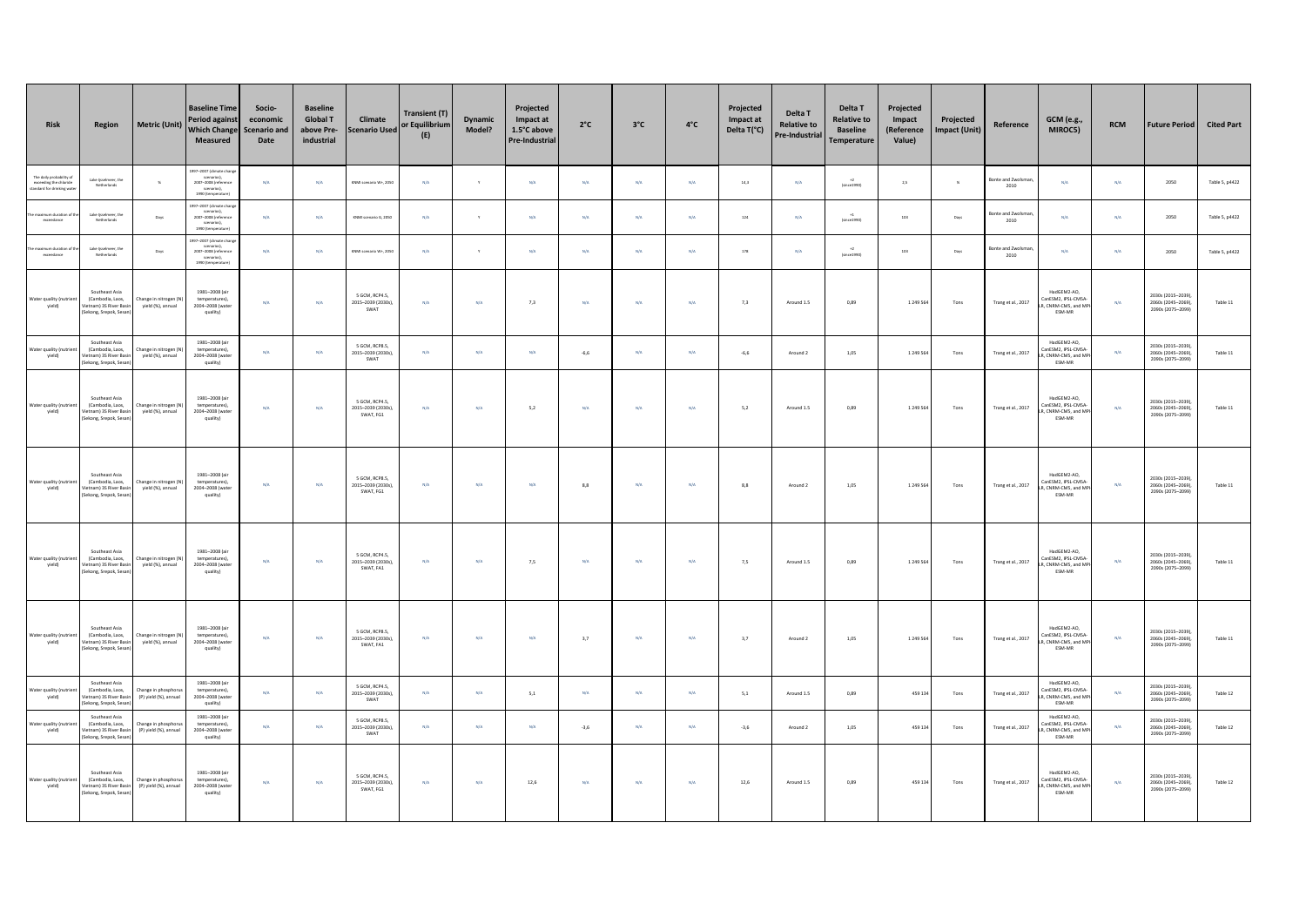| Risk                                                                          | Region                                                                                   | <b>Metric (Unit)</b>                        | <b>Baseline Time</b><br>Period against<br><b>Which Change</b><br>Measured                                         | Socio-<br>economic<br>Scenario and<br>Date | <b>Baseline</b><br><b>Global T</b><br>above Pre-<br>industrial | Climate<br><b>Scenario Used</b>                   | Transient (T)<br>or Equilibrium<br>(E) | <b>Dynamic</b><br>Model? | Projected<br>Impact at<br>1.5°C above<br>Pre-Industrial | $2^{\circ}$ C           | $3^{\circ}$ C | $4^{\circ}$ C | Projected<br>Impact at<br>Delta T(°C) | Delta T<br><b>Relative to</b><br>Pre-Industrial | Delta T<br><b>Relative to</b><br><b>Baseline</b><br><b>Temperature</b> | Projected<br>Impact<br>(Reference<br>Value) | Projected<br><b>Impact (Unit)</b> | Reference                 | <b>GCM</b> (e.g.,<br>MIROC5)                                        | <b>RCM</b> | <b>Future Period</b>                                         | <b>Cited Part</b> |
|-------------------------------------------------------------------------------|------------------------------------------------------------------------------------------|---------------------------------------------|-------------------------------------------------------------------------------------------------------------------|--------------------------------------------|----------------------------------------------------------------|---------------------------------------------------|----------------------------------------|--------------------------|---------------------------------------------------------|-------------------------|---------------|---------------|---------------------------------------|-------------------------------------------------|------------------------------------------------------------------------|---------------------------------------------|-----------------------------------|---------------------------|---------------------------------------------------------------------|------------|--------------------------------------------------------------|-------------------|
| The daily probability o<br>exceeding the chloride<br>tandard for drinking wat | Lake lisselmeer, the<br>Netherlands                                                      | $\mathbf{g}$                                | 997-2007 (climate chan)<br>scenarios),<br>2007-2008 (reference<br>scenarios),<br>1990 (temperature                | N/A                                        | N/A                                                            | KNMI scenario W+. 2050                            | N/A                                    | $\mathbf{v}$             | N/A                                                     | N/A                     | N/A           | <b>N/A</b>    | 14,3                                  | N/A                                             | $\rightarrow$<br>(since 1990)                                          | 2,5                                         | $\%$                              | Bonte and Zwolsma<br>2010 | N/A                                                                 | N/A        | 2050                                                         | Table 5, p4422    |
| aximum duration of<br>exceedance                                              | Lake Ijsselmeer, the<br>Netherlands                                                      | Days                                        | 097-2007 (climate chan)<br>scenarios),<br>2007-2008 (reference<br>scenarios),<br>1990 (temperature                | N/A                                        | N/A                                                            | KNMI scenario G. 2050                             | N/A                                    | $\mathbf{v}$             | N/A                                                     | N/A                     | N/A           | <b>N/A</b>    | 124                                   | N/A                                             | (Genet 990)                                                            | 103                                         | Days                              | Bonte and Zwolsma<br>2010 | N/A                                                                 | N/A        | 2050                                                         | Table 5, p4422    |
| maximum duration of<br>exceedance                                             | Lake lisselmeer, the<br>Netherlands                                                      | Days                                        | 097-2007 (climate char<br>scenarios).<br>2007-2008 (reference<br>scenarios),<br>scenarios),<br>1990 (temperature) | N/A                                        | N/A                                                            | KNMI scenario W+. 2050                            | N/A                                    | $\mathbf{v}$             | N/A                                                     | N/A                     | N/A           | N/A           | 178                                   | N/A                                             | (since 1990)                                                           | 103                                         | Days                              | onte and Zwolsma<br>2010  | N/A                                                                 | N/A        | 2050                                                         | Table 5, p4422    |
| ster quality (nut<br>yield)                                                   | Southeast Asia<br>(Cambodia, Laos,<br>Vietnam) 3S River Basin<br>Sekong, Srepok, Sesar   | hange in nitrogen (N<br>yield (%), annual   | 1981-2008 (air<br>temperatures)<br>2004-2008 (water<br>quality)                                                   | $\rm N/A$                                  | N/A                                                            | 5 GCM, RCP4.5.<br>2015-2039 (2030s),<br>SWAT      | N/A                                    | $\mathsf{N}/\mathsf{A}$  | 7,3                                                     | $\mathsf{N}/\mathsf{A}$ | N/A           | $N/A$         | 7,3                                   | Around 1.5                                      | 0,89                                                                   | 1 249 564                                   | Tons                              | Trang et al., 2017        | HadGEM2-AO,<br>anESM2, IPSL-CMSA<br>L. CNRM-CMS, and MI<br>ESM-MR   | N/A        | 2030s (2015-2039)<br>2060s (2045-2069)<br>2090s (2075-2099)  | Table 11          |
| Water quality (nutrie<br>yield)                                               | Southeast Asia<br>(Cambodia, Laos,<br>fietnam) 3S River Basi<br>Sekong, Srepok, Sesar    | hange in nitrogen (N<br>yield (%), annual   | 1981-2008 (air<br>temperatures),<br>2004-2008 (wate<br>quality)                                                   | N/A                                        | N/A                                                            | S GCM RCPR S<br>2015-2039 (2030s).<br>SWAT        | N/A                                    | N/A                      | N/A                                                     | $-6,6$                  | N/A           | N/A           | $-6,6$                                | Around 2                                        | 1,05                                                                   | 1 249 564                                   | Tons                              | Trang et al., 2017        | HadGEM2-AO,<br>CanESM2, IPSL-CMSA-<br>. CNRM-CMS, and MI<br>ESM-MR  | N/A        | 2030s (2015-2039)<br>2060s (2045-2069)<br>2090s (2075-2099)  | Table 11          |
| Water quality (nutr<br>yield)                                                 | Southeast Asia<br>(Cambodia, Laos,<br>fietnam) 3S River Basir<br>Sekong, Srepok, Sesan   | hange in nitrogen (N<br>yield (%), annual   | 1981-2008 (air<br>temperatures)<br>2004-2008 (water<br>quality)                                                   | N/A                                        | N/A                                                            | 5 GCM, RCP4.5,<br>2015-2039 (2030s)<br>SWAT, FG1  | N/A                                    | $\mathsf{N}/\mathsf{A}$  | 5,2                                                     | N/A                     | N/A           | N/A           | 5,2                                   | Around 1.5                                      | 0,89                                                                   | 1 2 4 9 5 6 4                               | Tons                              | Trang et al., 2017        | HadGEM2-AO.<br>anESM2. IPSL-CMSA<br>t, CNRM-CMS, and MP<br>ESM-MR   | N/A        | 2030s (2015-2039)<br>2060s (2045-2069),<br>2090s (2075-2099) | Table 11          |
| Vater quality (nutrie<br>yield)                                               | Southeast Asia<br>(Cambodia, Laos.<br>Vietnam) 3S River Basir<br>Sekong, Srepok, Sesar   | Change in nitrogen (M<br>yield (%), annual  | 1981-2008 (air<br>temperatures),<br>2004-2008 (water<br>quality)                                                  | $\rm N/A$                                  | N/A                                                            | 5 GCM, RCP8.5.<br>2015-2039 (2030s)<br>SWAT, FG1  | $\mathrm{N}/\mathrm{A}$                | $\mathsf{N}/\mathsf{A}$  | $N/\mathbb{A}$                                          | $_{\rm 8,8}$            | $\rm N/A$     | $N/A$         | 8,8                                   | Around 2                                        | 1,05                                                                   | 1 249 564                                   | Tons                              | Trang et al., 2017        | HadGEM2-AO,<br>CanESM2, IPSL-CMSA<br>R. CNRM-CMS, and MP<br>ESM-MR  | N/A        | 2030s (2015-2039)<br>2060s (2045-2069),<br>2090s (2075-2099) | Table 11          |
| Vater quality (nutrien<br>yield)                                              | Southeast Asia<br>(Cambodia, Laos.<br>fietnam) 3S River Basir<br>Sekong, Srepok, Sesan)  | hange in nitrogen (N<br>yield (%), annual   | 1981-2008 (air<br>temperatures).<br>2004-2008 (water<br>quality)                                                  | $\rm N/A$                                  | N/A                                                            | 5 GCM, RCP4.5.<br>2015-2039 (2030s),<br>SWAT, FA1 | $\mathrm{N}/\mathrm{A}$                | $\mathsf{N}/\mathsf{A}$  | 7,5                                                     | $\mathsf{N}/\mathsf{A}$ | $\rm N/A$     | $N/A$         | 7,5                                   | Around 1.5                                      | 0,89                                                                   | 1 2 4 9 5 6                                 | Tons                              | Trang et al., 2017        | HadGEM2-AO,<br>CanESM2, IPSL-CMSA<br>R. CNRM-CMS, and MP<br>ESM-MR  | $\rm N/A$  | 2030s (2015-2039)<br>2060s (2045-2069),<br>2090s (2075-2099) | Table 11          |
| Vater quality (nut<br>yield)                                                  | Southeast Asia<br>(Cambodia, Laos,<br>Vietnam) 3S River Basin<br>Sekong, Srepok, Sesar   | hange in nitrogen (N)<br>yield (%), annual  | 1981-2008 (air<br>temperatures),<br>2004-2008 (water<br>quality)                                                  | N/A                                        | N/A                                                            | 5 GCM, RCP8.5,<br>2015-2039 (2030s),<br>SWAT, FA1 | N/A                                    | $\mathrm{N}/\mathrm{A}$  | N/A                                                     | 3,7                     | N/A           | N/A           | 3,7                                   | Around 2                                        | 1,05                                                                   | 1 249 564                                   | Tons                              | Trang et al., 2017        | HadGEM2-AO,<br>CanESM2. IPSL-CMSA<br>R. CNRM-CMS, and MP<br>ESM-MR  | N/A        | 2030s (2015-2039)<br>2060s (2045-2069),<br>2090s (2075-2099) | Table 11          |
| Water quality (nutries<br>yield)                                              | Southeast Asia<br>(Cambodia, Laos,<br>ietnam) 3S River Bas<br>Sekong, Srepok, Sesar      | hange in phosphort<br>(P) yield (%), annual | 1981-2008 (air<br>temperatures),<br>2004-2008 (wate<br>quality)                                                   | N/A                                        | N/A                                                            | S GCM RCP4 S<br>2015-2039 (2030s),<br>SWAT        | N/A                                    | N/A                      | 5,1                                                     | N/A                     | N/A           | N/A           | 5,1                                   | Around 1.5                                      | 0,89                                                                   | 459 134                                     | Tons                              | Trang et al., 2017        | HadGEM2-AO,<br>CanESM2, IPSL-CMSA-<br>R, CNRM-CMS, and MI<br>ESM-MR | N/A        | 2030s (2015-2039)<br>2060s (2045-2069)<br>2090s (2075-2099)  | Table 12          |
| Water quality (nutrie<br>yield)                                               | Southeast Asia<br>(Cambodia, Laos,<br>Vietnam) 3S River Basin<br>Sekong, Srepok, Sesan   | hange in phosphoru<br>(P) vield (%), annual | 1981-2008 (air<br>temperatures)<br>2004-2008 (water<br>quality)                                                   | N/A                                        | N/A                                                            | 5 GCM, RCP8.5,<br>2015-2039 (2030s),<br>SWAT      | N/A                                    | $\mathrm{N}/\mathrm{A}$  | $\textsf{N}/\textsf{A}$                                 | $-3,6$                  | N/A           | $N/A$         | $-3,6$                                | Around 2                                        | 1,05                                                                   | 459 134                                     | Tons                              | Trang et al., 2017        | HadGEM2-AO.<br>anESM2. IPSL-CMSA<br>R. CNRM-CMS, and MP<br>ESM-MR   | N/A        | 2030s (2015-2039)<br>2060s (2045-2069),<br>2090s (2075-2099) | Table 12          |
| Water quality (nutries<br>yield)                                              | Southeast Asia<br>(Cambodia, Laos,<br>Vietnam) 3S River Basin<br>(Sekong, Srepok, Sesan) | hange in phosphoru<br>(P) yield (%), annual | 1981-2008 (air<br>temperatures),<br>2004-2008 (water<br>quality)                                                  | N/A                                        | N/A                                                            | 5 GCM, RCP4.5,<br>2015-2039 (2030s).<br>SWAT, FG1 | N/A                                    | $\text{N/A}$             | 12,6                                                    | $\mathsf{N}/\mathsf{A}$ | N/A           | N/A           | 12,6                                  | Around 1.5                                      | 0,89                                                                   | 459 134                                     | Tons                              | Trang et al., 2017        | HadGEM2-AO.<br>CanESM2, IPSL-CMSA-<br>R, CNRM-CMS, and MP<br>ESM-MR | N/A        | 2030s (2015-2039)<br>2060s (2045-2069).<br>2090s (2075-2099) | Table 12          |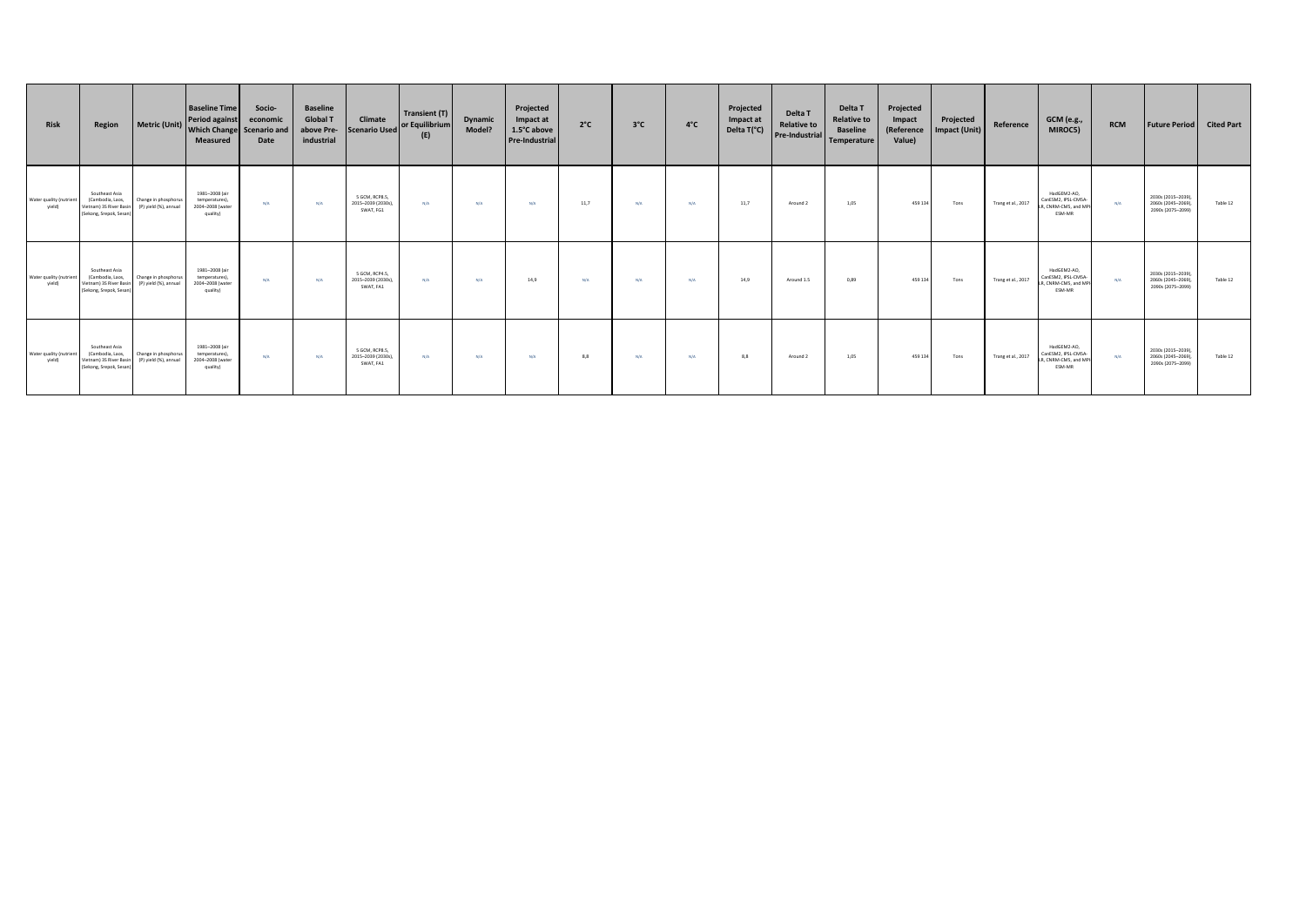| Risk                             | Region                                                                                  | Metric (Unit)                                 | <b>Baseline Time</b><br><b>Period against</b><br>Which Change Scenario and<br><b>Measured</b> | Socio-<br>economic<br>Date | <b>Baseline</b><br><b>Global T</b><br>above Pre-<br>industrial | Climate<br><b>Scenario Used</b>                   | Transient (T)<br>or Equilibrium<br>(E) | <b>Dynamic</b><br>Model? | Projected<br>Impact at<br>1.5°C above<br><b>Pre-Industrial</b> | $2^{\circ}C$ | $3^{\circ}$ C | $4^{\circ}$ C | Projected<br>Impact at<br>Delta T(°C) | Delta T<br><b>Relative to</b><br>Pre-Industrial | Delta T<br><b>Relative to</b><br><b>Baseline</b><br>Temperature | Projected<br>Impact<br>(Reference<br>Value) | Projected<br><b>Impact (Unit)</b> | Reference          | GCM (e.g.,<br>MIROC5)                                               | <b>RCM</b> | <b>Future Period</b>                                          | <b>Cited Part</b> |
|----------------------------------|-----------------------------------------------------------------------------------------|-----------------------------------------------|-----------------------------------------------------------------------------------------------|----------------------------|----------------------------------------------------------------|---------------------------------------------------|----------------------------------------|--------------------------|----------------------------------------------------------------|--------------|---------------|---------------|---------------------------------------|-------------------------------------------------|-----------------------------------------------------------------|---------------------------------------------|-----------------------------------|--------------------|---------------------------------------------------------------------|------------|---------------------------------------------------------------|-------------------|
| Water quality (nutrier<br>yield) | Southeast Asia<br>(Cambodia, Laos,<br>Vietnam) 3S River Basir<br>(Sekong, Srepok, Sesan | Change in phosphorus<br>(P) yield (%), annual | 1981-2008 (air<br>temperatures),<br>2004-2008 (water<br>quality)                              | N/A                        | N/A                                                            | 5 GCM, RCP8.5,<br>2015-2039 (2030s),<br>SWAT, FG1 | N/A                                    | N/A                      | N/A                                                            | 11,7         | N/A           | N/A           | 11,7                                  | Around 2                                        | 1,05                                                            | 459 134                                     | Tons                              | Trang et al., 2017 | HadGEM2-AO.<br>CanESM2, IPSL-CMSA<br>LR, CNRM-CMS, and MF<br>ESM-MR | N/A        | 2030s (2015-2039),<br>2060s (2045-2069),<br>2090s (2075-2099) | Table 12          |
| Water quality (nutrien<br>yield) | Southeast Asia<br>(Cambodia, Laos,<br>Vietnam) 3S River Basi<br>(Sekong, Srepok, Sesan  | Change in phosphorus<br>(P) yield (%), annual | 1981-2008 (air<br>temperatures),<br>2004-2008 (water<br>quality)                              | N/A                        | N/A                                                            | 5 GCM, RCP4.5,<br>2015-2039 (2030s),<br>SWAT, FA1 | N/A                                    | N/A                      | 14,9                                                           | N/A          | N/A           | N/A           | 14,9                                  | Around 1.5                                      | 0,89                                                            | 459 134                                     | Tons                              | Trang et al., 2017 | HadGEM2-AO,<br>CanESM2, IPSL-CM5A<br>R, CNRM-CMS, and MP<br>ESM-MR  | N/A        | 2030s (2015-2039),<br>2060s (2045-2069)<br>2090s (2075-2099)  | Table 12          |
| Water quality (nutrien<br>yield) | Southeast Asia<br>(Cambodia, Laos,<br>Vietnam) 3S River Basir<br>(Sekong, Srepok, Sesan | Change in phosphorus<br>(P) yield (%), annual | 1981-2008 (air<br>temperatures),<br>2004-2008 (water<br>quality)                              | N/A                        | N/A                                                            | 5 GCM, RCP8.5,<br>2015-2039 (2030s),<br>SWAT, FA1 | N/A                                    | N/A                      | N/A                                                            | 8,8          | N/A           | N/A           | 8,8                                   | Around 2                                        | 1,05                                                            | 459 134                                     | Tons                              | Trang et al., 2017 | HadGEM2-AO.<br>CanESM2, IPSL-CMSA-<br>R, CNRM-CMS, and MP<br>ESM-MR | N/A        | 2030s (2015-2039),<br>2060s (2045-2069),<br>2090s (2075-2099) | Table 12          |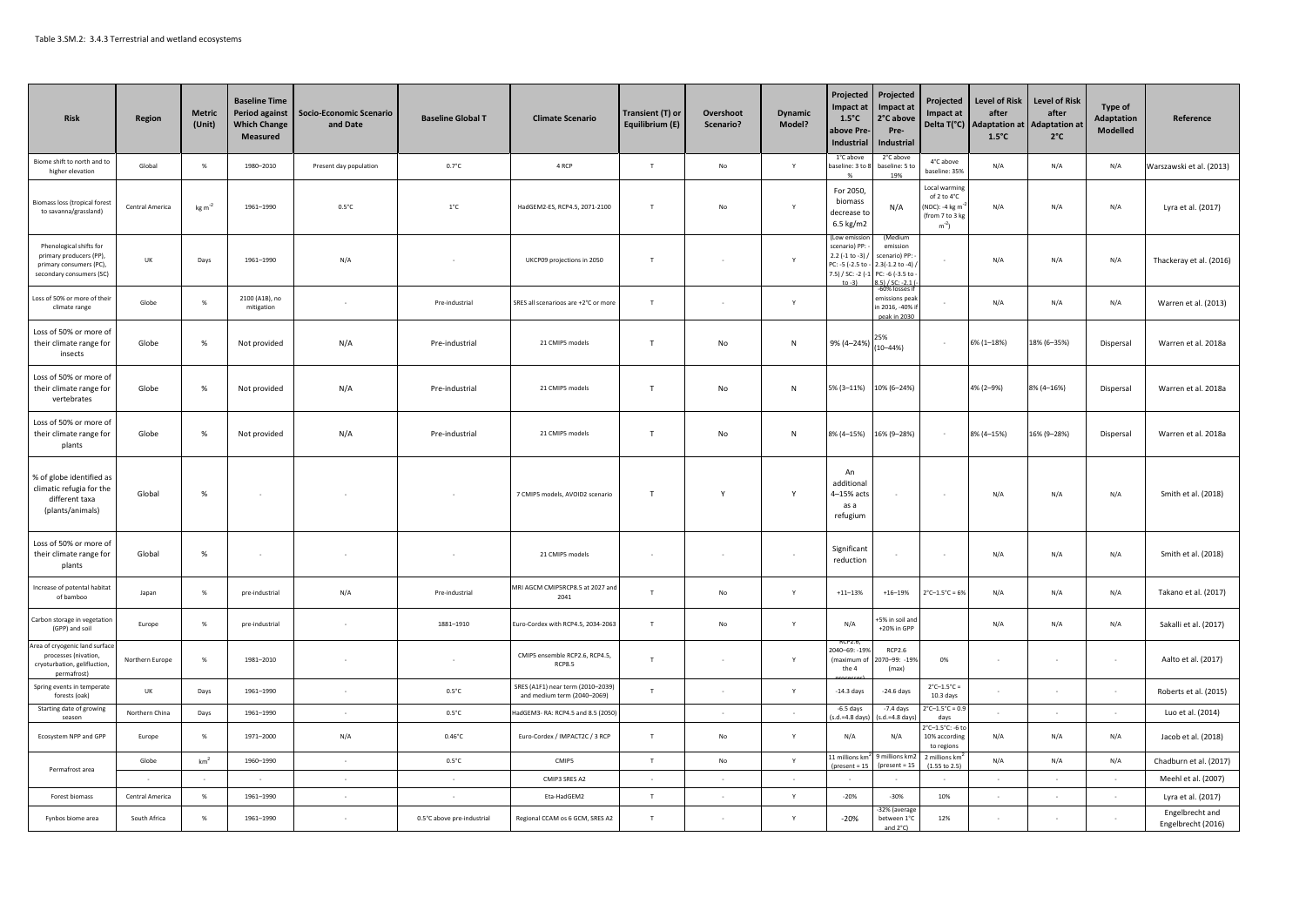| <b>Risk</b>                                                                                              | <b>Region</b>   | <b>Metric</b><br>(Unit) | <b>Baseline Time</b><br><b>Period against</b><br><b>Which Change</b><br><b>Measured</b> | <b>Socio-Economic Scenario</b><br>and Date | <b>Baseline Global T</b>   | <b>Climate Scenario</b>                                          | Transient (T) or<br>Equilibrium (E) | Overshoot<br>Scenario? | <b>Dynamic</b><br>Model? | Projected<br>Impact at<br>$1.5^{\circ}$ C<br>above Pre<br>Industrial                    | Projected<br>Impact at<br>2°C above<br>Pre-<br><b>Industrial</b>                        | Projected<br><b>Impact at</b><br>Delta T(°C)                               | <b>Level of Risk</b><br>after<br><b>Adaptation at</b><br>$1.5^{\circ}$ C | <b>Level of Risk</b><br>after<br><b>Adaptation a</b><br>$2^{\circ}$ C | Type of<br><b>Adaptation</b><br>Modelled | Reference                             |
|----------------------------------------------------------------------------------------------------------|-----------------|-------------------------|-----------------------------------------------------------------------------------------|--------------------------------------------|----------------------------|------------------------------------------------------------------|-------------------------------------|------------------------|--------------------------|-----------------------------------------------------------------------------------------|-----------------------------------------------------------------------------------------|----------------------------------------------------------------------------|--------------------------------------------------------------------------|-----------------------------------------------------------------------|------------------------------------------|---------------------------------------|
| iome shift to north and to<br>higher elevation                                                           | Global          | %                       | 1980-2010                                                                               | Present day population                     | $0.7^{\circ}$ C            | 4 RCP                                                            | T                                   | No                     | $\mathsf{Y}$             | 1°C above<br>aseline: 3 to 8<br>%                                                       | 2°C above<br>baseline: 5 to<br>19%                                                      | 4°C above<br>baseline: 35%                                                 | N/A                                                                      | N/A                                                                   | N/A                                      | Warszawski et al. (2013)              |
| iomass loss (tropical forest<br>to savanna/grassland)                                                    | Central America | $kg m-2$                | 1961-1990                                                                               | $0.5^{\circ}$ C                            | $1^{\circ}$ C              | HadGEM2-ES, RCP4.5, 2071-2100                                    | $\top$                              | No                     | Y                        | For 2050,<br>biomass<br>decrease to<br>6.5 kg/m2                                        | N/A                                                                                     | Local warming<br>of 2 to 4°C<br>NDC): -4 kg m<br>from 7 to 3 kg<br>$m^2$ ) | N/A                                                                      | N/A                                                                   | N/A                                      | Lyra et al. (2017)                    |
| Phenological shifts for<br>primary producers (PP)<br>primary consumers (PC),<br>secondary consumers (SC) | UK              | Days                    | 1961-1990                                                                               | N/A                                        |                            | UKCP09 projections in 2050                                       | T                                   |                        | $\mathsf{Y}$             | ow emiss<br>scenario) PP:<br>2.2 (-1 to -3) /<br>PC: -5 (-2.5 to -<br>7.5) / SC: -2 (-1 | emission<br>scenario) PP:<br>$2.3(-1.2 \text{ to } -4)$<br>PC: -6 (-3.5 to<br>151/50.21 |                                                                            | N/A                                                                      | N/A                                                                   | N/A                                      | Thackeray et al. (2016)               |
| Loss of 50% or more of their<br>climate range                                                            | Globe           | $\%$                    | 2100 (A1B), no<br>mitigation                                                            |                                            | Pre-industrial             | SRES all scenarioos are +2°C or more                             | T                                   |                        | Y                        |                                                                                         | -60% losses if<br>missions peal<br>n 2016, -40% i<br>peak in 2030                       |                                                                            | N/A                                                                      | N/A                                                                   | N/A                                      | Warren et al. (2013)                  |
| Loss of 50% or more of<br>their climate range for<br>insects                                             | Globe           | %                       | Not provided                                                                            | N/A                                        | Pre-industrial             | 21 CMIP5 models                                                  | $\mathsf{T}$                        | No                     | N                        | 9% (4–24%)                                                                              | 25%<br>$(10 - 44%)$                                                                     | $\sim$                                                                     | 6% (1-18%)                                                               | 18% (6-35%)                                                           | Dispersal                                | Warren et al. 2018a                   |
| Loss of 50% or more of<br>their climate range for<br>vertebrates                                         | Globe           | $\%$                    | Not provided                                                                            | N/A                                        | Pre-industrial             | 21 CMIP5 models                                                  | $\mathsf{T}$                        | No                     | ${\sf N}$                | 5% (3-11%)                                                                              | 10% (6-24%)                                                                             |                                                                            | 4% (2-9%)                                                                | 8% (4-16%)                                                            | Dispersal                                | Warren et al. 2018a                   |
| Loss of 50% or more of<br>their climate range for<br>plants                                              | Globe           | %                       | Not provided                                                                            | N/A                                        | Pre-industrial             | 21 CMIP5 models                                                  | T.                                  | No                     | N                        | 8% (4-15%)                                                                              | 16% (9-28%)                                                                             | $\sim$                                                                     | 8% (4-15%)                                                               | 16% (9-28%)                                                           | Dispersal                                | Warren et al. 2018a                   |
| % of globe identified as<br>climatic refugia for the<br>different taxa<br>(plants/animals)               | Global          | %                       |                                                                                         |                                            |                            | 7 CMIP5 models, AVOID2 scenario                                  | $\mathsf{T}$                        | Y                      | Y                        | An<br>additional<br>4-15% acts<br>as a<br>refugium                                      |                                                                                         |                                                                            | N/A                                                                      | N/A                                                                   | N/A                                      | Smith et al. (2018)                   |
| Loss of 50% or more of<br>their climate range for<br>plants                                              | Global          | $\%$                    |                                                                                         |                                            |                            | 21 CMIP5 models                                                  |                                     |                        | $\sim$                   | Significant<br>reduction                                                                |                                                                                         |                                                                            | N/A                                                                      | N/A                                                                   | N/A                                      | Smith et al. (2018)                   |
| Increase of potental habita<br>of bamboo                                                                 | Japan           | %                       | pre-industrial                                                                          | N/A                                        | Pre-industrial             | MRI AGCM CMIP5RCP8.5 at 2027 and<br>2041                         | T                                   | No                     | Y                        | $+11 - 13%$                                                                             | $+16 - 19%$                                                                             | $2^{\circ}$ C-1.5 $^{\circ}$ C = 6%                                        | N/A                                                                      | N/A                                                                   | N/A                                      | Takano et al. (2017)                  |
| Carbon storage in vegetation<br>(GPP) and soil                                                           | Europe          | %                       | pre-industrial                                                                          |                                            | 1881-1910                  | Euro-Cordex with RCP4.5, 2034-2063                               | T                                   | $\mathsf{No}$          | Y                        | N/A                                                                                     | 5% in soil and<br>+20% in GPP                                                           |                                                                            | N/A                                                                      | N/A                                                                   | N/A                                      | Sakalli et al. (2017)                 |
| Area of cryogenic land surface<br>processes (nivation,<br>cryoturbation, gelifluction,<br>permafrost)    | Northern Europe | %                       | 1981-2010                                                                               |                                            |                            | CMIP5 ensemble RCP2.6, RCP4.5,<br>RCP8.5                         | $\mathsf{T}$                        |                        | Y                        | 040-69: -19%<br>(maximum of<br>the 4                                                    | <b>RCP2.6</b><br>070-99: -19%<br>(max)                                                  | 0%                                                                         |                                                                          |                                                                       | $\epsilon$                               | Aalto et al. (2017)                   |
| Spring events in temperate<br>forests (oak)                                                              | UK              | Days                    | 1961-1990                                                                               |                                            | $0.5^{\circ}$ C            | SRES (A1F1) near term (2010-2039)<br>and medium term (2040-2069) | T                                   |                        | $\mathsf{Y}$             | $-14.3$ days                                                                            | $-24.6$ days                                                                            | $2^{\circ}$ C-1.5 $^{\circ}$ C =<br>10.3 days                              |                                                                          |                                                                       |                                          | Roberts et al. (2015)                 |
| Starting date of growing<br>season                                                                       | Northern China  | Days                    | 1961-1990                                                                               | $\sim$                                     | $0.5^{\circ}$ C            | HadGEM3- RA: RCP4.5 and 8.5 (2050)                               |                                     |                        | $\sim$                   | $-6.5$ days<br>.d.=4.8 days                                                             | $-7.4$ days<br>s.d.=4.8 day                                                             | $^{\circ}$ C-1.5 $^{\circ}$ C = 0.9<br>davs                                |                                                                          |                                                                       | $\sim$                                   | Luo et al. (2014)                     |
| Ecosystem NPP and GPP                                                                                    | Europe          | $\%$                    | 1971-2000                                                                               | N/A                                        | $0.46^{\circ}$ C           | Euro-Cordex / IMPACT2C / 3 RCP                                   | $\top$                              | No                     | Y                        | N/A                                                                                     | N/A                                                                                     | °C-1.5°C: -6 t<br>10% according<br>to regions                              | N/A                                                                      | N/A                                                                   | N/A                                      | Jacob et al. (2018)                   |
| Permafrost area                                                                                          | Globe           | km <sup>2</sup>         | 1960-1990                                                                               |                                            | $0.5^{\circ}$ C            | CMIP5                                                            | $\top$                              | No                     | Y                        | I millions km <sup>2</sup><br>$present = 15$                                            | millions km2<br>$Inresent = 15$                                                         | 2 millions km<br>1.55 to 2.51                                              | N/A                                                                      | N/A                                                                   | N/A                                      | Chadburn et al. (2017)                |
|                                                                                                          |                 |                         |                                                                                         |                                            |                            | CMIP3 SRES A2                                                    |                                     |                        |                          |                                                                                         |                                                                                         |                                                                            |                                                                          |                                                                       |                                          | Meehl et al. (2007)                   |
| Forest biomass                                                                                           | Central America | %                       | 1961-1990                                                                               |                                            |                            | Eta-HadGEM2                                                      | $\top$                              |                        | Y                        | $-20%$                                                                                  | $-30%$                                                                                  | 10%                                                                        |                                                                          |                                                                       |                                          | Lyra et al. (2017)                    |
| Fynbos biome area                                                                                        | South Africa    | %                       | 1961-1990                                                                               |                                            | 0.5°C above pre-industrial | Regional CCAM os 6 GCM, SRES A2                                  | $\mathsf{T}$                        |                        | $\mathsf{Y}$             | $-20%$                                                                                  | 32% (average<br>between 1°C<br>and 2°C)                                                 | 12%                                                                        |                                                                          |                                                                       |                                          | Engelbrecht and<br>Engelbrecht (2016) |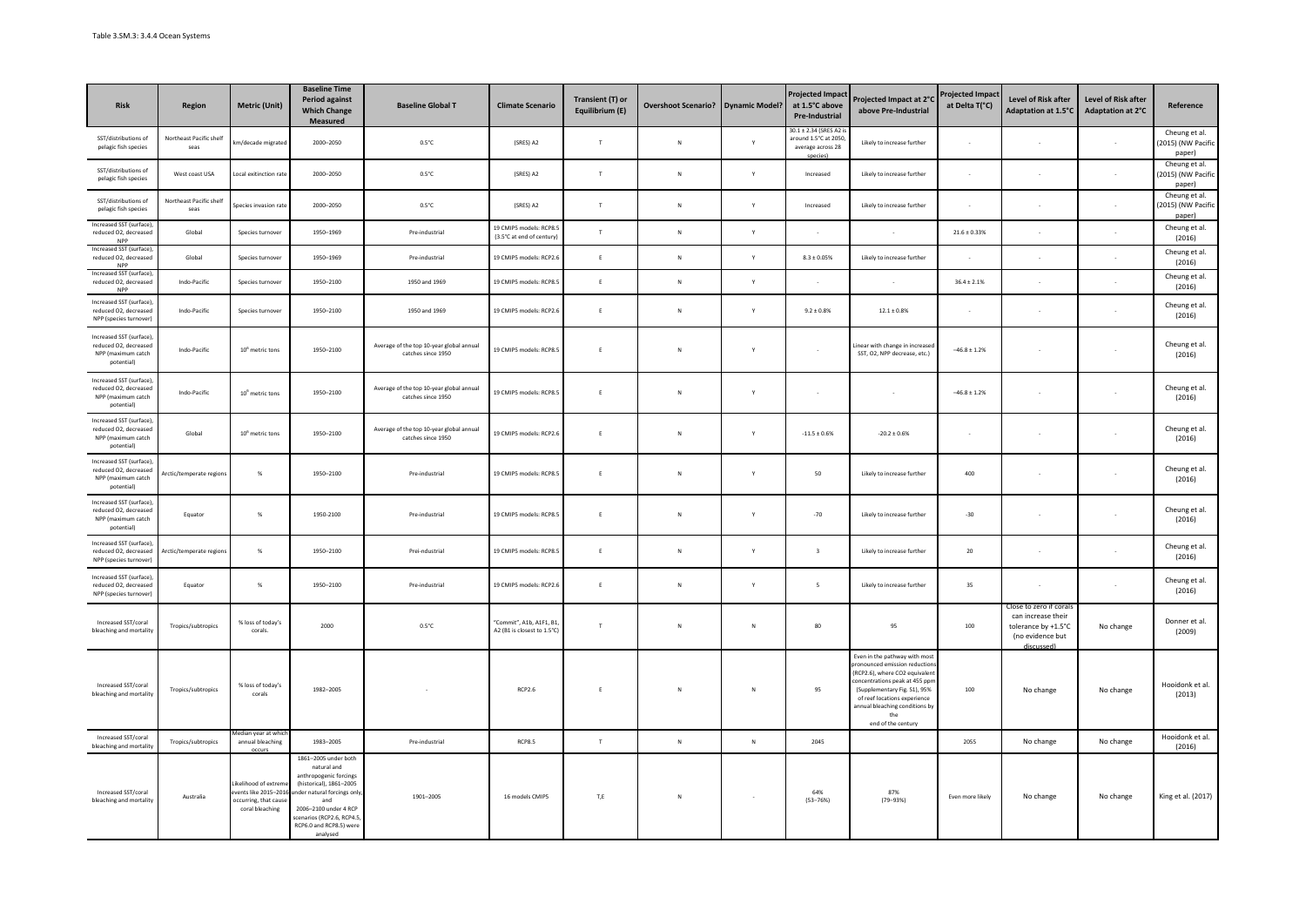| <b>Risk</b>                                                                           | Region                          | <b>Metric (Unit)</b>                                                               | <b>Baseline Time</b><br><b>Period against</b><br><b>Which Change</b><br><b>Measured</b>                                                                                                                                   | <b>Baseline Global T</b>                                       | <b>Climate Scenario</b>                                 | Transient (T) or<br>Equilibrium (E) | <b>Overshoot Scenario?</b> | <b>Dynamic Model?</b>    | <b>Projected Impac</b><br>at 1.5°C above<br>Pre-Industrial                     | Projected Impact at 2°C<br>above Pre-Industrial                                                                                                                                                                                                               | <b>Projected Impac</b><br>at Delta T(°C) | Level of Risk after<br>Adaptation at 1.5°C                                                           | Level of Risk after<br>Adaptation at 2°C | Reference                                     |
|---------------------------------------------------------------------------------------|---------------------------------|------------------------------------------------------------------------------------|---------------------------------------------------------------------------------------------------------------------------------------------------------------------------------------------------------------------------|----------------------------------------------------------------|---------------------------------------------------------|-------------------------------------|----------------------------|--------------------------|--------------------------------------------------------------------------------|---------------------------------------------------------------------------------------------------------------------------------------------------------------------------------------------------------------------------------------------------------------|------------------------------------------|------------------------------------------------------------------------------------------------------|------------------------------------------|-----------------------------------------------|
| SST/distributions of<br>pelagic fish species                                          | Northeast Pacific shelf<br>seas | km/decade migrated                                                                 | 2000-2050                                                                                                                                                                                                                 | $0.5^{\circ}$ C                                                | (SRES) A2                                               | T                                   | ${\sf N}$                  | Y                        | 30.1 ± 2.34 (SRES A2 i<br>around 1.5°C at 2050<br>average across 28<br>species | Likely to increase further                                                                                                                                                                                                                                    |                                          |                                                                                                      |                                          | Cheung et al.<br>(2015) (NW Pacific<br>paper) |
| SST/distributions of<br>pelagic fish species                                          | West coast USA                  | Local exitinction rate                                                             | 2000-2050                                                                                                                                                                                                                 | $0.5^{\circ}$ C                                                | (SRES) A2                                               | T                                   | N                          | Y                        | Increased                                                                      | Likely to increase further                                                                                                                                                                                                                                    |                                          |                                                                                                      |                                          | Cheung et al.<br>(2015) (NW Pacific<br>paper) |
| SST/distributions of<br>pelagic fish species                                          | Northeast Pacific shelf<br>seas | pecies invasion rate                                                               | 2000-2050                                                                                                                                                                                                                 | $0.5^{\circ}$ C                                                | (SRES) A2                                               | T                                   | $\mathbb{N}$               | Y                        | Increased                                                                      | Likely to increase further                                                                                                                                                                                                                                    |                                          |                                                                                                      |                                          | Cheung et al.<br>(2015) (NW Pacific<br>paper) |
| Increased SST (surface)<br>reduced O2, decreased<br>NPP                               | Global                          | Species turnover                                                                   | 1950-1969                                                                                                                                                                                                                 | Pre-industrial                                                 | 19 CMIP5 models: RCP8.5<br>(3.5°C at end of century)    | $\mathbf{r}$                        | ${\sf N}$                  | Y                        |                                                                                |                                                                                                                                                                                                                                                               | $21.6\pm0.33\%$                          |                                                                                                      |                                          | Cheung et al.<br>(2016)                       |
| Increased SST (surface)<br>reduced O2, decreased<br><b>NPP</b>                        | Global                          | Species turnover                                                                   | 1950-1969                                                                                                                                                                                                                 | Pre-industrial                                                 | 19 CMIP5 models: RCP2.6                                 | E                                   | ${\sf N}$                  | Υ                        | $8.3 \pm 0.05\%$                                                               | Likely to increase further                                                                                                                                                                                                                                    |                                          |                                                                                                      |                                          | Cheung et al.<br>(2016)                       |
| Increased SST (surface)<br>reduced O2, decreased<br><b>NPP</b>                        | Indo-Pacific                    | Species turnover                                                                   | 1950-2100                                                                                                                                                                                                                 | 1950 and 1969                                                  | 19 CMIP5 models: RCP8.5                                 | F.                                  | N                          | Y                        |                                                                                |                                                                                                                                                                                                                                                               | $36.4 \pm 2.1\%$                         |                                                                                                      |                                          | Cheung et al.<br>(2016)                       |
| Increased SST (surface)<br>reduced O2, decreased<br>NPP (species turnover)            | Indo-Pacific                    | Species turnover                                                                   | 1950-2100                                                                                                                                                                                                                 | 1950 and 1969                                                  | 19 CMIP5 models: RCP2.6                                 | F.                                  | ${\sf N}$                  | Y                        | $9.2 \pm 0.8\%$                                                                | $12.1\pm0.8\%$                                                                                                                                                                                                                                                |                                          |                                                                                                      |                                          | Cheung et al.<br>(2016)                       |
| Increased SST (surface),<br>reduced O2, decreased<br>NPP (maximum catch<br>potential) | Indo-Pacific                    | $106$ metric tons                                                                  | 1950-2100                                                                                                                                                                                                                 | Average of the top 10-year global annual<br>catches since 1950 | 19 CMIP5 models: RCP8.5                                 | E                                   | $\mathbb{N}$               | Y                        | $\sim$                                                                         | inear with change in increase<br>SST, O2, NPP decrease, etc.)                                                                                                                                                                                                 | $-46.8 \pm 1.2\%$                        |                                                                                                      |                                          | Cheung et al.<br>(2016)                       |
| Increased SST (surface),<br>reduced O2, decreased<br>NPP (maximum catch<br>potential) | Indo-Pacific                    | $10^6$ metric tons                                                                 | 1950-2100                                                                                                                                                                                                                 | Average of the top 10-year global annual<br>catches since 1950 | 19 CMIP5 models: RCP8.5                                 |                                     | $\mathsf{N}$               | Ÿ                        | ×,                                                                             |                                                                                                                                                                                                                                                               | $-46.8 \pm 1.2\%$                        |                                                                                                      |                                          | Cheung et al.<br>(2016)                       |
| Increased SST (surface)<br>reduced O2, decreased<br>NPP (maximum catch<br>potential)  | Global                          | $10^6$ metric tons                                                                 | 1950-2100                                                                                                                                                                                                                 | Average of the top 10-year global annual<br>catches since 1950 | 19 CMIP5 models: RCP2.6                                 |                                     | $\mathsf{N}$               | Y                        | $\textbf{-11.5} \pm 0.6\%$                                                     | $-20.2 \pm 0.6\%$                                                                                                                                                                                                                                             |                                          |                                                                                                      |                                          | Cheung et al.<br>(2016)                       |
| Increased SST (surface)<br>reduced O2, decreased<br>NPP (maximum catch<br>potential)  | rctic/temperate regions         | %                                                                                  | 1950-2100                                                                                                                                                                                                                 | Pre-industrial                                                 | 19 CMIP5 models: RCP8.5                                 |                                     | $\mathsf{N}$               | Y                        | 50                                                                             | Likely to increase further                                                                                                                                                                                                                                    | 400                                      |                                                                                                      |                                          | Cheung et al.<br>(2016)                       |
| Increased SST (surface)<br>reduced O2, decreased<br>NPP (maximum catch<br>potential)  | Equator                         | %                                                                                  | 1950-2100                                                                                                                                                                                                                 | Pre-industrial                                                 | 19 CMIP5 models: RCP8.5                                 | Ė                                   | $\mathsf{N}$               | Ÿ                        | $-70$                                                                          | Likely to increase further                                                                                                                                                                                                                                    | $-30$                                    |                                                                                                      |                                          | Cheung et al.<br>(2016)                       |
| Increased SST (surface),<br>reduced O2, decreased<br>NPP (species turnover)           | Arctic/temperate region         | %                                                                                  | 1950-2100                                                                                                                                                                                                                 | Prei-ndustrial                                                 | 19 CMIP5 models: RCP8.5                                 | E                                   | $\mathbb{N}$               | Y                        | $\overline{\mathbf{3}}$                                                        | Likely to increase further                                                                                                                                                                                                                                    | 20                                       |                                                                                                      |                                          | Cheung et al.<br>(2016)                       |
| Increased SST (surface)<br>reduced O2, decreased<br>NPP (species turnover)            | Equator                         | $\%$                                                                               | 1950-2100                                                                                                                                                                                                                 | Pre-industrial                                                 | 19 CMIP5 models: RCP2.6                                 | E                                   | ${\sf N}$                  | Υ                        | $\overline{\phantom{a}}$                                                       | Likely to increase further                                                                                                                                                                                                                                    | 35                                       |                                                                                                      |                                          | Cheung et al.<br>(2016)                       |
| Increased SST/coral<br>bleaching and mortality                                        | Tropics/subtropics              | % loss of today's<br>corals.                                                       | 2000                                                                                                                                                                                                                      | $0.5^{\circ}$ C                                                | "Commit", A1b, A1F1, B1,<br>A2 (B1 is closest to 1.5°C) | $\top$                              | ${\sf N}$                  | $\mathsf{N}$             | 80                                                                             | 95                                                                                                                                                                                                                                                            | 100                                      | Close to zero if cora<br>can increase their<br>tolerance by +1.5°C<br>(no evidence but<br>discussed) | No change                                | Donner et al.<br>(2009)                       |
| Increased SST/coral<br>bleaching and mortality                                        | Tropics/subtropics              | % loss of today's<br>corals                                                        | 1982-2005                                                                                                                                                                                                                 |                                                                | RCP2.6                                                  | E                                   | ${\sf N}$                  | $\mathsf{N}$             | 95                                                                             | Even in the pathway with mos<br>onounced emission reduction<br>(RCP2.6), where CO2 equivalent<br>oncentrations peak at 455 ppn<br>(Supplementary Fig. S1), 95%<br>of reef locations experience<br>innual bleaching conditions by<br>the<br>end of the century | 100                                      | No change                                                                                            | No change                                | Hooidonk et al.<br>(2013)                     |
| Increased SST/coral<br>bleaching and mortality                                        | Tropics/subtropics              | edian year at wh<br>annual bleaching                                               | 1983-2005                                                                                                                                                                                                                 | Pre-industrial                                                 | <b>RCP8.5</b>                                           | $\top$                              | ${\sf N}$                  | $\mathsf N$              | 2045                                                                           |                                                                                                                                                                                                                                                               | 2055                                     | No change                                                                                            | No change                                | Hooidonk et al.<br>(2016)                     |
| Increased SST/coral<br>bleaching and mortality                                        | Australia                       | kelihood of extrer<br>ents like 2015-201<br>ccurring, that caus<br>coral bleaching | 1861-2005 under both<br>natural and<br>anthropogenic forcings<br>(historical), 1861-2005<br>nder natural forcings only<br>and<br>2006-2100 under 4 RCP<br>cenarios (RCP2.6, RCP4.5<br>RCP6.0 and RCP8.5) were<br>analysed | 1901-2005                                                      | 16 models CMIP5                                         | T,E                                 | ${\sf N}$                  | $\overline{\phantom{a}}$ | 64%<br>$(53 - 76%)$                                                            | 87%<br>$(79 - 93%)$                                                                                                                                                                                                                                           | Even more likely                         | No change                                                                                            | No change                                | King et al. (2017)                            |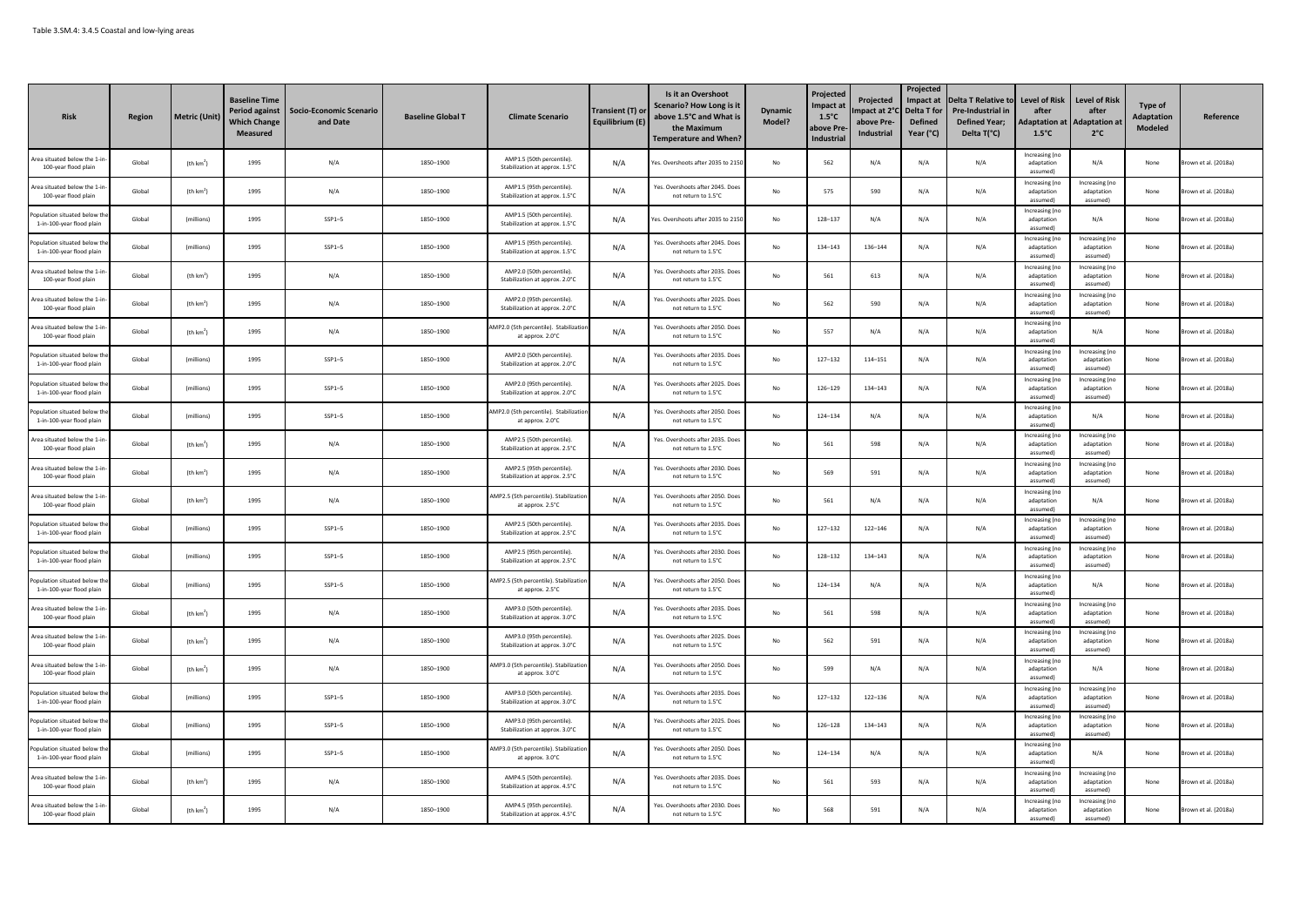| <b>Risk</b>                                               | <b>Region</b> | <b>Metric (Unit)</b>  | <b>Baseline Time</b><br>Period against<br><b>Which Change</b><br><b>Measured</b> | <b>Socio-Economic Scenario</b><br>and Date | <b>Baseline Global T</b> | <b>Climate Scenario</b>                                     | Transient (T) or<br>Equilibrium (E) | Is it an Overshoot<br><b>Scenario? How Long is it</b><br>above 1.5°C and What is<br>the Maximun<br><b>Temperature and When?</b> | <b>Dynamic</b><br>Model? | Projected<br>mpact at<br>$1.5^{\circ}$ C<br>bove Pre<br>Industrial | Projected<br>mpact at 2°<br>above Pre-<br>Industrial | Projected<br>Impact at<br>Delta T for<br><b>Defined</b><br>Year (°C) | <b>Delta T Relative to</b><br>Pre-Industrial ir<br><b>Defined Year:</b><br>Delta T(°C) | Level of Risk<br>after<br><b>Adaptation at</b><br>$1.5^{\circ}$ C | <b>Level of Risk</b><br>after<br><b>Adaptation at</b><br>$2^{\circ}$ C | Type of<br>Adaptation<br>Modeled | Reference            |
|-----------------------------------------------------------|---------------|-----------------------|----------------------------------------------------------------------------------|--------------------------------------------|--------------------------|-------------------------------------------------------------|-------------------------------------|---------------------------------------------------------------------------------------------------------------------------------|--------------------------|--------------------------------------------------------------------|------------------------------------------------------|----------------------------------------------------------------------|----------------------------------------------------------------------------------------|-------------------------------------------------------------------|------------------------------------------------------------------------|----------------------------------|----------------------|
| rea situated below the 1-i<br>100-year flood plain        | Global        | (th km <sup>2</sup> ) | 1995                                                                             | N/A                                        | 1850-1900                | AMP1.5 (50th percentile).<br>Stabilization at approx. 1.5°C | N/A                                 | es. Overshoots after 2035 to 215                                                                                                | No                       | 562                                                                | N/A                                                  | N/A                                                                  | N/A                                                                                    | <b>Increasing</b> (no<br>adaptation<br>assumed!                   | N/A                                                                    | None                             | own et al. (2018a)   |
| Area situated below the 1-in<br>100-year flood plain      | Global        | (th km <sup>2</sup> ) | 1995                                                                             | N/A                                        | 1850-1900                | AMP1.5 (95th percentile).<br>Stabilization at approx. 1.5°C | N/A                                 | Yes. Overshoots after 2045. Does<br>not return to 1.5°C                                                                         | No                       | 575                                                                | 590                                                  | N/A                                                                  | N/A                                                                                    | Increasing (no<br>adaptation<br>assumed)                          | Increasing (no<br>adaptation<br>assumedì                               | None                             | rown et al. (2018a)  |
| nulation situated below th<br>1-in-100-year flood plair   | Global        | (millions)            | 1995                                                                             | $SSP1-5$                                   | 1850-1900                | AMP1.5 (50th percentile)<br>Stabilization at approx. 1.5°C  | N/A                                 | es. Overshoots after 2035 to 2150                                                                                               | No                       | 128-137                                                            | N/A                                                  | N/A                                                                  | N/A                                                                                    | Increasing (no<br>adaptation<br>assumed)                          | N/A                                                                    | None                             | rown et al. (2018a)  |
| opulation situated below th<br>1-in-100-year flood plain  | Global        | (millions)            | 1995                                                                             | $SSP1-5$                                   | 1850-1900                | AMP1.5 (95th percentile).<br>Stabilization at approx. 1.5°C | N/A                                 | Yes, Overshoots after 2045, Doe<br>not return to 1.5°C                                                                          | No                       | 134-143                                                            | 136-144                                              | N/A                                                                  | N/A                                                                                    | Increasing (no<br>adaptation<br>assumed)                          | Increasing (no<br>adaptation<br>assumed)                               | None                             | rown et al. (2018a)  |
| trea situated below the 1-in<br>100-year flood plain      | Global        | (th km <sup>2</sup> ) | 1995                                                                             | N/A                                        | 1850-1900                | AMP2.0 (50th percentile).<br>Stabilization at approx. 2.0°C | N/A                                 | Yes. Overshoots after 2035. Doe:<br>not return to 1.5°C                                                                         | No                       | 561                                                                | 613                                                  | N/A                                                                  | N/A                                                                                    | Increasing (no<br>adaptation<br>assumed)                          | Increasing (no<br>adaptation<br>assumed)                               | None                             | Brown et al. (2018a) |
| Grea situated below the 1-in<br>100-year flood plain      | Global        | (th km <sup>2</sup> ) | 1995                                                                             | N/A                                        | 1850-1900                | AMP2.0 (95th percentile).<br>Stabilization at approx. 2.0°C | N/A                                 | Yes. Overshoots after 2025. Doe<br>not return to 1.5°C                                                                          | No                       | 562                                                                | 590                                                  | N/A                                                                  | N/A                                                                                    | Increasing (no<br>adaptation<br>assumed)                          | Increasing (no<br>adaptation<br>assumed)                               | None                             | own et al. (2018a)   |
| Area situated below the 1-ir<br>100-year flood plain      | Global        | (th km <sup>2</sup> ) | 1995                                                                             | N/A                                        | 1850-1900                | AMP2.0 (5th percentile). Stabilizati<br>at approx. 2.0°C    | N/A                                 | Yes. Overshoots after 2050. Doe:<br>not return to 1.5°C                                                                         | No                       | 557                                                                | N/A                                                  | N/A                                                                  | N/A                                                                                    | Increasing (no<br>adaptation<br>assumed)                          | N/A                                                                    | None                             | rown et al. (2018a)  |
| opulation situated below th<br>1-in-100-year flood plain  | Global        | (millions)            | 1995                                                                             | $SSP1-5$                                   | 1850-1900                | AMP2.0 (50th percentile)<br>Stabilization at approx. 2.0°C  | N/A                                 | Yes. Overshoots after 2035. Doe<br>not return to 1.5°C                                                                          | No                       | $127 - 132$                                                        | 114-151                                              | N/A                                                                  | N/A                                                                                    | Increasing (no<br>adaptation<br>hemuzza                           | Increasing (no<br>adaptation<br>assumed <sup>'</sup>                   | None                             | rown et al. (2018a)  |
| pulation situated below t<br>1-in-100-year flood plain    | Global        | (millions)            | 1995                                                                             | $SSP1 - 5$                                 | 1850-1900                | AMP2.0 (95th percentile)<br>Stabilization at approx. 2.0°C  | N/A                                 | Yes. Overshoots after 2025. Doe<br>not return to 1.5°C                                                                          | No                       | 126-129                                                            | 134-143                                              | N/A                                                                  | N/A                                                                                    | Increasing (no<br>adantation<br>assumed)                          | Increasing (no<br>adaptation<br>assumed)                               | None                             | rown et al. (2018a)  |
| opulation situated below the<br>1-in-100-year flood plain | Global        | (millions)            | 1995                                                                             | $SSP1-5$                                   | 1850-1900                | AMP2.0 (5th percentile). Stabilizatio<br>at approx. 2.0°C   | N/A                                 | Yes. Overshoots after 2050. Does<br>not return to 1.5°C                                                                         | $\mathsf{No}$            | 124-134                                                            | N/A                                                  | N/A                                                                  | N/A                                                                                    | Increasing (no<br>adaptation<br>assumed)                          | N/A                                                                    | None                             | rown et al. (2018a)  |
| Area situated below the 1-in<br>100-year flood plain      | Global        | (th km <sup>2</sup> ) | 1995                                                                             | N/A                                        | 1850-1900                | AMP2.5 (50th percentile).<br>Stabilization at approx. 2.5°C | N/A                                 | Yes. Overshoots after 2035. Doe:<br>not return to 1.5°C                                                                         | No                       | 561                                                                | 598                                                  | N/A                                                                  | N/A                                                                                    | Increasing (no<br>adaptation<br>assumed)                          | Increasing (no<br>adaptation<br>assumedì                               | None                             | rown et al. (2018a)  |
| <b>Sea situated below the 1-i</b><br>100-year flood plain | Global        | (th km <sup>2</sup> ) | 1995                                                                             | N/A                                        | 1850-1900                | AMP2.5 (95th percentile)<br>Stabilization at approx. 2.5°C  | N/A                                 | Yes. Overshoots after 2030. Doe<br>not return to 1.5°C                                                                          | No                       | 569                                                                | 591                                                  | N/A                                                                  | N/A                                                                                    | Increasing (no<br>adaptation<br>assumed)                          | Increasing (no<br>adaptation<br>assumed)                               | None                             | rown et al. (2018a)  |
| Grea situated below the 1-i<br>100-year flood plain       | Global        | (th km <sup>2</sup> ) | 1995                                                                             | N/A                                        | 1850-1900                | MP2.5 (5th percentile). Stabilizatio<br>at approx. 2.5°C    | N/A                                 | Yes. Overshoots after 2050. Doe<br>not return to 1.5°C                                                                          | No                       | 561                                                                | N/A                                                  | N/A                                                                  | N/A                                                                                    | Increasing (no<br>adaptation<br>(hemuzza                          | N/A                                                                    | None                             | rown et al. (2018a)  |
| pulation situated below th<br>1-in-100-year flood plain   | Global        | (millions)            | 1995                                                                             | $SSP1-5$                                   | 1850-1900                | AMP2.5 (50th percentile).<br>Stabilization at approx. 2.5°C | N/A                                 | Yes. Overshoots after 2035. Doe<br>not return to 1.5°C                                                                          | No                       | 127-132                                                            | $122 - 146$                                          | N/A                                                                  | N/A                                                                                    | Increasing (no<br>adaptation<br>assumed)                          | Increasing (no<br>adaptation<br>assumed)                               | None                             | rown et al. (2018a)  |
| Population situated below th<br>1-in-100-year flood plain | Global        | (millions)            | 1995                                                                             | $SSP1-5$                                   | 1850-1900                | AMP2.5 (95th percentile)<br>Stabilization at approx. 2.5°C  | N/A                                 | Yes, Overshoots after 2030, Doe<br>not return to 1.5°C                                                                          | $\mathsf{No}$            | 128-132                                                            | 134-143                                              | N/A                                                                  | N/A                                                                                    | Increasing (no<br>adaptation<br>assumed)                          | Increasing (no<br>adaptation<br>assumed)                               | None                             | rown et al. (2018a)  |
| opulation situated below th<br>1-in-100-year flood plain  | Global        | (millions)            | 1995                                                                             | $SSP1-5$                                   | 1850-1900                | MP2.5 (5th percentile). Stabilizatio<br>at approx. 2.5°C    | N/A                                 | Yes, Overshoots after 2050, Doe:<br>not return to 1.5°C                                                                         | No                       | 124-134                                                            | N/A                                                  | N/A                                                                  | N/A                                                                                    | Increasing (no<br>adaptation<br>assumed)                          | N/A                                                                    | None                             | rown et al. (2018a)  |
| Grea situated below the 1-in<br>100-year flood plain      | Global        | (th km <sup>2</sup> ) | 1995                                                                             | N/A                                        | 1850-1900                | AMP3.0 (50th percentile)<br>Stabilization at approx. 3.0°C  | N/A                                 | Yes. Overshoots after 2035. Doe:<br>not return to 1.5°C                                                                         | No                       | 561                                                                | 598                                                  | N/A                                                                  | N/A                                                                                    | Increasing (no<br>adantation<br>assumed)                          | Increasing (no<br>adaptation<br>assumed)                               | None                             | rown et al. (2018a)  |
| \rea situated below the 1-ir<br>100-year flood plain      | Global        | (th km <sup>2</sup> ) | 1995                                                                             | N/A                                        | 1850-1900                | AMP3.0 (95th percentile).<br>Stabilization at approx. 3.0°C | N/A                                 | Yes. Overshoots after 2025. Doe:<br>not return to 1.5°C                                                                         | No                       | 562                                                                | 591                                                  | N/A                                                                  | N/A                                                                                    | Increasing (no<br>adaptation<br>assumed                           | Increasing (no<br>adaptation<br>assumed)                               | None                             | rown et al. (2018a)  |
| Grea situated below the 1-in<br>100-year flood plain      | Global        | (th km <sup>2</sup> ) | 1995                                                                             | N/A                                        | 1850-1900                | MP3.0 (5th percentile). Stabilizatio<br>at approx. 3.0°C    | N/A                                 | Yes. Overshoots after 2050. Doe:<br>not return to 1.5°C                                                                         | No                       | 599                                                                | N/A                                                  | N/A                                                                  | N/A                                                                                    | Increasing (no<br>adaptation<br>assumed)                          | N/A                                                                    | None                             | rown et al. (2018a)  |
| noulation situated below th<br>1-in-100-year flood plain  | Global        | (millions)            | 1995                                                                             | $SSP1-5$                                   | 1850-1900                | AMP3.0 (50th percentile)<br>Stabilization at approx. 3.0°C  | N/A                                 | Yes, Overshoots after 2035, Doe<br>not return to 1.5°C                                                                          | No                       | $127 - 132$                                                        | $122 - 136$                                          | N/A                                                                  | N/A                                                                                    | Increasing (no<br>adaptation<br>assumed)                          | Increasing (no<br>adaptation<br>assumed)                               | None                             | Brown et al. (2018a) |
| poulation situated below th<br>1-in-100-year flood plain  | Global        | (millions)            | 1995                                                                             | $SSP1-5$                                   | 1850-1900                | AMP3.0 (95th percentile).<br>Stabilization at approx. 3.0°C | N/A                                 | Yes. Overshoots after 2025. Doe<br>not return to 1.5°C                                                                          | No                       | 126-128                                                            | 134-143                                              | N/A                                                                  | N/A                                                                                    | Increasing (no<br>adaptation<br>(hemuzza                          | Increasing (no<br>adaptation<br>assumed)                               | None                             | rown et al. (2018a)  |
| pulation situated below th<br>1-in-100-year flood plain   | Global        | (millions)            | 1995                                                                             | $SSP1-5$                                   | 1850-1900                | MP3.0 (5th percentile). Stabilizatio<br>at approx. 3.0°C    | N/A                                 | Yes. Overshoots after 2050. Doe:<br>not return to 1.5°C                                                                         | No                       | 124-134                                                            | N/A                                                  | N/A                                                                  | N/A                                                                                    | Increasing (no<br>adaptation<br>assumed)                          | N/A                                                                    | None                             | rown et al. (2018a)  |
| Area situated below the 1-ir<br>100-year flood plain      | Global        | (th km <sup>2</sup> ) | 1995                                                                             | N/A                                        | 1850-1900                | AMP4.5 (50th percentile).<br>Stabilization at approx. 4.5°C | N/A                                 | Yes. Overshoots after 2035. Doe<br>not return to 1.5°C                                                                          | No                       | 561                                                                | 593                                                  | N/A                                                                  | N/A                                                                                    | Increasing (no<br>adaptation<br>assumed)                          | Increasing (no<br>adaptation<br>assumed)                               | None                             | rown et al. (2018a)  |
| Area situated below the 1-in<br>100-year flood plain      | Global        | (th km <sup>2</sup> ) | 1995                                                                             | N/A                                        | 1850-1900                | AMP4.5 (95th percentile).<br>Stabilization at approx. 4.5°C | N/A                                 | Yes, Overshoots after 2030, Doe:<br>not return to 1.5°C                                                                         | No                       | 568                                                                | 591                                                  | N/A                                                                  | N/A                                                                                    | Increasing (no<br>adaptation<br>(hemuzza                          | Increasing (no<br>adaptation<br>assumedì                               | None                             | rown et al. (2018a)  |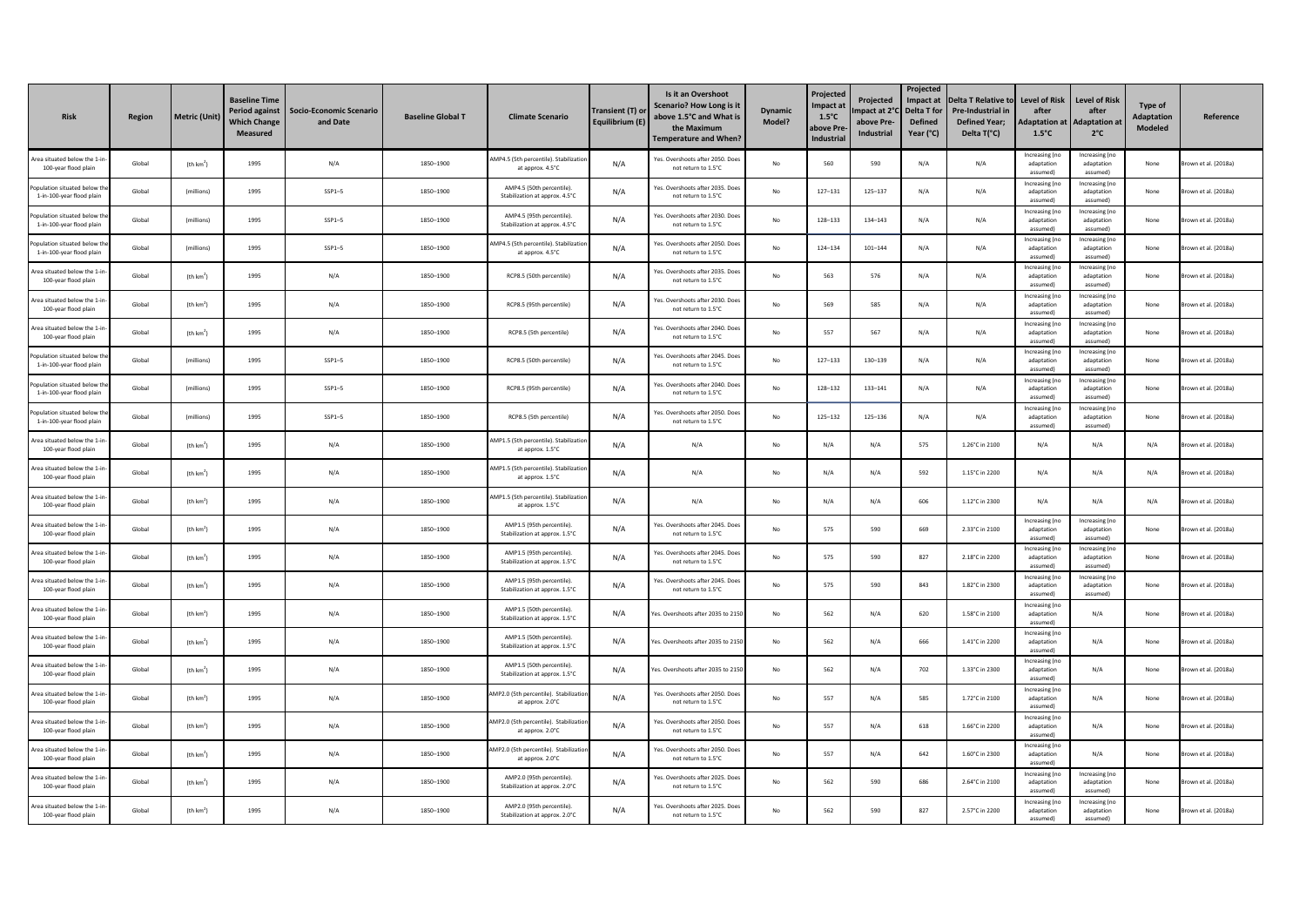| <b>Risk</b>                                               | Region | Metric (Unit)         | <b>Baseline Time</b><br><b>Period against</b><br><b>Which Change</b><br><b>Measured</b> | <b>Socio-Economic Scenario</b><br>and Date | <b>Baseline Global T</b> | <b>Climate Scenario</b>                                     | Transient (T) oı<br>Equilibrium (E) | Is it an Overshoot<br>Scenario? How Long is it<br>above 1.5°C and What is<br>the Maximum<br><b>Temperature and When?</b> | <b>Dynamic</b><br>Model? | Projected<br>Impact at<br>$1.5^{\circ}$ C<br>above Pre<br><b>Industrial</b> | Projected<br>mpact at 2°<br>above Pre-<br>Industrial | Projected<br>Impact at<br>Delta T for<br><b>Defined</b><br>Year (°C) | <b>Delta T Relative to</b><br>Pre-Industrial in<br><b>Defined Year;</b><br>Delta T(°C) | <b>Level of Risk</b><br>after<br>daptation at<br>$1.5^{\circ}$ C | <b>Level of Risk</b><br>after<br><b>Adaptation at</b><br>$2^{\circ}$ C | Type of<br><b>Adaptation</b><br>Modeled | Reference          |
|-----------------------------------------------------------|--------|-----------------------|-----------------------------------------------------------------------------------------|--------------------------------------------|--------------------------|-------------------------------------------------------------|-------------------------------------|--------------------------------------------------------------------------------------------------------------------------|--------------------------|-----------------------------------------------------------------------------|------------------------------------------------------|----------------------------------------------------------------------|----------------------------------------------------------------------------------------|------------------------------------------------------------------|------------------------------------------------------------------------|-----------------------------------------|--------------------|
| Area situated below the 1-<br>100-year flood plain        | Global | (th $km2$ )           | 1995                                                                                    | N/A                                        | 1850-1900                | AMP4.5 (5th percentile). Stabilizatio<br>at approx. 4.5°C   | N/A                                 | Yes. Overshoots after 2050. Does<br>not return to 1.5°C                                                                  | No                       | 560                                                                         | 590                                                  | N/A                                                                  | N/A                                                                                    | Increasing (no<br>adaptation<br>assumed)                         | Increasing (no<br>adaptation<br>assumed)                               | None                                    | own et al. (2018a) |
| pulation situated below th<br>1-in-100-year flood plain   | Global | (millions)            | 1995                                                                                    | $SSP1-5$                                   | 1850-1900                | AMP4.5 (50th percentile).<br>Stabilization at approx. 4.5°C | N/A                                 | Yes. Overshoots after 2035. Doe<br>not return to 1.5°C                                                                   | No                       | 127-131                                                                     | $125 - 137$                                          | N/A                                                                  | N/A                                                                                    | Increasing (no<br>adaptation<br>accumpd)                         | Increasing (no<br>adaptation<br>assumed)                               | None                                    | own et al. (2018a) |
| pulation situated below tl<br>1-in-100-year flood plain   | Global | (millions)            | 1995                                                                                    | $SSP1-5$                                   | 1850-1900                | AMP4.5 (95th percentile).<br>Stabilization at approx. 4.5°C | N/A                                 | Yes. Overshoots after 2030. Doe<br>not return to 1.5°C                                                                   | No                       | 128-133                                                                     | 134-143                                              | N/A                                                                  | N/A                                                                                    | Increasing (no<br>adaptation<br>assumed)                         | Increasing (no<br>adaptation<br>assumed)                               | None                                    | own et al. (2018a) |
| opulation situated below the<br>1-in-100-year flood plain | Global | (millions)            | 1995                                                                                    | $SSP1-5$                                   | 1850-1900                | AMP4.5 (5th percentile). Stabilizatio<br>at approx. 4.5°C   | N/A                                 | Yes. Overshoots after 2050. Does<br>not return to 1.5°C                                                                  | $\mathsf{No}$            | 124-134                                                                     | $101 - 144$                                          | N/A                                                                  | N/A                                                                                    | Increasing (no<br>adaptation<br>assumed)                         | Increasing (no<br>adaptation<br>assumed)                               | None                                    | own et al. (2018a) |
| Area situated helow the 1-in<br>100-year flood plain      | Global | (th km <sup>2</sup> ) | 1995                                                                                    | N/A                                        | 1850-1900                | RCP8.5 (50th percentile)                                    | N/A                                 | Yes. Overshoots after 2035. Doe<br>not return to 1.5°C                                                                   | No                       | 563                                                                         | 576                                                  | N/A                                                                  | N/A                                                                                    | Increasing (no<br>adaptation<br>accumpd)                         | Increasing (no<br>adaptation<br>assumedì                               | None                                    | own et al. (2018a) |
| Area situated below the 1-<br>100-year flood plain        | Global | (th km <sup>2</sup> ) | 1995                                                                                    | N/A                                        | 1850-1900                | RCP8.5 (95th percentile)                                    | N/A                                 | Yes. Overshoots after 2030. Doe<br>not return to 1.5°C                                                                   | No                       | 569                                                                         | 585                                                  | N/A                                                                  | N/A                                                                                    | Increasing (no<br>adaptation<br>assumed)                         | Increasing (no<br>adaptation<br>assumed)                               | None                                    | own et al. (2018a) |
| Area situated below the 1-i<br>100-year flood plain       | Global | (th km <sup>2</sup> ) | 1995                                                                                    | N/A                                        | 1850-1900                | RCP8.5 (5th percentile)                                     | N/A                                 | Yes. Overshoots after 2040. Does<br>not return to 1.5°C                                                                  | No                       | 557                                                                         | 567                                                  | N/A                                                                  | N/A                                                                                    | Increasing (no<br>adaptation<br>assumed)                         | Increasing (no<br>adaptation<br>assumed)                               | None                                    | own et al. (2018a) |
| mulation situated below th<br>1-in-100-year flood plain   | Global | (millions)            | 1995                                                                                    | $SSP1-5$                                   | 1850-1900                | RCP8.5 (50th percentile)                                    | N/A                                 | Yes. Overshoots after 2045. Doe<br>not return to 1.5°C                                                                   | No                       | 127-133                                                                     | 130-139                                              | N/A                                                                  | N/A                                                                                    | Increasing (no<br>adaptation<br>assumed)                         | Increasing (no<br>adaptation<br>assumed)                               | None                                    | own et al. (2018a) |
| pulation situated below tl<br>1-in-100-year flood plain   | Global | (millions)            | 1995                                                                                    | $SSP1-5$                                   | 1850-1900                | RCP8.5 (95th percentile)                                    | N/A                                 | Yes. Overshoots after 2040. Doe<br>not return to 1.5°C                                                                   | No                       | 128-132                                                                     | 133-141                                              | N/A                                                                  | N/A                                                                                    | Increasing (no<br>adaptation<br>assumed)                         | Increasing (no<br>adaptation<br>assumed)                               | None                                    | own et al. (2018a) |
| opulation situated below the<br>1-in-100-year flood plain | Global | (millions)            | 1995                                                                                    | $SSP1-5$                                   | 1850-1900                | RCP8.5 (5th percentile)                                     | N/A                                 | Yes. Overshoots after 2050. Does<br>not return to 1.5°C                                                                  | No                       | 125-132                                                                     | 125-136                                              | N/A                                                                  | N/A                                                                                    | Increasing (no<br>adaptation<br>assumed)                         | Increasing (no<br>adaptation<br>assumed)                               | None                                    | own et al. (2018a) |
| rea situated helow the 1-in<br>100-year flood plain       | Global | (th km <sup>2</sup> ) | 1995                                                                                    | N/A                                        | 1850-1900                | AMP1.5 (5th percentile). Stabilizatio<br>at approx. 1.5°C   | N/A                                 | N/A                                                                                                                      | No                       | N/A                                                                         | N/A                                                  | 575                                                                  | 1.26°C in 2100                                                                         | N/A                                                              | N/A                                                                    | N/A                                     | own et al. (2018a) |
| Area situated below the 1-i<br>100-year flood plain       | Global | (th km <sup>2</sup> ) | 1995                                                                                    | N/A                                        | 1850-1900                | AMP1.5 (5th percentile). Stabilizati<br>at approx. 1.5°C    | N/A                                 | N/A                                                                                                                      | No                       | N/A                                                                         | N/A                                                  | 592                                                                  | 1.15°C in 2200                                                                         | N/A                                                              | N/A                                                                    | N/A                                     | own et al. (2018a) |
| Area situated below the 1-i<br>100-year flood plain       | Global | (th km <sup>2</sup> ) | 1995                                                                                    | N/A                                        | 1850-1900                | AMP1.5 (5th percentile). Stabilizatio<br>at approx. 1.5°C   | N/A                                 | N/A                                                                                                                      | No                       | N/f                                                                         | N/A                                                  | 606                                                                  | 1.12°C in 2300                                                                         | N/A                                                              | N/f                                                                    | N/A                                     | own et al. (2018a) |
| area situated helow the 1-ir<br>100-year flood plain      | Global | (th km <sup>2</sup> ) | 1995                                                                                    | N/A                                        | 1850-1900                | AMP1.5 (95th nercentile).<br>Stabilization at approx. 1.5°C | N/A                                 | Yes, Overshoots after 2045. Doe<br>not return to 1.5°C                                                                   | No                       | 575                                                                         | 590                                                  | 669                                                                  | 2.33°C in 2100                                                                         | Increasing (no<br>adaptation<br>assumed)                         | Increasing (no<br>adaptation<br>assumedì                               | None                                    | own et al. (2018a) |
| Area situated below the 1-<br>100-year flood plain        | Global | (th km <sup>2</sup> ) | 1995                                                                                    | N/A                                        | 1850-1900                | AMP1.5 (95th percentile).<br>Stabilization at approx. 1.5°C | N/A                                 | Yes. Overshoots after 2045. Doe<br>not return to 1.5°C                                                                   | No                       | 575                                                                         | 590                                                  | 827                                                                  | 2.18°C in 2200                                                                         | Increasing (no<br>adaptation<br>assumed)                         | Increasing (no<br>adaptation<br>assumed)                               | None                                    | own et al. (2018a) |
| Area situated below the 1-ir<br>100-year flood plain      | Global | (th $km2$ )           | 1995                                                                                    | N/A                                        | 1850-1900                | AMP1.5 (95th percentile).<br>Stabilization at approx. 1.5°C | N/A                                 | Yes. Overshoots after 2045. Does<br>not return to 1.5°C                                                                  | No                       | 575                                                                         | 590                                                  | 843                                                                  | 1.82°C in 2300                                                                         | Increasing (no<br>adaptation<br>assumed)                         | Increasing (no<br>adaptation<br>assumed)                               | None                                    | own et al. (2018a) |
| Area situated helow the 1-ir<br>100-year flood plain      | Global | (th km <sup>2</sup> ) | 1995                                                                                    | N/A                                        | 1850-1900                | AMP1.5 (50th percentile).<br>Stabilization at approx. 1.5°C | N/A                                 | es. Overshoots after 2035 to 2150                                                                                        | No                       | 562                                                                         | N/A                                                  | 620                                                                  | 1.58°C in 2100                                                                         | Increasing (no<br>adaptation<br>assumed)                         | N/A                                                                    | None                                    | own et al. (2018a) |
| rea situated below the 1-i<br>100-year flood plain        | Global | (th km <sup>2</sup> ) | 1995                                                                                    | N/A                                        | 1850-1900                | AMP1.5 (50th percentile).<br>Stabilization at approx. 1.5°C | N/A                                 | es. Overshoots after 2035 to 215                                                                                         | No                       | 562                                                                         | N/A                                                  | 666                                                                  | 1.41°C in 2200                                                                         | Increasing (no<br>adaptation<br>assumed)                         | N/A                                                                    | None                                    | own et al. (2018a) |
| Area situated below the 1-<br>100-year flood plain        | Global | (th km <sup>2</sup> ) | 1995                                                                                    | N/A                                        | 1850-1900                | AMP1.5 (50th percentile).<br>Stabilization at approx. 1.5°C | N/A                                 | es. Overshoots after 2035 to 2150                                                                                        | $\mathsf{No}$            | 562                                                                         | N/A                                                  | 702                                                                  | 1.33°C in 2300                                                                         | Increasing (no<br>adaptation<br>assumed)                         | N/A                                                                    | None                                    | own et al. (2018a) |
| Area situated helow the 1-i<br>100-year flood plain       | Global | (th km <sup>2</sup> ) | 1995                                                                                    | N/A                                        | 1850-1900                | MP2.0 (5th nercentile). Stabilizati<br>at approx. 2.0°C     | N/A                                 | Yes, Overshoots after 2050, Doe<br>not return to 1.5°C                                                                   | No                       | 557                                                                         | N/A                                                  | 585                                                                  | 1.72°C in 2100                                                                         | Increasing (no<br>adaptation<br>assumed)                         | N/A                                                                    | None                                    | own et al. (2018a) |
| rea situated below the 1-<br>100-year flood plain         | Global | (th km <sup>2</sup> ) | 1995                                                                                    | N/A                                        | 1850-1900                | AMP2.0 (5th percentile). Stabilizatio<br>at approx, 2.0°C   | N/A                                 | Yes. Overshoots after 2050. Doe<br>not return to 1.5°C                                                                   | No                       | 557                                                                         | N/A                                                  | 618                                                                  | 1.66°C in 2200                                                                         | Increasing (no<br>adaptation<br>assumed)                         | N/A                                                                    | None                                    | own et al. (2018a) |
| Area situated below the 1-i<br>100-year flood plain       | Global | (th $km2$ )           | 1995                                                                                    | N/A                                        | 1850-1900                | AMP2.0 (5th percentile). Stabilizatio<br>at approx. 2.0°C   | N/A                                 | Yes. Overshoots after 2050. Does<br>not return to 1.5°C                                                                  | No                       | 557                                                                         | N/A                                                  | 642                                                                  | 1.60°C in 2300                                                                         | Increasing (no<br>adaptation<br>assumed)                         | N/A                                                                    | None                                    | own et al. (2018a) |
| rea situated below the 1-in<br>100-year flood plain       | Global | (th km <sup>2</sup> ) | 1995                                                                                    | N/A                                        | 1850-1900                | AMP2.0 (95th percentile).<br>Stabilization at approx. 2.0°C | N/A                                 | Yes. Overshoots after 2025. Doe<br>not return to 1.5°C                                                                   | No                       | 562                                                                         | 590                                                  | 686                                                                  | 2.64°C in 2100                                                                         | Increasing (no<br>adaptation<br>assumed)                         | Increasing (no<br>adaptation<br>assumed)                               | None                                    | own et al. (2018a) |
| Area situated below the 1-i<br>100-year flood plain       | Global | (th km <sup>2</sup> ) | 1995                                                                                    | N/A                                        | 1850-1900                | AMP2.0 (95th percentile).<br>Stabilization at approx. 2.0°C | N/A                                 | Yes. Overshoots after 2025. Doe<br>not return to 1.5°C                                                                   | No                       | 562                                                                         | 590                                                  | 827                                                                  | 2.57°C in 2200                                                                         | Increasing (no<br>adaptation<br>assumed)                         | Increasing (no<br>adaptation<br>assumed)                               | None                                    | own et al. (2018a) |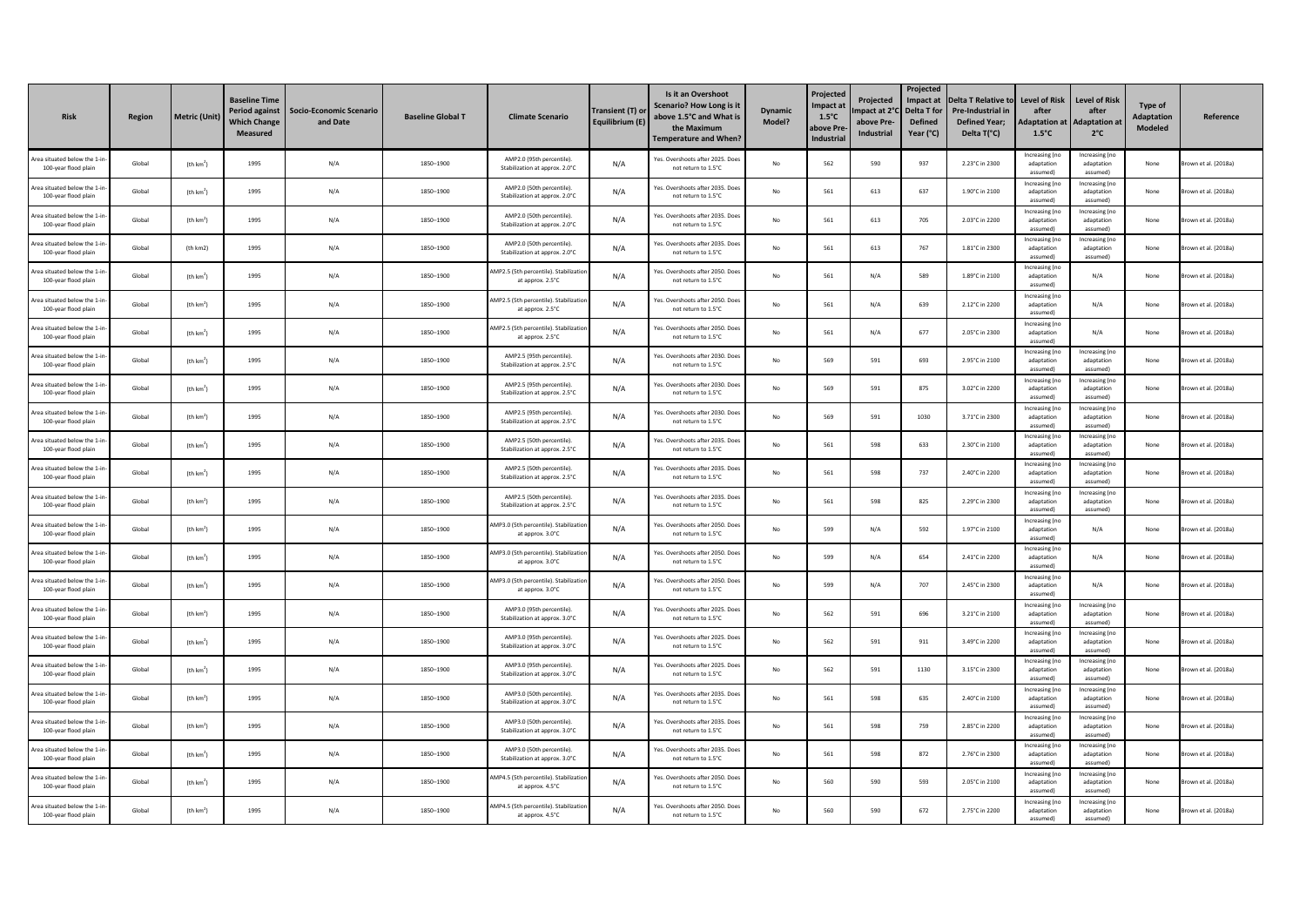| <b>Risk</b>                                          | Region | Metric (Unit)         | <b>Baseline Time</b><br>Period against<br><b>Which Change</b><br><b>Measured</b> | <b>Socio-Economic Scenario</b><br>and Date | <b>Baseline Global T</b> | <b>Climate Scenario</b>                                     | Transient (T) or<br>Equilibrium (E) | Is it an Overshoot<br>Scenario? How Long is it<br>above 1.5°C and What is<br>the Maximum<br><b>Temperature and When?</b> | <b>Dynamic</b><br>Model? | Projected<br>mpact at<br>$1.5^{\circ}$ C<br>ıbove Prı<br><b>Industrial</b> | Projected<br>mpact at 2°<br>above Pre-<br>Industrial | Projected<br>Impact at<br>Delta T for<br><b>Defined</b><br>Year (°C) | <b>Delta T Relative to</b><br><b>Pre-Industrial in</b><br><b>Defined Year;</b><br>Delta T(°C) | <b>Level of Risk</b><br>after<br><b>Adaptation at</b><br>$1.5^{\circ}$ C | <b>Level of Risk</b><br>after<br><b>Adaptation at</b><br>$2^{\circ}$ C | Type of<br><b>Adaptation</b><br>Modeled | Reference            |
|------------------------------------------------------|--------|-----------------------|----------------------------------------------------------------------------------|--------------------------------------------|--------------------------|-------------------------------------------------------------|-------------------------------------|--------------------------------------------------------------------------------------------------------------------------|--------------------------|----------------------------------------------------------------------------|------------------------------------------------------|----------------------------------------------------------------------|-----------------------------------------------------------------------------------------------|--------------------------------------------------------------------------|------------------------------------------------------------------------|-----------------------------------------|----------------------|
| Area situated below the 1-<br>100-year flood plain   | Global | (th km <sup>2</sup> ) | 1995                                                                             | N/A                                        | 1850-1900                | AMP2.0 (95th percentile).<br>Stabilization at approx. 2.0°C | N/A                                 | Yes. Overshoots after 2025. Does<br>not return to 1.5°C                                                                  | No                       | 562                                                                        | 590                                                  | 937                                                                  | 2.23°C in 2300                                                                                | Increasing (n<br>adaptation<br>assumed)                                  | Increasing (no<br>adaptation<br>assumedì                               | None                                    | rown et al. (2018a)  |
| Area situated helow the 1-ir<br>100-year flood plain | Global | (th km <sup>2</sup> ] | 1995                                                                             | N/A                                        | 1850-1900                | AMP2.0 (50th percentile)<br>Stabilization at approx. 2.0°C  | N/A                                 | Yes, Overshoots after 2035, Doe<br>not return to 1.5°C                                                                   | No                       | 561                                                                        | 613                                                  | 637                                                                  | 1.90°C in 2100                                                                                | Increasing (no<br>adaptation<br>accumodi                                 | Increasing (no<br>adaptation<br>assumedì                               | None                                    | rown et al. (2018a)  |
| Area situated below the 1-<br>100-year flood plain   | Global | (th $km2$ )           | 1995                                                                             | N/A                                        | 1850-1900                | AMP2.0 (50th percentile)<br>Stabilization at approx. 2.0°C  | N/A                                 | Yes. Overshoots after 2035. Doe<br>not return to 1.5°C                                                                   | No                       | 561                                                                        | 613                                                  | 705                                                                  | 2.03°C in 2200                                                                                | Increasing (no<br>adaptation<br>assumed)                                 | Increasing (no<br>adaptation<br>assumed)                               | None                                    | rown et al. (2018a)  |
| Area situated below the 1-ir<br>100-year flood plain | Global | (th km2)              | 1995                                                                             | N/A                                        | 1850-1900                | AMP2.0 (50th percentile).<br>Stabilization at approx. 2.0°C | N/A                                 | Yes. Overshoots after 2035. Does<br>not return to 1.5°C                                                                  | $\mathsf{No}$            | 561                                                                        | 613                                                  | 767                                                                  | 1.81°C in 2300                                                                                | Increasing (no<br>adaptation<br>assumed)                                 | Increasing (no<br>adaptation<br>assumed)                               | None                                    | rown et al. (2018a)  |
| rea situated helow the 1-ir<br>100-year flood plain  | Global | (th km <sup>2</sup> ) | 1995                                                                             | N/A                                        | 1850-1900                | AMP2.5 (5th percentile). Stabilizatio<br>at approx. 2.5°C   | N/A                                 | Yes, Overshoots after 2050, Doe<br>not return to 1.5°C                                                                   | $\mathsf{No}$            | 561                                                                        | N/A                                                  | 589                                                                  | 1.89°C in 2100                                                                                | Increasing (no<br>adaptation<br>accumodi                                 | N/A                                                                    | None                                    | rown et al. (2018a)  |
| rea situated below the 1-<br>100-year flood plain    | Global | (th $km2$ )           | 1995                                                                             | N/A                                        | 1850-1900                | MP2.5 (5th percentile). Stabilizat<br>at approx. 2.5°C      | N/A                                 | Yes. Overshoots after 2050. Doe<br>not return to 1.5°C                                                                   | No                       | 561                                                                        | N/A                                                  | 639                                                                  | 2.12°C in 2200                                                                                | Increasing (no<br>adaptation<br>assumed)                                 | N/A                                                                    | None                                    | own et al. (2018a)   |
| Area situated below the 1-i<br>100-year flood plain  | Global | (th km <sup>2</sup> ) | 1995                                                                             | N/A                                        | 1850-1900                | AMP2.5 (5th percentile). Stabilizati<br>at approx. 2.5°C    | N/A                                 | Yes. Overshoots after 2050. Does<br>not return to 1.5°C                                                                  | No                       | 561                                                                        | N/A                                                  | 677                                                                  | 2.05°C in 2300                                                                                | Increasing (no<br>adaptation<br>assumed)                                 | N/A                                                                    | None                                    | rown et al. (2018a)  |
| Area situated helow the 1-i<br>100-year flood plain  | Global | (th km <sup>2</sup> ) | 1995                                                                             | N/A                                        | 1850-1900                | AMP2.5 (95th percentile)<br>Stabilization at approx. 2.5°C  | N/A                                 | Yes, Overshoots after 2030. Doe<br>not return to 1.5°C                                                                   | No                       | 569                                                                        | 591                                                  | 693                                                                  | 2.95°C in 2100                                                                                | Increasing (no<br>adaptation<br>assumed)                                 | Increasing (no<br>adaptation<br>assumed)                               | None                                    | rown et al. (2018a)  |
| Area situated below the 1-<br>100-year flood plain   | Global | (th $km2$ )           | 1995                                                                             | N/A                                        | 1850-1900                | AMP2.5 (95th percentile)<br>Stabilization at approx. 2.5°C  | N/A                                 | Yes. Overshoots after 2030. Doe<br>not return to 1.5°C                                                                   | No                       | 569                                                                        | 591                                                  | 875                                                                  | 3.02°C in 2200                                                                                | Increasing (no<br>adaptation<br>assumed)                                 | Increasing (no<br>adaptation<br>assumed)                               | None                                    | rown et al. (2018a)  |
| Area situated below the 1-ir<br>100-year flood plain | Global | (th $km2$ )           | 1995                                                                             | N/A                                        | 1850-1900                | AMP2.5 (95th percentile).<br>Stabilization at approx. 2.5°C | N/A                                 | Yes. Overshoots after 2030. Does<br>not return to 1.5°C                                                                  | $\mathsf{No}$            | 569                                                                        | 591                                                  | 1030                                                                 | 3.71°C in 2300                                                                                | Increasing (no<br>adaptation<br>assumed)                                 | Increasing (no<br>adaptation<br>assumed)                               | None                                    | rown et al. (2018a)  |
| rea situated helow the 1-in<br>100-year flood plain  | Global | (th km <sup>2</sup> ) | 1995                                                                             | N/A                                        | 1850-1900                | AMP2.5 (50th nercentile)<br>Stabilization at approx. 2.5°C  | N/A                                 | Yes, Overshoots after 2035. Doe<br>not return to 1.5°C                                                                   | $\mathsf{No}$            | 561                                                                        | 598                                                  | 633                                                                  | 2.30°C in 2100                                                                                | Increasing (no<br>adaptation<br>assumed)                                 | Increasing (no<br>adaptation<br>assumedì                               | None                                    | rown et al. (2018a)  |
| rea situated below the 1-i<br>100-year flood plain   | Global | (th $km2$ )           | 1995                                                                             | N/A                                        | 1850-1900                | AMP2.5 (50th percentile).<br>Stabilization at approx. 2.5°C | N/A                                 | Yes. Overshoots after 2035. Doe<br>not return to 1.5°C                                                                   | No                       | 561                                                                        | 598                                                  | 737                                                                  | 2.40°C in 2200                                                                                | Increasing (no<br>adaptation<br>assumed)                                 | Increasing (no<br>adaptation<br>assumed)                               | None                                    | rown et al. (2018a)  |
| Area situated below the 1-<br>100-year flood plain   | Global | (th km <sup>2</sup> ) | 1995                                                                             | N/A                                        | 1850-1900                | AMP2.5 (50th percentile).<br>Stabilization at approx. 2.5°C | N/A                                 | Yes. Overshoots after 2035. Does<br>not return to 1.5°C                                                                  | No                       | 561                                                                        | 598                                                  | 825                                                                  | 2.29°C in 2300                                                                                | Increasing (no<br>adaptation<br>assumed)                                 | Increasing (no<br>adaptation<br>assumed)                               | None                                    | rown et al. (2018a)  |
| rea situated helow the 1-ir<br>100-year flood plain  | Global | (th km <sup>2</sup> ] | 1995                                                                             | N/A                                        | 1850-1900                | MP3.0 (5th percentile). Stabilizatio<br>at approx. 3.0°C    | N/A                                 | Yes, Overshoots after 2050, Doe<br>not return to 1.5°C                                                                   | No                       | 599                                                                        | N/A                                                  | 592                                                                  | 1.97°C in 2100                                                                                | Increasing (no<br>adaptation<br>assumed)                                 | N/A                                                                    | None                                    | rown et al. (2018a)  |
| Area situated below the 1-i<br>100-year flood plain  | Global | (th km <sup>2</sup> ] | 1995                                                                             | N/A                                        | 1850-1900                | AMP3.0 (5th percentile). Stabilizati<br>at approx, 3.0°C    | N/A                                 | Yes. Overshoots after 2050. Doe<br>not return to 1.5°C                                                                   | No                       | 599                                                                        | N/A                                                  | 654                                                                  | 2.41°C in 2200                                                                                | Increasing (no<br>adaptation<br>assumed)                                 | N/A                                                                    | None                                    | rown et al. (2018a)  |
| Area situated below the 1-i<br>100-year flood plain  | Global | (th $km2$ )           | 1995                                                                             | N/A                                        | 1850-1900                | AMP3.0 (5th percentile). Stabilizatio<br>at approx. 3.0°C   | N/A                                 | Yes. Overshoots after 2050. Does<br>not return to 1.5°C                                                                  | $\mathsf{No}$            | 599                                                                        | N/A                                                  | 707                                                                  | 2.45°C in 2300                                                                                | Increasing (no<br>adaptation<br>assumed)                                 | N/A                                                                    | None                                    | rown et al. (2018a)  |
| Area situated helow the 1-in<br>100-year flood plain | Global | (th km <sup>2</sup> ) | 1995                                                                             | N/A                                        | 1850-1900                | AMP3.0 (95th percentile)<br>Stabilization at approx. 3.0°C  | N/A                                 | Yes, Overshoots after 2025. Doe<br>not return to 1.5°C                                                                   | No                       | 562                                                                        | 591                                                  | 696                                                                  | 3.21°C in 2100                                                                                | Increasing (no<br>adaptation<br>assumed)                                 | Increasing (no<br>adaptation<br>assumedì                               | None                                    | rown et al. (2018a)  |
| rea situated below the 1-i<br>100-year flood plain   | Global | (th $km2$ )           | 1995                                                                             | N/A                                        | 1850-1900                | AMP3.0 (95th percentile).<br>Stabilization at approx. 3.0°C | N/A                                 | Yes. Overshoots after 2025. Doe<br>not return to 1.5°C                                                                   | No                       | 562                                                                        | 591                                                  | 911                                                                  | 3.49°C in 2200                                                                                | Increasing (no<br>adaptation<br>assumed)                                 | Increasing (no<br>adaptation<br>assumed)                               | None                                    | rown et al. (2018a)  |
| Area situated below the 1-<br>100-year flood plain   | Global | (th km <sup>2</sup> ) | 1995                                                                             | N/A                                        | 1850-1900                | AMP3.0 (95th percentile).<br>Stabilization at approx. 3.0°C | N/A                                 | Yes. Overshoots after 2025. Doe<br>not return to 1.5°C                                                                   | No                       | 562                                                                        | 591                                                  | 1130                                                                 | 3.15°C in 2300                                                                                | Increasing (no<br>adaptation<br>assumed)                                 | Increasing (no<br>adaptation<br>assumed)                               | None                                    | rown et al. (2018a)  |
| Area situated helow the 1-ir<br>100-year flood plain | Global | (th km <sup>2</sup> ] | 1995                                                                             | N/A                                        | 1850-1900                | AMP3.0 (50th nercentile)<br>Stabilization at approx. 3.0°C  | N/A                                 | Yes, Overshoots after 2035. Doe<br>not return to 1.5°C                                                                   | No                       | 561                                                                        | 598                                                  | 635                                                                  | 2.40°C in 2100                                                                                | Increasing (no<br>adaptation<br>assumed)                                 | Increasing (no<br>adaptation<br>assumed)                               | None                                    | rown et al. (2018a)  |
| Area situated below the 1-<br>100-year flood plain   | Global | (th $km2$ )           | 1995                                                                             | N/A                                        | 1850-1900                | AMP3.0 (50th percentile).<br>Stabilization at approx. 3.0°C | N/A                                 | Yes. Overshoots after 2035. Do<br>not return to 1.5°C                                                                    | No                       | 561                                                                        | 598                                                  | 759                                                                  | 2.85°C in 2200                                                                                | Increasing (no<br>adaptation<br>assumed)                                 | Increasing (no<br>adaptation<br>assumed)                               | None                                    | rown et al. (2018a)  |
| Area situated below the 1-ir<br>100-year flood plain | Global | (th $km2$ )           | 1995                                                                             | N/A                                        | 1850-1900                | AMP3.0 (50th percentile).<br>Stabilization at approx. 3.0°C | N/A                                 | Yes. Overshoots after 2035. Does<br>not return to 1.5°C                                                                  | $\mathsf{No}$            | 561                                                                        | 598                                                  | 872                                                                  | 2.76°C in 2300                                                                                | Increasing (no<br>adaptation<br>assumed)                                 | Increasing (no<br>adaptation<br>assumed)                               | None                                    | Brown et al. (2018a) |
| rea situated below the 1-in<br>100-year flood plain  | Global | (th km <sup>2</sup> ) | 1995                                                                             | N/A                                        | 1850-1900                | AMP4.5 (5th percentile), Stabilizatio<br>at approx. 4.5°C   | N/A                                 | Yes, Overshoots after 2050, Doe<br>not return to 1.5°C                                                                   | No                       | 560                                                                        | 590                                                  | 593                                                                  | 2.05°C in 2100                                                                                | Increasing (no<br>adaptation<br>assumed)                                 | Increasing (no<br>adaptation<br>assumed)                               | None                                    | rown et al. (2018a)  |
| Area situated below the 1-i<br>100-year flood plain  | Global | (th km <sup>2</sup> ] | 1995                                                                             | N/A                                        | 1850-1900                | AMP4.5 (5th percentile). Stabilizati<br>at approx. 4.5°C    | N/A                                 | Yes. Overshoots after 2050. Doe<br>not return to 1.5°C                                                                   | No                       | 560                                                                        | 590                                                  | 672                                                                  | 2.75°C in 2200                                                                                | Increasing (no<br>adaptation<br>assumed)                                 | Increasing (no<br>adaptation<br>assumed)                               | None                                    | rown et al. (2018a)  |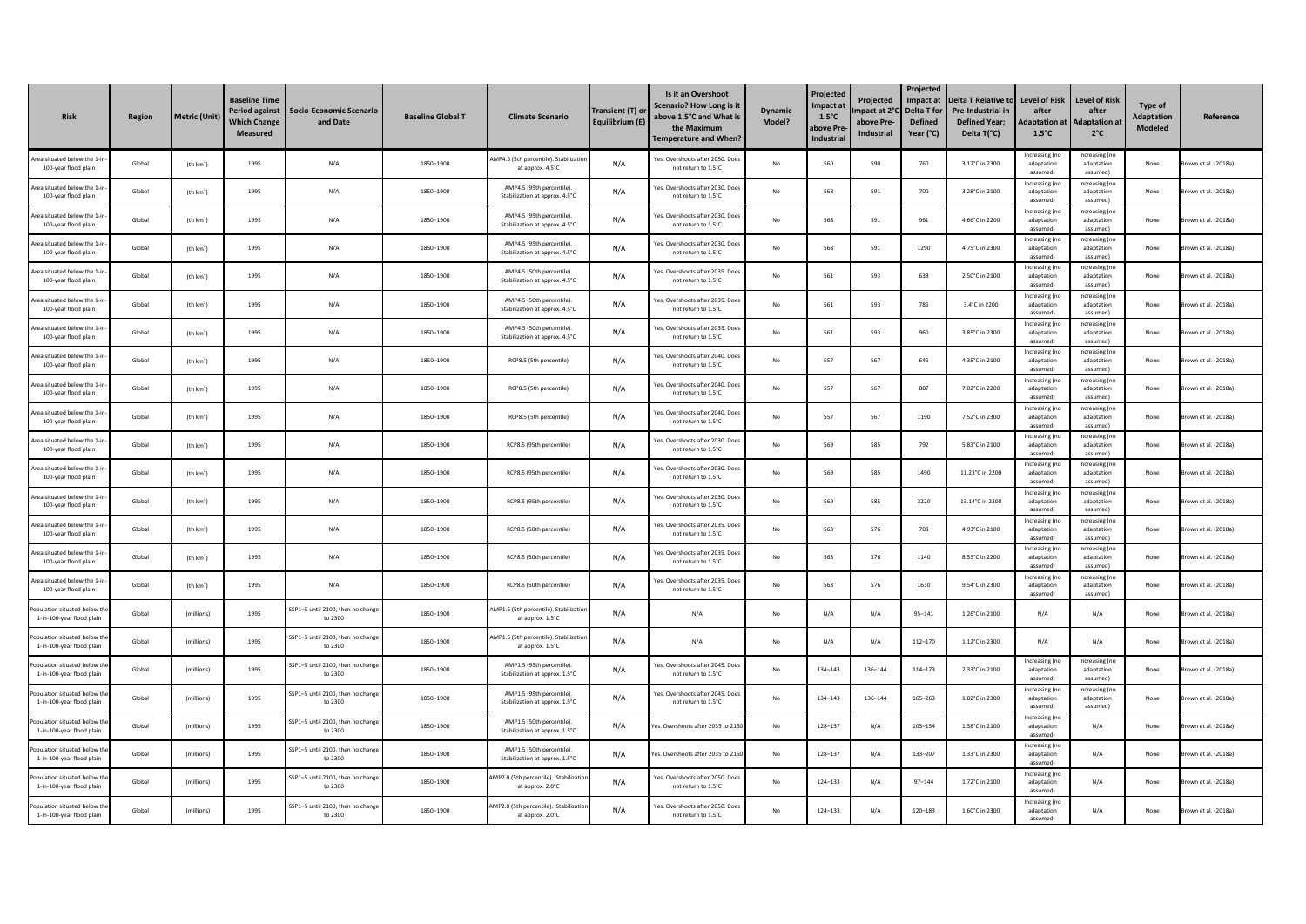| <b>Risk</b>                                               | Region | Metric (Unit)         | <b>Baseline Time</b><br>Period against<br><b>Which Change</b><br>Measured | <b>Socio-Economic Scenario</b><br>and Date   | <b>Baseline Global T</b> | <b>Climate Scenario</b>                                     | Transient (T) or<br>Equilibrium (E) | Is it an Overshoot<br>Scenario? How Long is it<br>above 1.5°C and What is<br>the Maximum<br><b>Temperature and When?</b> | <b>Dynamic</b><br>Model? | Projected<br>mpact at<br>$1.5^{\circ}$ C<br>ıbove Pre<br><b>Industrial</b> | Projected<br>mpact at 2°<br>above Pre-<br>Industrial | Projected<br>Impact at<br>Delta T for<br><b>Defined</b><br>Year (°C) | <b>Delta T Relative to</b><br><b>Pre-Industrial in</b><br><b>Defined Year;</b><br>Delta T(°C) | <b>Level of Risk</b><br>after<br><b>Adaptation at</b><br>$1.5^{\circ}$ C | <b>Level of Risk</b><br>after<br><b>Adaptation at</b><br>$2^{\circ}$ C | Type of<br><b>Adaptation</b><br>Modeled | Reference            |
|-----------------------------------------------------------|--------|-----------------------|---------------------------------------------------------------------------|----------------------------------------------|--------------------------|-------------------------------------------------------------|-------------------------------------|--------------------------------------------------------------------------------------------------------------------------|--------------------------|----------------------------------------------------------------------------|------------------------------------------------------|----------------------------------------------------------------------|-----------------------------------------------------------------------------------------------|--------------------------------------------------------------------------|------------------------------------------------------------------------|-----------------------------------------|----------------------|
| Area situated below the 1-<br>100-year flood plain        | Global | (th km <sup>2</sup> ) | 1995                                                                      | N/A                                          | 1850-1900                | AMP4.5 (5th percentile). Stabilization<br>at approx. 4.5°C  | N/A                                 | Yes. Overshoots after 2050. Does<br>not return to 1.5°C                                                                  | $\mathsf{No}$            | 560                                                                        | 590                                                  | 760                                                                  | 3.17°C in 2300                                                                                | Increasing (no<br>adaptation<br>assumed)                                 | Increasing (no<br>adaptation<br>assumedì                               | None                                    | rown et al. (2018a)  |
| Area situated helow the 1-ir<br>100-year flood plain      | Global | (th km <sup>2</sup> ] | 1995                                                                      | N/A                                          | 1850-1900                | AMP4.5 (95th percentile)<br>Stabilization at approx. 4.5°C  | N/A                                 | Yes, Overshoots after 2030. Doe<br>not return to 1.5°C                                                                   | No                       | 568                                                                        | 591                                                  | 700                                                                  | 3.28°C in 2100                                                                                | Increasing (no<br>adaptation<br>assumed)                                 | Increasing (no<br>adaptation<br>assumed)                               | None                                    | rown et al. (2018a)  |
| Area situated below the 1-<br>100-year flood plain        | Global | (th $km2$ )           | 1995                                                                      | N/A                                          | 1850-1900                | AMP4.5 (95th percentile).<br>Stabilization at approx. 4.5°C | N/A                                 | Yes. Overshoots after 2030. Doe<br>not return to 1.5°C                                                                   | No                       | 568                                                                        | 591                                                  | 961                                                                  | 4.66°C in 2200                                                                                | Increasing (no<br>adaptation<br>assumed)                                 | Increasing (no<br>adaptation<br>assumed)                               | None                                    | rown et al. (2018a)  |
| Area situated below the 1-i<br>100-year flood plain       | Global | (th $km2$ )           | 1995                                                                      | N/A                                          | 1850-1900                | AMP4.5 (95th percentile).<br>Stabilization at approx. 4.5°C | N/A                                 | Yes. Overshoots after 2030. Does<br>not return to 1.5°C                                                                  | $\mathsf{No}$            | 568                                                                        | 591                                                  | 1290                                                                 | 4.75°C in 2300                                                                                | Increasing (no<br>adaptation<br>assumed)                                 | Increasing (no<br>adaptation<br>assumed)                               | None                                    | rown et al. (2018a)  |
| rea situated helow the 1-in<br>100-year flood plain       | Global | (th km <sup>2</sup> ) | 1995                                                                      | N/A                                          | 1850-1900                | AMP4.5 (50th percentile).<br>Stabilization at approx. 4.5°C | N/A                                 | Yes. Overshoots after 2035. Doe<br>not return to 1.5°C                                                                   | No                       | 561                                                                        | 593                                                  | 638                                                                  | 2.50°C in 2100                                                                                | Increasing (no<br>adaptation<br>assumed)                                 | Increasing (no<br>adaptation<br>assumed)                               | None                                    | rown et al. (2018a)  |
| rea situated below the 1-i<br>100-year flood plain        | Global | (th $km2$ )           | 1995                                                                      | N/A                                          | 1850-1900                | AMP4.5 (50th percentile).<br>Stabilization at approx. 4.5°C | N/A                                 | Yes. Overshoots after 2035. Doe<br>not return to 1.5°C                                                                   | No                       | 561                                                                        | 593                                                  | 786                                                                  | 3.4°C in 2200                                                                                 | Increasing (no<br>adaptation<br>assumed)                                 | Increasing (no<br>adaptation<br>assumed)                               | None                                    | rown et al. (2018a)  |
| Area situated below the 1-<br>100-year flood plain        | Global | (th km <sup>2</sup> ) | 1995                                                                      | N/A                                          | 1850-1900                | AMP4.5 (50th percentile).<br>Stabilization at approx. 4.5°C | N/A                                 | Yes. Overshoots after 2035. Does<br>not return to 1.5°C                                                                  | No                       | 561                                                                        | 593                                                  | 960                                                                  | 3.85°C in 2300                                                                                | Increasing (no<br>adaptation<br>assumed)                                 | Increasing (no<br>adaptation<br>assumed)                               | None                                    | rown et al. (2018a)  |
| Area situated below the 1-ir<br>100-year flood plain      | Global | (th km <sup>4</sup>   | 1995                                                                      | N/A                                          | 1850-1900                | RCP8.5 (5th percentile)                                     | N/A                                 | Yes, Overshoots after 2040, Doe<br>not return to 1.5°C                                                                   | No                       | 557                                                                        | 567                                                  | 646                                                                  | 4.35°C in 2100                                                                                | Increasing (no<br>adaptation<br>assumed)                                 | Increasing (no<br>adaptation<br>assumed)                               | None                                    | rown et al. (2018a)  |
| Area situated below the 1-i<br>100-year flood plain       | Global | (th km <sup>2</sup> ] | 1995                                                                      | N/A                                          | 1850-1900                | RCP8.5 (5th percentile)                                     | N/A                                 | Yes. Overshoots after 2040. Do<br>not return to 1.5°C                                                                    | No                       | 557                                                                        | 567                                                  | 887                                                                  | 7.02°C in 2200                                                                                | Increasing (no<br>adaptation<br>assumed)                                 | Increasing (no<br>adaptation<br>assumed)                               | None                                    | rown et al. (2018a)  |
| Area situated below the 1-i<br>100-year flood plain       | Global | (th km <sup>2</sup> ) | 1995                                                                      | N/A                                          | 1850-1900                | RCP8.5 (5th percentile)                                     | N/A                                 | Yes. Overshoots after 2040. Doe<br>not return to 1.5°C                                                                   | No                       | 557                                                                        | 567                                                  | 1190                                                                 | 7.52°C in 2300                                                                                | Increasing (no<br>adaptation<br>assumed)                                 | Increasing (no<br>adaptation<br>assumed)                               | None                                    | Brown et al. (2018a) |
| rea situated below the 1-in<br>100-year flood plain       | Global | (th km <sup>2</sup> ) | 1995                                                                      | N/A                                          | 1850-1900                | RCP8.5 (95th percentile)                                    | N/A                                 | Yes. Overshoots after 2030. Doe<br>not return to 1.5°C                                                                   | No                       | 569                                                                        | 585                                                  | 792                                                                  | 5.83°C in 2100                                                                                | Increasing (no<br>adaptation<br>assumed)                                 | Increasing (no<br>adaptation<br>assumedì                               | None                                    | rown et al. (2018a)  |
| Area situated below the 1-i<br>100-year flood plain       | Global | (th km <sup>2</sup> ] | 1995                                                                      | N/A                                          | 1850-1900                | RCP8.5 (95th percentile)                                    | N/A                                 | Yes. Overshoots after 2030. Doe<br>not return to 1.5°C                                                                   | No                       | 569                                                                        | 585                                                  | 1490                                                                 | 11.23°C in 2200                                                                               | Increasing (no<br>adaptation<br>assumed)                                 | Increasing (no<br>adaptation<br>assumedì                               | None                                    | rown et al. (2018a)  |
| Area situated below the 1-<br>100-year flood plain        | Global | (th km <sup>2</sup> ) | 1995                                                                      | N/A                                          | 1850-1900                | RCP8.5 (95th percentile)                                    | N/A                                 | Yes. Overshoots after 2030. Does<br>not return to 1.5°C                                                                  | No                       | 569                                                                        | 585                                                  | 2220                                                                 | 13.14°C in 2300                                                                               | Increasing (no<br>adaptation<br>assumed)                                 | Increasing (no<br>adaptation<br>assumed)<br>Increasing (no             | None                                    | rown et al. (2018a)  |
| Area situated below the 1-ir<br>100-year flood plain      | Global | (th km <sup>2</sup> ] | 1995                                                                      | N/A                                          | 1850-1900                | RCP8.5 (50th percentile)                                    | N/A                                 | Yes, Overshoots after 2035, Doe<br>not return to 1.5°C                                                                   | No                       | 563                                                                        | 576                                                  | 708                                                                  | 4.93°C in 2100                                                                                | Increasing (no<br>adaptation<br>assumed)                                 | adaptation<br>assumedì                                                 | None                                    | own et al. (2018a)   |
| Area situated below the 1-i<br>100-year flood plain       | Global | (th km <sup>2</sup> ) | 1995                                                                      | N/A                                          | 1850-1900                | RCP8.5 (50th percentile)                                    | N/A                                 | Yes, Overshoots after 2035, Doe<br>not return to 1.5°C                                                                   | No                       | 563                                                                        | 576                                                  | 1140                                                                 | 8.55°C in 2200                                                                                | Increasing (no<br>adaptation<br>assumed)                                 | Increasing (no<br>adaptation<br>assumed)                               | None                                    | rown et al. (2018a)  |
| rea situated below the 1-in<br>100-year flood plain       | Global | (th km <sup>2</sup> ) | 1995                                                                      | N/A                                          | 1850-1900                | RCP8.5 (50th percentile)                                    | N/A                                 | Yes. Overshoots after 2035. Doe<br>not return to 1.5°C                                                                   | No                       | 563                                                                        | 576                                                  | 1630                                                                 | 9.54°C in 2300                                                                                | Increasing (no<br>adaptation<br>assumed)                                 | Increasing (no<br>adaptation<br>assumed)                               | None                                    | rown et al. (2018a)  |
| oulation situated below the<br>1-in-100-year flood plain  | Global | (millions)            | 1995                                                                      | SSP1-5 until 2100, then no chang<br>to 2300  | 1850-1900                | AMP1.5 (5th percentile). Stabilizatio<br>at approx. 1.5°C   | N/A                                 | N/A                                                                                                                      | $\mathsf{No}$            | N/A                                                                        | N/A                                                  | $95 - 141$                                                           | 1.26°C in 2100                                                                                | N/A                                                                      | N/A                                                                    | None                                    | rown et al. (2018a)  |
| opulation situated below th<br>1-in-100-year flood plain  | Global | (millions)            | 1995                                                                      | SSP1-5 until 2100, then no chang<br>to 2300  | 1850-1900                | AMP1.5 (5th percentile). Stabilizati<br>at approx. 1.5°C    | N/A                                 | N/A                                                                                                                      | No                       | N/A                                                                        | N/A                                                  | $112 - 170$                                                          | 1.12°C in 2300                                                                                | N/A                                                                      | N/A                                                                    | None                                    | rown et al. (2018a)  |
| opulation situated below th<br>1-in-100-year flood plain  | Global | (millions)            | 1995                                                                      | SSP1-5 until 2100, then no change<br>to 2300 | 1850-1900                | AMP1.5 (95th percentile).<br>Stabilization at approx. 1.5°C | N/A                                 | Yes. Overshoots after 2045. Doe<br>not return to 1.5°C                                                                   | No                       | 134-143                                                                    | 136-144                                              | $114 - 173$                                                          | 2.33°C in 2100                                                                                | Increasing (no<br>adaptation<br>assumed)                                 | Increasing (no<br>adaptation<br>assumed)                               | None                                    | Brown et al. (2018a) |
| opulation situated below th<br>1-in-100-year flood plain  | Global | (millions)            | 1995                                                                      | SSP1-5 until 2100, then no chang<br>to 2300  | 1850-1900                | AMP1.5 (95th percentile).<br>Stabilization at approx. 1.5°C | N/A                                 | Yes. Overshoots after 2045. Doe<br>not return to 1.5°C                                                                   | No                       | 134-143                                                                    | 136-144                                              | $165 - 263$                                                          | 1.82°C in 2300                                                                                | Increasing (no<br>adaptation<br>assumed)                                 | Increasing (no<br>adaptation<br>assumed)                               | None                                    | own et al. (2018a)   |
| conulation situated below th<br>1-in-100-year flood plain | Global | (millions)            | 1995                                                                      | SSP1-5 until 2100, then no chang<br>to 2300  | 1850-1900                | AMP1.5 (50th percentile)<br>Stabilization at approx. 1.5°C  | N/A                                 | Yes. Overshoots after 2035 to 2150                                                                                       | No                       | 128-137                                                                    | N/A                                                  | $103 - 154$                                                          | 1.58°C in 2100                                                                                | Increasing (no<br>adaptation<br>assumed)                                 | N/A                                                                    | None                                    | rown et al. (2018a)  |
| oulation situated below th<br>1-in-100-year flood plain   | Global | (millions)            | 1995                                                                      | SSP1-5 until 2100, then no change<br>to 2300 | 1850-1900                | AMP1.5 (50th percentile).<br>Stabilization at approx. 1.5°C | N/A                                 | Yes. Overshoots after 2035 to 215                                                                                        | No                       | 128-137                                                                    | N/A                                                  | 133-207                                                              | 1.33°C in 2300                                                                                | Increasing (no<br>adaptation<br>assumed)                                 | N/A                                                                    | None                                    | Brown et al. (2018a) |
| opulation situated below the<br>1-in-100-year flood plain | Global | (millions)            | 1995                                                                      | SSP1-5 until 2100, then no chang<br>to 2300  | 1850-1900                | MP2.0 (5th percentile). Stabilizatio<br>at approx. 2.0°C    | N/A                                 | Yes. Overshoots after 2050. Doe<br>not return to 1.5°C                                                                   | $\mathsf{No}$            | 124-133                                                                    | N/A                                                  | $97 - 144$                                                           | 1.72°C in 2100                                                                                | Increasing (no<br>adaptation<br>assumed)                                 | N/A                                                                    | None                                    | own et al. (2018a)   |
| Population situated below th<br>1-in-100-year flood plain | Global | (millions)            | 1995                                                                      | SSP1-5 until 2100, then no chang<br>to 2300  | 1850-1900                | AMP2.0 (5th percentile). Stabilizati<br>at approx. 2.0°C    | N/A                                 | Yes, Overshoots after 2050, Doe<br>not return to 1.5°C                                                                   | No                       | $124 - 133$                                                                | N/A                                                  | 120-183                                                              | 1.60°C in 2300                                                                                | Increasing (no<br>adaptation<br>assumed)                                 | N/A                                                                    | None                                    | rown et al. (2018a)  |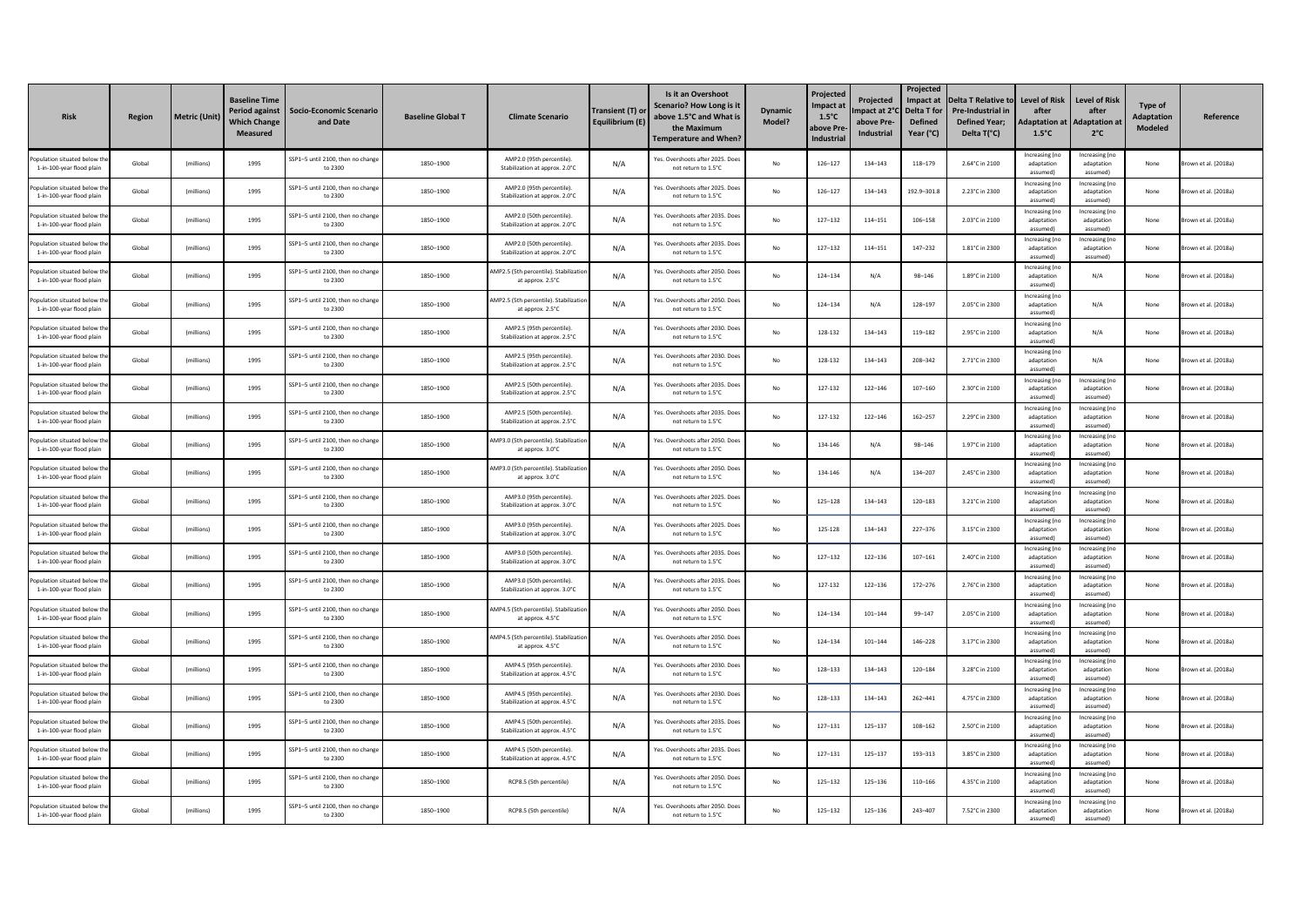| <b>Risk</b>                                               | <b>Region</b> | Metric (Unit) | <b>Baseline Time</b><br>Period against<br><b>Nhich Change</b><br>Measured | Socio-Economic Scenario<br>and Date          | <b>Baseline Global T</b> | <b>Climate Scenario</b>                                     | Transient (T) or<br>Equilibrium (E) | Is it an Overshoot<br>Scenario? How Long is it<br>above 1.5°C and What is<br>the Maximum<br><b>Temperature and When?</b> | <b>Dynamic</b><br>Model? | Projected<br>Impact at<br>$1.5^{\circ}$ C<br>above Pre<br><b>Industrial</b> | <b>Projected</b><br>mpact at 2°<br>above Pre-<br>Industrial | Projected<br>Impact at<br><b>Delta T for</b><br><b>Defined</b><br>Year (°C) | <b>Delta T Relative to</b><br><b>Pre-Industrial in</b><br><b>Defined Year;</b><br>Delta T(°C) | <b>Level of Risk</b><br>after<br><b>Adaptation at</b><br>$1.5^{\circ}$ C | <b>Level of Risk</b><br>Adaptation a<br>$2^{\circ}$ C | Type of<br><b>Adaptation</b><br>Modeled | Reference           |
|-----------------------------------------------------------|---------------|---------------|---------------------------------------------------------------------------|----------------------------------------------|--------------------------|-------------------------------------------------------------|-------------------------------------|--------------------------------------------------------------------------------------------------------------------------|--------------------------|-----------------------------------------------------------------------------|-------------------------------------------------------------|-----------------------------------------------------------------------------|-----------------------------------------------------------------------------------------------|--------------------------------------------------------------------------|-------------------------------------------------------|-----------------------------------------|---------------------|
| opulation situated below<br>1-in-100-year flood plain     | Global        | (millions)    | 1995                                                                      | SSP1-5 until 2100, then no change<br>to 2300 | 1850-1900                | AMP2.0 (95th percentile)<br>Stabilization at approx. 2.0°C  | N/A                                 | Yes. Overshoots after 2025. Does<br>not return to 1.5°C                                                                  | No                       | 126-127                                                                     | 134-143                                                     | 118-179                                                                     | 2.64°C in 2100                                                                                | Increasing (no<br>adaptation<br>assumed)                                 | Increasing (no<br>adaptation<br>assumed)              | None                                    | rown et al. (2018a) |
| mulation situated below th<br>1-in-100-year flood plair   | Global        | (millions)    | 1995                                                                      | SSP1-5 until 2100, then no chang<br>to 2300  | 1850-1900                | AMP2.0 (95th percentile)<br>Stabilization at approx. 2.0°C  | N/A                                 | Yes, Overshoots after 2025, Doe<br>not return to 1.5°C                                                                   | No                       | 126-127                                                                     | 134-143                                                     | 192.9-301.8                                                                 | 2.23°C in 2300                                                                                | Increasing (no<br>adaptation<br>assumed)                                 | Increasing (no<br>adaptation<br>assumed)              | None                                    | rown et al. (2018a) |
| poulation situated below t<br>1-in-100-year flood plair   | Global        | (millions)    | 1995                                                                      | SSP1-5 until 2100, then no change<br>to 2300 | 1850-1900                | AMP2.0 (50th percentile).<br>Stabilization at approx. 2.0°C | N/A                                 | Yes, Overshoots after 2035, Do<br>not return to 1.5°C                                                                    | No                       | $127 - 132$                                                                 | $114 - 151$                                                 | 106-158                                                                     | 2.03°C in 2100                                                                                | Increasing (no<br>adaptation<br>assumed)                                 | Increasing (no<br>adaptation<br>assumed)              | None                                    | rown et al. (2018a) |
| pulation situated below th<br>1-in-100-year flood plain   | Global        | (millions)    | 1995                                                                      | SSP1-5 until 2100, then no change<br>to 2300 | 1850-1900                | AMP2.0 (50th percentile).<br>Stabilization at approx. 2.0°C | N/A                                 | Yes. Overshoots after 2035. Doe<br>not return to 1.5°C                                                                   | $\mathsf{No}$            | $127 - 132$                                                                 | 114-151                                                     | 147-232                                                                     | 1.81°C in 2300                                                                                | Increasing (no<br>adaptation<br>assumed)                                 | Increasing (no<br>adaptation<br>assumed)              | None                                    | rown et al. (2018a) |
| poulation situated below the<br>1-in-100-year flood plain | Global        | (millions)    | 1995                                                                      | SSP1-5 until 2100, then no chang<br>to 2300  | 1850-1900                | AMP2.5 (5th percentile). Stabilizatio<br>at approx. 2.5°C   | N/A                                 | Yes. Overshoots after 2050. Doe:<br>not return to 1.5°C                                                                  | No                       | 124-134                                                                     | N/A                                                         | 98-146                                                                      | 1.89°C in 2100                                                                                | Increasing (no<br>adaptation<br>assumed)                                 | N/A                                                   | None                                    | rown et al. (2018a) |
| opulation situated below th<br>1-in-100-year flood plain  | Global        | (millions)    | 1995                                                                      | SSP1-5 until 2100, then no chang<br>to 2300  | 1850-1900                | MP2.5 (5th percentile). Stabilizatio<br>at approx. 2.5°C    | N/A                                 | Yes. Overshoots after 2050. Doe<br>not return to 1.5°C                                                                   | No                       | 124-134                                                                     | N/A                                                         | 128-197                                                                     | 2.05°C in 2300                                                                                | Increasing (no<br>adaptation<br>assumed)                                 | N/A                                                   | None                                    | rown et al. (2018a) |
| opulation situated below th<br>1-in-100-year flood plain  | Global        | (millions)    | 1995                                                                      | SSP1-5 until 2100, then no change<br>to 2300 | 1850-1900                | AMP2.5 (95th percentile).<br>Stabilization at approx. 2.5°C | N/A                                 | Yes. Overshoots after 2030. Doe:<br>not return to 1.5°C                                                                  | No                       | 128-132                                                                     | 134-143                                                     | 119-182                                                                     | 2.95°C in 2100                                                                                | Increasing (no<br>adaptation<br>assumed)                                 | N/A                                                   | None                                    | rown et al. (2018a) |
| poulation situated below th<br>1-in-100-year flood plain  | Global        | (millions)    | 1995                                                                      | SSP1-5 until 2100, then no chang-<br>to 2300 | 1850-1900                | AMP2.5 (95th percentile).<br>Stabilization at approx. 2.5°C | N/A                                 | Yes, Overshoots after 2030, Doe<br>not return to 1.5°C                                                                   | No                       | 128-132                                                                     | 134-143                                                     | 208-342                                                                     | 2.71°C in 2300                                                                                | Increasing (no<br>adaptation<br>assumed)                                 | N/A                                                   | None                                    | rown et al. (2018a) |
| mulation situated below th<br>1-in-100-year flood plain   | Global        | (millions)    | 1995                                                                      | SSP1-5 until 2100, then no chang<br>to 2300  | 1850-1900                | AMP2.5 (50th percentile)<br>Stabilization at approx. 2.5°C  | N/A                                 | Yes, Overshoots after 2035, Doe<br>not return to 1.5°C                                                                   | No                       | 127-132                                                                     | $122 - 146$                                                 | $107 - 160$                                                                 | 2.30°C in 2100                                                                                | Increasing (no<br>adaptation<br>assumed)                                 | Increasing (no<br>adaptation<br>assumed)              | None                                    | rown et al. (2018a) |
| pulation situated below th<br>1-in-100-year flood plain   | Global        | (millions)    | 1995                                                                      | SSP1-5 until 2100, then no change<br>to 2300 | 1850-1900                | AMP2.5 (50th percentile).<br>Stabilization at approx. 2.5°C | N/A                                 | Yes. Overshoots after 2035. Doe:<br>not return to 1.5°C                                                                  | No                       | 127-132                                                                     | $122 - 146$                                                 | $162 - 257$                                                                 | 2.29°C in 2300                                                                                | Increasing (no<br>adaptation<br>assumed)                                 | Increasing (no<br>adaptation<br>assumed)              | None                                    | rown et al. (2018a) |
| opulation situated below the<br>1-in-100-year flood plain | Global        | (millions)    | 1995                                                                      | SSP1-5 until 2100, then no chang<br>to 2300  | 1850-1900                | MP3.0 (5th percentile). Stabilizatio<br>at approx. 3.0°C    | N/A                                 | Yes. Overshoots after 2050. Doe<br>not return to 1.5°C                                                                   | No                       | 134-146                                                                     | N/A                                                         | 98-146                                                                      | 1.97°C in 2100                                                                                | Increasing (no<br>adaptation<br>assumed)                                 | Increasing (no<br>adaptation<br>assumedì              | None                                    | own et al. (2018a)  |
| opulation situated below th<br>1-in-100-year flood plain  | Global        | (millions)    | 1995                                                                      | SSP1-5 until 2100, then no chang<br>to 2300  | 1850-1900                | MP3.0 (5th percentile), Stabilizatio<br>at approx. 3.0°C    | N/A                                 | Yes. Overshoots after 2050. Doe<br>not return to 1.5°C                                                                   | No                       | 134-146                                                                     | N/A                                                         | 134-207                                                                     | 2.45°C in 2300                                                                                | Increasing (no<br>adaptation<br>assumed)                                 | Increasing (no<br>adaptation<br>assumed)              | None                                    | rown et al. (2018a) |
| opulation situated below th<br>1-in-100-year flood plain  | Global        | (millions)    | 1995                                                                      | SSP1-5 until 2100, then no change<br>to 2300 | 1850-1900                | AMP3.0 (95th percentile).<br>Stabilization at approx. 3.0°C | N/A                                 | Yes. Overshoots after 2025. Doe<br>not return to 1.5°C                                                                   | No                       | 125-128                                                                     | 134-143                                                     | 120-183                                                                     | 3.21°C in 2100                                                                                | Increasing (no<br>adaptation<br>assumed!                                 | Increasing (no<br>adaptation<br>assumed)              | None                                    | rown et al. (2018a) |
| opulation situated below th<br>1-in-100-year flood plain  | Global        | (millions)    | 1995                                                                      | SSP1-5 until 2100, then no chang-<br>to 2300 | 1850-1900                | AMP3.0 (95th percentile).<br>Stabilization at approx. 3.0°C | N/A                                 | Yes, Overshoots after 2025, Doe<br>not return to 1.5°C                                                                   | $\mathsf{No}$            | 125-128                                                                     | 134-143                                                     | $227 - 376$                                                                 | 3.15°C in 2300                                                                                | Increasing (no<br>adaptation<br>assumed)                                 | Increasing (no<br>adaptation<br>assumed)              | None                                    | own et al. (2018a)  |
| opulation situated below th<br>1-in-100-year flood plair  | Global        | (millions)    | 1995                                                                      | SSP1-5 until 2100, then no chang<br>to 2300  | 1850-1900                | AMP3.0 (50th percentile)<br>Stabilization at approx. 3.0°C  | N/A                                 | Yes. Overshoots after 2035. Doe<br>not return to 1.5°C                                                                   | No                       | $127 - 132$                                                                 | $122 - 136$                                                 | $107 - 161$                                                                 | 2.40°C in 2100                                                                                | Increasing (no<br>adaptation<br>assumed)                                 | Increasing (no<br>adaptation<br>assumed)              | None                                    | rown et al. (2018a) |
| pulation situated below th<br>1-in-100-year flood plain   | Global        | (millions)    | 1995                                                                      | SSP1-5 until 2100, then no change<br>to 2300 | 1850-1900                | AMP3.0 (50th percentile).<br>Stabilization at approx. 3.0°C | N/A                                 | Yes. Overshoots after 2035. Doe<br>not return to 1.5°C                                                                   | No                       | 127-132                                                                     | $122 - 136$                                                 | $172 - 276$                                                                 | 2.76°C in 2300                                                                                | Increasing (no<br>adaptation<br>assumed)                                 | Increasing (no<br>adaptation<br>assumed)              | None                                    | rown et al. (2018a) |
| pulation situated below the<br>1-in-100-year flood plain  | Global        | (millions)    | 1995                                                                      | SSP1-5 until 2100, then no change<br>to 2300 | 1850-1900                | AMP4.5 (5th percentile). Stabilizatio<br>at approx. 4.5°C   | N/A                                 | Yes. Overshoots after 2050. Doe:<br>not return to 1.5°C                                                                  | No                       | 124-134                                                                     | $101 - 144$                                                 | 99-147                                                                      | 2.05°C in 2100                                                                                | Increasing (no<br>adaptation<br>assumed)                                 | Increasing (no<br>adaptation<br>assumedì              | None                                    | own et al. (2018a)  |
| opulation situated below th<br>1-in-100-year flood plain  | Global        | (millions)    | 1995                                                                      | SSP1-5 until 2100, then no chang<br>to 2300  | 1850-1900                | AMP4.5 (5th percentile). Stabilizatio<br>at approx. 4.5°C   | N/A                                 | Yes, Overshoots after 2050, Doe<br>not return to 1.5°C                                                                   | No                       | 124-134                                                                     | $101 - 144$                                                 | 146-228                                                                     | 3.17°C in 2300                                                                                | Increasing (no<br>adaptation<br>assumed)                                 | Increasing (no<br>adaptation<br>assumed)              | None                                    | rown et al. (2018a) |
| opulation situated below th<br>1-in-100-year flood plain  | Global        | (millions)    | 1995                                                                      | SSP1-5 until 2100, then no chang<br>to 2300  | 1850-1900                | AMP4.5 (95th percentile)<br>Stabilization at approx. 4.5°C  | N/A                                 | Yes. Overshoots after 2030. Doe<br>not return to 1.5°C                                                                   | No                       | 128-133                                                                     | 134-143                                                     | 120-184                                                                     | 3.28°C in 2100                                                                                | Increasing (no<br>adaptation<br>assumed)                                 | Increasing (no<br>adantation<br>assumedì              | None                                    | rown et al. (2018a) |
| opulation situated below th<br>1-in-100-year flood plain  | Global        | (millions)    | 1995                                                                      | SSP1-5 until 2100, then no change<br>to 2300 | 1850-1900                | AMP4.5 (95th percentile).<br>Stabilization at approx. 4.5°C | N/A                                 | Yes. Overshoots after 2030. Doe<br>not return to 1.5°C                                                                   | No                       | 128-133                                                                     | 134-143                                                     | $262 - 441$                                                                 | 4.75°C in 2300                                                                                | Increasing (no<br>adaptation<br>assumed)                                 | Increasing (no<br>adaptation<br>assumed)              | None                                    | own et al. (2018a)  |
| opulation situated below th<br>1-in-100-year flood plain  | Global        | (millions)    | 1995                                                                      | SSP1-5 until 2100, then no chang<br>to 2300  | 1850-1900                | AMP4.5 (50th percentile)<br>Stabilization at approx. 4.5°C  | N/A                                 | Yes, Overshoots after 2035, Doe<br>not return to 1.5°C                                                                   | $\mathsf{No}$            | 127-131                                                                     | 125-137                                                     | $108 - 162$                                                                 | 2.50°C in 2100                                                                                | Increasing (no<br>adaptation<br>assumed)                                 | Increasing (no<br>adaptation<br>assumed)              | None                                    | rown et al. (2018a) |
| opulation situated below th<br>1-in-100-year flood plain  | Global        | (millions)    | 1995                                                                      | SSP1-5 until 2100, then no chang<br>to 2300  | 1850-1900                | AMP4.5 (50th percentile)<br>Stabilization at approx. 4.5°C  | N/A                                 | Yes, Overshoots after 2035. Doe:<br>not return to 1.5°C                                                                  | No                       | 127-131                                                                     | 125-137                                                     | 193-313                                                                     | 3.85°C in 2300                                                                                | Increasing (no<br>adaptation<br>assumed)                                 | Increasing (no<br>adaptation<br>assumedì              | None                                    | rown et al. (2018a) |
| opulation situated below the<br>1-in-100-year flood plain | Global        | (millions)    | 1995                                                                      | SSP1-5 until 2100, then no change<br>to 2300 | 1850-1900                | RCP8.5 (5th percentile)                                     | N/A                                 | Yes. Overshoots after 2050. Doe:<br>not return to 1.5°C                                                                  | No                       | 125-132                                                                     | 125-136                                                     | 110-166                                                                     | 4.35°C in 2100                                                                                | Increasing (no<br>adaptation<br>assumed)                                 | Increasing (no<br>adaptation<br>assumed               | None                                    | own et al. (2018a)  |
| opulation situated below th<br>1-in-100-year flood plain  | Global        | (millions)    | 1995                                                                      | SSP1-5 until 2100, then no chang-<br>to 2300 | 1850-1900                | RCP8.5 (5th percentile)                                     | N/A                                 | Yes, Overshoots after 2050, Doe:<br>not return to 1.5°C                                                                  | No                       | 125-132                                                                     | 125-136                                                     | 243-407                                                                     | 7.52°C in 2300                                                                                | Increasing (no<br>adaptation<br>assumed)                                 | increasing (no<br>adaptation<br>assumed)              | None                                    | rown et al. (2018a) |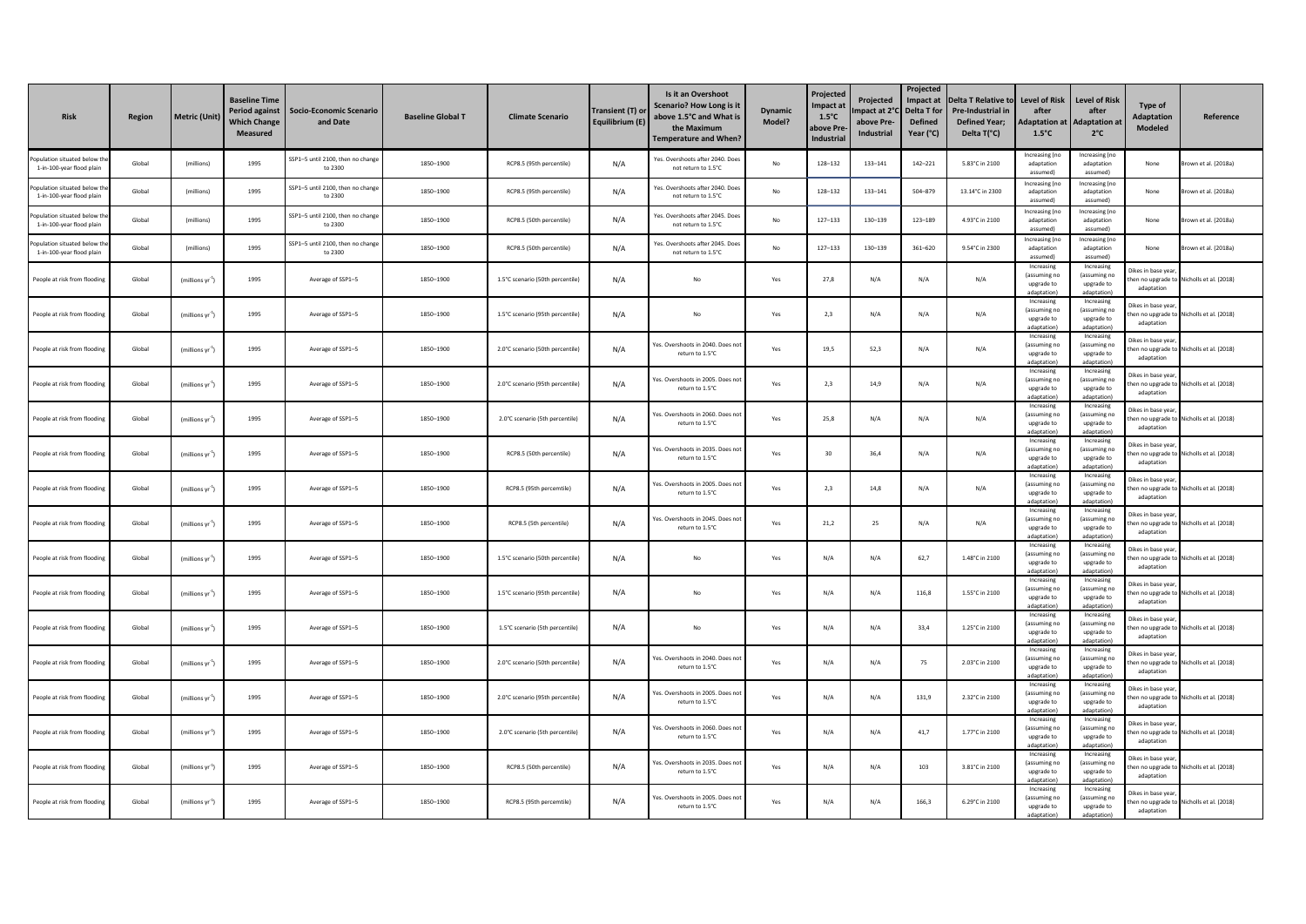| <b>Risk</b>                                               | Region | Metric (Unit)                | <b>Baseline Time</b><br><b>Period against</b><br><b>Which Change</b><br><b>Measured</b> | <b>Socio-Economic Scenario</b><br>and Date   | <b>Baseline Global T</b> | <b>Climate Scenario</b>          | Transient (T) or<br>Equilibrium (E) | Is it an Overshoot<br>Scenario? How Long is it<br>above 1.5°C and What is<br>the Maximum<br><b>Temperature and When?</b> | <b>Dynamic</b><br>Model? | Projected<br>Impact at<br>$1.5^{\circ}$ C<br>ıbove Pre<br><b>Industrial</b> | Projected<br>mpact at 2°<br>above Pre-<br>Industrial | Projected<br>Impact at<br>Delta T for<br><b>Defined</b><br>Year (°C) | <b>Delta T Relative to</b><br>Pre-Industrial in<br><b>Defined Year:</b><br>Delta T(°C) | <b>Level of Risk</b><br>after<br><b>Adaptation at</b><br>$1.5^{\circ}$ C | <b>Level of Risk</b><br>after<br><b>Adaptation at</b><br>$2^{\circ}$ C | Type of<br><b>Adaptation</b><br>Modeled | Reference                                 |
|-----------------------------------------------------------|--------|------------------------------|-----------------------------------------------------------------------------------------|----------------------------------------------|--------------------------|----------------------------------|-------------------------------------|--------------------------------------------------------------------------------------------------------------------------|--------------------------|-----------------------------------------------------------------------------|------------------------------------------------------|----------------------------------------------------------------------|----------------------------------------------------------------------------------------|--------------------------------------------------------------------------|------------------------------------------------------------------------|-----------------------------------------|-------------------------------------------|
| opulation situated below t<br>1-in-100-year flood plain   | Global | (millions)                   | 1995                                                                                    | SSP1-5 until 2100, then no change<br>to 2300 | 1850-1900                | RCP8.5 (95th percentile)         | N/A                                 | Yes, Overshoots after 2040, Doe<br>not return to 1.5°C                                                                   | No                       | 128-132                                                                     | 133-141                                              | $142 - 221$                                                          | 5.83°C in 2100                                                                         | Increasing (no<br>adaptation<br>assumed)                                 | Increasing (no<br>adaptation<br>assumed)                               | None                                    | Brown et al. (2018a)                      |
| opulation situated below t<br>1-in-100-year flood plain   | Global | (millions)                   | 1995                                                                                    | SSP1-5 until 2100, then no change<br>to 2300 | 1850-1900                | RCP8.5 (95th percentile)         | N/A                                 | Yes. Overshoots after 2040. Does<br>not return to 1.5°C                                                                  | No                       | 128-132                                                                     | 133-141                                              | 504-879                                                              | 13.14°C in 2300                                                                        | Increasing (no<br>adaptation<br>assumed)                                 | Increasing (no<br>adaptation<br>assumed)                               | None                                    | Brown et al. (2018a)                      |
| Population situated below th<br>1-in-100-year flood plain | Global | (millions)                   | 1995                                                                                    | SSP1-5 until 2100, then no change<br>to 2300 | 1850-1900                | RCP8.5 (50th percentile)         | N/A                                 | Yes, Overshoots after 2045, Doe<br>not return to 1.5°C                                                                   | $\mathsf{No}$            | $127 - 133$                                                                 | 130-139                                              | 123-189                                                              | 4.93°C in 2100                                                                         | Increasing (no<br>adaptation<br>assumed)                                 | Increasing (no<br>adaptation<br>assumed)                               | None                                    | rown et al. (2018a)                       |
| Population situated below t<br>1-in-100-year flood plain  | Global | (millions)                   | 1995                                                                                    | SSP1-5 until 2100, then no chang<br>to 2300  | 1850-1900                | RCP8.5 (50th percentile)         | N/A                                 | Yes, Overshoots after 2045, Do<br>not return to 1.5°C                                                                    | No                       | $127 - 133$                                                                 | 130-139                                              | 361-620                                                              | 9.54°C in 2300                                                                         | Increasing (no<br>adaptation<br>assumed)                                 | Increasing (no<br>adaptation<br>assumed)                               | None                                    | Brown et al. (2018a)                      |
| People at risk from flooding                              | Global | (millions yr "               | 1995                                                                                    | Average of SSP1-5                            | 1850-1900                | 1.5°C scenario (50th percentile) | N/A                                 | No                                                                                                                       | Yes                      | 27.8                                                                        | N/A                                                  | N/A                                                                  | N/A                                                                                    | Increasing<br>(assuming no<br>upgrade to<br>dantation                    | Increasing<br>(assuming no<br>upgrade to<br>adantation)                | Dikes in base year<br>adaptation        | hen no uperade to Nicholls et al. (2018)  |
| People at risk from flooding                              | Global | $(millions yr-1)$            | 1995                                                                                    | Average of SSP1-5                            | 1850-1900                | 1.5°C scenario (95th percentile) | N/A                                 | No                                                                                                                       | Yes                      | 2,3                                                                         | N/A                                                  | N/A                                                                  | N/A                                                                                    | Increasing<br>(assuming no<br>upgrade to<br>dantation                    | Increasing<br>(assuming no<br>upgrade to<br>adantation)                | Dikes in base year<br>adaptation        | then no upgrade to Nicholls et al. (2018) |
| People at risk from flooding                              | Global | (millions yr $^4$            | 1995                                                                                    | Average of SSP1-5                            | 1850-1900                | 2.0°C scenario (50th percentile) | N/A                                 | Yes. Overshoots in 2040. Does no<br>return to 1.5°C                                                                      | Yes                      | 19.5                                                                        | 52.3                                                 | N/A                                                                  | N/A                                                                                    | Increasing<br>(assuming no<br>upgrade to<br>adantation                   | Increasing<br>(assuming no<br>uperade to<br>adantation)                | Dikes in base year,<br>adaptation       | hen no upgrade to Nicholls et al. (2018)  |
| People at risk from flooding                              | Global | (millions yr $^4$ )          | 1995                                                                                    | Average of SSP1-5                            | 1850-1900                | 2.0°C scenario (95th percentile) | N/A                                 | Yes. Overshoots in 2005. Does no<br>return to 1.5°C                                                                      | Yes                      | 2,3                                                                         | 14,9                                                 | N/A                                                                  | N/A                                                                                    | Increasing<br>(assuming no<br>upgrade to<br>adantation                   | Increasing<br>(assuming no<br>upgrade to<br>adantation)                | Dikes in base vear.<br>adaptation       | hen no upgrade to Nicholls et al. (2018)  |
| People at risk from floodin                               | Global | (millions yr $^4$ )          | 1995                                                                                    | Average of SSP1-5                            | 1850-1900                | 2.0°C scenario (5th percentile)  | N/A                                 | Yes. Overshoots in 2060. Does no<br>return to 1.5°C                                                                      | Yes                      | 25,8                                                                        | N/A                                                  | N/A                                                                  | N/A                                                                                    | Increasing<br>(assuming no<br>upgrade to<br>daptation                    | Increasing<br>(assuming no<br>upgrade to<br>adaptation                 | Dikes in base vear<br>adaptation        | hen no upgrade to Nicholls et al. (2018)  |
| People at risk from flooding                              | Global | $(millions yr-1)$            | 1995                                                                                    | Average of SSP1-5                            | 1850-1900                | RCP8.5 (50th percentile)         | N/A                                 | Yes, Overshoots in 2035. Does no<br>return to 1.5°C                                                                      | Yes                      | 30                                                                          | 36,4                                                 | N/A                                                                  | N/A                                                                                    | Increasing<br>(assuming no<br>upgrade to<br>adaptation                   | Increasing<br>(assuming no<br>upgrade to<br>adaptation)                | Dikes in base vear<br>adaptation        | hen no upgrade to Nicholls et al. (2018)  |
| People at risk from flooding                              | Global | (millions yr <sup>1</sup>    | 1995                                                                                    | Average of SSP1-5                            | 1850-1900                | RCP8.5 (95th percemtile)         | N/A                                 | Yes. Overshoots in 2005. Does no<br>return to 1.5°C                                                                      | Yes                      | 2,3                                                                         | 14,8                                                 | N/A                                                                  | N/A                                                                                    | Increasing<br>(assuming no<br>upgrade to<br>adaptation                   | Increasing<br>(assuming no<br>upgrade to<br>adaptation)                | Dikes in base year<br>adaptation        | hen no upgrade to Nicholls et al. (2018)  |
| People at risk from flooding                              | Global | (millions yr <sup>2</sup> )  | 1995                                                                                    | Average of SSP1-5                            | 1850-1900                | RCP8.5 (5th percentile)          | N/A                                 | Yes, Overshoots in 2045. Does no<br>return to 1.5°C                                                                      | Yes                      | 21.2                                                                        | 25                                                   | N/A                                                                  | N/A                                                                                    | Increasing<br>(assuming no<br>upgrade to<br>adaptation                   | Increasing<br>(assuming no<br>upgrade to<br>adantation)                | ikes in base year<br>adaptation         | hen no upgrade to Nicholls et al. (2018)  |
| People at risk from flooding                              | Global | $(millions yr-1)$            | 1995                                                                                    | Average of SSP1-5                            | 1850-1900                | 1.5°C scenario (50th percentile) | N/A                                 | No                                                                                                                       | Yes                      | N/A                                                                         | N/A                                                  | 62,7                                                                 | 1.48°C in 2100                                                                         | Increasing<br>fassuming no<br>upgrade to<br>adaptation                   | Increasing<br>(assuming no<br>upgrade to<br>adantation)                | ikes in base year<br>adaptation         | hen no upgrade to Nicholls et al. (2018)  |
| People at risk from flooding                              | Global | (millions yr $^4$            | 1995                                                                                    | Average of SSP1-5                            | 1850-1900                | 1.5°C scenario (95th percentile) | N/A                                 | No                                                                                                                       | Yes                      | N/A                                                                         | N/A                                                  | 116,8                                                                | 1.55°C in 2100                                                                         | Increasing<br>(assuming no<br>upgrade to<br>adaptation                   | Increasing<br>(assuming no<br>uperade to<br>adaptation)                | Dikes in base year<br>adaptation        | en no upgrade to Nicholls et al. (2018)   |
| People at risk from flooding                              | Global | $(millions yr-1)$            | 1995                                                                                    | Average of SSP1-5                            | 1850-1900                | 1.5°C scenario (5th percentile)  | N/A                                 | No                                                                                                                       | Yes                      | N/A                                                                         | N/A                                                  | 33,4                                                                 | 1.25°C in 2100                                                                         | Increasing<br>(assuming no<br>upgrade to<br>adaptation)                  | Increasing<br>(assuming no<br>upgrade to<br>adaptation)                | )ikes in base vear<br>adaptation        | hen no upgrade to Nicholls et al. (2018)  |
| People at risk from flooding                              | Global | (millions yr <sup>-1</sup> ) | 1995                                                                                    | Average of SSP1-5                            | 1850-1900                | 2.0°C scenario (50th percentile) | N/A                                 | Yes. Overshoots in 2040. Does no<br>return to 1.5°C                                                                      | Yes                      | N/A                                                                         | N/A                                                  | 75                                                                   | 2.03°C in 2100                                                                         | Increasing<br>(assuming no<br>upgrade to<br>adaptation]                  | Increasing<br>(assuming no<br>upgrade to<br>adaptation)                | likes in base vear<br>adaptation        | en no upgrade to Nicholls et al. (2018)   |
| People at risk from flooding                              | Global | $(millions$ vr <sup>-1</sup> | 1995                                                                                    | Average of SSP1-5                            | 1850-1900                | 2.0°C scenario (95th percentile) | N/A                                 | Yes, Overshoots in 2005, Does no<br>return to 1.5°C                                                                      | Yes                      | N/A                                                                         | N/A                                                  | 131.9                                                                | 2.32°C in 2100                                                                         | Increasing<br>(assuming no<br>upgrade to<br>adaptation)                  | Increasing<br>(assuming no<br>upgrade to<br>adaptation)                | likes in base vear<br>adaptation        | hen no upgrade to Nicholls et al. (2018)  |
| People at risk from floodin                               | Global | (millions yr <sup>-1</sup>   | 1995                                                                                    | Average of SSP1-5                            | 1850-1900                | 2.0°C scenario (5th percentile)  | N/A                                 | Yes, Overshoots in 2060, Does no<br>return to 1.5°C                                                                      | Yes                      | N/A                                                                         | N/A                                                  | 41,7                                                                 | 1.77°C in 2100                                                                         | Increasing<br>(assuming no<br>upgrade to<br>adaptation                   | Increasing<br>(assuming no<br>upgrade to<br>adaptation)                | Dikes in base year<br>adaptation        | hen no upgrade to Nicholls et al. (2018)  |
| People at risk from flooding                              | Global | $(millions yr-1)$            | 1995                                                                                    | Average of SSP1-5                            | 1850-1900                | RCP8.5 (50th percentile)         | N/A                                 | Yes. Overshoots in 2035. Does no<br>return to 1.5°C                                                                      | Yes                      | N/A                                                                         | N/A                                                  | 103                                                                  | 3.81°C in 2100                                                                         | Increasing<br>(assuming no<br>upgrade to<br>adantation                   | Increasing<br>(assuming no<br>upgrade to<br>adantation)                | Dikes in base year,<br>adaptation       | then no upgrade to Nicholls et al. (2018) |
| People at risk from flooding                              | Global | (millions yr <sup>-1</sup> ) | 1995                                                                                    | Average of SSP1-5                            | 1850-1900                | RCP8.5 (95th percemtile)         | N/A                                 | Yes. Overshoots in 2005. Does no<br>return to 1.5°C                                                                      | Yes                      | N/A                                                                         | N/A                                                  | 166.3                                                                | 6.29°C in 2100                                                                         | Increasing<br>(assuming no<br>upgrade to<br>dantation                    | Increasing<br>(assuming no<br>uperade to<br>adantation)                | likes in base vear.<br>adaptation       | then no upgrade to Nicholls et al. (2018) |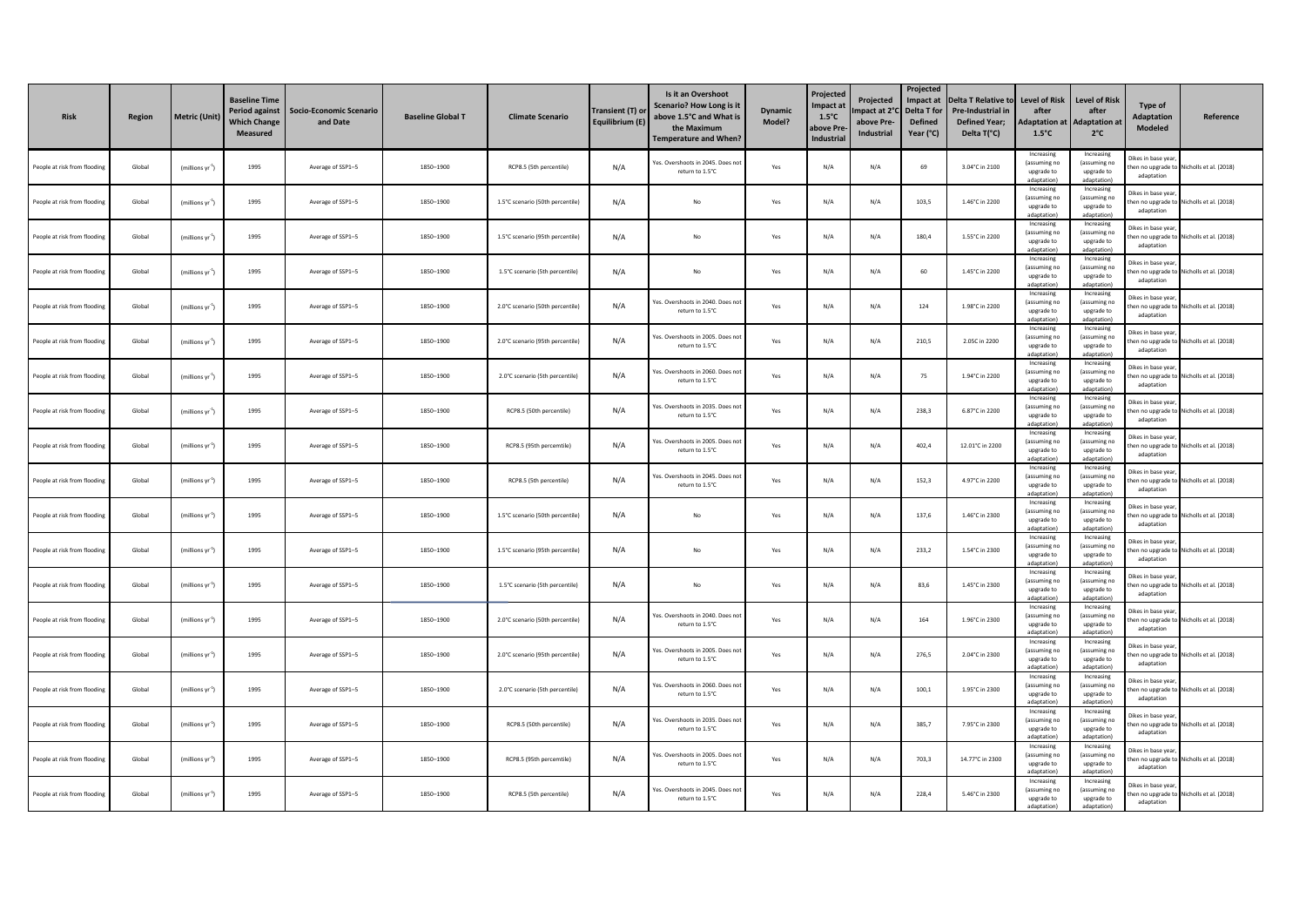| <b>Risk</b>                  | Region | <b>Metric (Unit)</b>         | <b>Baseline Time</b><br><b>Period against</b><br><b>Which Change</b><br>Measured | Socio-Economic Scenario<br>and Date | <b>Baseline Global T</b> | <b>Climate Scenario</b>          | Transient (T) or<br>Equilibrium (E) | Is it an Overshoot<br><b>Scenario? How Long is it</b><br>above 1.5°C and What is<br>the Maximum<br>Temperature and When? | <b>Dynamic</b><br>Model? | Projected<br>Impact at<br>$1.5^{\circ}$ C<br><b>ibove Pr</b><br><b>Industrial</b> | Projected<br>npact at 2°<br>above Pre-<br>Industrial | Projected<br>Impact at<br>Delta T for<br><b>Defined</b><br>Year (°C) | <b>Delta T Relative to</b><br>Pre-Industrial in<br><b>Defined Year;</b><br>Delta T(°C) | Level of Risk<br>after<br>daptation at<br>$1.5^{\circ}$ C | <b>Level of Risk</b><br>after<br><b>Adaptation at</b><br>$2^{\circ}$ C | Type of<br><b>Adaptation</b><br>Modeled | Reference                                |
|------------------------------|--------|------------------------------|----------------------------------------------------------------------------------|-------------------------------------|--------------------------|----------------------------------|-------------------------------------|--------------------------------------------------------------------------------------------------------------------------|--------------------------|-----------------------------------------------------------------------------------|------------------------------------------------------|----------------------------------------------------------------------|----------------------------------------------------------------------------------------|-----------------------------------------------------------|------------------------------------------------------------------------|-----------------------------------------|------------------------------------------|
| People at risk from flooding | Global | (millions yr $^1$ )          | 1995                                                                             | Average of SSP1-5                   | 1850-1900                | RCP8.5 (5th percentile)          | N/A                                 | Yes. Overshoots in 2045. Does no<br>return to 1.5°C                                                                      | Yes                      | N/A                                                                               | N/A                                                  | 69                                                                   | 3.04°C in 2100                                                                         | Increasing<br>(assuming no<br>upgrade to<br>adaptation    | Increasing<br>(assuming no<br>upgrade to<br>adaptation                 | Dikes in base vea<br>adaptation         | hen no upgrade to Nicholls et al. (2018) |
| People at risk from flooding | Global | (millions $\mathsf{vr}^1$ )  | 1995                                                                             | Average of SSP1-5                   | 1850-1900                | 1.5°C scenario (50th percentile) | N/A                                 | No                                                                                                                       | Yes                      | N/A                                                                               | N/A                                                  | 103,5                                                                | 1.46°C in 2200                                                                         | Increasing<br>(assuming no<br>upgrade to<br>adaptation)   | Increasing<br>(assuming no<br>upgrade to<br>adaptation)                | Dikes in base vear<br>adaptation        | hen no upgrade to Nicholls et al. (2018) |
| People at risk from flooding | Global | $(millions yr-1)$            | 1995                                                                             | Average of SSP1-5                   | 1850-1900                | 1.5°C scenario (95th percentile) | N/A                                 | No                                                                                                                       | Yes                      | N/A                                                                               | N/A                                                  | 180.4                                                                | 1.55°C in 2200                                                                         | Increasing<br>(assuming no<br>upgrade to<br>adaptation    | Increasing<br>(assuming no<br>upgrade to<br>adantation)                | vikes in base year<br>adaptation        | hen no upgrade to Nicholls et al. (2018) |
| People at risk from flooding | Global | (millions yr 1)              | 1995                                                                             | Average of SSP1-5                   | 1850-1900                | 1.5°C scenario (5th percentile)  | N/A                                 | No                                                                                                                       | Yes                      | N/A                                                                               | N/A                                                  | 60                                                                   | 1.45°C in 2200                                                                         | Increasing<br>(assuming no<br>uperade to<br>adaptation)   | Increasing<br>assuming no<br>uperade to<br>adantation)                 | Jikes in base year<br>adaptation        | hen no upgrade to Nicholls et al. (2018) |
| People at risk from flooding | Global | (millions yr $^4$ )          | 1995                                                                             | Average of SSP1-5                   | 1850-1900                | 2.0°C scenario (50th percentile) | N/A                                 | Yes. Overshoots in 2040. Does n<br>return to 1.5°C                                                                       | Yes                      | N/A                                                                               | N/A                                                  | 124                                                                  | 1.98°C in 2200                                                                         | Increasing<br>(assuming no<br>upgrade to<br>adaptation)   | Increasing<br>(assuming no<br>upgrade to<br>adaptation                 | Dikes in base vear<br>adaptation        | en no upgrade to Nicholls et al. (2018)  |
| People at risk from flooding | Global | (millions yr <sup>1</sup> )  | 1995                                                                             | Average of SSP1-5                   | 1850-1900                | 2.0°C scenario (95th percentile) | N/A                                 | Yes, Overshoots in 2005, Does n<br>return to 1.5°C                                                                       | Yes                      | N/A                                                                               | N/A                                                  | 210,5                                                                | 2.05C in 2200                                                                          | Increasing<br>(assuming no<br>upgrade to<br>adaptation)   | Increasing<br>(assuming no<br>upgrade to<br>adaptation)                | likes in base year<br>adaptation        | hen no upgrade to Nicholls et al. (2018) |
| People at risk from floodin  | Global | (millions yr <sup>-1</sup>   | 1995                                                                             | Average of SSP1-5                   | 1850-1900                | 2.0°C scenario (5th percentile)  | N/A                                 | Yes. Overshoots in 2060. Does no<br>return to 1.5°C                                                                      | Yes                      | N/A                                                                               | N/A                                                  | 75                                                                   | 1.94°C in 2200                                                                         | Increasing<br>(assuming no<br>upgrade to<br>adantation    | Increasing<br>(assuming no<br>upgrade to<br>adantation)                | likes in base year<br>adaptation        | hen no uperade to Nicholls et al. (2018) |
| People at risk from flooding | Global | (millions yr <sup>-1</sup> ) | 1995                                                                             | Average of SSP1-5                   | 1850-1900                | RCP8.5 (50th percentile)         | N/A                                 | Yes. Overshoots in 2035. Does no<br>return to 1.5°C.                                                                     | Yes                      | N/A                                                                               | N/A                                                  | 238.3                                                                | 6.87°C in 2200                                                                         | Increasing<br>(assuming no<br>upgrade to<br>dantation     | Increasing<br>(assuming no<br>upgrade to<br>adaptation                 | Dikes in base year<br>adaptation        | hen no upgrade to Nicholls et al. (2018) |
| People at risk from flooding | Global | (millions yr $^{\text{-}1})$ | 1995                                                                             | Average of SSP1-5                   | 1850-1900                | RCP8.5 (95th percemtile)         | N/A                                 | Yes. Overshoots in 2005. Does no<br>return to 1.5°C                                                                      | Yes                      | N/A                                                                               | N/A                                                  | 402,4                                                                | 12.01°C in 2200                                                                        | Increasing<br>(assuming no<br>upgrade to<br>adaptation)   | Increasing<br>(assuming no<br>upgrade to<br>adaptation)                | Dikes in base vear<br>adaptation        | hen no upgrade to Nicholls et al. (2018) |
| People at risk from flooding | Global | (millions yr <sup>-1</sup> ) | 1995                                                                             | Average of SSP1-5                   | 1850-1900                | RCP8.5 (5th percentile)          | N/A                                 | Yes, Overshoots in 2045. Does n<br>return to 1.5°C                                                                       | Yes                      | N/A                                                                               | N/A                                                  | 152,3                                                                | 4.97°C in 2200                                                                         | Increasing<br>(assuming no<br>upgrade to<br>adaptation)   | Increasing<br>(assuming no<br>upgrade to<br>adaptation)                | likes in base year<br>adaptation        | hen no upgrade to Nicholls et al. (2018) |
| People at risk from flooding | Global | (millions yr $^{\text{-}1})$ | 1995                                                                             | Average of SSP1-5                   | 1850-1900                | 1.5°C scenario (50th percentile) | N/A                                 | No                                                                                                                       | Yes                      | N/A                                                                               | N/A                                                  | 137.6                                                                | 1.46°C in 2300                                                                         | Increasing<br>(assuming no<br>upgrade to<br>adaptation)   | Increasing<br>(assuming no<br>upgrade to<br>adantation)                | likes in base yea<br>adaptation         | hen no upgrade to Nicholls et al. (2018) |
| People at risk from flooding | Global | (millions yr <sup>-1</sup>   | 1995                                                                             | Average of SSP1-5                   | 1850-1900                | 1.5°C scenario (95th percentile) | N/A                                 | No                                                                                                                       | Yes                      | N/A                                                                               | N/A                                                  | 233,2                                                                | 1.54°C in 2300                                                                         | Increasing<br>(assuming no<br>upgrade to<br>adaptation)   | Increasing<br>(assuming no<br>upgrade to<br>adantation)                | Dikes in base year<br>adaptation        | en no upgrade to Nicholls et al. (2018)  |
| People at risk from flooding | Global | (millions vr <sup>-1</sup> ) | 1995                                                                             | Average of SSP1-5                   | 1850-1900                | 1.5°C scenario (5th percentile)  | N/A                                 | No                                                                                                                       | Yes                      | N/A                                                                               | N/A                                                  | 83,6                                                                 | 1.45°C in 2300                                                                         | Increasing<br>(assuming no<br>upgrade to<br>adaptation)   | Increasing<br>(assuming no<br>upgrade to<br>adaptation)                | likes in hase vear<br>adaptation        | hen no upgrade to Nicholls et al. (2018) |
| People at risk from flooding | Global | (millions yr <sup>1</sup>    | 1995                                                                             | Average of SSP1-5                   | 1850-1900                | 2.0°C scenario (50th percentile) | N/A                                 | Yes, Overshoots in 2040, Does no<br>return to 1.5°C                                                                      | Yes                      | N/A                                                                               | N/A                                                  | 164                                                                  | 1.96°C in 2300                                                                         | Increasing<br>(assuming no<br>upgrade to<br>adantation    | Increasing<br>(assuming no<br>upgrade to<br>adantation)                | Dikes in base year<br>adaptation        | hen no upgrade to Nicholls et al. (2018) |
| People at risk from flooding | Global | (millions yr <sup>-1</sup> ) | 1995                                                                             | Average of SSP1-5                   | 1850-1900                | 2.0°C scenario (95th percentile) | N/A                                 | Yes. Overshoots in 2005. Does n<br>return to 1.5°C                                                                       | Yes                      | N/A                                                                               | N/A                                                  | 276.5                                                                | 2.04°C in 2300                                                                         | Increasing<br>(assuming no<br>uperade to<br>adaptation    | Increasing<br>(assuming no<br>uperade to<br>adaptation                 | Dikes in base year<br>adaptation        | hen no upgrade to Nicholls et al. (2018) |
| People at risk from floodin  | Global | (millions yr                 | 1995                                                                             | Average of SSP1-5                   | 1850-1900                | 2.0°C scenario (5th percentile)  | N/A                                 | Yes. Overshoots in 2060. Does no<br>return to 1.5°C                                                                      | Yes                      | N/A                                                                               | N/A                                                  | 100,1                                                                | 1.95°C in 2300                                                                         | Increasing<br>(assuming no<br>upgrade to<br>adaptation)   | Increasing<br>(assuming no<br>upgrade to<br>adaptation                 | Dikes in base vear<br>adaptation        | hen no upgrade to Nicholls et al. (2018) |
| People at risk from flooding | Global | $(millions$ $\text{vr}^1$    | 1995                                                                             | Average of SSP1-5                   | 1850-1900                | RCP8.5 (50th percentile)         | N/A                                 | Yes, Overshoots in 2035, Does no<br>return to 1.5°C                                                                      | Yes                      | N/A                                                                               | N/A                                                  | 385,7                                                                | 7.95°C in 2300                                                                         | Increasing<br>(assuming no<br>upgrade to<br>adaptation)   | Increasing<br>(assuming no<br>upgrade to<br>adaptation)                | Dikes in base vear<br>adaptation        | en no upgrade to Nicholls et al. (2018)  |
| People at risk from flooding | Global | $(millions yr-1)$            | 1995                                                                             | Average of SSP1-5                   | 1850-1900                | RCP8.5 (95th percemtile)         | N/A                                 | Yes. Overshoots in 2005. Does no<br>return to 1.5°C                                                                      | Yes                      | N/A                                                                               | N/A                                                  | 703,3                                                                | 14.77°C in 2300                                                                        | Increasing<br>(assuming no<br>upgrade to<br>adaptation    | Increasing<br>(assuming no<br>upgrade to<br>adantation)                | likes in base yea<br>adaptation         | hen no upgrade to Nicholls et al. (2018) |
| People at risk from flooding | Global | (millions yr <sup>-1</sup> ) | 1995                                                                             | Average of SSP1-5                   | 1850-1900                | RCP8.5 (5th percentile)          | N/A                                 | Yes. Overshoots in 2045. Does no<br>return to 1.5°C                                                                      | Yes                      | N/A                                                                               | N/A                                                  | 228.4                                                                | 5.46°C in 2300                                                                         | Increasing<br>(assuming no<br>uperade to<br>adaptation)   | Increasing<br>assuming no<br>uperade to<br>adaptation)                 | likes in base year,<br>adaptation       | hen no upgrade to Nicholls et al. (2018) |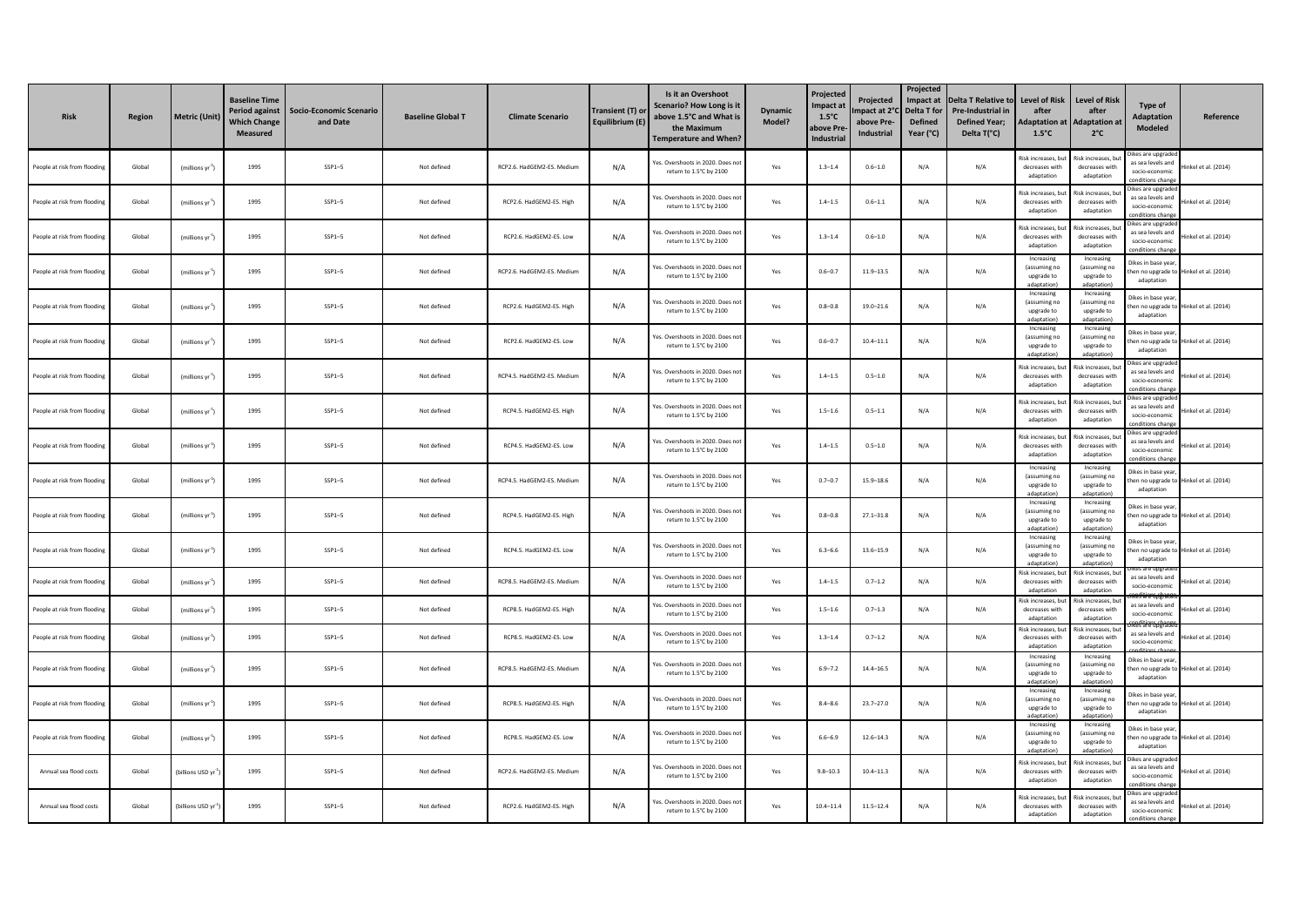| <b>Risk</b>                  | Region | <b>Metric (Unit)</b>           | <b>Baseline Time</b><br><b>Period against</b><br><b>Which Change</b><br><b>Measured</b> | Socio-Economic Scenario<br>and Date | <b>Baseline Global T</b> | <b>Climate Scenario</b>    | Transient (T) or<br>Equilibrium (E) | Is it an Overshoot<br>Scenario? How Long is it<br>above 1.5°C and What is<br>the Maximum<br><b>Temperature and When?</b> | <b>Dynamic</b><br>Model? | Projected<br>Impact at<br>$1.5^{\circ}$ C<br><b>ibove Pr</b><br>Industria | <b>Projected</b><br>npact at 2°<br>above Pre-<br><b>Industrial</b> | Projected<br>Impact at<br>Delta T for<br><b>Defined</b><br>Year (°C) | <b>Delta T Relative to</b><br>Pre-Industrial in<br><b>Defined Year;</b><br>Delta T(°C) | <b>Level of Risk</b><br>after<br><b>Adaptation at</b><br>$1.5^{\circ}$ C | <b>Level of Risk</b><br>after<br><b>Adaptation at</b><br>$2^{\circ}$ C | Type of<br>Adaptation<br>Modeled                                              | Reference                              |
|------------------------------|--------|--------------------------------|-----------------------------------------------------------------------------------------|-------------------------------------|--------------------------|----------------------------|-------------------------------------|--------------------------------------------------------------------------------------------------------------------------|--------------------------|---------------------------------------------------------------------------|--------------------------------------------------------------------|----------------------------------------------------------------------|----------------------------------------------------------------------------------------|--------------------------------------------------------------------------|------------------------------------------------------------------------|-------------------------------------------------------------------------------|----------------------------------------|
| People at risk from flooding | Global | $(millions yr-1)$              | 1995                                                                                    | $SSP1-5$                            | Not defined              | RCP2.6. HadGEM2-ES. Medium | N/A                                 | Yes. Overshoots in 2020. Does no<br>return to 1.5°C by 2100                                                              | Yes                      | $1.3 - 1.4$                                                               | $0.6 - 1.0$                                                        | N/A                                                                  | N/A                                                                                    | Risk increases, bu<br>decreases with<br>adaptation                       | isk increases, b<br>decreases with<br>adaptation                       | likes are upgrade<br>as sea levels and<br>socio-economic<br>onditions change  | Hinkel et al. (2014)                   |
| People at risk from floodin  | Global | (millions vr <sup>-1</sup> )   | 1995                                                                                    | $SSP1-5$                            | Not defined              | RCP2.6. HadGEM2-ES. High   | N/A                                 | Yes. Overshoots in 2020. Does no<br>return to 1.5°C by 2100                                                              | Yes                      | $1.4 - 1.5$                                                               | $0.6 - 1.1$                                                        | N/A                                                                  | N/A                                                                                    | Risk increases, but<br>decreases with<br>adaptation                      | tisk increases, b<br>decreases with<br>adaptation                      | Dikes are upgrade<br>as sea levels and<br>socio-economic<br>onditions chang   | linkel et al. (2014)                   |
| People at risk from flooding | Global | (millions yr <sup>-1</sup> )   | 1995                                                                                    | $SSP1-5$                            | Not defined              | RCP2.6. HadGEM2-ES. Low    | N/A                                 | Yes. Overshoots in 2020. Does no<br>return to 1.5°C by 2100                                                              | Yes                      | $1.3 - 1.4$                                                               | $0.6 - 1.0$                                                        | N/A                                                                  | N/A                                                                                    | Risk increases, bu<br>decreases with<br>adaptation                       | isk increases, b<br>decreases with<br>adaptation                       | likes are upgrade<br>as sea levels and<br>socio-economic<br>onditions chang   | Hinkel et al. (2014)                   |
| People at risk from flooding | Global | (millions yr <sup>-1</sup> )   | 1995                                                                                    | $SSP1-5$                            | Not defined              | RCP2.6. HadGEM2-ES. Medium | N/A                                 | Yes. Overshoots in 2020. Does no<br>return to 1.5°C by 2100                                                              | Yes                      | $0.6 - 0.7$                                                               | $11.9 - 13.5$                                                      | N/A                                                                  | N/A                                                                                    | Increasing<br>(assuming no<br>upgrade to<br>adaptation                   | Increasing<br>(assuming no<br>upgrade to<br>adantation)                | Dikes in base year<br>adaptation                                              | hen no upgrade to Hinkel et al. (2014) |
| People at risk from flooding | Global | (millions yr 1)                | 1995                                                                                    | $SSP1 - 5$                          | Not defined              | RCP2.6. HadGEM2-ES. High   | N/A                                 | Yes. Overshoots in 2020. Does no<br>return to 1.5°C by 2100                                                              | Yes                      | $0.8 - 0.8$                                                               | $19.0 - 21.6$                                                      | N/A                                                                  | N/A                                                                                    | Increasing<br>(assuming no<br>upgrade to<br>adantation                   | Increasing<br>(assuming no<br>upgrade to<br>adantation)                | Dikes in base year,<br>adaptation                                             | hen no uperade to Hinkel et al. (2014) |
| People at risk from floodin  | Global | (millions yr <sup>-1</sup>     | 1995                                                                                    | $SSP1 - 5$                          | Not defined              | RCP2.6. HadGEM2-ES. Low    | N/A                                 | Yes. Overshoots in 2020. Does no<br>return to 1.5°C by 2100                                                              | Yes                      | $0.6 - 0.7$                                                               | $10.4 - 11.1$                                                      | N/A                                                                  | N/A                                                                                    | Increasing<br>(assuming no<br>uperade to<br>adantation                   | Increasing<br>(assuming no<br>uperade to<br>adaptation)                | Dikes in base year<br>adaptation                                              | hen no upgrade to Hinkel et al. (2014) |
| People at risk from flooding | Global | (millions yr <sup>-1</sup> )   | 1995                                                                                    | $SSP1-5$                            | Not defined              | RCP4.5. HadGEM2-ES. Medium | N/A                                 | Yes. Overshoots in 2020. Does no<br>return to 1.5°C by 2100                                                              | Yes                      | $1.4 - 1.5$                                                               | $0.5 - 1.0$                                                        | N/A                                                                  | N/A                                                                                    | Risk increases, bu<br>decreases with<br>adaptation                       | isk increases, b<br>decreases with<br>adaptation                       | Dikes are upgrade<br>as sea levels and<br>socio-economic<br>nnditions chang   | Hinkel et al. (2014)                   |
| People at risk from flooding | Global | (millions yr <sup>-1</sup> )   | 1995                                                                                    | $SSP1 - 5$                          | Not defined              | RCP4.5, HadGEM2-ES, High   | N/A                                 | Yes. Overshoots in 2020. Does no<br>return to 1.5°C by 2100                                                              | Yes                      | $1.5 - 1.6$                                                               | $0.5 - 1.1$                                                        | N/A                                                                  | N/A                                                                                    | Risk increases, bu<br>decreases with<br>adaptation                       | isk increases, b<br>decreases with<br>adaptation                       | Dikes are upgrade<br>as sea levels and<br>socio-economic<br>anditions char    | Hinkel et al. (2014)                   |
| People at risk from flooding | Global | (millions $yr^{-1}$ )          | 1995                                                                                    | $SSP1-5$                            | Not defined              | RCP4.5. HadGEM2-ES. Low    | N/A                                 | Yes. Overshoots in 2020. Does no<br>return to 1.5°C by 2100                                                              | Yes                      | $1.4 - 1.5$                                                               | $0.5 - 1.0$                                                        | N/A                                                                  | N/A                                                                                    | Risk increases, bu<br>decreases with<br>adaptation                       | tisk increases. b<br>decreases with<br>adaptation                      | likes are upgrade<br>as sea levels and<br>socio-economic<br>onditions chang   | Hinkel et al. (2014)                   |
| People at risk from floodin  | Global | (millions yr <sup>-1</sup>     | 1995                                                                                    | $SSP1-5$                            | Not defined              | RCP4.5. HadGEM2-ES. Medium | N/A                                 | Yes. Overshoots in 2020. Does no<br>return to 1.5°C by 2100                                                              | Yes                      | $0.7 - 0.7$                                                               | $15.9 - 18.6$                                                      | N/A                                                                  | N/A                                                                                    | Increasing<br>(assuming no<br>upgrade to<br>adaptation                   | Increasing<br>(assuming no<br>upgrade to<br>adaptation)                | Dikes in base year<br>adaptation                                              | hen no upgrade to Hinkel et al. (2014) |
| People at risk from flooding | Global | (millions yr <sup>-1</sup> )   | 1995                                                                                    | $SSP1-5$                            | Not defined              | RCP4.5. HadGEM2-ES. High   | N/A                                 | Yes. Overshoots in 2020. Does no<br>return to 1.5°C by 2100                                                              | Yes                      | $0.8 - 0.8$                                                               | $27.1 - 31.8$                                                      | N/A                                                                  | N/A                                                                                    | Increasing<br>(assuming no<br>upgrade to<br>adantation                   | Increasing<br>(assuming no<br>upgrade to<br>adantation                 | Dikes in base vear<br>adaptation                                              | hen no upgrade to Hinkel et al. (2014) |
| People at risk from flooding | Global | (millions yr <sup>-1</sup> )   | 1995                                                                                    | $SSP1-5$                            | Not defined              | RCP4.5. HadGEM2-ES. Low    | N/A                                 | Yes. Overshoots in 2020. Does no<br>return to 1.5°C by 2100                                                              | Yes                      | $6.3 - 6.6$                                                               | $13.6 - 15.9$                                                      | N/A                                                                  | N/A                                                                                    | Increasing<br>(assuming no<br>upgrade to                                 | Increasing<br>(assuming no<br>upgrade to<br>adaptation                 | Dikes in base vear<br>adaptation                                              | hen no upgrade to Hinkel et al. (2014) |
| People at risk from flooding | Global | (millions yr $^{\text{-}1})$   | 1995                                                                                    | $SSP1-5$                            | Not defined              | RCP8.5. HadGEM2-ES. Medium | N/A                                 | es. Overshoots in 2020. Does no<br>return to 1.5°C by 2100                                                               | Yes                      | $1.4 - 1.5$                                                               | $0.7 - 1.2$                                                        | N/A                                                                  | N/A                                                                                    | isk increases, but<br>decreases with<br>adaptation<br>lisk increases, bu | isk increases, bu<br>decreases with<br>adaptation<br>isk increases, b  | as sea levels and<br>socio-economic                                           | Hinkel et al. (2014)                   |
| People at risk from floodin  | Global | (millions yr $^{\text{-}1})$   | 1995                                                                                    | $SSP1-5$                            | Not defined              | RCP8.5. HadGEM2-ES. High   | N/A                                 | Yes. Overshoots in 2020. Does no<br>return to 1.5°C by 2100                                                              | Yes                      | $1.5 - 1.6$                                                               | $0.7 - 1.3$                                                        | N/A                                                                  | N/A                                                                                    | decreases with<br>adaptation<br>Risk increases, bu                       | decreases with<br>adaptation<br>isk increases, bu                      | as sea levels and<br>socio-economic                                           | Hinkel et al. (2014)                   |
| People at risk from flooding | Global | (millions yr <sup>1</sup>      | 1995                                                                                    | $SSP1-5$                            | Not defined              | RCP8.5. HadGEM2-ES. Low    | N/A                                 | Yes. Overshoots in 2020. Does no<br>return to 1.5°C by 2100                                                              | Yes                      | $1.3 - 1.4$                                                               | $0.7 - 1.2$                                                        | N/A                                                                  | N/A                                                                                    | decreases with<br>adantation<br>Increasing                               | decreases with<br>adaptation<br>Increasing                             | as sea levels and<br>socio-economic                                           | Hinkel et al. (2014)                   |
| People at risk from flooding | Global | (millions yr $^{\text{-}1})$   | 1995                                                                                    | $SSP1-5$                            | Not defined              | RCP8.5. HadGEM2-ES. Medium | N/A                                 | Yes. Overshoots in 2020. Does no<br>return to 1.5°C by 2100                                                              | Yes                      | $6.9 - 7.2$                                                               | $14.4 - 16.5$                                                      | N/A                                                                  | N/A                                                                                    | (assuming no<br>upgrade to<br>adaptation                                 | (assuming no<br>upgrade to<br>adaptation)                              | likes in hase vea<br>adaptation                                               | hen no upgrade to Hinkel et al. (2014) |
| People at risk from flooding | Global | (millions $yr^{-1}$ )          | 1995                                                                                    | $SSP1-5$                            | Not defined              | RCP8.5. HadGEM2-ES. High   | N/A                                 | es. Overshoots in 2020. Does no<br>return to 1.5°C by 2100                                                               | Yes                      | $8.4 - 8.6$                                                               | $23.7 - 27.0$                                                      | N/A                                                                  | N/A                                                                                    | Increasing<br>(assuming no<br>uperade to<br>adantation                   | Increasing<br>(assuming no<br>uperade to<br>adantation)                | Dikes in base year<br>adaptation                                              | hen no upgrade to Hinkel et al. (2014) |
| People at risk from floodin  | Global | (millions yr $^{\text{-}1})$   | 1995                                                                                    | $SSP1 - 5$                          | Not defined              | RCP8.5. HadGEM2-ES. Low    | N/A                                 | Yes. Overshoots in 2020. Does no<br>return to 1.5°C by 2100                                                              | Yes                      | $6.6 - 6.9$                                                               | $12.6 - 14.3$                                                      | N/A                                                                  | N/A                                                                                    | Increasing<br>(assuming no<br>upgrade to<br>adantation                   | Increasing<br>(assuming no<br>upgrade to<br>adantation                 | likes in base year<br>adaptation                                              | hen no upgrade to Hinkel et al. (2014) |
| Annual sea flood costs       | Global | (billions USD yr <sup>-1</sup> | 1995                                                                                    | $SSP1-5$                            | Not defined              | RCP2.6. HadGEM2-ES. Medium | N/A                                 | Yes. Overshoots in 2020. Does no<br>return to 1.5°C by 2100                                                              | Yes                      | $9.8 - 10.3$                                                              | $10.4 - 11.3$                                                      | N/A                                                                  | N/A                                                                                    | Risk increases, bu<br>decreases with<br>adaptation                       | isk increases, bu<br>decreases with<br>adaptation                      | likes are upgrade<br>as sea levels and<br>socio-economic<br>onditions chang   | Hinkel et al. (2014)                   |
| Annual sea flood costs       | Global | (billions USD yr <sup>3</sup>  | 1995                                                                                    | $SSP1-5$                            | Not defined              | RCP2.6. HadGEM2-ES. High   | N/A                                 | Yes, Overshoots in 2020. Does no<br>return to 1.5°C by 2100                                                              | Yes                      | $10.4 - 11.4$                                                             | $11.5 - 12.4$                                                      | N/A                                                                  | N/A                                                                                    | Risk increases, bu<br>decreases with<br>adaptation                       | isk increases, h<br>decreases with<br>adaptation                       | Jikes are upgraded<br>as sea levels and<br>socio-economic<br>onditions change | Hinkel et al. (2014)                   |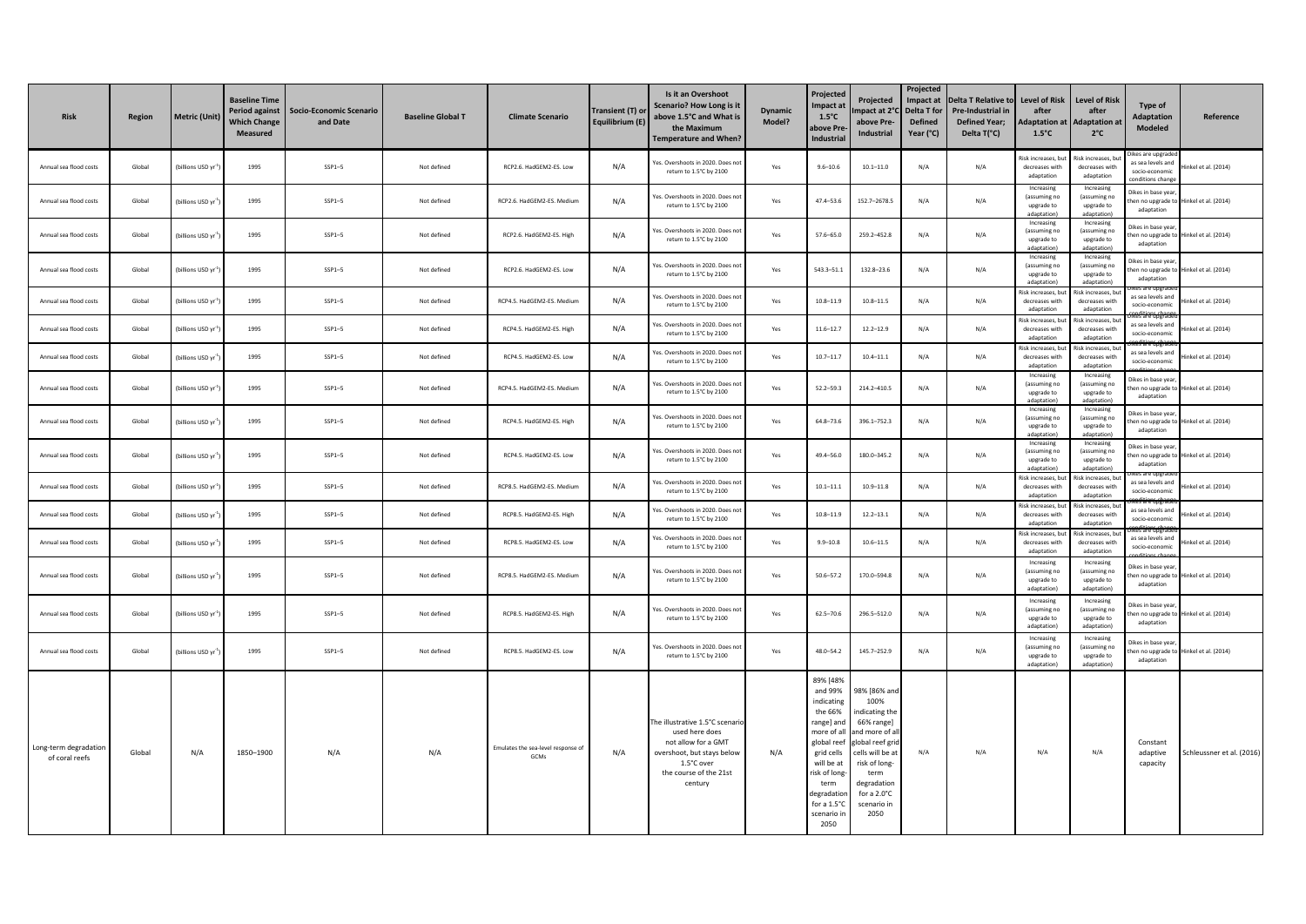| <b>Risk</b>                             | Region | <b>Metric (Unit)</b>           | <b>Baseline Time</b><br>Period against<br><b>Which Change</b><br><b>Measured</b> | Socio-Economic Scenario<br>and Date | <b>Baseline Global T</b> | <b>Climate Scenario</b>                    | Transient (T) or<br>Equilibrium (E) | Is it an Overshoot<br><b>Scenario? How Long is it</b><br>above 1.5°C and What is<br>the Maximum<br><b>Temperature and When?</b>                          | <b>Dynamic</b><br>Model? | Projected<br>Impact at<br>$1.5^{\circ}$ C<br>above Pre<br>Industrial                                                                                                                               | Projected<br>mpact at 2°C Delta T for<br>above Pre-<br>Industrial                                                                                                                           | Projected<br>Impact at<br><b>Defined</b><br>Year (°C) | <b>Delta T Relative to</b><br>Pre-Industrial in<br><b>Defined Year;</b><br>Delta T(°C) | <b>Level of Risk</b><br>after<br><b>Adaptation at</b><br>$1.5^{\circ}$ C | <b>Level of Risk</b><br>after<br><b>Adaptation at</b><br>$2^{\circ}$ C | Type of<br><b>Adaptation</b><br>Modeled                                      | Reference                              |
|-----------------------------------------|--------|--------------------------------|----------------------------------------------------------------------------------|-------------------------------------|--------------------------|--------------------------------------------|-------------------------------------|----------------------------------------------------------------------------------------------------------------------------------------------------------|--------------------------|----------------------------------------------------------------------------------------------------------------------------------------------------------------------------------------------------|---------------------------------------------------------------------------------------------------------------------------------------------------------------------------------------------|-------------------------------------------------------|----------------------------------------------------------------------------------------|--------------------------------------------------------------------------|------------------------------------------------------------------------|------------------------------------------------------------------------------|----------------------------------------|
| Annual sea flood costs                  | Global | billions USD yr                | 1995                                                                             | $SSP1-5$                            | Not defined              | RCP2.6. HadGEM2-ES. Low                    | N/A                                 | res. Overshoots in 2020. Does not<br>return to 1.5°C by 2100                                                                                             | Yes                      | $9.6 - 10.6$                                                                                                                                                                                       | $10.1 - 11.0$                                                                                                                                                                               | N/A                                                   | N/A                                                                                    | tisk increases, bu<br>decreases with<br>adaptation                       | kisk increases, bu<br>decreases with<br>adaptation                     | Dikes are upgrade<br>as sea levels and<br>socio-economic<br>onditions change | Hinkel et al. (2014)                   |
| Annual sea flood costs                  | Global | (billions USD yr               | 1995                                                                             | $SSP1-5$                            | Not defined              | RCP2.6. HadGEM2-ES. Medium                 | N/A                                 | Yes, Overshoots in 2020, Does not<br>return to 1.5°C by 2100                                                                                             | Yes                      | $47.4 - 53.6$                                                                                                                                                                                      | 152.7-2678.5                                                                                                                                                                                | N/A                                                   | N/A                                                                                    | Increasing<br>(assuming no<br>upgrade to<br>adaptation                   | Increasing<br>(assuming no<br>upgrade to<br>adaptation)                | likes in base year<br>adaptation                                             | hen no upgrade to Hinkel et al. (2014) |
| Annual sea flood costs                  | Global | (billions USD yr <sup>-1</sup> | 1995                                                                             | $SSP1-5$                            | Not defined              | RCP2.6. HadGEM2-ES. High                   | N/A                                 | Yes. Overshoots in 2020. Does not<br>return to 1.5°C by 2100                                                                                             | Yes                      | $57.6 - 65.0$                                                                                                                                                                                      | 259.2-452.8                                                                                                                                                                                 | N/A                                                   | N/A                                                                                    | Increasing<br>(assuming no<br>upgrade to<br>adaptation)                  | Increasing<br>(assuming no<br>upgrade to<br>adaptation)                | Dikes in base vear<br>adaptation                                             | hen no upgrade to Hinkel et al. (2014) |
| Annual sea flood costs                  | Global | billions USD yr                | 1995                                                                             | $SSP1-5$                            | Not defined              | RCP2.6. HadGEM2-ES. Low                    | N/A                                 | Yes. Overshoots in 2020. Does not<br>return to 1.5°C by 2100                                                                                             | Yes                      | 543.3-51.1                                                                                                                                                                                         | 132.8-23.6                                                                                                                                                                                  | N/A                                                   | N/A                                                                                    | Increasing<br>(assuming no<br>uperade to<br>Innitation                   | Increasing<br>(assuming no<br>uperade to<br>adantation                 | Dikes in base year<br>adaptation                                             | hen no upgrade to Hinkel et al. (2014) |
| Annual sea flood costs                  | Global | (billions USD yr <sup>-1</sup> | 1995                                                                             | $SSP1-5$                            | Not defined              | RCP4.5. HadGEM2-ES. Medium                 | N/A                                 | Yes. Overshoots in 2020. Does no<br>return to 1.5°C by 2100                                                                                              | Yes                      | $10.8 - 11.9$                                                                                                                                                                                      | $10.8 - 11.5$                                                                                                                                                                               | N/A                                                   | N/A                                                                                    | kisk increases, bu<br>decreases with<br>adaptation                       | Risk increases, bi<br>decreases with<br>adaptation                     | as sea levels and<br>socio-economic                                          | Hinkel et al. (2014)                   |
| Annual sea flood costs                  | Global | billions USD yr                | 1995                                                                             | $SSP1-5$                            | Not defined              | RCP4.5. HadGEM2-ES. High                   | N/A                                 | Yes, Overshoots in 2020, Does not<br>return to 1.5°C by 2100                                                                                             | Yes                      | $11.6 - 12.7$                                                                                                                                                                                      | $12.2 - 12.9$                                                                                                                                                                               | N/A                                                   | N/A                                                                                    | Risk increases, bu<br>decreases with<br>adantation                       | Risk increases, bi<br>decreases with<br>adaptation                     | as sea levels and<br>socio-economic                                          | Hinkel et al. (2014)                   |
| Annual sea flood costs                  | Global | billions USD yr                | 1995                                                                             | $SSP1-5$                            | Not defined              | RCP4.5. HadGEM2-ES. Low                    | N/A                                 | Yes. Overshoots in 2020. Does no<br>return to 1.5°C by 2100                                                                                              | Yes                      | $10.7 - 11.7$                                                                                                                                                                                      | $10.4 - 11.1$                                                                                                                                                                               | N/A                                                   | N/A                                                                                    | Risk increases, but<br>decreases with<br>adaptation<br>Increasing        | tisk increases, bu<br>decreases with<br>adaptation<br>Increasing       | as sea levels and<br>socio-economic                                          | Hinkel et al. (2014)                   |
| Annual sea flood costs                  | Global | billions USD yr                | 1995                                                                             | $SSP1-5$                            | Not defined              | RCP4.5. HadGEM2-ES. Medium                 | N/A                                 | res. Overshoots in 2020. Does not<br>return to 1.5°C by 2100                                                                                             | Yes                      | $52.2 - 59.3$                                                                                                                                                                                      | 214.2-410.5                                                                                                                                                                                 | N/A                                                   | N/A                                                                                    | (assuming no<br>upgrade to<br>adaptation)                                | (assuming no<br>uperade to<br>adantation)                              | Dikes in base year<br>adaptation                                             | hen no upgrade to Hinkel et al. (2014) |
| Annual sea flood costs                  | Global | (billions USD yr <sup>-1</sup> | 1995                                                                             | $SSP1-5$                            | Not defined              | RCP4.5. HadGEM2-ES. High                   | N/A                                 | Yes, Overshoots in 2020. Does not<br>return to 1.5°C by 2100                                                                                             | Yes                      | $64.8 - 73.6$                                                                                                                                                                                      | 396.1-752.3                                                                                                                                                                                 | N/A                                                   | N/A                                                                                    | Increasing<br>(assuming no<br>upgrade to<br>adaptation                   | Increasing<br>(assuming no<br>upgrade to<br>adaptation)                | Dikes in base year<br>adaptation                                             | en no upgrade to Hinkel et al. (2014)  |
| Annual sea flood costs                  | Global | (billions USD yr <sup>:</sup>  | 1995                                                                             | $SSP1-5$                            | Not defined              | RCP4.5. HadGEM2-ES. Low                    | N/A                                 | res. Overshoots in 2020. Does not<br>return to 1.5°C by 2100                                                                                             | Yes                      | $49.4 - 56.0$                                                                                                                                                                                      | 180.0-345.2                                                                                                                                                                                 | N/A                                                   | N/A                                                                                    | Increasing<br>(assuming no<br>upgrade to<br>dantation                    | Increasing<br>(assuming no<br>upgrade to<br>adantation)                | Dikes in base vear<br>adaptation                                             | hen no upgrade to Hinkel et al. (2014) |
| Annual sea flood costs                  | Global | (billions USD yr <sup>-1</sup> | 1995                                                                             | $SSP1-5$                            | Not defined              | RCP8.5. HadGEM2-ES. Medium                 | N/A                                 | Yes. Overshoots in 2020. Does not<br>return to 1.5°C by 2100                                                                                             | Yes                      | $10.1 - 11.1$                                                                                                                                                                                      | $10.9 - 11.8$                                                                                                                                                                               | N/A                                                   | N/A                                                                                    | Risk increases, by<br>decreases with<br>adaptation                       | Risk increases, br<br>decreases with<br>adaptation                     | as sea levels and<br>socio-economic                                          | linkel et al. (2014)                   |
| Annual sea flood costs                  | Global | (billions USD vr               | 1995                                                                             | $SSP1-5$                            | Not defined              | RCP8.5. HadGEM2-ES. High                   | N/A                                 | Yes, Overshoots in 2020. Does not<br>return to 1.5°C by 2100                                                                                             | Yes                      | $10.8 - 11.9$                                                                                                                                                                                      | $12.2 - 13.1$                                                                                                                                                                               | N/A                                                   | N/A                                                                                    | Risk increases, bu<br>decreases with<br>adantation                       | Risk increases, bu<br>decreases with<br>adaptation                     | as sea levels and<br>socio-economic                                          | linkel et al. (2014)                   |
| Annual sea flood costs                  | Global | (billions USD yr               | 1995                                                                             | $SSP1-5$                            | Not defined              | RCP8.5. HadGEM2-ES. Low                    | N/A                                 | Yes. Overshoots in 2020. Does no<br>return to 1.5°C by 2100                                                                                              | Yes                      | $9.9 - 10.8$                                                                                                                                                                                       | $10.6 - 11.5$                                                                                                                                                                               | N/A                                                   | N/A                                                                                    | Risk increases, but<br>decreases with<br>adaptation                      | Risk increases, bu<br>decreases with<br>adantation                     | as sea levels and<br>socio-economic                                          | linkel et al. (2014)                   |
| Annual sea flood costs                  | Global | billions USD yr                | 1995                                                                             | $SSP1-5$                            | Not defined              | RCP8.5, HadGEM2-ES, Medium                 | N/A                                 | Yes. Overshoots in 2020. Does not<br>return to 1.5°C by 2100                                                                                             | Yes                      | $50.6 - 57.2$                                                                                                                                                                                      | 170.0-594.8                                                                                                                                                                                 | N/A                                                   | N/A                                                                                    | Increasing<br>(assuming no<br>upgrade to<br>adaptation)                  | Increasing<br>(assuming no<br>upgrade to<br>adantation)                | Dikes in base year<br>adaptation                                             | hen no upgrade to Hinkel et al. (2014) |
| Annual sea flood costs                  | Global | (billions USD yr <sup>:</sup>  | 1995                                                                             | $SSP1-5$                            | Not defined              | RCP8.5. HadGEM2-ES. High                   | N/A                                 | res. Overshoots in 2020. Does not<br>return to 1.5°C by 2100                                                                                             | Yes                      | $62.5 - 70.6$                                                                                                                                                                                      | 296.5-512.0                                                                                                                                                                                 | N/A                                                   | N/A                                                                                    | Increasing<br>(assuming no<br>upgrade to<br>adaptation)                  | Increasing<br>(assuming no<br>upgrade to<br>adantation)                | likes in base year,<br>adaptation                                            | en no upgrade to Hinkel et al. (2014)  |
| Annual sea flood costs                  | Global | (billions USD yr <sup>:</sup>  | 1995                                                                             | $SSP1-5$                            | Not defined              | RCP8.5. HadGEM2-ES. Low                    | N/A                                 | Yes. Overshoots in 2020. Does not<br>return to 1.5°C by 2100                                                                                             | Yes                      | $48.0 - 54.2$                                                                                                                                                                                      | 145.7-252.9                                                                                                                                                                                 | N/A                                                   | N/A                                                                                    | Increasing<br>(assuming no<br>upgrade to<br>adaptation                   | Increasing<br>(assuming no<br>uperade to<br>adantation)                | likes in base year,<br>adaptation                                            | hen no upgrade to Hinkel et al. (2014) |
| Long-term degradation<br>of coral reefs | Global | N/A                            | 1850-1900                                                                        | N/A                                 | N/A                      | Emulates the sea-level response of<br>GCMs | N/A                                 | The illustrative 1.5°C scenari<br>used here does<br>not allow for a GMT<br>overshoot, but stays below<br>1.5°C over<br>the course of the 21st<br>century | N/A                      | 89% [48%<br>and 99%<br>indicating<br>the 66%<br>range] and<br>more of all<br>global reef<br>grid cells<br>will be at<br>risk of long-<br>term<br>degradation<br>for a 1.5°C<br>scenario ir<br>2050 | 98% [86% and<br>100%<br>indicating the<br>66% range]<br>and more of al<br>global reef gri<br>cells will be at<br>risk of long-<br>term<br>degradation<br>for a 2.0°C<br>scenario in<br>2050 | N/A                                                   | N/A                                                                                    | N/A                                                                      | N/A                                                                    | Constant<br>adaptive<br>capacity                                             | Schleussner et al. (2016)              |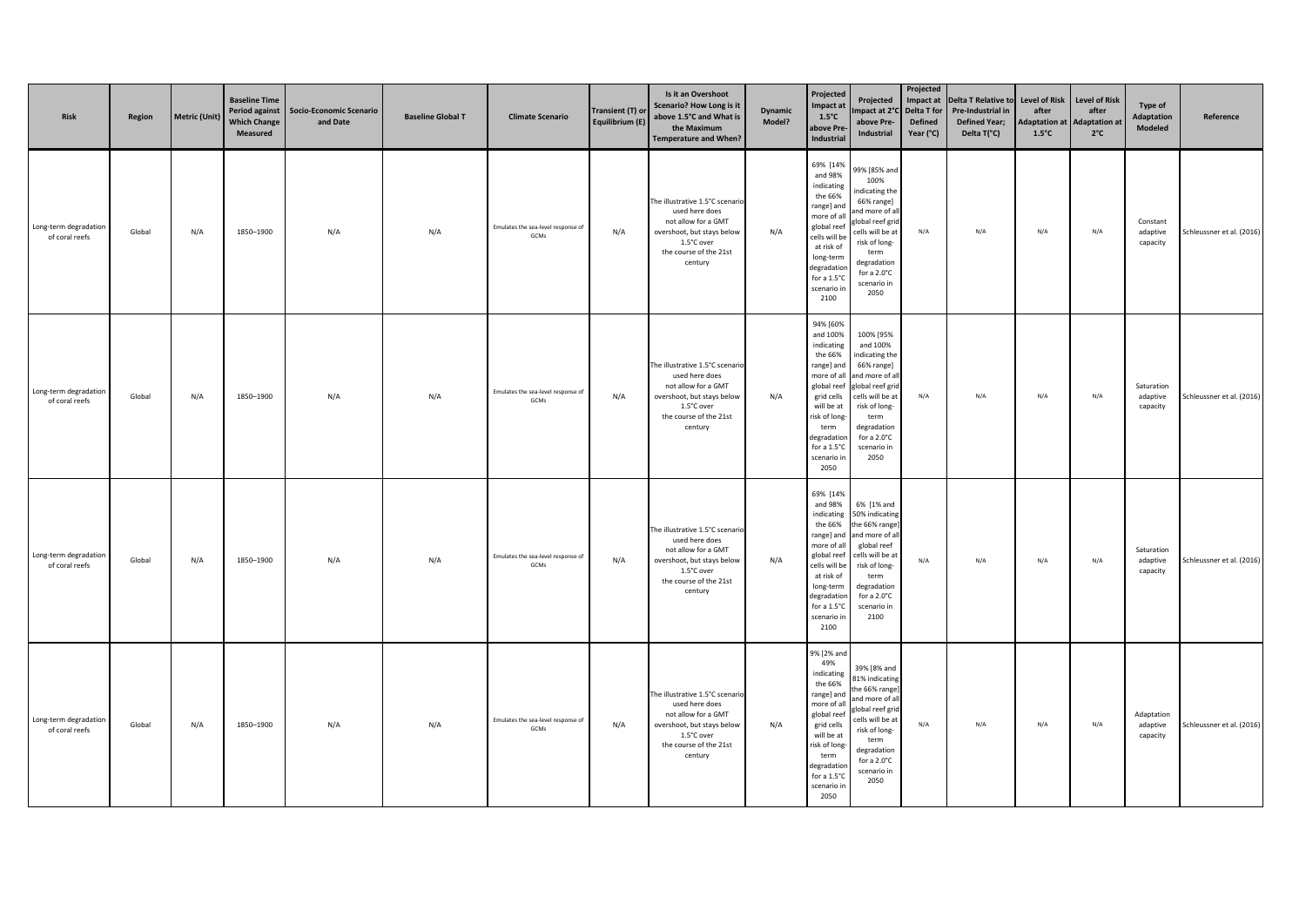| Risk                                    | Region | <b>Metric (Unit)</b> | <b>Baseline Time</b><br>Period against<br><b>Which Change</b><br>Measured | <b>Socio-Economic Scenario</b><br>and Date | <b>Baseline Global T</b> | <b>Climate Scenario</b>                    | Transient (T) or<br>Equilibrium (E) | Is it an Overshoot<br>Scenario? How Long is it<br>above 1.5°C and What is<br>the Maximum<br><b>Temperature and When?</b>                                  | <b>Dynamic</b><br>Model? | Projected<br>Impact at<br>$1.5^{\circ}$ C<br>above Pre<br>Industrial                                                                                                                                | Projected<br>mpact at 2°C Delta T for<br>above Pre-<br>Industrial                                                                                                                                     | Projected<br><b>Defined</b><br>Year (°C) | Impact at Delta T Relative to<br>Pre-Industrial in<br><b>Defined Year;</b><br>Delta T(°C) | <b>Level of Risk</b><br>after<br><b>Adaptation at</b><br>$1.5^{\circ}$ C | <b>Level of Risk</b><br>after<br><b>Adaptation at</b><br>$2^{\circ}$ C | Type of<br>Adaptation<br>Modeled   | Reference                 |
|-----------------------------------------|--------|----------------------|---------------------------------------------------------------------------|--------------------------------------------|--------------------------|--------------------------------------------|-------------------------------------|-----------------------------------------------------------------------------------------------------------------------------------------------------------|--------------------------|-----------------------------------------------------------------------------------------------------------------------------------------------------------------------------------------------------|-------------------------------------------------------------------------------------------------------------------------------------------------------------------------------------------------------|------------------------------------------|-------------------------------------------------------------------------------------------|--------------------------------------------------------------------------|------------------------------------------------------------------------|------------------------------------|---------------------------|
| Long-term degradation<br>of coral reefs | Global | N/A                  | 1850-1900                                                                 | N/A                                        | N/A                      | Emulates the sea-level response of<br>GCMs | N/A                                 | The illustrative 1.5°C scenario<br>used here does<br>not allow for a GMT<br>overshoot, but stays below<br>1.5°C over<br>the course of the 21st<br>century | N/A                      | 69% [14%<br>and 98%<br>indicating<br>the 66%<br>range] and<br>more of all<br>global reet<br>cells will be<br>at risk of<br>long-term<br>degradatior<br>for a 1.5°C<br>scenario in<br>2100           | 99% [85% and<br>100%<br>indicating the<br>66% range]<br>and more of al<br>dobal reef grid<br>cells will be at<br>risk of long-<br>term<br>degradation<br>for a $2.0^{\circ}$ C<br>scenario in<br>2050 | N/A                                      | N/A                                                                                       | N/A                                                                      | N/A                                                                    | Constant<br>adaptive<br>capacity   | Schleussner et al. (2016) |
| Long-term degradation<br>of coral reefs | Global | N/A                  | 1850-1900                                                                 | N/A                                        | N/A                      | Emulates the sea-level response of<br>GCMs | N/A                                 | The illustrative 1.5°C scenario<br>used here does<br>not allow for a GMT<br>overshoot, but stays below<br>1.5°C over<br>the course of the 21st<br>century | N/A                      | 94% [60%<br>and 100%<br>indicating<br>the 66%<br>range] and<br>more of all<br>global reef<br>grid cells<br>will be at<br>risk of long-<br>term<br>degradatior<br>for a 1.5°C<br>scenario in<br>2050 | 100% [95%<br>and 100%<br>indicating the<br>66% range]<br>and more of al<br>global reef grid<br>cells will be at<br>risk of long-<br>term<br>degradation<br>for a 2.0°C<br>scenario in<br>2050         | N/A                                      | N/A                                                                                       | N/A                                                                      | N/A                                                                    | Saturation<br>adaptive<br>capacity | Schleussner et al. (2016) |
| Long-term degradation<br>of coral reefs | Global | N/A                  | 1850-1900                                                                 | N/A                                        | N/A                      | Emulates the sea-level response of<br>GCMs | N/A                                 | The illustrative 1.5°C scenario<br>used here does<br>not allow for a GMT<br>overshoot, but stays below<br>1.5°C over<br>the course of the 21st<br>century | N/A                      | 69% [14%<br>and 98%<br>indicating<br>the 66%<br>range] and<br>more of all<br>global reef<br>cells will be<br>at risk of<br>long-term<br>degradation<br>for a 1.5°C<br>scenario in<br>2100           | 6% [1% and<br>50% indicating<br>the 66% range<br>and more of all<br>global reef<br>cells will be at<br>risk of long-<br>term<br>degradation<br>for a 2.0°C<br>scenario in<br>2100                     | N/A                                      | N/A                                                                                       | N/A                                                                      | N/A                                                                    | Saturation<br>adaptive<br>capacity | Schleussner et al. (2016) |
| Long-term degradation<br>of coral reefs | Global | N/A                  | 1850-1900                                                                 | N/A                                        | N/A                      | Emulates the sea-level response of<br>GCMs | N/A                                 | The illustrative 1.5°C scenario<br>used here does<br>not allow for a GMT<br>overshoot, but stays below<br>1.5°C over<br>the course of the 21st<br>century | N/A                      | 9% [2% and<br>49%<br>indicating<br>the 66%<br>range] and<br>more of all<br>global reef<br>grid cells<br>will be at<br>risk of long-<br>term<br>degradatior<br>for a 1.5°C<br>scenario in<br>2050    | 39% [8% and<br>81% indicating<br>the 66% range<br>and more of all<br>global reef gric<br>cells will be at<br>risk of long-<br>term<br>degradation<br>for a 2.0°C<br>scenario in<br>2050               | N/A                                      | N/A                                                                                       | N/A                                                                      | N/A                                                                    | Adaptation<br>adaptive<br>capacity | Schleussner et al. (2016) |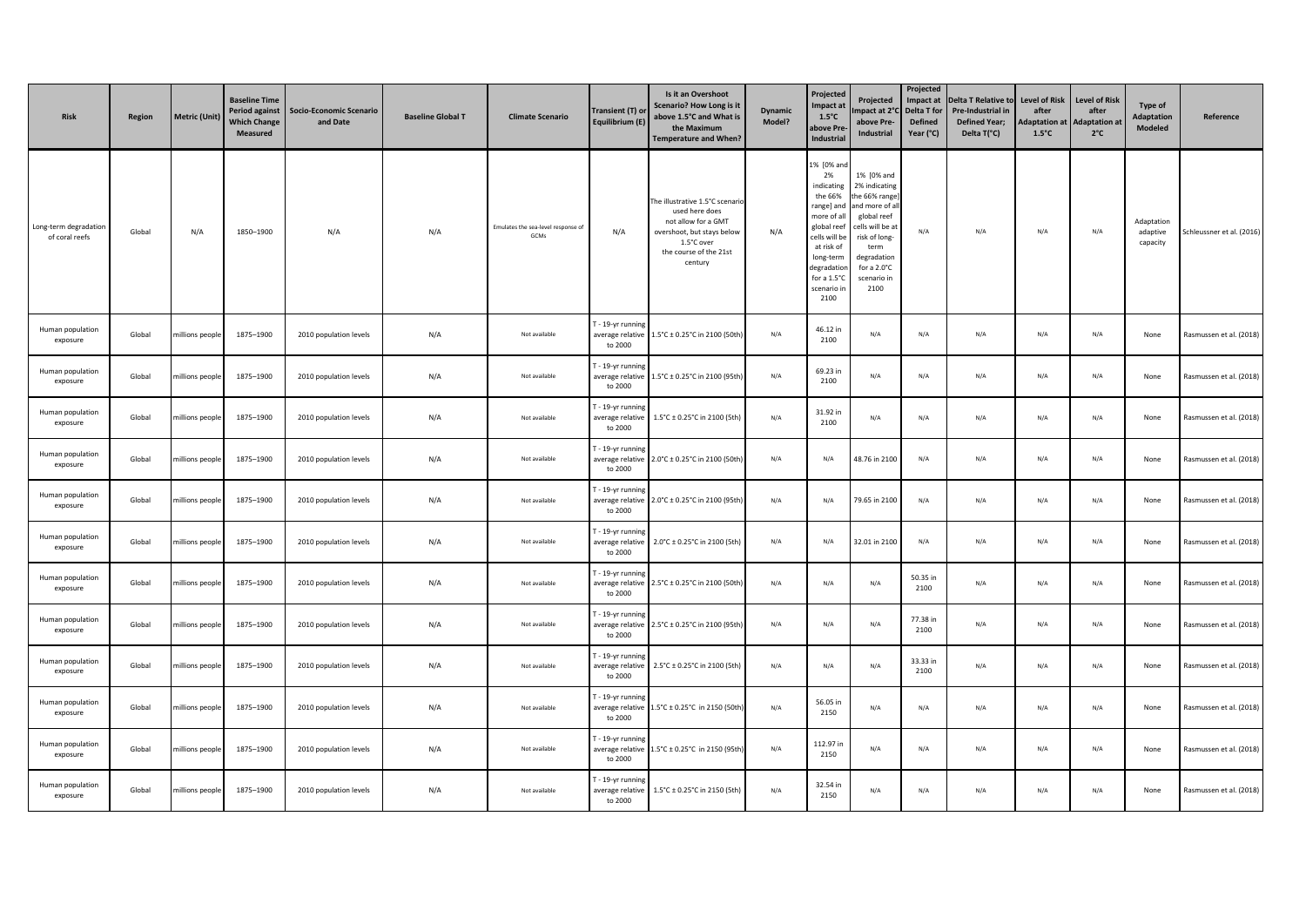| <b>Risk</b>                             | Region | <b>Metric (Unit)</b> | <b>Baseline Time</b><br><b>Period against</b><br><b>Which Change</b><br>Measured | Socio-Economic Scenario<br>and Date | <b>Baseline Global T</b> | <b>Climate Scenario</b>                   | Transient (T) or<br>Equilibrium (E)              | Is it an Overshoot<br><b>Scenario? How Long is it</b><br>above 1.5°C and What is<br>the Maximum<br><b>Temperature and When?</b>                           | <b>Dynamic</b><br>Model? | Projected<br>mpact at<br>$1.5^{\circ}$ C<br><b>bove Pre</b><br><b>Industrial</b>                                                                                                            | Projected<br>mpact at 2°<br>above Pre-<br>Industrial                                                                                                                           | Projected<br>Impact at<br>Delta T for<br><b>Defined</b><br>Year (°C) | <b>Delta T Relative to</b><br>Pre-Industrial in<br><b>Defined Year;</b><br>Delta T(°C) | <b>Level of Risk</b><br>after<br><b>Adaptation at</b><br>$1.5^{\circ}$ C | <b>Level of Risk</b><br>after<br><b>Adaptation a</b><br>$2^{\circ}C$ | <b>Type of</b><br><b>Adaptation</b><br>Modeled | Reference                 |
|-----------------------------------------|--------|----------------------|----------------------------------------------------------------------------------|-------------------------------------|--------------------------|-------------------------------------------|--------------------------------------------------|-----------------------------------------------------------------------------------------------------------------------------------------------------------|--------------------------|---------------------------------------------------------------------------------------------------------------------------------------------------------------------------------------------|--------------------------------------------------------------------------------------------------------------------------------------------------------------------------------|----------------------------------------------------------------------|----------------------------------------------------------------------------------------|--------------------------------------------------------------------------|----------------------------------------------------------------------|------------------------------------------------|---------------------------|
| Long-term degradation<br>of coral reefs | Global | N/A                  | 1850-1900                                                                        | N/A                                 | N/A                      | Emulates the sea-level response o<br>GCMs | N/A                                              | The illustrative 1.5°C scenario<br>used here does<br>not allow for a GMT<br>overshoot, but stays below<br>1.5°C over<br>the course of the 21st<br>century | N/A                      | 1% [0% and<br>2%<br>indicating<br>the 66%<br>range] and<br>more of al<br>global ree<br>ells will be:<br>at risk of<br>long-tern<br>legradatio<br>for a $1.5^{\circ}$ C<br>cenario i<br>2100 | 1% [0% and<br>2% indicating<br>the 66% range<br>and more of al<br>global reef<br>ells will be a:<br>risk of long-<br>term<br>degradation<br>for a 2.0°C<br>scenario in<br>2100 | N/A                                                                  | N/A                                                                                    | N/A                                                                      | N/A                                                                  | Adaptation<br>adaptive<br>capacity             | Schleussner et al. (2016) |
| Human population<br>exposure            | Global | millions people      | 1875-1900                                                                        | 2010 population levels              | N/A                      | Not available                             | T - 19-yr runnin<br>average relative<br>to 2000  | 1.5°C ± 0.25°C in 2100 (50th                                                                                                                              | N/A                      | 46.12 in<br>2100                                                                                                                                                                            | N/A                                                                                                                                                                            | N/A                                                                  | N/A                                                                                    | N/A                                                                      | N/A                                                                  | None                                           | Rasmussen et al. (2018)   |
| Human population<br>exposure            | Global | millions people      | 1875-1900                                                                        | 2010 population levels              | N/A                      | Not available                             | F - 19-yr running<br>average relative<br>to 2000 | 1.5°C ± 0.25°C in 2100 (95th                                                                                                                              | N/A                      | 69.23 in<br>2100                                                                                                                                                                            | N/A                                                                                                                                                                            | N/A                                                                  | N/A                                                                                    | N/A                                                                      | N/A                                                                  | None                                           | Rasmussen et al. (2018)   |
| Human population<br>exposure            | Global | nillions peopl       | 1875-1900                                                                        | 2010 population levels              | N/A                      | Not available                             | F - 19-yr runnir<br>average relative<br>to 2000  | 1.5°C ± 0.25°C in 2100 (5th                                                                                                                               | N/A                      | 31.92 in<br>2100                                                                                                                                                                            | N/A                                                                                                                                                                            | N/A                                                                  | N/A                                                                                    | N/A                                                                      | N/A                                                                  | None                                           | Rasmussen et al. (2018)   |
| Human population<br>exposure            | Global | millions people      | 1875-1900                                                                        | 2010 population levels              | N/A                      | Not available                             | F - 19-yr runnin<br>average relative<br>to 2000  | 2.0°C ± 0.25°C in 2100 (50th                                                                                                                              | N/A                      | N/A                                                                                                                                                                                         | 48.76 in 2100                                                                                                                                                                  | N/A                                                                  | N/A                                                                                    | N/A                                                                      | N/A                                                                  | None                                           | Rasmussen et al. (2018)   |
| Human population<br>exposure            | Global | millions people      | 1875-1900                                                                        | 2010 population levels              | N/A                      | Not available                             | - 19-yr runnin<br>average relative<br>to 2000    | 2.0°C ± 0.25°C in 2100 (95th                                                                                                                              | N/A                      | N/A                                                                                                                                                                                         | 79.65 in 2100                                                                                                                                                                  | N/A                                                                  | N/A                                                                                    | N/A                                                                      | N/A                                                                  | None                                           | Rasmussen et al. (2018)   |
| Human population<br>exposure            | Global | millions people      | 1875-1900                                                                        | 2010 population levels              | N/A                      | Not available                             | - 19-yr running<br>average relative<br>to 2000   | 2.0°C ± 0.25°C in 2100 (5th)                                                                                                                              | N/A                      | N/A                                                                                                                                                                                         | 32.01 in 2100                                                                                                                                                                  | N/A                                                                  | N/A                                                                                    | N/A                                                                      | N/A                                                                  | None                                           | Rasmussen et al. (2018)   |
| Human population<br>exposure            | Global | millions people      | 1875-1900                                                                        | 2010 population levels              | N/A                      | Not available                             | - 19-yr runnin<br>average relative<br>to 2000    | 2.5°C ± 0.25°C in 2100 (50th                                                                                                                              | N/A                      | N/A                                                                                                                                                                                         | N/A                                                                                                                                                                            | 50.35 in<br>2100                                                     | N/A                                                                                    | N/A                                                                      | N/A                                                                  | None                                           | Rasmussen et al. (2018)   |
| Human population<br>exposure            | Global | millions people      | 1875-1900                                                                        | 2010 population levels              | N/A                      | Not available                             | - 19-yr running<br>average relative<br>to 2000   | 2.5°C ± 0.25°C in 2100 (95th)                                                                                                                             | N/A                      | N/A                                                                                                                                                                                         | N/A                                                                                                                                                                            | 77.38 in<br>2100                                                     | N/A                                                                                    | N/A                                                                      | N/A                                                                  | None                                           | Rasmussen et al. (2018)   |
| Human population<br>exposure            | Global | millions people      | 1875-1900                                                                        | 2010 population levels              | N/A                      | Not available                             | - 19-yr running<br>average relative<br>to 2000   | 2.5°C ± 0.25°C in 2100 (5th)                                                                                                                              | N/A                      | N/A                                                                                                                                                                                         | N/A                                                                                                                                                                            | 33.33 in<br>2100                                                     | N/A                                                                                    | N/A                                                                      | N/A                                                                  | None                                           | Rasmussen et al. (2018)   |
| Human population<br>exposure            | Global | millions people      | 1875-1900                                                                        | 2010 population levels              | N/A                      | Not available                             | - 19-yr running<br>average relative<br>to 2000   | 1.5°C ± 0.25°C in 2150 (50th                                                                                                                              | N/A                      | 56.05 in<br>2150                                                                                                                                                                            | N/A                                                                                                                                                                            | N/A                                                                  | N/A                                                                                    | N/A                                                                      | N/A                                                                  | None                                           | Rasmussen et al. (2018)   |
| Human population<br>exposure            | Global | millions people      | 1875-1900                                                                        | 2010 population levels              | N/A                      | Not available                             | - 19-yr running<br>average relative<br>to 2000   | 1.5°C ± 0.25°C in 2150 (95th                                                                                                                              | N/A                      | 112.97 ir<br>2150                                                                                                                                                                           | N/A                                                                                                                                                                            | N/A                                                                  | N/A                                                                                    | N/A                                                                      | N/A                                                                  | None                                           | Rasmussen et al. (2018)   |
| Human population<br>exposure            | Global | millions people      | 1875-1900                                                                        | 2010 population levels              | N/A                      | Not available                             | - 19-yr runnin<br>average relative<br>to 2000    | 1.5°C ± 0.25°C in 2150 (5th)                                                                                                                              | N/A                      | 32.54 in<br>2150                                                                                                                                                                            | N/A                                                                                                                                                                            | N/A                                                                  | N/A                                                                                    | N/A                                                                      | N/A                                                                  | None                                           | Rasmussen et al. (2018)   |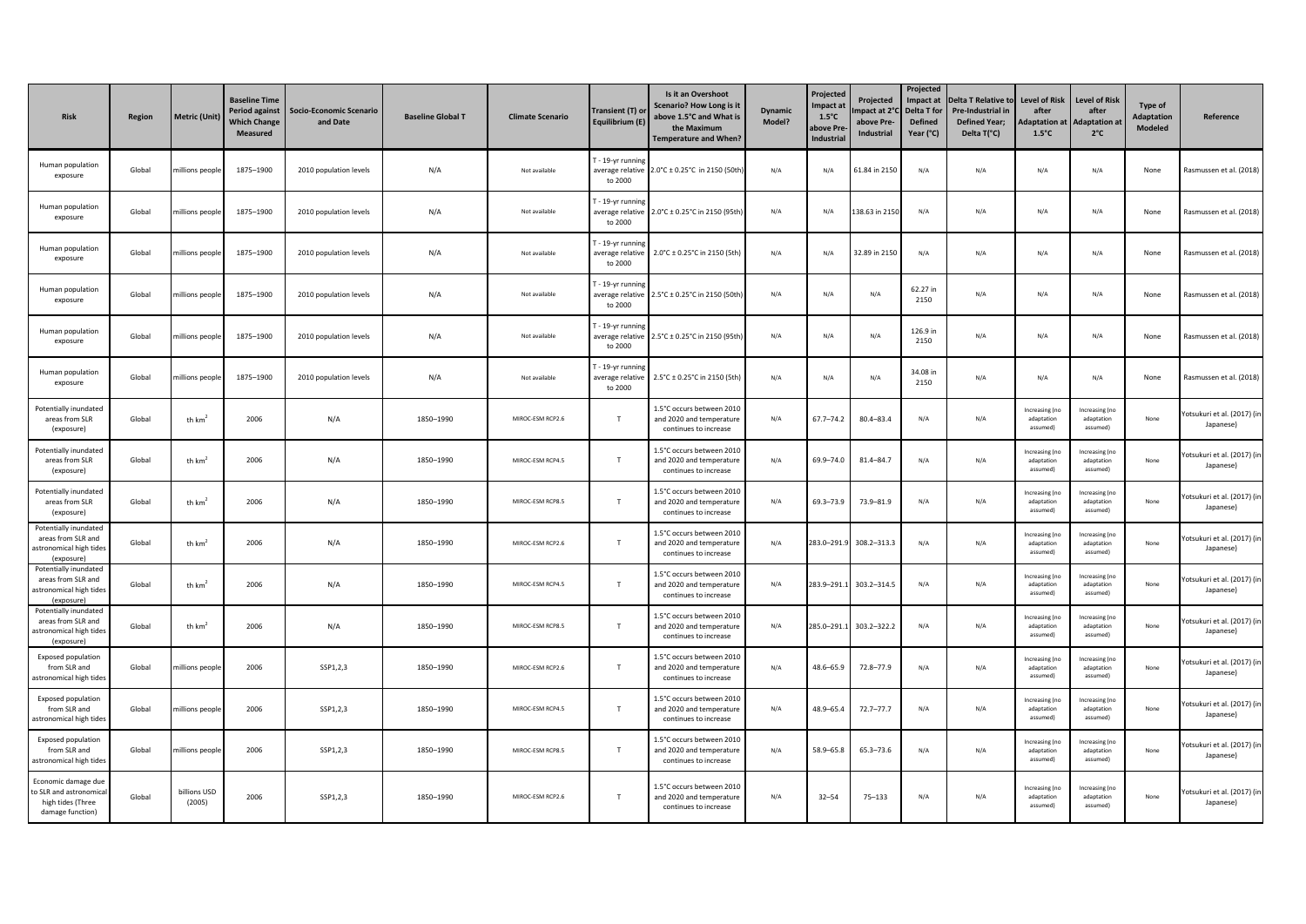| <b>Risk</b>                                                                            | Region | <b>Metric (Unit)</b>   | <b>Baseline Time</b><br><b>Period against</b><br><b>Which Change</b><br>Measured | <b>Socio-Economic Scenario</b><br>and Date | <b>Baseline Global T</b> | <b>Climate Scenario</b> | Transient (T) or<br>Equilibrium (E)              | Is it an Overshoot<br><b>Scenario? How Long is it</b><br>above 1.5°C and What is<br>the Maximum<br><b>Temperature and When?</b> | <b>Dynamic</b><br>Model? | Projected<br><b>Impact at</b><br>$1.5^{\circ}$ C<br>bove Pre<br>Industrial | Projected<br>mpact at 2°<br>above Pre-<br>Industrial | Projected<br>Impact at<br>Delta T for<br><b>Defined</b><br>Year (°C) | <b>Delta T Relative to</b><br>Pre-Industrial in<br><b>Defined Year;</b><br>Delta T(°C) | <b>Level of Risk</b><br>after<br>daptation at<br>$1.5^{\circ}$ C | <b>Level of Risk</b><br>after<br><b>Adaptation a</b><br>$2^{\circ}C$ | Type of<br><b>Adaptation</b><br>Modeled | Reference                                |
|----------------------------------------------------------------------------------------|--------|------------------------|----------------------------------------------------------------------------------|--------------------------------------------|--------------------------|-------------------------|--------------------------------------------------|---------------------------------------------------------------------------------------------------------------------------------|--------------------------|----------------------------------------------------------------------------|------------------------------------------------------|----------------------------------------------------------------------|----------------------------------------------------------------------------------------|------------------------------------------------------------------|----------------------------------------------------------------------|-----------------------------------------|------------------------------------------|
| Human population<br>exposure                                                           | Global | millions peopl         | 1875-1900                                                                        | 2010 population levels                     | N/A                      | Not available           | T - 19-yr running<br>average relative<br>to 2000 | 2.0°C ± 0.25°C in 2150 (50th                                                                                                    | N/A                      | N/A                                                                        | 61.84 in 2150                                        | N/A                                                                  | N/A                                                                                    | N/A                                                              | N/A                                                                  | None                                    | Rasmussen et al. (2018)                  |
| Human population<br>exposure                                                           | Global | millions peopl         | 1875-1900                                                                        | 2010 population levels                     | N/A                      | Not available           | - 19-yr running<br>average relative<br>to 2000   | 2.0°C ± 0.25°C in 2150 (95th)                                                                                                   | N/A                      | N/A                                                                        | 38.63 in 2150                                        | N/A                                                                  | N/A                                                                                    | N/A                                                              | N/A                                                                  | None                                    | Rasmussen et al. (2018)                  |
| Human population<br>exposure                                                           | Global | millions people        | 1875-1900                                                                        | 2010 population levels                     | N/A                      | Not available           | - 19-yr running<br>average relative<br>to 2000   | 2.0°C ± 0.25°C in 2150 (5th)                                                                                                    | N/A                      | N/A                                                                        | 32.89 in 2150                                        | N/A                                                                  | N/A                                                                                    | N/A                                                              | N/A                                                                  | None                                    | Rasmussen et al. (2018)                  |
| Human population<br>exposure                                                           | Global | nillions people        | 1875-1900                                                                        | 2010 population levels                     | N/A                      | Not available           | - 19-yr runnin<br>average relative<br>to 2000    | 2.5°C ± 0.25°C in 2150 (50th                                                                                                    | N/A                      | N/A                                                                        | N/A                                                  | 62.27 in<br>2150                                                     | N/A                                                                                    | N/A                                                              | N/A                                                                  | None                                    | Rasmussen et al. (2018)                  |
| Human population<br>exposure                                                           | Global | millions people        | 1875-1900                                                                        | 2010 population levels                     | N/A                      | Not available           | - 19-yr runnin<br>average relative<br>to 2000    | 2.5°C ± 0.25°C in 2150 (95th)                                                                                                   | N/A                      | N/A                                                                        | N/A                                                  | 126.9 in<br>2150                                                     | N/A                                                                                    | N/A                                                              | N/A                                                                  | None                                    | Rasmussen et al. (2018)                  |
| Human population<br>exposure                                                           | Global | nillions peopl         | 1875-1900                                                                        | 2010 population levels                     | N/A                      | Not available           | - 19-yr running<br>average relative<br>to 2000   | 2.5°C ± 0.25°C in 2150 (5th)                                                                                                    | N/A                      | N/A                                                                        | N/A                                                  | 34.08 in<br>2150                                                     | N/A                                                                                    | N/A                                                              | $\mathsf{N}/\mathsf{A}$                                              | None                                    | Rasmussen et al. (2018)                  |
| Potentially inundated<br>areas from SLR<br>(exposure)                                  | Global | th $km2$               | 2006                                                                             | N/A                                        | 1850-1990                | MIROC-ESM RCP2.6        | $\mathsf{T}$                                     | 1.5°C occurs between 2010<br>and 2020 and temperature<br>continues to increase                                                  | N/A                      | $67.7 - 74.2$                                                              | $80.4 - 83.4$                                        | N/A                                                                  | N/A                                                                                    | Increasing (no<br>adaptation<br>assumed)                         | Increasing (no<br>adaptation<br>assumed)                             | None                                    | Yotsukuri et al. (2017) (in<br>Japanese) |
| Potentially inundated<br>areas from SLR<br>(exposure)                                  | Global | th $km2$               | 2006                                                                             | N/A                                        | 1850-1990                | MIROC-ESM RCP4.5        | $\mathsf{T}$                                     | 1.5°C occurs between 2010<br>and 2020 and temperature<br>continues to increase                                                  | N/A                      | 69.9-74.0                                                                  | $81.4 - 84.7$                                        | N/A                                                                  | N/A                                                                                    | Increasing (no<br>adaptation<br>assumed)                         | Increasing (no<br>adaptation<br>assumed)                             | None                                    | Yotsukuri et al. (2017) (ir<br>Japanese) |
| Potentially inundated<br>areas from SLR<br>(exposure)                                  | Global | th $km2$               | 2006                                                                             | N/A                                        | 1850-1990                | MIROC-ESM RCP8.5        | T                                                | 1.5°C occurs between 2010<br>and 2020 and temperature<br>continues to increase                                                  | N/A                      | 69.3-73.9                                                                  | 73.9-81.9                                            | N/A                                                                  | N/A                                                                                    | Increasing (no<br>adaptation<br>assumed)                         | Increasing (no<br>adaptation<br>assumed)                             | None                                    | Yotsukuri et al. (2017) (in<br>Japanese) |
| Potentially inundated<br>areas from SLR and<br>astronomical high tides<br>(exposure)   | Global | th $km2$               | 2006                                                                             | N/A                                        | 1850-1990                | MIROC-ESM RCP2.6        | $\mathsf{T}$                                     | 1.5°C occurs between 2010<br>and 2020 and temperature<br>continues to increase                                                  | N/A                      | 283.0-291.                                                                 | 308.2-313.3                                          | N/A                                                                  | N/A                                                                                    | Increasing (no<br>adaptation<br>assumed!                         | Increasing (no<br>adaptation<br>assumed)                             | None                                    | Yotsukuri et al. (2017) (in<br>Japanese) |
| Potentially inundated<br>areas from SLR and<br>astronomical high tides<br>(exposure)   | Global | th $km2$               | 2006                                                                             | N/A                                        | 1850-1990                | MIROC-ESM RCP4.5        | $\mathsf{T}$                                     | 1.5°C occurs between 2010<br>and 2020 and temperature<br>continues to increase                                                  | N/A                      | 283.9-291.                                                                 | 303.2-314.5                                          | N/A                                                                  | N/A                                                                                    | Increasing (n<br>adaptation<br>assumed)                          | Increasing (no<br>adaptation<br>assumed)                             | None                                    | /otsukuri et al. (2017) (in<br>Japanese) |
| Potentially inundated<br>areas from SLR and<br>astronomical high tides<br>(exposure)   | Global | th $km2$               | 2006                                                                             | N/A                                        | 1850-1990                | MIROC-ESM RCP8.5        | $\mathsf{T}$                                     | 1.5°C occurs between 2010<br>and 2020 and temperature<br>continues to increase                                                  | N/A                      | 285.0-291.                                                                 | 303.2-322.2                                          | N/A                                                                  | N/A                                                                                    | ncreasing (n<br>adaptation<br>assumed)                           | Increasing (no<br>adaptation<br>assumed)                             | None                                    | Yotsukuri et al. (2017) (in<br>Japanese) |
| <b>Exposed population</b><br>from SLR and<br>astronomical high tides                   | Global | nillions people        | 2006                                                                             | SSP1,2,3                                   | 1850-1990                | MIROC-ESM RCP2.6        | $\mathsf{T}$                                     | 1.5°C occurs between 2010<br>and 2020 and temperature<br>continues to increase                                                  | N/A                      | 48.6-65.9                                                                  | 72.8-77.9                                            | N/A                                                                  | N/A                                                                                    | ncreasing (n<br>adaptation<br>assumed)                           | Increasing (no<br>adaptation<br>assumed)                             | None                                    | Yotsukuri et al. (2017) (in<br>Japanese) |
| <b>Exposed population</b><br>from SLR and<br>astronomical high tides                   | Global | hillions people        | 2006                                                                             | SSP1,2,3                                   | 1850-1990                | MIROC-ESM RCP4.5        | $\mathsf{T}$                                     | 1.5°C occurs between 2010<br>and 2020 and temperature<br>continues to increase                                                  | N/A                      | 48.9-65.4                                                                  | $72.7 - 77.7$                                        | N/A                                                                  | N/A                                                                                    | Increasing (no<br>adaptation<br>assumed)                         | Increasing (no<br>adaptation<br>assumed)                             | None                                    | Yotsukuri et al. (2017) (in<br>Japanese) |
| Exposed population<br>from SLR and<br>astronomical high tides                          | Global | nillions people        | 2006                                                                             | SSP1,2,3                                   | 1850-1990                | MIROC-ESM RCP8.5        | $\mathsf{T}$                                     | 1.5°C occurs between 2010<br>and 2020 and temperature<br>continues to increase                                                  | N/A                      | 58.9-65.8                                                                  | 65.3-73.6                                            | N/A                                                                  | N/A                                                                                    | Increasing (no<br>adaptation<br>assumed!                         | Increasing (no<br>adaptation<br>assumed)                             | None                                    | Yotsukuri et al. (2017) (in<br>Japanese) |
| Economic damage due<br>to SLR and astronomica<br>high tides (Three<br>damage function) | Global | billions USD<br>(2005) | 2006                                                                             | SSP1,2,3                                   | 1850-1990                | MIROC-ESM RCP2.6        | T                                                | 1.5°C occurs between 2010<br>and 2020 and temperature<br>continues to increase                                                  | N/A                      | $32 - 54$                                                                  | $75 - 133$                                           | N/A                                                                  | N/A                                                                                    | Increasing (no<br>adaptation<br>assumed)                         | Increasing (no<br>adaptation<br>assumed)                             | None                                    | /otsukuri et al. (2017) (in<br>Japanese) |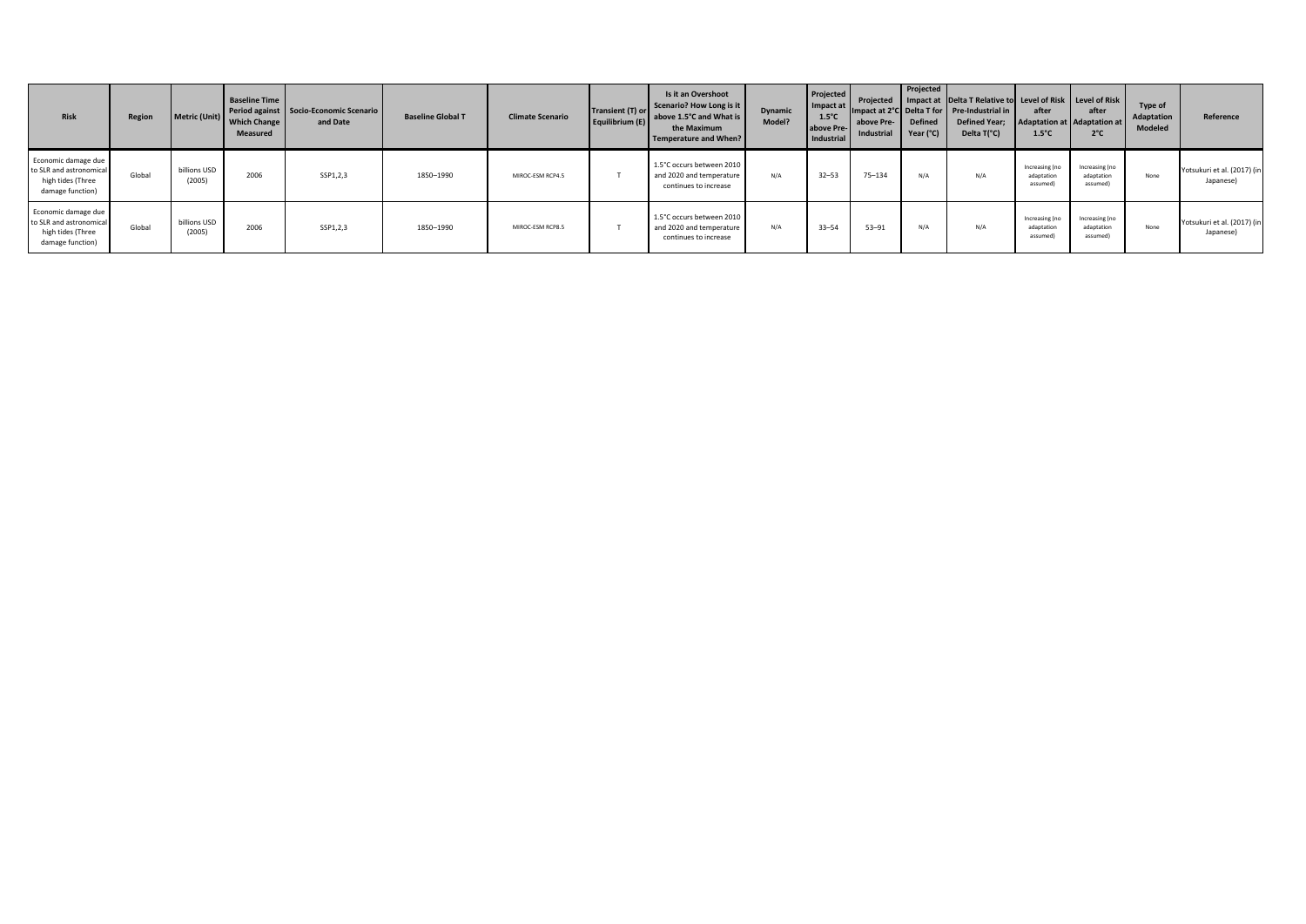| <b>Risk</b>                                                                             | Region | Metric (Unit)          | <b>Baseline Time</b><br><b>Which Change</b><br>Measured | Period against Socio-Economic Scenario<br>and Date | <b>Baseline Global T</b> | <b>Climate Scenario</b> | Transient (T) or<br>Equilibrium (E) | Is it an Overshoot<br>Scenario? How Long is it<br>above 1.5°C and What is<br>the Maximum<br><b>Temperature and When?</b> | Dynamic<br>Model? | Projected<br>Impact at<br>$1.5^{\circ}$ C<br>above Pre-<br>Industrial | above Pre-<br>Industrial | Projected<br><b>Defined</b><br>Year (°C) | Projected Impact at Delta T Relative to Level of Risk Level of Risk<br>Impact at 2°C Delta T for Pre-Industrial in<br><b>Defined Year;</b><br>Delta T(°C) | after<br>Adaptation at Adaptation at<br>$1.5^{\circ}$ C | after<br>$2^{\circ}$ C                   | Type of<br>Adaptation<br>Modeled | Reference                                |
|-----------------------------------------------------------------------------------------|--------|------------------------|---------------------------------------------------------|----------------------------------------------------|--------------------------|-------------------------|-------------------------------------|--------------------------------------------------------------------------------------------------------------------------|-------------------|-----------------------------------------------------------------------|--------------------------|------------------------------------------|-----------------------------------------------------------------------------------------------------------------------------------------------------------|---------------------------------------------------------|------------------------------------------|----------------------------------|------------------------------------------|
| Economic damage due<br>to SLR and astronomical<br>high tides (Three<br>damage function) | Global | billions USD<br>(2005) | 2006                                                    | SSP1,2,3                                           | 1850-1990                | MIROC-ESM RCP4.5        |                                     | 1.5°C occurs between 2010<br>and 2020 and temperature<br>continues to increase                                           | N/A               | $32 - 53$                                                             | $75 - 134$               | N/A                                      | N/A                                                                                                                                                       | Increasing (no<br>adaptation<br>assumed                 | Increasing (no<br>adaptation<br>assumed) | None                             | Yotsukuri et al. (2017) (in<br>Japanese) |
| Economic damage due<br>to SLR and astronomical<br>high tides (Three<br>damage function) | Global | billions USD<br>(2005) | 2006                                                    | SSP1,2,3                                           | 1850-1990                | MIROC-ESM RCP8.5        |                                     | 1.5°C occurs between 2010<br>and 2020 and temperature<br>continues to increase                                           | N/A               | $33 - 54$                                                             | $53 - 91$                | N/A                                      | N/A                                                                                                                                                       | Increasing (no<br>adaptation<br>assumed                 | Increasing (no<br>adaptation<br>assumed) | None                             | Yotsukuri et al. (2017) (in<br>Japanese) |